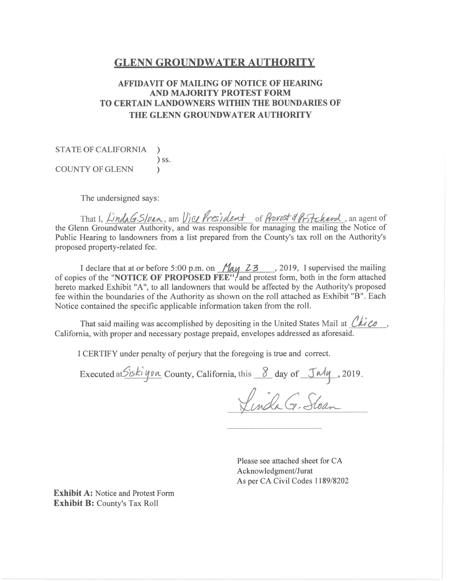#### **GLENN GROUNDWATER AUTHORITY**

#### **AFFIDAVIT OF MAILING OF NOTICE OF HEARING AND MAJORITY PROTEST FORM TO CERTAIN LANDOWNERS WITHIN THE BOUNDARIES OF** THE GLENN GROUNDWATER AUTHORITY

**STATE OF CALIFORNIA**  $\lambda$  $)$  ss. **COUNTY OF GLENN**  $\lambda$ 

The undersigned says:

That I, LindaG.S/pan, am Vice President of Provest 4 Pritcherd, an agent of the Glenn Groundwater Authority, and was responsible for managing the mailing the Notice of Public Hearing to landowners from a list prepared from the County's tax roll on the Authority's proposed property-related fee.

I declare that at or before 5:00 p.m. on  $\frac{M_{\alpha\mu}}{23}$ , 2019, I supervised the mailing of copies of the "NOTICE OF PROPOSED FEE", and protest form, both in the form attached hereto marked Exhibit "A", to all landowners that would be affected by the Authority's proposed fee within the boundaries of the Authority as shown on the roll attached as Exhibit "B". Each Notice contained the specific applicable information taken from the roll.

That said mailing was accomplished by depositing in the United States Mail at  $Ch$  Co, California, with proper and necessary postage prepaid, envelopes addressed as aforesaid.

I CERTIFY under penalty of perjury that the foregoing is true and correct.

Executed at Siski you County, California, this 8 day of July, 2019.

Linda G. Stoan

Please see attached sheet for CA Acknowledgment/Jurat As per CA Civil Codes 1189/8202

**Exhibit A: Notice and Protest Form Exhibit B: County's Tax Roll**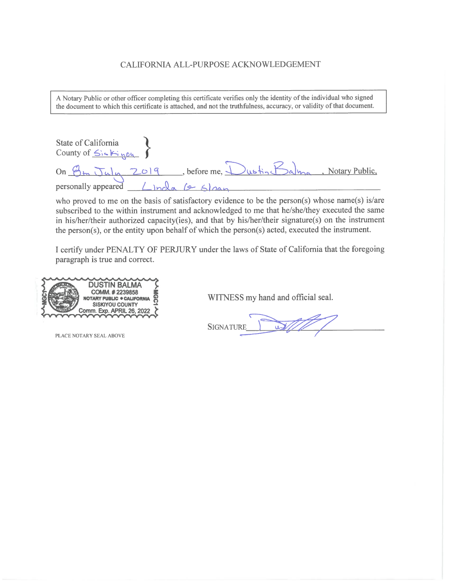#### CALIFORNIA ALL-PURPOSE ACKNOWLEDGEMENT

A Notary Public or other officer completing this certificate verifies only the identity of the individual who signed the document to which this certificate is attached, and not the truthfulness, accuracy, or validity of that document.

State of California<br>County of  $\leq$   $\leq$   $\leq$   $\leq$   $\leq$   $\leq$ On Om July 2019, before me, Dustin Balma, Notary Public,<br>personally appeared <u>Lincla (& Sloan</u>

who proved to me on the basis of satisfactory evidence to be the person(s) whose name(s) is/are subscribed to the within instrument and acknowledged to me that he/she/they executed the same in his/her/their authorized capacity(ies), and that by his/her/their signature(s) on the instrument the person(s), or the entity upon behalf of which the person(s) acted, executed the instrument.

I certify under PENALTY OF PERJURY under the laws of State of California that the foregoing paragraph is true and correct.



PLACE NOTARY SEAL ABOVE

WITNESS my hand and official seal.

**SIGNATURE**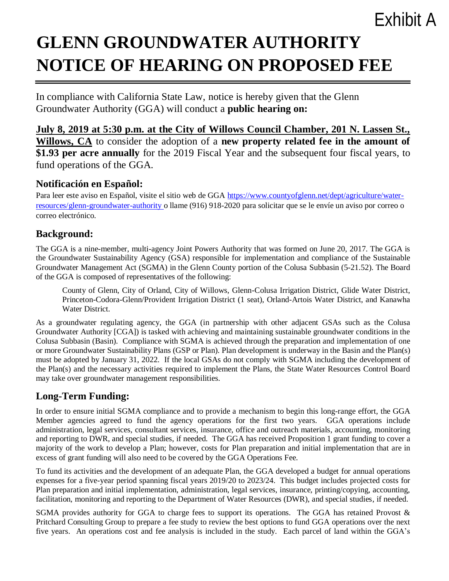# Exhibit A

# **GLENN GROUNDWATER AUTHORITY NOTICE OF HEARING ON PROPOSED FEE**

In compliance with California State Law, notice is hereby given that the Glenn Groundwater Authority (GGA) will conduct a **public hearing on:**

**July 8, 2019 at 5:30 p.m. at the City of Willows Council Chamber, 201 N. Lassen St., Willows, CA** to consider the adoption of a **new property related fee in the amount of \$1.93 per acre annually** for the 2019 Fiscal Year and the subsequent four fiscal years, to fund operations of the GGA.

### **Notificación en Español:**

Para leer este aviso en Español, visite el sitio web de GGA [https://www.countyofglenn.net/dept/agriculture/water](https://www.countyofglenn.net/dept/agriculture/water-resources/glenn-groundwater-authority)[resources/glenn-groundwater-authority](https://www.countyofglenn.net/dept/agriculture/water-resources/glenn-groundwater-authority) o llame (916) 918-2020 para solicitar que se le envíe un aviso por correo o correo electrónico.

### **Background:**

The GGA is a nine-member, multi-agency Joint Powers Authority that was formed on June 20, 2017. The GGA is the Groundwater Sustainability Agency (GSA) responsible for implementation and compliance of the Sustainable Groundwater Management Act (SGMA) in the Glenn County portion of the Colusa Subbasin (5-21.52). The Board of the GGA is composed of representatives of the following:

County of Glenn, City of Orland, City of Willows, Glenn-Colusa Irrigation District, Glide Water District, Princeton-Codora-Glenn/Provident Irrigation District (1 seat), Orland-Artois Water District, and Kanawha Water District.

As a groundwater regulating agency, the GGA (in partnership with other adjacent GSAs such as the Colusa Groundwater Authority [CGA]) is tasked with achieving and maintaining sustainable groundwater conditions in the Colusa Subbasin (Basin). Compliance with SGMA is achieved through the preparation and implementation of one or more Groundwater Sustainability Plans (GSP or Plan). Plan development is underway in the Basin and the Plan(s) must be adopted by January 31, 2022. If the local GSAs do not comply with SGMA including the development of the Plan(s) and the necessary activities required to implement the Plans, the State Water Resources Control Board may take over groundwater management responsibilities.

# **Long-Term Funding:**

In order to ensure initial SGMA compliance and to provide a mechanism to begin this long-range effort, the GGA Member agencies agreed to fund the agency operations for the first two years. GGA operations include administration, legal services, consultant services, insurance, office and outreach materials, accounting, monitoring and reporting to DWR, and special studies, if needed. The GGA has received Proposition 1 grant funding to cover a majority of the work to develop a Plan; however, costs for Plan preparation and initial implementation that are in excess of grant funding will also need to be covered by the GGA Operations Fee.

To fund its activities and the development of an adequate Plan, the GGA developed a budget for annual operations expenses for a five-year period spanning fiscal years 2019/20 to 2023/24. This budget includes projected costs for Plan preparation and initial implementation, administration, legal services, insurance, printing/copying, accounting, facilitation, monitoring and reporting to the Department of Water Resources (DWR), and special studies, if needed.

SGMA provides authority for GGA to charge fees to support its operations. The GGA has retained Provost & Pritchard Consulting Group to prepare a fee study to review the best options to fund GGA operations over the next five years. An operations cost and fee analysis is included in the study. Each parcel of land within the GGA's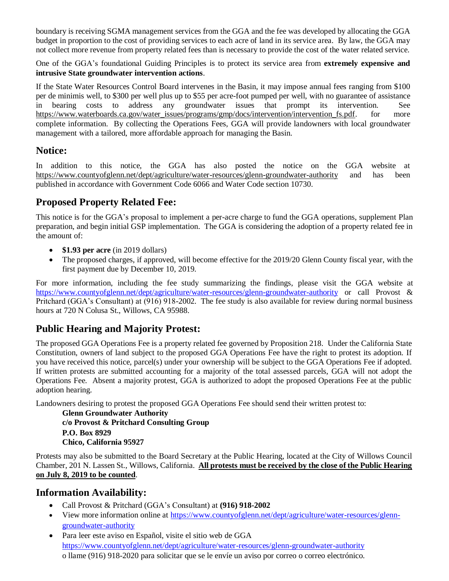boundary is receiving SGMA management services from the GGA and the fee was developed by allocating the GGA budget in proportion to the cost of providing services to each acre of land in its service area. By law, the GGA may not collect more revenue from property related fees than is necessary to provide the cost of the water related service.

One of the GGA's foundational Guiding Principles is to protect its service area from **extremely expensive and intrusive State groundwater intervention actions**.

If the State Water Resources Control Board intervenes in the Basin, it may impose annual fees ranging from \$100 per de minimis well, to \$300 per well plus up to \$55 per acre-foot pumped per well, with no guarantee of assistance in bearing costs to address any groundwater issues that prompt its intervention. See [https://www.waterboards.ca.gov/water\\_issues/programs/gmp/docs/intervention/intervention\\_fs.pdf.](https://www.waterboards.ca.gov/water_issues/programs/gmp/docs/intervention/intervention_fs.pdf) for more complete information. By collecting the Operations Fees, GGA will provide landowners with local groundwater management with a tailored, more affordable approach for managing the Basin.

## **Notice:**

In addition to this notice, the GGA has also posted the notice on the GGA website at <https://www.countyofglenn.net/dept/agriculture/water-resources/glenn-groundwater-authority> and has been published in accordance with Government Code 6066 and Water Code section 10730.

# **Proposed Property Related Fee:**

This notice is for the GGA's proposal to implement a per-acre charge to fund the GGA operations, supplement Plan preparation, and begin initial GSP implementation. The GGA is considering the adoption of a property related fee in the amount of:

- **\$1.93 per acre** (in 2019 dollars)
- The proposed charges, if approved, will become effective for the 2019/20 Glenn County fiscal year, with the first payment due by December 10, 2019.

For more information, including the fee study summarizing the findings, please visit the GGA website at <https://www.countyofglenn.net/dept/agriculture/water-resources/glenn-groundwater-authority> or call Provost & Pritchard (GGA's Consultant) at (916) 918-2002. The fee study is also available for review during normal business hours at 720 N Colusa St., Willows, CA 95988.

# **Public Hearing and Majority Protest:**

The proposed GGA Operations Fee is a property related fee governed by Proposition 218. Under the California State Constitution, owners of land subject to the proposed GGA Operations Fee have the right to protest its adoption. If you have received this notice, parcel(s) under your ownership will be subject to the GGA Operations Fee if adopted. If written protests are submitted accounting for a majority of the total assessed parcels, GGA will not adopt the Operations Fee. Absent a majority protest, GGA is authorized to adopt the proposed Operations Fee at the public adoption hearing.

Landowners desiring to protest the proposed GGA Operations Fee should send their written protest to:

**Glenn Groundwater Authority c/o Provost & Pritchard Consulting Group P.O. Box 8929 Chico, California 95927**

Protests may also be submitted to the Board Secretary at the Public Hearing, located at the City of Willows Council Chamber, 201 N. Lassen St., Willows, California. **All protests must be received by the close of the Public Hearing on July 8, 2019 to be counted**.

#### **Information Availability:**

- Call Provost & Pritchard (GGA's Consultant) at **(916) 918-2002**
- View more information online at [https://www.countyofglenn.net/dept/agriculture/water-resources/glenn](https://www.countyofglenn.net/dept/agriculture/water-resources/glenn-groundwater-authority)[groundwater-authority](https://www.countyofglenn.net/dept/agriculture/water-resources/glenn-groundwater-authority)
- Para leer este aviso en Español, visite el sitio web de GGA <https://www.countyofglenn.net/dept/agriculture/water-resources/glenn-groundwater-authority> o llame (916) 918-2020 para solicitar que se le envíe un aviso por correo o correo electrónico.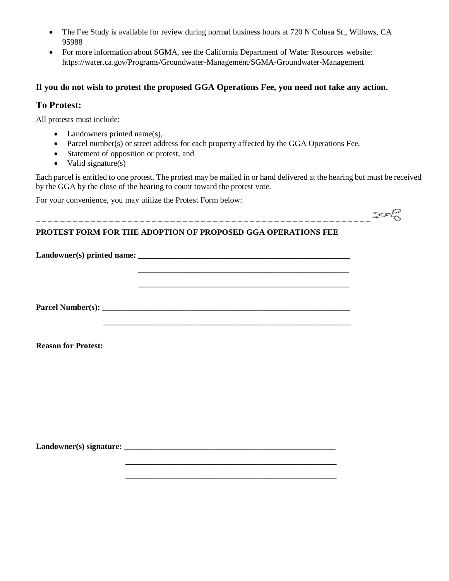- The Fee Study is available for review during normal business hours at 720 N Colusa St., Willows, CA 95988
- For more information about SGMA, see the California Department of Water Resources website: <https://water.ca.gov/Programs/Groundwater-Management/SGMA-Groundwater-Management>

#### **If you do not wish to protest the proposed GGA Operations Fee, you need not take any action.**

#### **To Protest:**

All protests must include:

- Landowners printed name(s),
- Parcel number(s) or street address for each property affected by the GGA Operations Fee,
- Statement of opposition or protest, and
- Valid signature(s)

Each parcel is entitled to one protest. The protest may be mailed in or hand delivered at the hearing but must be received by the GGA by the close of the hearing to count toward the protest vote.

For your convenience, you may utilize the Protest Form below:

# \_ \_ \_ \_ \_ \_ \_ \_ \_ \_ \_ \_ \_ \_ \_ \_ \_ \_ \_ \_ \_ \_ \_ \_ \_ \_ \_ \_ \_ \_ \_ \_ \_ \_ \_ \_ \_ \_ \_ \_ \_ \_ \_ \_ \_ \_ \_ \_ \_ \_ \_ \_ \_ \_ \_ **PROTEST FORM FOR THE ADOPTION OF PROPOSED GGA OPERATIONS FEE**

Landowner(s) printed name:  **\_\_\_\_\_\_\_\_\_\_\_\_\_\_\_\_\_\_\_\_\_\_\_\_\_\_\_\_\_\_\_\_\_\_\_\_\_\_\_\_\_\_\_\_\_\_\_\_\_\_\_\_ \_\_\_\_\_\_\_\_\_\_\_\_\_\_\_\_\_\_\_\_\_\_\_\_\_\_\_\_\_\_\_\_\_\_\_\_\_\_\_\_\_\_\_\_\_\_\_\_\_\_\_\_ Parcel Number(s): \_\_\_\_\_\_\_\_\_\_\_\_\_\_\_\_\_\_\_\_\_\_\_\_\_\_\_\_\_\_\_\_\_\_\_\_\_\_\_\_\_\_\_\_\_\_\_\_\_\_\_\_\_\_\_\_\_\_\_\_\_ \_\_\_\_\_\_\_\_\_\_\_\_\_\_\_\_\_\_\_\_\_\_\_\_\_\_\_\_\_\_\_\_\_\_\_\_\_\_\_\_\_\_\_\_\_\_\_\_\_\_\_\_\_\_\_\_\_\_\_\_\_**

**Reason for Protest:**

**Landowner(s) signature: \_\_\_\_\_\_\_\_\_\_\_\_\_\_\_\_\_\_\_\_\_\_\_\_\_\_\_\_\_\_\_\_\_\_\_\_\_\_\_\_\_\_\_\_\_\_\_\_\_\_\_\_**

 **\_\_\_\_\_\_\_\_\_\_\_\_\_\_\_\_\_\_\_\_\_\_\_\_\_\_\_\_\_\_\_\_\_\_\_\_\_\_\_\_\_\_\_\_\_\_\_\_\_\_\_\_ \_\_\_\_\_\_\_\_\_\_\_\_\_\_\_\_\_\_\_\_\_\_\_\_\_\_\_\_\_\_\_\_\_\_\_\_\_\_\_\_\_\_\_\_\_\_\_\_\_\_\_\_**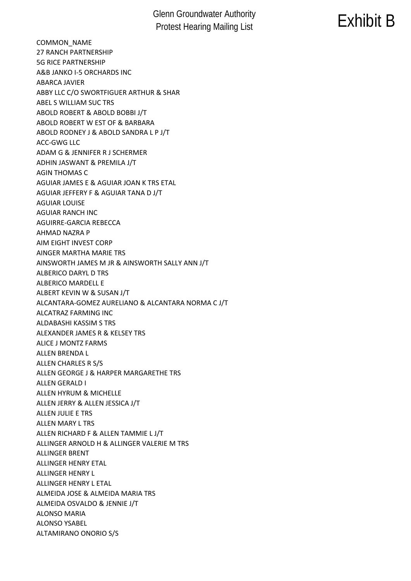# Glenn Groundwater Authority **Protest Hearing Mailing List** Exhibit B<br>Protest Hearing Mailing List

COMMON\_NAME 27 RANCH PARTNERSHIP 5G RICE PARTNERSHIP A&B JANKO I-5 ORCHARDS INC ABARCA JAVIER ABBY LLC C/O SWORTFIGUER ARTHUR & SHAR ABEL S WILLIAM SUC TRS ABOLD ROBERT & ABOLD BOBBI J/T ABOLD ROBERT W EST OF & BARBARA ABOLD RODNEY J & ABOLD SANDRA L P J/T ACC-GWG LLC ADAM G & JENNIFER R J SCHERMER ADHIN JASWANT & PREMILA J/T AGIN THOMAS C AGUIAR JAMES E & AGUIAR JOAN K TRS ETAL AGUIAR JEFFERY F & AGUIAR TANA D J/T AGUIAR LOUISE AGUIAR RANCH INC AGUIRRE-GARCIA REBECCA AHMAD NAZRA P AIM EIGHT INVEST CORP AINGER MARTHA MARIE TRS AINSWORTH JAMES M JR & AINSWORTH SALLY ANN J/T ALBERICO DARYL D TRS ALBERICO MARDELL E ALBERT KEVIN W & SUSAN J/T ALCANTARA-GOMEZ AURELIANO & ALCANTARA NORMA C J/T ALCATRAZ FARMING INC ALDABASHI KASSIM S TRS ALEXANDER JAMES R & KELSEY TRS ALICE J MONTZ FARMS ALLEN BRENDA L ALLEN CHARLES R S/S ALLEN GEORGE J & HARPER MARGARETHE TRS ALLEN GERALD I ALLEN HYRUM & MICHELLE ALLEN JERRY & ALLEN JESSICA J/T ALLEN JULIE E TRS ALLEN MARY L TRS ALLEN RICHARD F & ALLEN TAMMIE L J/T ALLINGER ARNOLD H & ALLINGER VALERIE M TRS ALLINGER BRENT ALLINGER HENRY ETAL ALLINGER HENRY L ALLINGER HENRY L ETAL ALMEIDA JOSE & ALMEIDA MARIA TRS ALMEIDA OSVALDO & JENNIE J/T ALONSO MARIA ALONSO YSABEL ALTAMIRANO ONORIO S/S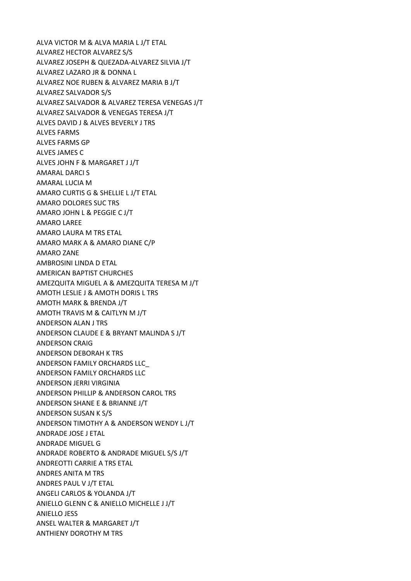ALVA VICTOR M & ALVA MARIA L J/T ETAL ALVAREZ HECTOR ALVAREZ S/S ALVAREZ JOSEPH & QUEZADA-ALVAREZ SILVIA J/T ALVAREZ LAZARO JR & DONNA L ALVAREZ NOE RUBEN & ALVAREZ MARIA B J/T ALVAREZ SALVADOR S/S ALVAREZ SALVADOR & ALVAREZ TERESA VENEGAS J/T ALVAREZ SALVADOR & VENEGAS TERESA J/T ALVES DAVID J & ALVES BEVERLY J TRS ALVES FARMS ALVES FARMS GP ALVES JAMES C ALVES JOHN F & MARGARET J J/T AMARAL DARCI S AMARAL LUCIA M AMARO CURTIS G & SHELLIE L J/T ETAL AMARO DOLORES SUC TRS AMARO JOHN L & PEGGIE C J/T AMARO LAREE AMARO LAURA M TRS ETAL AMARO MARK A & AMARO DIANE C/P AMARO ZANE AMBROSINI LINDA D ETAL AMERICAN BAPTIST CHURCHES AMEZQUITA MIGUEL A & AMEZQUITA TERESA M J/T AMOTH LESLIE J & AMOTH DORIS L TRS AMOTH MARK & BRENDA J/T AMOTH TRAVIS M & CAITLYN M J/T ANDERSON ALAN J TRS ANDERSON CLAUDE E & BRYANT MALINDA S J/T ANDERSON CRAIG ANDERSON DEBORAH K TRS ANDERSON FAMILY ORCHARDS LLC\_ ANDERSON FAMILY ORCHARDS LLC ANDERSON JERRI VIRGINIA ANDERSON PHILLIP & ANDERSON CAROL TRS ANDERSON SHANE E & BRIANNE J/T ANDERSON SUSAN K S/S ANDERSON TIMOTHY A & ANDERSON WENDY L J/T ANDRADE JOSE J ETAL ANDRADE MIGUEL G ANDRADE ROBERTO & ANDRADE MIGUEL S/S J/T ANDREOTTI CARRIE A TRS ETAL ANDRES ANITA M TRS ANDRES PAUL V J/T ETAL ANGELI CARLOS & YOLANDA J/T ANIELLO GLENN C & ANIELLO MICHELLE J J/T ANIELLO JESS ANSEL WALTER & MARGARET J/T ANTHIENY DOROTHY M TRS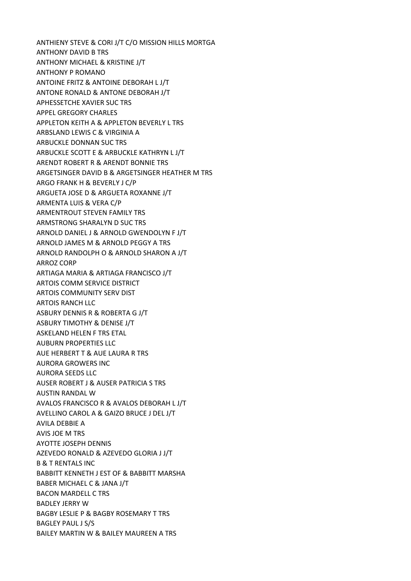ANTHIENY STEVE & CORI J/T C/O MISSION HILLS MORTGA ANTHONY DAVID B TRS ANTHONY MICHAEL & KRISTINE J/T ANTHONY P ROMANO ANTOINE FRITZ & ANTOINE DEBORAH L J/T ANTONE RONALD & ANTONE DEBORAH J/T APHESSETCHE XAVIER SUC TRS APPEL GREGORY CHARLES APPLETON KEITH A & APPLETON BEVERLY L TRS ARBSLAND LEWIS C & VIRGINIA A ARBUCKLE DONNAN SUC TRS ARBUCKLE SCOTT E & ARBUCKLE KATHRYN L J/T ARENDT ROBERT R & ARENDT BONNIE TRS ARGETSINGER DAVID B & ARGETSINGER HEATHER M TRS ARGO FRANK H & BEVERLY J C/P ARGUETA JOSE D & ARGUETA ROXANNE J/T ARMENTA LUIS & VERA C/P ARMENTROUT STEVEN FAMILY TRS ARMSTRONG SHARALYN D SUC TRS ARNOLD DANIEL J & ARNOLD GWENDOLYN F J/T ARNOLD JAMES M & ARNOLD PEGGY A TRS ARNOLD RANDOLPH O & ARNOLD SHARON A J/T ARROZ CORP ARTIAGA MARIA & ARTIAGA FRANCISCO J/T ARTOIS COMM SERVICE DISTRICT ARTOIS COMMUNITY SERV DIST ARTOIS RANCH LLC ASBURY DENNIS R & ROBERTA G J/T ASBURY TIMOTHY & DENISE J/T ASKELAND HELEN F TRS ETAL AUBURN PROPERTIES LLC AUE HERBERT T & AUE LAURA R TRS AURORA GROWERS INC AURORA SEEDS LLC AUSER ROBERT J & AUSER PATRICIA S TRS AUSTIN RANDAL W AVALOS FRANCISCO R & AVALOS DEBORAH L J/T AVELLINO CAROL A & GAIZO BRUCE J DEL J/T AVILA DEBBIE A AVIS JOE M TRS AYOTTE JOSEPH DENNIS AZEVEDO RONALD & AZEVEDO GLORIA J J/T B & T RENTALS INC BABBITT KENNETH J EST OF & BABBITT MARSHA BABER MICHAEL C & JANA J/T BACON MARDELL C TRS BADLEY JERRY W BAGBY LESLIE P & BAGBY ROSEMARY T TRS BAGLEY PAUL J S/S BAILEY MARTIN W & BAILEY MAUREEN A TRS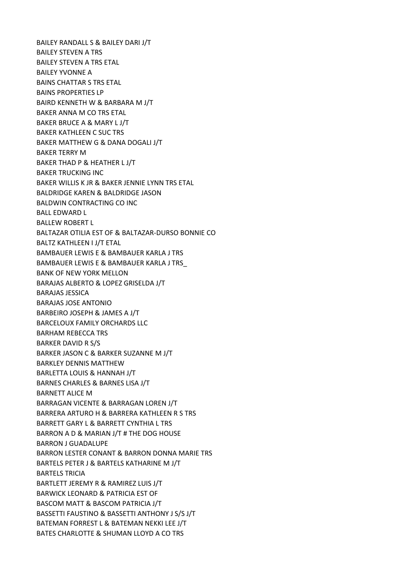BAILEY RANDALL S & BAILEY DARI J/T BAILEY STEVEN A TRS BAILEY STEVEN A TRS ETAL BAILEY YVONNE A BAINS CHATTAR S TRS ETAL BAINS PROPERTIES LP BAIRD KENNETH W & BARBARA M J/T BAKER ANNA M CO TRS ETAL BAKER BRUCE A & MARY L J/T BAKER KATHLEEN C SUC TRS BAKER MATTHEW G & DANA DOGALI J/T BAKER TERRY M BAKER THAD P & HEATHER L J/T BAKER TRUCKING INC BAKER WILLIS K JR & BAKER JENNIE LYNN TRS ETAL BALDRIDGE KAREN & BALDRIDGE JASON BALDWIN CONTRACTING CO INC BALL EDWARD L BALLEW ROBERT L BALTAZAR OTILIA EST OF & BALTAZAR-DURSO BONNIE CO BALTZ KATHLEEN I J/T ETAL BAMBAUER LEWIS E & BAMBAUER KARLA J TRS BAMBAUER LEWIS E & BAMBAUER KARLA J TRS\_ BANK OF NEW YORK MELLON BARAJAS ALBERTO & LOPEZ GRISELDA J/T BARAJAS JESSICA BARAJAS JOSE ANTONIO BARBEIRO JOSEPH & JAMES A J/T BARCELOUX FAMILY ORCHARDS LLC BARHAM REBECCA TRS BARKER DAVID R S/S BARKER JASON C & BARKER SUZANNE M J/T BARKLEY DENNIS MATTHEW BARLETTA LOUIS & HANNAH J/T BARNES CHARLES & BARNES LISA J/T BARNETT ALICE M BARRAGAN VICENTE & BARRAGAN LOREN J/T BARRERA ARTURO H & BARRERA KATHLEEN R S TRS BARRETT GARY L & BARRETT CYNTHIA L TRS BARRON A D & MARIAN J/T # THE DOG HOUSE BARRON J GUADALUPE BARRON LESTER CONANT & BARRON DONNA MARIE TRS BARTELS PETER J & BARTELS KATHARINE M J/T BARTELS TRICIA BARTLETT JEREMY R & RAMIREZ LUIS J/T BARWICK LEONARD & PATRICIA EST OF BASCOM MATT & BASCOM PATRICIA J/T BASSETTI FAUSTINO & BASSETTI ANTHONY J S/S J/T BATEMAN FORREST L & BATEMAN NEKKI LEE J/T BATES CHARLOTTE & SHUMAN LLOYD A CO TRS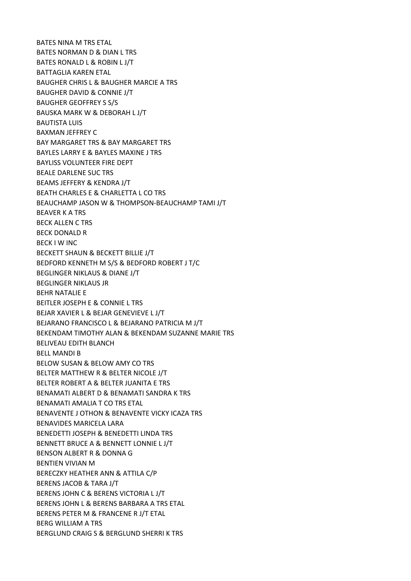BATES NINA M TRS ETAL BATES NORMAN D & DIAN L TRS BATES RONALD L & ROBIN L J/T BATTAGLIA KAREN ETAL BAUGHER CHRIS L & BAUGHER MARCIE A TRS BAUGHER DAVID & CONNIE J/T BAUGHER GEOFFREY S S/S BAUSKA MARK W & DEBORAH L J/T BAUTISTA LUIS BAXMAN JEFFREY C BAY MARGARET TRS & BAY MARGARET TRS BAYLES LARRY E & BAYLES MAXINE J TRS BAYLISS VOLUNTEER FIRE DEPT BEALE DARLENE SUC TRS BEAMS JEFFERY & KENDRA J/T BEATH CHARLES E & CHARLETTA L CO TRS BEAUCHAMP JASON W & THOMPSON-BEAUCHAMP TAMI J/T BEAVER K A TRS BECK ALLEN C TRS BECK DONALD R BECK I W INC BECKETT SHAUN & BECKETT BILLIE J/T BEDFORD KENNETH M S/S & BEDFORD ROBERT J T/C BEGLINGER NIKLAUS & DIANE J/T BEGLINGER NIKLAUS JR BEHR NATALIE E BEITLER JOSEPH E & CONNIE L TRS BEJAR XAVIER L & BEJAR GENEVIEVE L J/T BEJARANO FRANCISCO L & BEJARANO PATRICIA M J/T BEKENDAM TIMOTHY ALAN & BEKENDAM SUZANNE MARIE TRS BELIVEAU EDITH BLANCH BELL MANDI B BELOW SUSAN & BELOW AMY CO TRS BELTER MATTHEW R & BELTER NICOLE J/T BELTER ROBERT A & BELTER JUANITA E TRS BENAMATI ALBERT D & BENAMATI SANDRA K TRS BENAMATI AMALIA T CO TRS ETAL BENAVENTE J OTHON & BENAVENTE VICKY ICAZA TRS BENAVIDES MARICELA LARA BENEDETTI JOSEPH & BENEDETTI LINDA TRS BENNETT BRUCE A & BENNETT LONNIE L J/T BENSON ALBERT R & DONNA G BENTIEN VIVIAN M BERECZKY HEATHER ANN & ATTILA C/P BERENS JACOB & TARA J/T BERENS JOHN C & BERENS VICTORIA L J/T BERENS JOHN L & BERENS BARBARA A TRS ETAL BERENS PETER M & FRANCENE R J/T ETAL BERG WILLIAM A TRS BERGLUND CRAIG S & BERGLUND SHERRI K TRS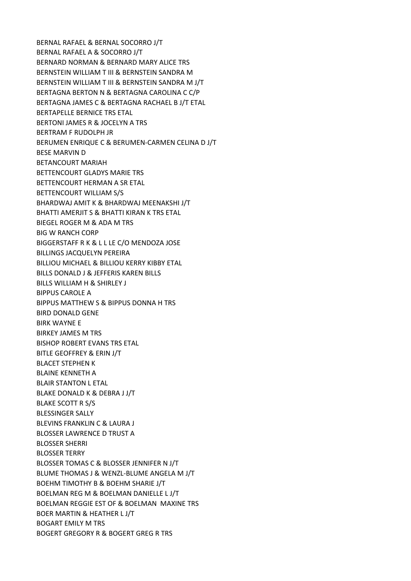BERNAL RAFAEL & BERNAL SOCORRO J/T BERNAL RAFAEL A & SOCORRO J/T BERNARD NORMAN & BERNARD MARY ALICE TRS BERNSTEIN WILLIAM T III & BERNSTEIN SANDRA M BERNSTEIN WILLIAM T III & BERNSTEIN SANDRA M J/T BERTAGNA BERTON N & BERTAGNA CAROLINA C C/P BERTAGNA JAMES C & BERTAGNA RACHAEL B J/T ETAL BERTAPELLE BERNICE TRS ETAL BERTONI JAMES R & JOCELYN A TRS BERTRAM F RUDOLPH JR BERUMEN ENRIQUE C & BERUMEN-CARMEN CELINA D J/T BESE MARVIN D BETANCOURT MARIAH BETTENCOURT GLADYS MARIE TRS BETTENCOURT HERMAN A SR ETAL BETTENCOURT WILLIAM S/S BHARDWAJ AMIT K & BHARDWAJ MEENAKSHI J/T BHATTI AMERJIT S & BHATTI KIRAN K TRS ETAL BIEGEL ROGER M & ADA M TRS BIG W RANCH CORP BIGGERSTAFF R K & L L LE C/O MENDOZA JOSE BILLINGS JACQUELYN PEREIRA BILLIOU MICHAEL & BILLIOU KERRY KIBBY ETAL BILLS DONALD J & JEFFERIS KAREN BILLS BILLS WILLIAM H & SHIRLEY J BIPPUS CAROLE A BIPPUS MATTHEW S & BIPPUS DONNA H TRS BIRD DONALD GENE BIRK WAYNE E BIRKEY JAMES M TRS BISHOP ROBERT EVANS TRS ETAL BITLE GEOFFREY & ERIN J/T BLACET STEPHEN K BLAINE KENNETH A BLAIR STANTON L ETAL BLAKE DONALD K & DEBRA J J/T BLAKE SCOTT R S/S BLESSINGER SALLY BLEVINS FRANKLIN C & LAURA J BLOSSER LAWRENCE D TRUST A BLOSSER SHERRI BLOSSER TERRY BLOSSER TOMAS C & BLOSSER JENNIFER N J/T BLUME THOMAS J & WENZL-BLUME ANGELA M J/T BOEHM TIMOTHY B & BOEHM SHARIE J/T BOELMAN REG M & BOELMAN DANIELLE L J/T BOELMAN REGGIE EST OF & BOELMAN MAXINE TRS BOER MARTIN & HEATHER L J/T BOGART EMILY M TRS BOGERT GREGORY R & BOGERT GREG R TRS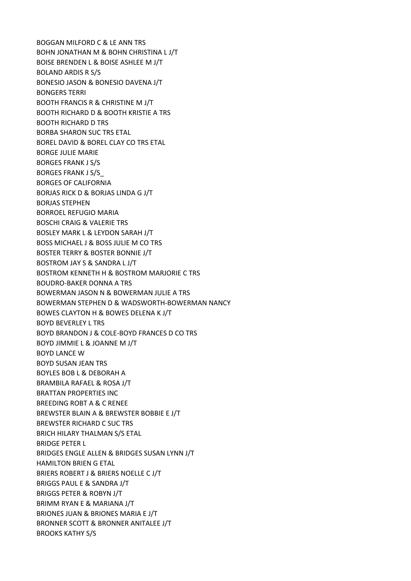BOGGAN MILFORD C & LE ANN TRS BOHN JONATHAN M & BOHN CHRISTINA L J/T BOISE BRENDEN L & BOISE ASHLEE M J/T BOLAND ARDIS R S/S BONESIO JASON & BONESIO DAVENA J/T BONGERS TERRI BOOTH FRANCIS R & CHRISTINE M J/T BOOTH RICHARD D & BOOTH KRISTIE A TRS BOOTH RICHARD D TRS BORBA SHARON SUC TRS ETAL BOREL DAVID & BOREL CLAY CO TRS ETAL BORGE JULIE MARIE BORGES FRANK J S/S BORGES FRANK J S/S\_ BORGES OF CALIFORNIA BORJAS RICK D & BORJAS LINDA G J/T BORJAS STEPHEN BORROEL REFUGIO MARIA BOSCHI CRAIG & VALERIE TRS BOSLEY MARK L & LEYDON SARAH J/T BOSS MICHAEL J & BOSS JULIE M CO TRS BOSTER TERRY & BOSTER BONNIE J/T BOSTROM JAY S & SANDRA L J/T BOSTROM KENNETH H & BOSTROM MARJORIE C TRS BOUDRO-BAKER DONNA A TRS BOWERMAN JASON N & BOWERMAN JULIE A TRS BOWERMAN STEPHEN D & WADSWORTH-BOWERMAN NANCY BOWES CLAYTON H & BOWES DELENA K J/T BOYD BEVERLEY L TRS BOYD BRANDON J & COLE-BOYD FRANCES D CO TRS BOYD JIMMIE L & JOANNE M J/T BOYD LANCE W BOYD SUSAN JEAN TRS BOYLES BOB L & DEBORAH A BRAMBILA RAFAEL & ROSA J/T BRATTAN PROPERTIES INC BREEDING ROBT A & C RENEE BREWSTER BLAIN A & BREWSTER BOBBIE E J/T BREWSTER RICHARD C SUC TRS BRICH HILARY THALMAN S/S ETAL BRIDGE PETER L BRIDGES ENGLE ALLEN & BRIDGES SUSAN LYNN J/T HAMILTON BRIEN G ETAL BRIERS ROBERT J & BRIERS NOELLE C J/T BRIGGS PAUL E & SANDRA J/T BRIGGS PETER & ROBYN J/T BRIMM RYAN E & MARIANA J/T BRIONES JUAN & BRIONES MARIA E J/T BRONNER SCOTT & BRONNER ANITALEE J/T BROOKS KATHY S/S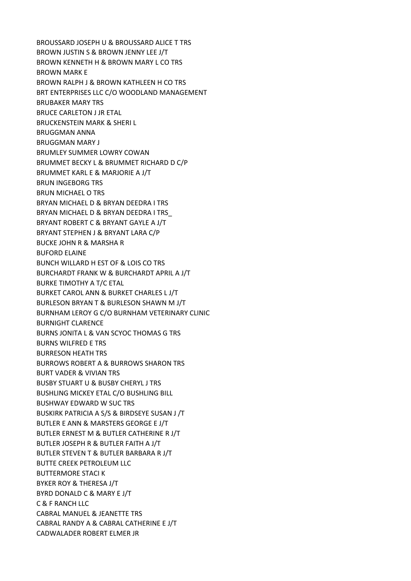BROUSSARD JOSEPH U & BROUSSARD ALICE T TRS BROWN JUSTIN S & BROWN JENNY LEE J/T BROWN KENNETH H & BROWN MARY L CO TRS BROWN MARK E BROWN RALPH J & BROWN KATHLEEN H CO TRS BRT ENTERPRISES LLC C/O WOODLAND MANAGEMENT BRUBAKER MARY TRS BRUCE CARLETON J JR ETAL BRUCKENSTEIN MARK & SHERI L BRUGGMAN ANNA BRUGGMAN MARY J BRUMLEY SUMMER LOWRY COWAN BRUMMET BECKY L & BRUMMET RICHARD D C/P BRUMMET KARL E & MARJORIE A J/T BRUN INGEBORG TRS BRUN MICHAEL O TRS BRYAN MICHAEL D & BRYAN DEEDRA I TRS BRYAN MICHAEL D & BRYAN DEEDRA I TRS\_ BRYANT ROBERT C & BRYANT GAYLE A J/T BRYANT STEPHEN J & BRYANT LARA C/P BUCKE JOHN R & MARSHA R BUFORD ELAINE BUNCH WILLARD H EST OF & LOIS CO TRS BURCHARDT FRANK W & BURCHARDT APRIL A J/T BURKE TIMOTHY A T/C ETAL BURKET CAROL ANN & BURKET CHARLES L J/T BURLESON BRYAN T & BURLESON SHAWN M J/T BURNHAM LEROY G C/O BURNHAM VETERINARY CLINIC BURNIGHT CLARENCE BURNS JONITA L & VAN SCYOC THOMAS G TRS BURNS WILFRED E TRS BURRESON HEATH TRS BURROWS ROBERT A & BURROWS SHARON TRS BURT VADER & VIVIAN TRS BUSBY STUART U & BUSBY CHERYL J TRS BUSHLING MICKEY ETAL C/O BUSHLING BILL BUSHWAY EDWARD W SUC TRS BUSKIRK PATRICIA A S/S & BIRDSEYE SUSAN J /T BUTLER E ANN & MARSTERS GEORGE E J/T BUTLER ERNEST M & BUTLER CATHERINE R J/T BUTLER JOSEPH R & BUTLER FAITH A J/T BUTLER STEVEN T & BUTLER BARBARA R J/T BUTTE CREEK PETROLEUM LLC BUTTERMORE STACI K BYKER ROY & THERESA J/T BYRD DONALD C & MARY E J/T C & F RANCH LLC CABRAL MANUEL & JEANETTE TRS CABRAL RANDY A & CABRAL CATHERINE E J/T CADWALADER ROBERT ELMER JR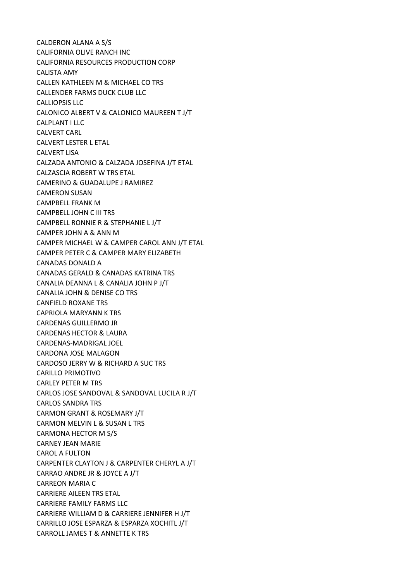CALDERON ALANA A S/S CALIFORNIA OLIVE RANCH INC CALIFORNIA RESOURCES PRODUCTION CORP CALISTA AMY CALLEN KATHLEEN M & MICHAEL CO TRS CALLENDER FARMS DUCK CLUB LLC CALLIOPSIS LLC CALONICO ALBERT V & CALONICO MAUREEN T J/T CALPLANT I LLC CALVERT CARL CALVERT LESTER L ETAL CALVERT LISA CALZADA ANTONIO & CALZADA JOSEFINA J/T ETAL CALZASCIA ROBERT W TRS ETAL CAMERINO & GUADALUPE J RAMIREZ CAMERON SUSAN CAMPBELL FRANK M CAMPBELL JOHN C III TRS CAMPBELL RONNIE R & STEPHANIE L J/T CAMPER JOHN A & ANN M CAMPER MICHAEL W & CAMPER CAROL ANN J/T ETAL CAMPER PETER C & CAMPER MARY ELIZABETH CANADAS DONALD A CANADAS GERALD & CANADAS KATRINA TRS CANALIA DEANNA L & CANALIA JOHN P J/T CANALIA JOHN & DENISE CO TRS CANFIELD ROXANE TRS CAPRIOLA MARYANN K TRS CARDENAS GUILLERMO JR CARDENAS HECTOR & LAURA CARDENAS-MADRIGAL JOEL CARDONA JOSE MALAGON CARDOSO JERRY W & RICHARD A SUC TRS CARILLO PRIMOTIVO CARLEY PETER M TRS CARLOS JOSE SANDOVAL & SANDOVAL LUCILA R J/T CARLOS SANDRA TRS CARMON GRANT & ROSEMARY J/T CARMON MELVIN L & SUSAN L TRS CARMONA HECTOR M S/S CARNEY JEAN MARIE CAROL A FULTON CARPENTER CLAYTON J & CARPENTER CHERYL A J/T CARRAO ANDRE JR & JOYCE A J/T CARREON MARIA C CARRIERE AILEEN TRS ETAL CARRIERE FAMILY FARMS LLC CARRIERE WILLIAM D & CARRIERE JENNIFER H J/T CARRILLO JOSE ESPARZA & ESPARZA XOCHITL J/T CARROLL JAMES T & ANNETTE K TRS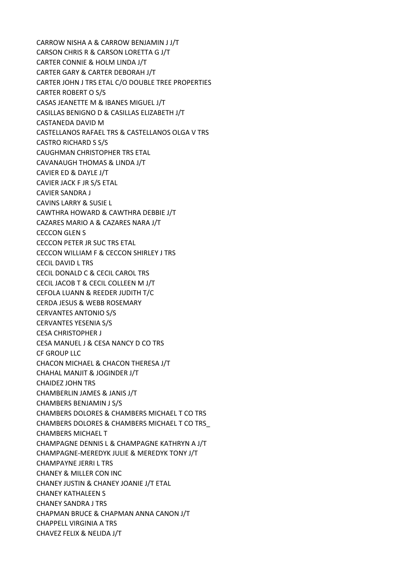CARROW NISHA A & CARROW BENJAMIN J J/T CARSON CHRIS R & CARSON LORETTA G J/T CARTER CONNIE & HOLM LINDA J/T CARTER GARY & CARTER DEBORAH J/T CARTER JOHN J TRS ETAL C/O DOUBLE TREE PROPERTIES CARTER ROBERT O S/S CASAS JEANETTE M & IBANES MIGUEL J/T CASILLAS BENIGNO D & CASILLAS ELIZABETH J/T CASTANEDA DAVID M CASTELLANOS RAFAEL TRS & CASTELLANOS OLGA V TRS CASTRO RICHARD S S/S CAUGHMAN CHRISTOPHER TRS ETAL CAVANAUGH THOMAS & LINDA J/T CAVIER ED & DAYLE J/T CAVIER JACK F JR S/S ETAL CAVIER SANDRA J CAVINS LARRY & SUSIE L CAWTHRA HOWARD & CAWTHRA DEBBIE J/T CAZARES MARIO A & CAZARES NARA J/T CECCON GLEN S CECCON PETER JR SUC TRS ETAL CECCON WILLIAM F & CECCON SHIRLEY J TRS CECIL DAVID L TRS CECIL DONALD C & CECIL CAROL TRS CECIL JACOB T & CECIL COLLEEN M J/T CEFOLA LUANN & REEDER JUDITH T/C CERDA JESUS & WEBB ROSEMARY CERVANTES ANTONIO S/S CERVANTES YESENIA S/S CESA CHRISTOPHER J CESA MANUEL J & CESA NANCY D CO TRS CF GROUP LLC CHACON MICHAEL & CHACON THERESA J/T CHAHAL MANJIT & JOGINDER J/T CHAIDEZ JOHN TRS CHAMBERLIN JAMES & JANIS J/T CHAMBERS BENJAMIN J S/S CHAMBERS DOLORES & CHAMBERS MICHAEL T CO TRS CHAMBERS DOLORES & CHAMBERS MICHAEL T CO TRS\_ CHAMBERS MICHAEL T CHAMPAGNE DENNIS L & CHAMPAGNE KATHRYN A J/T CHAMPAGNE-MEREDYK JULIE & MEREDYK TONY J/T CHAMPAYNE JERRI L TRS CHANEY & MILLER CON INC CHANEY JUSTIN & CHANEY JOANIE J/T ETAL CHANEY KATHALEEN S CHANEY SANDRA J TRS CHAPMAN BRUCE & CHAPMAN ANNA CANON J/T CHAPPELL VIRGINIA A TRS CHAVEZ FELIX & NELIDA J/T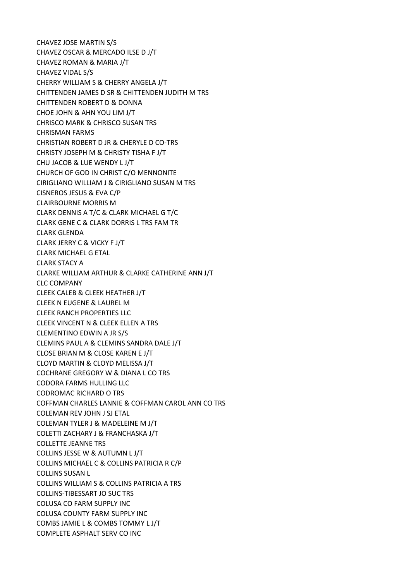CHAVEZ JOSE MARTIN S/S CHAVEZ OSCAR & MERCADO ILSE D J/T CHAVEZ ROMAN & MARIA J/T CHAVEZ VIDAL S/S CHERRY WILLIAM S & CHERRY ANGELA J/T CHITTENDEN JAMES D SR & CHITTENDEN JUDITH M TRS CHITTENDEN ROBERT D & DONNA CHOE JOHN & AHN YOU LIM J/T CHRISCO MARK & CHRISCO SUSAN TRS CHRISMAN FARMS CHRISTIAN ROBERT D JR & CHERYLE D CO-TRS CHRISTY JOSEPH M & CHRISTY TISHA F J/T CHU JACOB & LUE WENDY L J/T CHURCH OF GOD IN CHRIST C/O MENNONITE CIRIGLIANO WILLIAM J & CIRIGLIANO SUSAN M TRS CISNEROS JESUS & EVA C/P CLAIRBOURNE MORRIS M CLARK DENNIS A T/C & CLARK MICHAEL G T/C CLARK GENE C & CLARK DORRIS L TRS FAM TR CLARK GLENDA CLARK JERRY C & VICKY F J/T CLARK MICHAEL G ETAL CLARK STACY A CLARKE WILLIAM ARTHUR & CLARKE CATHERINE ANN J/T CLC COMPANY CLEEK CALEB & CLEEK HEATHER J/T CLEEK N EUGENE & LAUREL M CLEEK RANCH PROPERTIES LLC CLEEK VINCENT N & CLEEK ELLEN A TRS CLEMENTINO EDWIN A JR S/S CLEMINS PAUL A & CLEMINS SANDRA DALE J/T CLOSE BRIAN M & CLOSE KAREN E J/T CLOYD MARTIN & CLOYD MELISSA J/T COCHRANE GREGORY W & DIANA L CO TRS CODORA FARMS HULLING LLC CODROMAC RICHARD O TRS COFFMAN CHARLES LANNIE & COFFMAN CAROL ANN CO TRS COLEMAN REV JOHN J SJ ETAL COLEMAN TYLER J & MADELEINE M J/T COLETTI ZACHARY J & FRANCHASKA J/T COLLETTE JEANNE TRS COLLINS JESSE W & AUTUMN L J/T COLLINS MICHAEL C & COLLINS PATRICIA R C/P COLLINS SUSAN L COLLINS WILLIAM S & COLLINS PATRICIA A TRS COLLINS-TIBESSART JO SUC TRS COLUSA CO FARM SUPPLY INC COLUSA COUNTY FARM SUPPLY INC COMBS JAMIE L & COMBS TOMMY L J/T COMPLETE ASPHALT SERV CO INC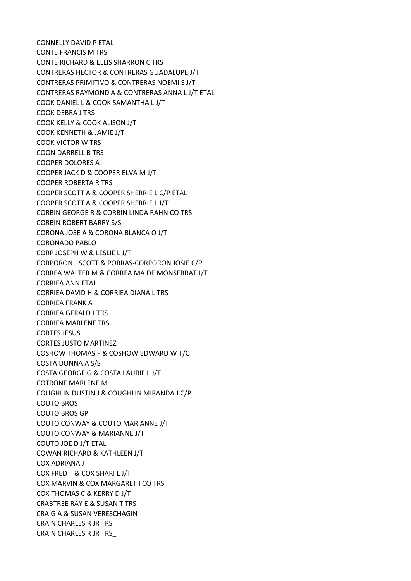CONNELLY DAVID P ETAL CONTE FRANCIS M TRS CONTE RICHARD & ELLIS SHARRON C TRS CONTRERAS HECTOR & CONTRERAS GUADALUPE J/T CONTRERAS PRIMITIVO & CONTRERAS NOEMI S J/T CONTRERAS RAYMOND A & CONTRERAS ANNA L J/T ETAL COOK DANIEL L & COOK SAMANTHA L J/T COOK DEBRA J TRS COOK KELLY & COOK ALISON J/T COOK KENNETH & JAMIE J/T COOK VICTOR W TRS COON DARRELL B TRS COOPER DOLORES A COOPER JACK D & COOPER ELVA M J/T COOPER ROBERTA R TRS COOPER SCOTT A & COOPER SHERRIE L C/P ETAL COOPER SCOTT A & COOPER SHERRIE L J/T CORBIN GEORGE R & CORBIN LINDA RAHN CO TRS CORBIN ROBERT BARRY S/S CORONA JOSE A & CORONA BLANCA O J/T CORONADO PABLO CORP JOSEPH W & LESLIE L J/T CORPORON J SCOTT & PORRAS-CORPORON JOSIE C/P CORREA WALTER M & CORREA MA DE MONSERRAT J/T CORRIEA ANN ETAL CORRIEA DAVID H & CORRIEA DIANA L TRS CORRIEA FRANK A CORRIEA GERALD J TRS CORRIEA MARLENE TRS CORTES JESUS CORTES JUSTO MARTINEZ COSHOW THOMAS F & COSHOW EDWARD W T/C COSTA DONNA A S/S COSTA GEORGE G & COSTA LAURIE L J/T COTRONE MARLENE M COUGHLIN DUSTIN J & COUGHLIN MIRANDA J C/P COUTO BROS COUTO BROS GP COUTO CONWAY & COUTO MARIANNE J/T COUTO CONWAY & MARIANNE J/T COUTO JOE D J/T ETAL COWAN RICHARD & KATHLEEN J/T COX ADRIANA J COX FRED T & COX SHARI L J/T COX MARVIN & COX MARGARET I CO TRS COX THOMAS C & KERRY D J/T CRABTREE RAY E & SUSAN T TRS CRAIG A & SUSAN VERESCHAGIN CRAIN CHARLES R JR TRS CRAIN CHARLES R JR TRS\_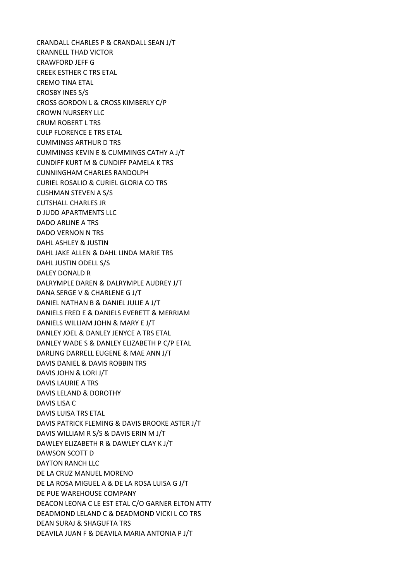CRANDALL CHARLES P & CRANDALL SEAN J/T CRANNELL THAD VICTOR CRAWFORD JEFF G CREEK ESTHER C TRS ETAL CREMO TINA ETAL CROSBY INES S/S CROSS GORDON L & CROSS KIMBERLY C/P CROWN NURSERY LLC CRUM ROBERT L TRS CULP FLORENCE E TRS ETAL CUMMINGS ARTHUR D TRS CUMMINGS KEVIN E & CUMMINGS CATHY A J/T CUNDIFF KURT M & CUNDIFF PAMELA K TRS CUNNINGHAM CHARLES RANDOLPH CURIEL ROSALIO & CURIEL GLORIA CO TRS CUSHMAN STEVEN A S/S CUTSHALL CHARLES JR D JUDD APARTMENTS LLC DADO ARLINE A TRS DADO VERNON N TRS DAHL ASHLEY & JUSTIN DAHL JAKE ALLEN & DAHL LINDA MARIE TRS DAHL JUSTIN ODELL S/S DALEY DONALD R DALRYMPLE DAREN & DALRYMPLE AUDREY J/T DANA SERGE V & CHARLENE G J/T DANIEL NATHAN B & DANIEL JULIE A J/T DANIELS FRED E & DANIELS EVERETT & MERRIAM DANIELS WILLIAM JOHN & MARY E J/T DANLEY JOEL & DANLEY JENYCE A TRS ETAL DANLEY WADE S & DANLEY ELIZABETH P C/P ETAL DARLING DARRELL EUGENE & MAE ANN J/T DAVIS DANIEL & DAVIS ROBBIN TRS DAVIS JOHN & LORI J/T DAVIS LAURIE A TRS DAVIS LELAND & DOROTHY DAVIS LISA C DAVIS LUISA TRS ETAL DAVIS PATRICK FLEMING & DAVIS BROOKE ASTER J/T DAVIS WILLIAM R S/S & DAVIS ERIN M J/T DAWLEY ELIZABETH R & DAWLEY CLAY K J/T DAWSON SCOTT D DAYTON RANCH LLC DE LA CRUZ MANUEL MORENO DE LA ROSA MIGUEL A & DE LA ROSA LUISA G J/T DE PUE WAREHOUSE COMPANY DEACON LEONA C LE EST ETAL C/O GARNER ELTON ATTY DEADMOND LELAND C & DEADMOND VICKI L CO TRS DEAN SURAJ & SHAGUFTA TRS DEAVILA JUAN F & DEAVILA MARIA ANTONIA P J/T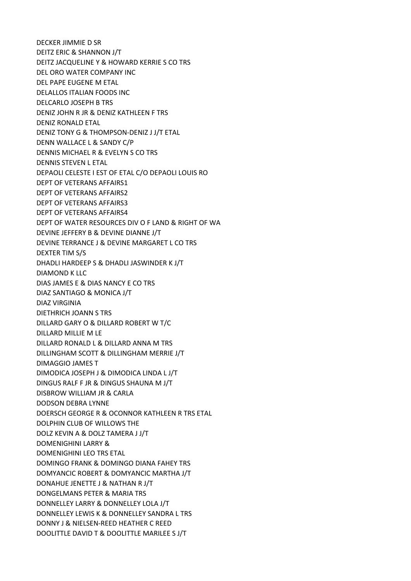DECKER JIMMIE D SR DEITZ ERIC & SHANNON J/T DEITZ JACQUELINE Y & HOWARD KERRIE S CO TRS DEL ORO WATER COMPANY INC DEL PAPE EUGENE M ETAL DELALLOS ITALIAN FOODS INC DELCARLO JOSEPH B TRS DENIZ JOHN R JR & DENIZ KATHLEEN F TRS DENIZ RONALD ETAL DENIZ TONY G & THOMPSON-DENIZ J J/T ETAL DENN WALLACE L & SANDY C/P DENNIS MICHAEL R & EVELYN S CO TRS DENNIS STEVEN L ETAL DEPAOLI CELESTE I EST OF ETAL C/O DEPAOLI LOUIS RO DEPT OF VETERANS AFFAIRS1 DEPT OF VETERANS AFFAIRS2 DEPT OF VETERANS AFFAIRS3 DEPT OF VETERANS AFFAIRS4 DEPT OF WATER RESOURCES DIV O F LAND & RIGHT OF WA DEVINE JEFFERY B & DEVINE DIANNE J/T DEVINE TERRANCE J & DEVINE MARGARET L CO TRS DEXTER TIM S/S DHADLI HARDEEP S & DHADLI JASWINDER K J/T DIAMOND K LLC DIAS JAMES E & DIAS NANCY E CO TRS DIAZ SANTIAGO & MONICA J/T DIAZ VIRGINIA DIETHRICH JOANN S TRS DILLARD GARY O & DILLARD ROBERT W T/C DILLARD MILLIE M LE DILLARD RONALD L & DILLARD ANNA M TRS DILLINGHAM SCOTT & DILLINGHAM MERRIE J/T DIMAGGIO JAMES T DIMODICA JOSEPH J & DIMODICA LINDA L J/T DINGUS RALF F JR & DINGUS SHAUNA M J/T DISBROW WILLIAM JR & CARLA DODSON DEBRA LYNNE DOERSCH GEORGE R & OCONNOR KATHLEEN R TRS ETAL DOLPHIN CLUB OF WILLOWS THE DOLZ KEVIN A & DOLZ TAMERA J J/T DOMENIGHINI LARRY & DOMENIGHINI LEO TRS ETAL DOMINGO FRANK & DOMINGO DIANA FAHEY TRS DOMYANCIC ROBERT & DOMYANCIC MARTHA J/T DONAHUE JENETTE J & NATHAN R J/T DONGELMANS PETER & MARIA TRS DONNELLEY LARRY & DONNELLEY LOLA J/T DONNELLEY LEWIS K & DONNELLEY SANDRA L TRS DONNY J & NIELSEN-REED HEATHER C REED DOOLITTLE DAVID T & DOOLITTLE MARILEE S J/T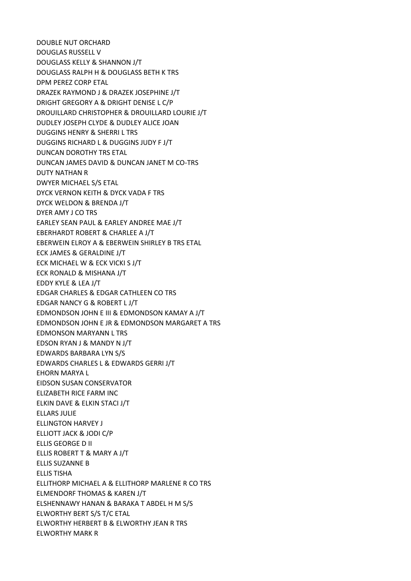DOUBLE NUT ORCHARD DOUGLAS RUSSELL V DOUGLASS KELLY & SHANNON J/T DOUGLASS RALPH H & DOUGLASS BETH K TRS DPM PEREZ CORP ETAL DRAZEK RAYMOND J & DRAZEK JOSEPHINE J/T DRIGHT GREGORY A & DRIGHT DENISE L C/P DROUILLARD CHRISTOPHER & DROUILLARD LOURIE J/T DUDLEY JOSEPH CLYDE & DUDLEY ALICE JOAN DUGGINS HENRY & SHERRI L TRS DUGGINS RICHARD L & DUGGINS JUDY F J/T DUNCAN DOROTHY TRS ETAL DUNCAN JAMES DAVID & DUNCAN JANET M CO-TRS DUTY NATHAN R DWYER MICHAEL S/S ETAL DYCK VERNON KEITH & DYCK VADA F TRS DYCK WELDON & BRENDA J/T DYER AMY J CO TRS EARLEY SEAN PAUL & EARLEY ANDREE MAE J/T EBERHARDT ROBERT & CHARLEE A J/T EBERWEIN ELROY A & EBERWEIN SHIRLEY B TRS ETAL ECK JAMES & GERALDINE J/T ECK MICHAEL W & ECK VICKI S J/T ECK RONALD & MISHANA J/T EDDY KYLE & LEA J/T EDGAR CHARLES & EDGAR CATHLEEN CO TRS EDGAR NANCY G & ROBERT L J/T EDMONDSON JOHN E III & EDMONDSON KAMAY A J/T EDMONDSON JOHN E JR & EDMONDSON MARGARET A TRS EDMONSON MARYANN L TRS EDSON RYAN J & MANDY N J/T EDWARDS BARBARA LYN S/S EDWARDS CHARLES L & EDWARDS GERRI J/T EHORN MARYA L EIDSON SUSAN CONSERVATOR ELIZABETH RICE FARM INC ELKIN DAVE & ELKIN STACI J/T ELLARS JULIE ELLINGTON HARVEY J ELLIOTT JACK & JODI C/P ELLIS GEORGE D II ELLIS ROBERT T & MARY A J/T ELLIS SUZANNE B ELLIS TISHA ELLITHORP MICHAEL A & ELLITHORP MARLENE R CO TRS ELMENDORF THOMAS & KAREN J/T ELSHENNAWY HANAN & BARAKA T ABDEL H M S/S ELWORTHY BERT S/S T/C ETAL ELWORTHY HERBERT B & ELWORTHY JEAN R TRS ELWORTHY MARK R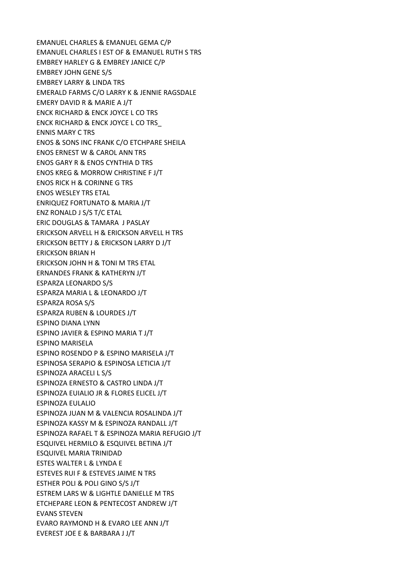EMANUEL CHARLES & EMANUEL GEMA C/P EMANUEL CHARLES I EST OF & EMANUEL RUTH S TRS EMBREY HARLEY G & EMBREY JANICE C/P EMBREY JOHN GENE S/S EMBREY LARRY & LINDA TRS EMERALD FARMS C/O LARRY K & JENNIE RAGSDALE EMERY DAVID R & MARIE A J/T ENCK RICHARD & ENCK JOYCE L CO TRS ENCK RICHARD & ENCK JOYCE L CO TRS\_ ENNIS MARY C TRS ENOS & SONS INC FRANK C/O ETCHPARE SHEILA ENOS ERNEST W & CAROL ANN TRS ENOS GARY R & ENOS CYNTHIA D TRS ENOS KREG & MORROW CHRISTINE F J/T ENOS RICK H & CORINNE G TRS ENOS WESLEY TRS ETAL ENRIQUEZ FORTUNATO & MARIA J/T ENZ RONALD J S/S T/C ETAL ERIC DOUGLAS & TAMARA J PASLAY ERICKSON ARVELL H & ERICKSON ARVELL H TRS ERICKSON BETTY J & ERICKSON LARRY D J/T ERICKSON BRIAN H ERICKSON JOHN H & TONI M TRS ETAL ERNANDES FRANK & KATHERYN J/T ESPARZA LEONARDO S/S ESPARZA MARIA L & LEONARDO J/T ESPARZA ROSA S/S ESPARZA RUBEN & LOURDES J/T ESPINO DIANA LYNN ESPINO JAVIER & ESPINO MARIA T J/T ESPINO MARISELA ESPINO ROSENDO P & ESPINO MARISELA J/T ESPINOSA SERAPIO & ESPINOSA LETICIA J/T ESPINOZA ARACELI L S/S ESPINOZA ERNESTO & CASTRO LINDA J/T ESPINOZA EUIALIO JR & FLORES ELICEL J/T ESPINOZA EULALIO ESPINOZA JUAN M & VALENCIA ROSALINDA J/T ESPINOZA KASSY M & ESPINOZA RANDALL J/T ESPINOZA RAFAEL T & ESPINOZA MARIA REFUGIO J/T ESQUIVEL HERMILO & ESQUIVEL BETINA J/T ESQUIVEL MARIA TRINIDAD ESTES WALTER L & LYNDA E ESTEVES RUI F & ESTEVES JAIME N TRS ESTHER POLI & POLI GINO S/S J/T ESTREM LARS W & LIGHTLE DANIELLE M TRS ETCHEPARE LEON & PENTECOST ANDREW J/T EVANS STEVEN EVARO RAYMOND H & EVARO LEE ANN J/T EVEREST JOE E & BARBARA J J/T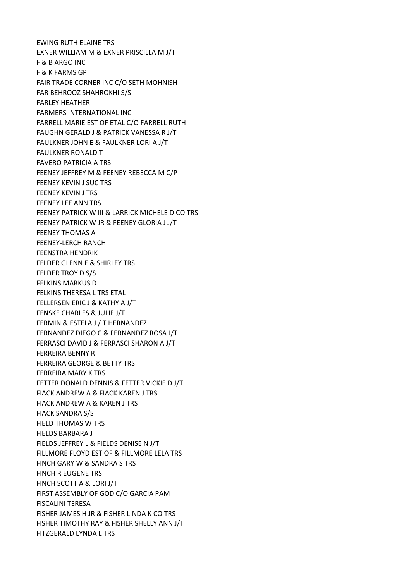EWING RUTH ELAINE TRS EXNER WILLIAM M & EXNER PRISCILLA M J/T F & B ARGO INC F & K FARMS GP FAIR TRADE CORNER INC C/O SETH MOHNISH FAR BEHROOZ SHAHROKHI S/S FARLEY HEATHER FARMERS INTERNATIONAL INC FARRELL MARIE EST OF ETAL C/O FARRELL RUTH FAUGHN GERALD J & PATRICK VANESSA R J/T FAULKNER JOHN E & FAULKNER LORI A J/T FAULKNER RONALD T FAVERO PATRICIA A TRS FEENEY JEFFREY M & FEENEY REBECCA M C/P FEENEY KEVIN J SUC TRS FEENEY KEVIN J TRS FEENEY LEE ANN TRS FEENEY PATRICK W III & LARRICK MICHELE D CO TRS FEENEY PATRICK W JR & FEENEY GLORIA J J/T FEENEY THOMAS A FEENEY-LERCH RANCH FEENSTRA HENDRIK FELDER GLENN E & SHIRLEY TRS FELDER TROY D S/S FELKINS MARKUS D FELKINS THERESA L TRS ETAL FELLERSEN ERIC J & KATHY A J/T FENSKE CHARLES & JULIE J/T FERMIN & ESTELA J / T HERNANDEZ FERNANDEZ DIEGO C & FERNANDEZ ROSA J/T FERRASCI DAVID J & FERRASCI SHARON A J/T FERREIRA BENNY R FERREIRA GEORGE & BETTY TRS FERREIRA MARY K TRS FETTER DONALD DENNIS & FETTER VICKIE D J/T FIACK ANDREW A & FIACK KAREN J TRS FIACK ANDREW A & KAREN J TRS FIACK SANDRA S/S FIELD THOMAS W TRS FIELDS BARBARA J FIELDS JEFFREY L & FIELDS DENISE N J/T FILLMORE FLOYD EST OF & FILLMORE LELA TRS FINCH GARY W & SANDRA S TRS FINCH R EUGENE TRS FINCH SCOTT A & LORI J/T FIRST ASSEMBLY OF GOD C/O GARCIA PAM FISCALINI TERESA FISHER JAMES H JR & FISHER LINDA K CO TRS FISHER TIMOTHY RAY & FISHER SHELLY ANN J/T FITZGERALD LYNDA L TRS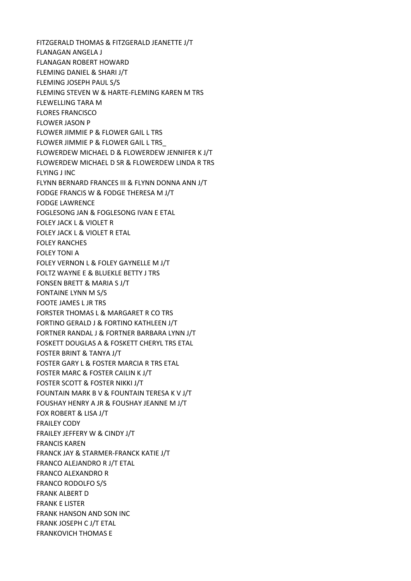FITZGERALD THOMAS & FITZGERALD JEANETTE J/T FLANAGAN ANGELA J FLANAGAN ROBERT HOWARD FLEMING DANIEL & SHARI J/T FLEMING JOSEPH PAUL S/S FLEMING STEVEN W & HARTE-FLEMING KAREN M TRS FLEWELLING TARA M FLORES FRANCISCO FLOWER JASON P FLOWER JIMMIE P & FLOWER GAIL L TRS FLOWER JIMMIE P & FLOWER GAIL L TRS\_ FLOWERDEW MICHAEL D & FLOWERDEW JENNIFER K J/T FLOWERDEW MICHAEL D SR & FLOWERDEW LINDA R TRS FLYING J INC FLYNN BERNARD FRANCES III & FLYNN DONNA ANN J/T FODGE FRANCIS W & FODGE THERESA M J/T FODGE LAWRENCE FOGLESONG JAN & FOGLESONG IVAN E ETAL FOLEY JACK L & VIOLET R FOLEY JACK L & VIOLET R ETAL FOLEY RANCHES FOLEY TONI A FOLEY VERNON L & FOLEY GAYNELLE M J/T FOLTZ WAYNE E & BLUEKLE BETTY J TRS FONSEN BRETT & MARIA S J/T FONTAINE LYNN M S/S FOOTE JAMES L JR TRS FORSTER THOMAS L & MARGARET R CO TRS FORTINO GERALD J & FORTINO KATHLEEN J/T FORTNER RANDAL J & FORTNER BARBARA LYNN J/T FOSKETT DOUGLAS A & FOSKETT CHERYL TRS ETAL FOSTER BRINT & TANYA J/T FOSTER GARY L & FOSTER MARCIA R TRS ETAL FOSTER MARC & FOSTER CAILIN K J/T FOSTER SCOTT & FOSTER NIKKI J/T FOUNTAIN MARK B V & FOUNTAIN TERESA K V J/T FOUSHAY HENRY A JR & FOUSHAY JEANNE M J/T FOX ROBERT & LISA J/T FRAILEY CODY FRAILEY JEFFERY W & CINDY J/T FRANCIS KAREN FRANCK JAY & STARMER-FRANCK KATIE J/T FRANCO ALEJANDRO R J/T ETAL FRANCO ALEXANDRO R FRANCO RODOLFO S/S FRANK ALBERT D FRANK E LISTER FRANK HANSON AND SON INC FRANK JOSEPH C J/T ETAL FRANKOVICH THOMAS E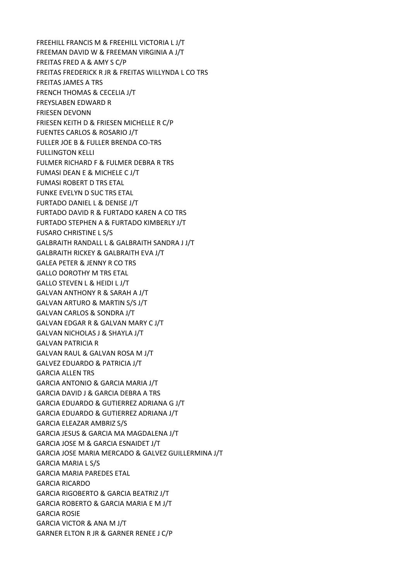FREEHILL FRANCIS M & FREEHILL VICTORIA L J/T FREEMAN DAVID W & FREEMAN VIRGINIA A J/T FREITAS FRED A & AMY S C/P FREITAS FREDERICK R JR & FREITAS WILLYNDA L CO TRS FREITAS JAMES A TRS FRENCH THOMAS & CECELIA J/T FREYSLABEN EDWARD R FRIESEN DEVONN FRIESEN KEITH D & FRIESEN MICHELLE R C/P FUENTES CARLOS & ROSARIO J/T FULLER JOE B & FULLER BRENDA CO-TRS FULLINGTON KELLI FULMER RICHARD F & FULMER DEBRA R TRS FUMASI DEAN E & MICHELE C J/T FUMASI ROBERT D TRS ETAL FUNKE EVELYN D SUC TRS ETAL FURTADO DANIEL L & DENISE J/T FURTADO DAVID R & FURTADO KAREN A CO TRS FURTADO STEPHEN A & FURTADO KIMBERLY J/T FUSARO CHRISTINE L S/S GALBRAITH RANDALL L & GALBRAITH SANDRA J J/T GALBRAITH RICKEY & GALBRAITH EVA J/T GALEA PETER & JENNY R CO TRS GALLO DOROTHY M TRS ETAL GALLO STEVEN L & HEIDI L J/T GALVAN ANTHONY R & SARAH A J/T GALVAN ARTURO & MARTIN S/S J/T GALVAN CARLOS & SONDRA J/T GALVAN EDGAR R & GALVAN MARY C J/T GALVAN NICHOLAS J & SHAYLA J/T GALVAN PATRICIA R GALVAN RAUL & GALVAN ROSA M J/T GALVEZ EDUARDO & PATRICIA J/T GARCIA ALLEN TRS GARCIA ANTONIO & GARCIA MARIA J/T GARCIA DAVID J & GARCIA DEBRA A TRS GARCIA EDUARDO & GUTIERREZ ADRIANA G J/T GARCIA EDUARDO & GUTIERREZ ADRIANA J/T GARCIA ELEAZAR AMBRIZ S/S GARCIA JESUS & GARCIA MA MAGDALENA J/T GARCIA JOSE M & GARCIA ESNAIDET J/T GARCIA JOSE MARIA MERCADO & GALVEZ GUILLERMINA J/T GARCIA MARIA L S/S GARCIA MARIA PAREDES ETAL GARCIA RICARDO GARCIA RIGOBERTO & GARCIA BEATRIZ J/T GARCIA ROBERTO & GARCIA MARIA E M J/T GARCIA ROSIE GARCIA VICTOR & ANA M J/T GARNER ELTON R JR & GARNER RENEE J C/P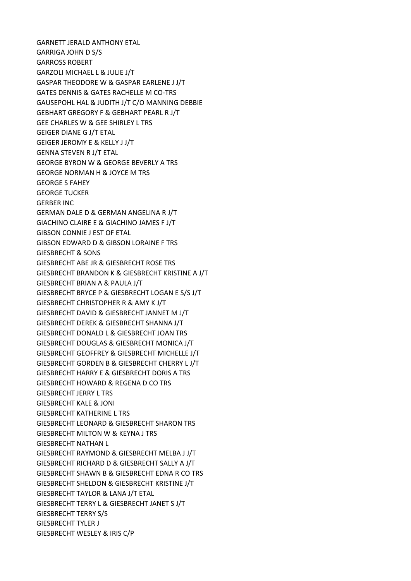GARNETT JERALD ANTHONY ETAL GARRIGA JOHN D S/S GARROSS ROBERT GARZOLI MICHAEL L & JULIE J/T GASPAR THEODORE W & GASPAR EARLENE J J/T GATES DENNIS & GATES RACHELLE M CO-TRS GAUSEPOHL HAL & JUDITH J/T C/O MANNING DEBBIE GEBHART GREGORY F & GEBHART PEARL R J/T GEE CHARLES W & GEE SHIRLEY L TRS GEIGER DIANE G J/T ETAL GEIGER JEROMY E & KELLY J J/T GENNA STEVEN R J/T ETAL GEORGE BYRON W & GEORGE BEVERLY A TRS GEORGE NORMAN H & JOYCE M TRS GEORGE S FAHEY GEORGE TUCKER GERBER INC GERMAN DALE D & GERMAN ANGELINA R J/T GIACHINO CLAIRE E & GIACHINO JAMES F J/T GIBSON CONNIE J EST OF ETAL GIBSON EDWARD D & GIBSON LORAINE F TRS GIESBRECHT & SONS GIESBRECHT ABE JR & GIESBRECHT ROSE TRS GIESBRECHT BRANDON K & GIESBRECHT KRISTINE A J/T GIESBRECHT BRIAN A & PAULA J/T GIESBRECHT BRYCE P & GIESBRECHT LOGAN E S/S J/T GIESBRECHT CHRISTOPHER R & AMY K J/T GIESBRECHT DAVID & GIESBRECHT JANNET M J/T GIESBRECHT DEREK & GIESBRECHT SHANNA J/T GIESBRECHT DONALD L & GIESBRECHT JOAN TRS GIESBRECHT DOUGLAS & GIESBRECHT MONICA J/T GIESBRECHT GEOFFREY & GIESBRECHT MICHELLE J/T GIESBRECHT GORDEN B & GIESBRECHT CHERRY L J/T GIESBRECHT HARRY E & GIESBRECHT DORIS A TRS GIESBRECHT HOWARD & REGENA D CO TRS GIESBRECHT JERRY L TRS GIESBRECHT KALE & JONI GIESBRECHT KATHERINE L TRS GIESBRECHT LEONARD & GIESBRECHT SHARON TRS GIESBRECHT MILTON W & KEYNA J TRS GIESBRECHT NATHAN L GIESBRECHT RAYMOND & GIESBRECHT MELBA J J/T GIESBRECHT RICHARD D & GIESBRECHT SALLY A J/T GIESBRECHT SHAWN B & GIESBRECHT EDNA R CO TRS GIESBRECHT SHELDON & GIESBRECHT KRISTINE J/T GIESBRECHT TAYLOR & LANA J/T ETAL GIESBRECHT TERRY L & GIESBRECHT JANET S J/T GIESBRECHT TERRY S/S GIESBRECHT TYLER J GIESBRECHT WESLEY & IRIS C/P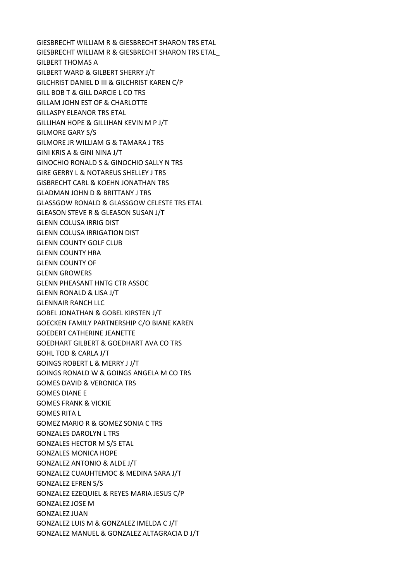GIESBRECHT WILLIAM R & GIESBRECHT SHARON TRS ETAL GIESBRECHT WILLIAM R & GIESBRECHT SHARON TRS ETAL\_ GILBERT THOMAS A GILBERT WARD & GILBERT SHERRY J/T GILCHRIST DANIEL D III & GILCHRIST KAREN C/P GILL BOB T & GILL DARCIE L CO TRS GILLAM JOHN EST OF & CHARLOTTE GILLASPY ELEANOR TRS ETAL GILLIHAN HOPE & GILLIHAN KEVIN M P J/T GILMORE GARY S/S GILMORE JR WILLIAM G & TAMARA J TRS GINI KRIS A & GINI NINA J/T GINOCHIO RONALD S & GINOCHIO SALLY N TRS GIRE GERRY L & NOTAREUS SHELLEY J TRS GISBRECHT CARL & KOEHN JONATHAN TRS GLADMAN JOHN D & BRITTANY J TRS GLASSGOW RONALD & GLASSGOW CELESTE TRS ETAL GLEASON STEVE R & GLEASON SUSAN J/T GLENN COLUSA IRRIG DIST GLENN COLUSA IRRIGATION DIST GLENN COUNTY GOLF CLUB GLENN COUNTY HRA GLENN COUNTY OF GLENN GROWERS GLENN PHEASANT HNTG CTR ASSOC GLENN RONALD & LISA J/T GLENNAIR RANCH LLC GOBEL JONATHAN & GOBEL KIRSTEN J/T GOECKEN FAMILY PARTNERSHIP C/O BIANE KAREN GOEDERT CATHERINE JEANETTE GOEDHART GILBERT & GOEDHART AVA CO TRS GOHL TOD & CARLA J/T GOINGS ROBERT L & MERRY J J/T GOINGS RONALD W & GOINGS ANGELA M CO TRS GOMES DAVID & VERONICA TRS GOMES DIANE E GOMES FRANK & VICKIE GOMES RITA L GOMEZ MARIO R & GOMEZ SONIA C TRS GONZALES DAROLYN L TRS GONZALES HECTOR M S/S ETAL GONZALES MONICA HOPE GONZALEZ ANTONIO & ALDE J/T GONZALEZ CUAUHTEMOC & MEDINA SARA J/T GONZALEZ EFREN S/S GONZALEZ EZEQUIEL & REYES MARIA JESUS C/P GONZALEZ JOSE M GONZALEZ JUAN GONZALEZ LUIS M & GONZALEZ IMELDA C J/T GONZALEZ MANUEL & GONZALEZ ALTAGRACIA D J/T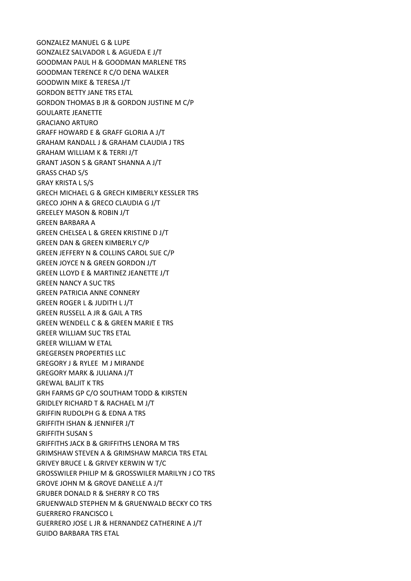GONZALEZ MANUEL G & LUPE GONZALEZ SALVADOR L & AGUEDA E J/T GOODMAN PAUL H & GOODMAN MARLENE TRS GOODMAN TERENCE R C/O DENA WALKER GOODWIN MIKE & TERESA J/T GORDON BETTY JANE TRS ETAL GORDON THOMAS B JR & GORDON JUSTINE M C/P GOULARTE JEANETTE GRACIANO ARTURO GRAFF HOWARD E & GRAFF GLORIA A J/T GRAHAM RANDALL J & GRAHAM CLAUDIA J TRS GRAHAM WILLIAM K & TERRI J/T GRANT JASON S & GRANT SHANNA A J/T GRASS CHAD S/S GRAY KRISTA L S/S GRECH MICHAEL G & GRECH KIMBERLY KESSLER TRS GRECO JOHN A & GRECO CLAUDIA G J/T GREELEY MASON & ROBIN J/T GREEN BARBARA A GREEN CHELSEA L & GREEN KRISTINE D J/T GREEN DAN & GREEN KIMBERLY C/P GREEN JEFFERY N & COLLINS CAROL SUE C/P GREEN JOYCE N & GREEN GORDON J/T GREEN LLOYD E & MARTINEZ JEANETTE J/T GREEN NANCY A SUC TRS GREEN PATRICIA ANNE CONNERY GREEN ROGER L & JUDITH L J/T GREEN RUSSELL A JR & GAIL A TRS GREEN WENDELL C & & GREEN MARIE E TRS GREER WILLIAM SUC TRS ETAL GREER WILLIAM W ETAL GREGERSEN PROPERTIES LLC GREGORY J & RYLEE M J MIRANDE GREGORY MARK & JULIANA J/T GREWAL BALJIT K TRS GRH FARMS GP C/O SOUTHAM TODD & KIRSTEN GRIDLEY RICHARD T & RACHAEL M J/T GRIFFIN RUDOLPH G & EDNA A TRS GRIFFITH ISHAN & JENNIFER J/T GRIFFITH SUSAN S GRIFFITHS JACK B & GRIFFITHS LENORA M TRS GRIMSHAW STEVEN A & GRIMSHAW MARCIA TRS ETAL GRIVEY BRUCE L & GRIVEY KERWIN W T/C GROSSWILER PHILIP M & GROSSWILER MARILYN J CO TRS GROVE JOHN M & GROVE DANELLE A J/T GRUBER DONALD R & SHERRY R CO TRS GRUENWALD STEPHEN M & GRUENWALD BECKY CO TRS GUERRERO FRANCISCO L GUERRERO JOSE L JR & HERNANDEZ CATHERINE A J/T GUIDO BARBARA TRS ETAL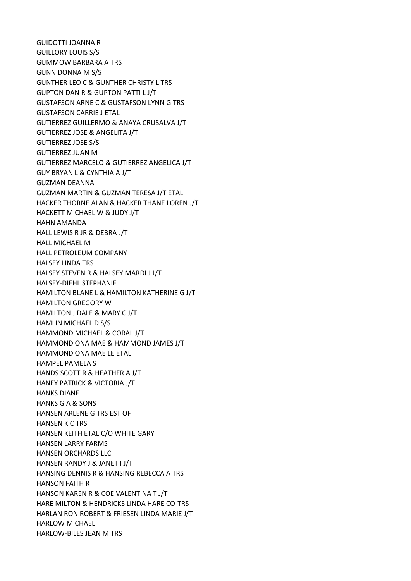GUIDOTTI JOANNA R GUILLORY LOUIS S/S GUMMOW BARBARA A TRS GUNN DONNA M S/S GUNTHER LEO C & GUNTHER CHRISTY L TRS GUPTON DAN R & GUPTON PATTI L J/T GUSTAFSON ARNE C & GUSTAFSON LYNN G TRS GUSTAFSON CARRIE J ETAL GUTIERREZ GUILLERMO & ANAYA CRUSALVA J/T GUTIERREZ JOSE & ANGELITA J/T GUTIERREZ JOSE S/S GUTIERREZ JUAN M GUTIERREZ MARCELO & GUTIERREZ ANGELICA J/T GUY BRYAN L & CYNTHIA A J/T GUZMAN DEANNA GUZMAN MARTIN & GUZMAN TERESA J/T ETAL HACKER THORNE ALAN & HACKER THANE LOREN J/T HACKETT MICHAEL W & JUDY J/T HAHN AMANDA HALL LEWIS R JR & DEBRA J/T HALL MICHAEL M HALL PETROLEUM COMPANY HALSEY LINDA TRS HALSEY STEVEN R & HALSEY MARDI J J/T HALSEY-DIEHL STEPHANIE HAMILTON BLANE L & HAMILTON KATHERINE G J/T HAMILTON GREGORY W HAMILTON J DALE & MARY C J/T HAMLIN MICHAEL D S/S HAMMOND MICHAEL & CORAL J/T HAMMOND ONA MAE & HAMMOND JAMES J/T HAMMOND ONA MAE LE ETAL HAMPEL PAMELA S HANDS SCOTT R & HEATHER A J/T HANEY PATRICK & VICTORIA J/T HANKS DIANE HANKS G A & SONS HANSEN ARLENE G TRS EST OF HANSEN K C TRS HANSEN KEITH ETAL C/O WHITE GARY HANSEN LARRY FARMS HANSEN ORCHARDS LLC HANSEN RANDY J & JANET I J/T HANSING DENNIS R & HANSING REBECCA A TRS HANSON FAITH R HANSON KAREN R & COE VALENTINA T J/T HARE MILTON & HENDRICKS LINDA HARE CO-TRS HARLAN RON ROBERT & FRIESEN LINDA MARIE J/T HARLOW MICHAEL HARLOW-BILES JEAN M TRS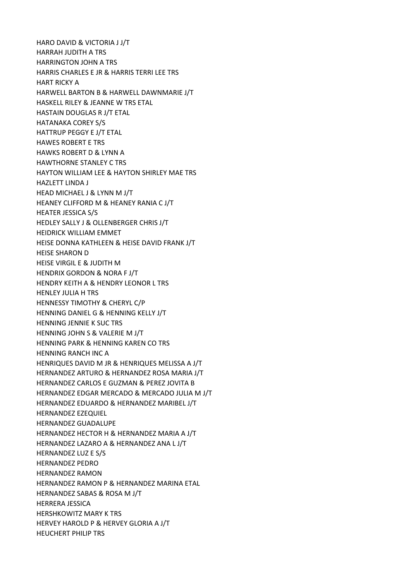HARO DAVID & VICTORIA J J/T HARRAH JUDITH A TRS HARRINGTON JOHN A TRS HARRIS CHARLES E JR & HARRIS TERRI LEE TRS HART RICKY A HARWELL BARTON B & HARWELL DAWNMARIE J/T HASKELL RILEY & JEANNE W TRS ETAL HASTAIN DOUGLAS R J/T ETAL HATANAKA COREY S/S HATTRUP PEGGY E J/T ETAL HAWES ROBERT E TRS HAWKS ROBERT D & LYNN A HAWTHORNE STANLEY C TRS HAYTON WILLIAM LEE & HAYTON SHIRLEY MAE TRS HAZLETT LINDA J HEAD MICHAEL J & LYNN M J/T HEANEY CLIFFORD M & HEANEY RANIA C J/T HEATER JESSICA S/S HEDLEY SALLY J & OLLENBERGER CHRIS J/T HEIDRICK WILLIAM EMMET HEISE DONNA KATHLEEN & HEISE DAVID FRANK J/T HEISE SHARON D HEISE VIRGIL E & JUDITH M HENDRIX GORDON & NORA F J/T HENDRY KEITH A & HENDRY LEONOR L TRS HENLEY JULIA H TRS HENNESSY TIMOTHY & CHERYL C/P HENNING DANIEL G & HENNING KELLY J/T HENNING JENNIE K SUC TRS HENNING JOHN S & VALERIE M J/T HENNING PARK & HENNING KAREN CO TRS HENNING RANCH INC A HENRIQUES DAVID M JR & HENRIQUES MELISSA A J/T HERNANDEZ ARTURO & HERNANDEZ ROSA MARIA J/T HERNANDEZ CARLOS E GUZMAN & PEREZ JOVITA B HERNANDEZ EDGAR MERCADO & MERCADO JULIA M J/T HERNANDEZ EDUARDO & HERNANDEZ MARIBEL J/T HERNANDEZ EZEQUIEL HERNANDEZ GUADALUPE HERNANDEZ HECTOR H & HERNANDEZ MARIA A J/T HERNANDEZ LAZARO A & HERNANDEZ ANA L J/T HERNANDEZ LUZ E S/S HERNANDEZ PEDRO HERNANDEZ RAMON HERNANDEZ RAMON P & HERNANDEZ MARINA ETAL HERNANDEZ SABAS & ROSA M J/T HERRERA JESSICA HERSHKOWITZ MARY K TRS HERVEY HAROLD P & HERVEY GLORIA A J/T HEUCHERT PHILIP TRS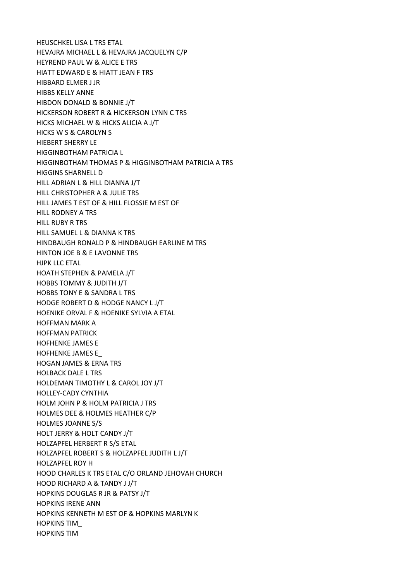HEUSCHKEL LISA L TRS ETAL HEVAJRA MICHAEL L & HEVAJRA JACQUELYN C/P HEYREND PAUL W & ALICE E TRS HIATT EDWARD E & HIATT JEAN F TRS HIBBARD ELMER J JR HIBBS KELLY ANNE HIBDON DONALD & BONNIE J/T HICKERSON ROBERT R & HICKERSON LYNN C TRS HICKS MICHAEL W & HICKS ALICIA A J/T HICKS W S & CAROLYN S HIEBERT SHERRY LE HIGGINBOTHAM PATRICIA L HIGGINBOTHAM THOMAS P & HIGGINBOTHAM PATRICIA A TRS HIGGINS SHARNELL D HILL ADRIAN L & HILL DIANNA J/T HILL CHRISTOPHER A & JULIE TRS HILL JAMES T EST OF & HILL FLOSSIE M EST OF HILL RODNEY A TRS HILL RUBY R TRS HILL SAMUEL L & DIANNA K TRS HINDBAUGH RONALD P & HINDBAUGH EARLINE M TRS HINTON JOE B & E LAVONNE TRS HJPK LLC ETAL HOATH STEPHEN & PAMELA J/T HOBBS TOMMY & JUDITH J/T HOBBS TONY E & SANDRA L TRS HODGE ROBERT D & HODGE NANCY L J/T HOENIKE ORVAL F & HOENIKE SYLVIA A ETAL HOFFMAN MARK A HOFFMAN PATRICK HOFHENKE JAMES E HOFHENKE JAMES E\_ HOGAN JAMES & ERNA TRS HOLBACK DALE L TRS HOLDEMAN TIMOTHY L & CAROL JOY J/T HOLLEY-CADY CYNTHIA HOLM JOHN P & HOLM PATRICIA J TRS HOLMES DEE & HOLMES HEATHER C/P HOLMES JOANNE S/S HOLT JERRY & HOLT CANDY J/T HOLZAPFEL HERBERT R S/S ETAL HOLZAPFEL ROBERT S & HOLZAPFEL JUDITH L J/T HOLZAPFEL ROY H HOOD CHARLES K TRS ETAL C/O ORLAND JEHOVAH CHURCH HOOD RICHARD A & TANDY J J/T HOPKINS DOUGLAS R JR & PATSY J/T HOPKINS IRENE ANN HOPKINS KENNETH M EST OF & HOPKINS MARLYN K HOPKINS TIM\_ HOPKINS TIM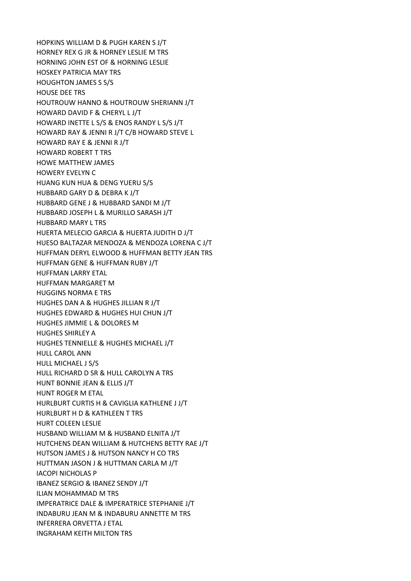HOPKINS WILLIAM D & PUGH KAREN S J/T HORNEY REX G JR & HORNEY LESLIE M TRS HORNING JOHN EST OF & HORNING LESLIE HOSKEY PATRICIA MAY TRS HOUGHTON JAMES S S/S HOUSE DEE TRS HOUTROUW HANNO & HOUTROUW SHERIANN J/T HOWARD DAVID F & CHERYL L J/T HOWARD INETTE L S/S & ENOS RANDY L S/S J/T HOWARD RAY & JENNI R J/T C/B HOWARD STEVE L HOWARD RAY E & JENNI R J/T HOWARD ROBERT T TRS HOWE MATTHEW JAMES HOWERY EVELYN C HUANG KUN HUA & DENG YUERU S/S HUBBARD GARY D & DEBRA K J/T HUBBARD GENE J & HUBBARD SANDI M J/T HUBBARD JOSEPH L & MURILLO SARASH J/T HUBBARD MARY L TRS HUERTA MELECIO GARCIA & HUERTA JUDITH D J/T HUESO BALTAZAR MENDOZA & MENDOZA LORENA C J/T HUFFMAN DERYL ELWOOD & HUFFMAN BETTY JEAN TRS HUFFMAN GENE & HUFFMAN RUBY J/T HUFFMAN LARRY ETAL HUFFMAN MARGARET M HUGGINS NORMA E TRS HUGHES DAN A & HUGHES JILLIAN R J/T HUGHES EDWARD & HUGHES HUI CHUN J/T HUGHES JIMMIE L & DOLORES M HUGHES SHIRLEY A HUGHES TENNIELLE & HUGHES MICHAEL J/T HULL CAROL ANN HULL MICHAEL J S/S HULL RICHARD D SR & HULL CAROLYN A TRS HUNT BONNIE JEAN & ELLIS J/T HUNT ROGER M ETAL HURLBURT CURTIS H & CAVIGLIA KATHLENE J J/T HURLBURT H D & KATHLEEN T TRS HURT COLEEN LESLIE HUSBAND WILLIAM M & HUSBAND ELNITA J/T HUTCHENS DEAN WILLIAM & HUTCHENS BETTY RAE J/T HUTSON JAMES J & HUTSON NANCY H CO TRS HUTTMAN JASON J & HUTTMAN CARLA M J/T IACOPI NICHOLAS P IBANEZ SERGIO & IBANEZ SENDY J/T ILIAN MOHAMMAD M TRS IMPERATRICE DALE & IMPERATRICE STEPHANIE J/T INDABURU JEAN M & INDABURU ANNETTE M TRS INFERRERA ORVETTA J ETAL INGRAHAM KEITH MILTON TRS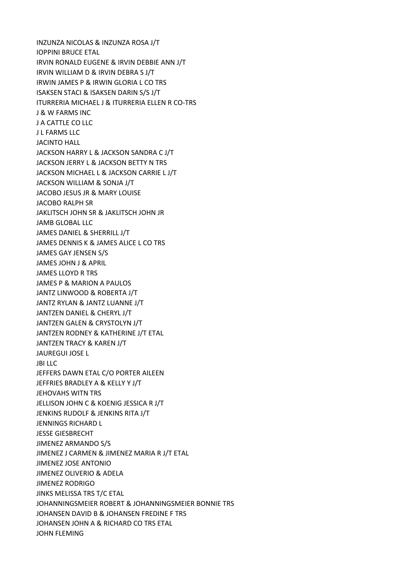INZUNZA NICOLAS & INZUNZA ROSA J/T IOPPINI BRUCE ETAL IRVIN RONALD EUGENE & IRVIN DEBBIE ANN J/T IRVIN WILLIAM D & IRVIN DEBRA S J/T IRWIN JAMES P & IRWIN GLORIA L CO TRS ISAKSEN STACI & ISAKSEN DARIN S/S J/T ITURRERIA MICHAEL J & ITURRERIA ELLEN R CO-TRS J & W FARMS INC J A CATTLE CO LLC J L FARMS LLC JACINTO HALL JACKSON HARRY L & JACKSON SANDRA C J/T JACKSON JERRY L & JACKSON BETTY N TRS JACKSON MICHAEL L & JACKSON CARRIE L J/T JACKSON WILLIAM & SONJA J/T JACOBO JESUS JR & MARY LOUISE JACOBO RALPH SR JAKLITSCH JOHN SR & JAKLITSCH JOHN JR JAMB GLOBAL LLC JAMES DANIEL & SHERRILL J/T JAMES DENNIS K & JAMES ALICE L CO TRS JAMES GAY JENSEN S/S JAMES JOHN J & APRIL JAMES LLOYD R TRS JAMES P & MARION A PAULOS JANTZ LINWOOD & ROBERTA J/T JANTZ RYLAN & JANTZ LUANNE J/T JANTZEN DANIEL & CHERYL J/T JANTZEN GALEN & CRYSTOLYN J/T JANTZEN RODNEY & KATHERINE J/T ETAL JANTZEN TRACY & KAREN J/T JAUREGUI JOSE L JBI LLC JEFFERS DAWN ETAL C/O PORTER AILEEN JEFFRIES BRADLEY A & KELLY Y J/T JEHOVAHS WITN TRS JELLISON JOHN C & KOENIG JESSICA R J/T JENKINS RUDOLF & JENKINS RITA J/T JENNINGS RICHARD L JESSE GIESBRECHT JIMENEZ ARMANDO S/S JIMENEZ J CARMEN & JIMENEZ MARIA R J/T ETAL JIMENEZ JOSE ANTONIO JIMENEZ OLIVERIO & ADELA JIMENEZ RODRIGO JINKS MELISSA TRS T/C ETAL JOHANNINGSMEIER ROBERT & JOHANNINGSMEIER BONNIE TRS JOHANSEN DAVID B & JOHANSEN FREDINE F TRS JOHANSEN JOHN A & RICHARD CO TRS ETAL JOHN FLEMING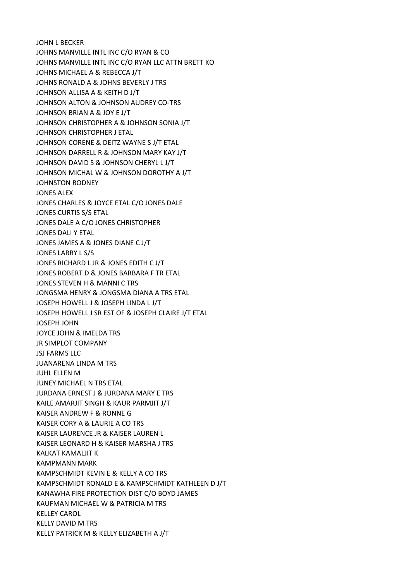JOHN L BECKER JOHNS MANVILLE INTL INC C/O RYAN & CO JOHNS MANVILLE INTL INC C/O RYAN LLC ATTN BRETT KO JOHNS MICHAEL A & REBECCA J/T JOHNS RONALD A & JOHNS BEVERLY J TRS JOHNSON ALLISA A & KEITH D J/T JOHNSON ALTON & JOHNSON AUDREY CO-TRS JOHNSON BRIAN A & JOY E J/T JOHNSON CHRISTOPHER A & JOHNSON SONIA J/T JOHNSON CHRISTOPHER J ETAL JOHNSON CORENE & DEITZ WAYNE S J/T ETAL JOHNSON DARRELL R & JOHNSON MARY KAY J/T JOHNSON DAVID S & JOHNSON CHERYL L J/T JOHNSON MICHAL W & JOHNSON DOROTHY A J/T JOHNSTON RODNEY JONES ALEX JONES CHARLES & JOYCE ETAL C/O JONES DALE JONES CURTIS S/S ETAL JONES DALE A C/O JONES CHRISTOPHER JONES DALI Y ETAL JONES JAMES A & JONES DIANE C J/T JONES LARRY L S/S JONES RICHARD L JR & JONES EDITH C J/T JONES ROBERT D & JONES BARBARA F TR ETAL JONES STEVEN H & MANNI C TRS JONGSMA HENRY & JONGSMA DIANA A TRS ETAL JOSEPH HOWELL J & JOSEPH LINDA L J/T JOSEPH HOWELL J SR EST OF & JOSEPH CLAIRE J/T ETAL JOSEPH JOHN JOYCE JOHN & IMELDA TRS JR SIMPLOT COMPANY JSJ FARMS LLC JUANARENA LINDA M TRS JUHL ELLEN M JUNEY MICHAEL N TRS ETAL JURDANA ERNEST J & JURDANA MARY E TRS KAILE AMARJIT SINGH & KAUR PARMJIT J/T KAISER ANDREW F & RONNE G KAISER CORY A & LAURIE A CO TRS KAISER LAURENCE JR & KAISER LAUREN L KAISER LEONARD H & KAISER MARSHA J TRS KALKAT KAMALJIT K KAMPMANN MARK KAMPSCHMIDT KEVIN E & KELLY A CO TRS KAMPSCHMIDT RONALD E & KAMPSCHMIDT KATHLEEN D J/T KANAWHA FIRE PROTECTION DIST C/O BOYD JAMES KAUFMAN MICHAEL W & PATRICIA M TRS KELLEY CAROL KELLY DAVID M TRS KELLY PATRICK M & KELLY ELIZABETH A J/T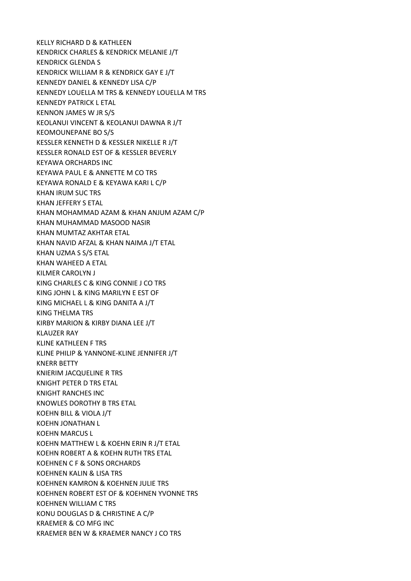KELLY RICHARD D & KATHLEEN KENDRICK CHARLES & KENDRICK MELANIE J/T KENDRICK GLENDA S KENDRICK WILLIAM R & KENDRICK GAY E J/T KENNEDY DANIEL & KENNEDY LISA C/P KENNEDY LOUELLA M TRS & KENNEDY LOUELLA M TRS KENNEDY PATRICK L ETAL KENNON JAMES W JR S/S KEOLANUI VINCENT & KEOLANUI DAWNA R J/T KEOMOUNEPANE BO S/S KESSLER KENNETH D & KESSLER NIKELLE R J/T KESSLER RONALD EST OF & KESSLER BEVERLY KEYAWA ORCHARDS INC KEYAWA PAUL E & ANNETTE M CO TRS KEYAWA RONALD E & KEYAWA KARI L C/P KHAN IRUM SUC TRS KHAN JEFFERY S ETAL KHAN MOHAMMAD AZAM & KHAN ANJUM AZAM C/P KHAN MUHAMMAD MASOOD NASIR KHAN MUMTAZ AKHTAR ETAL KHAN NAVID AFZAL & KHAN NAIMA J/T ETAL KHAN UZMA S S/S ETAL KHAN WAHEED A ETAL KILMER CAROLYN J KING CHARLES C & KING CONNIE J CO TRS KING JOHN L & KING MARILYN E EST OF KING MICHAEL L & KING DANITA A J/T KING THELMA TRS KIRBY MARION & KIRBY DIANA LEE J/T KLAUZER RAY KLINE KATHLEEN F TRS KLINE PHILIP & YANNONE-KLINE JENNIFER J/T KNERR BETTY KNIERIM JACQUELINE R TRS KNIGHT PETER D TRS ETAL KNIGHT RANCHES INC KNOWLES DOROTHY B TRS ETAL KOEHN BILL & VIOLA J/T KOEHN JONATHAN L KOEHN MARCUS L KOEHN MATTHEW L & KOEHN ERIN R J/T ETAL KOEHN ROBERT A & KOEHN RUTH TRS ETAL KOEHNEN C F & SONS ORCHARDS KOEHNEN KALIN & LISA TRS KOEHNEN KAMRON & KOEHNEN JULIE TRS KOEHNEN ROBERT EST OF & KOEHNEN YVONNE TRS KOEHNEN WILLIAM C TRS KONU DOUGLAS D & CHRISTINE A C/P KRAEMER & CO MFG INC KRAEMER BEN W & KRAEMER NANCY J CO TRS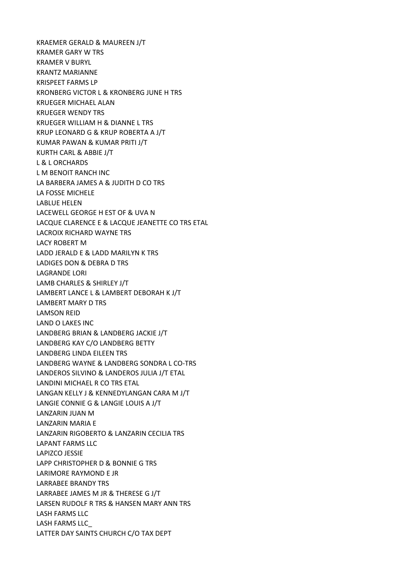KRAEMER GERALD & MAUREEN J/T KRAMER GARY W TRS KRAMER V BURYL KRANTZ MARIANNE KRISPEET FARMS LP KRONBERG VICTOR L & KRONBERG JUNE H TRS KRUEGER MICHAEL ALAN KRUEGER WENDY TRS KRUEGER WILLIAM H & DIANNE L TRS KRUP LEONARD G & KRUP ROBERTA A J/T KUMAR PAWAN & KUMAR PRITI J/T KURTH CARL & ABBIE J/T L & L ORCHARDS L M BENOIT RANCH INC LA BARBERA JAMES A & JUDITH D CO TRS LA FOSSE MICHELE LABLUE HELEN LACEWELL GEORGE H EST OF & UVA N LACQUE CLARENCE E & LACQUE JEANETTE CO TRS ETAL LACROIX RICHARD WAYNE TRS LACY ROBERT M LADD JERALD E & LADD MARILYN K TRS LADIGES DON & DEBRA D TRS LAGRANDE LORI LAMB CHARLES & SHIRLEY J/T LAMBERT LANCE L & LAMBERT DEBORAH K J/T LAMBERT MARY D TRS LAMSON REID LAND O LAKES INC LANDBERG BRIAN & LANDBERG JACKIE J/T LANDBERG KAY C/O LANDBERG BETTY LANDBERG LINDA EILEEN TRS LANDBERG WAYNE & LANDBERG SONDRA L CO-TRS LANDEROS SILVINO & LANDEROS JULIA J/T ETAL LANDINI MICHAEL R CO TRS ETAL LANGAN KELLY J & KENNEDYLANGAN CARA M J/T LANGIE CONNIE G & LANGIE LOUIS A J/T LANZARIN JUAN M LANZARIN MARIA E LANZARIN RIGOBERTO & LANZARIN CECILIA TRS LAPANT FARMS LLC LAPIZCO JESSIE LAPP CHRISTOPHER D & BONNIE G TRS LARIMORE RAYMOND E JR LARRABEE BRANDY TRS LARRABEE JAMES M JR & THERESE G J/T LARSEN RUDOLF R TRS & HANSEN MARY ANN TRS LASH FARMS LLC LASH FARMS LLC\_ LATTER DAY SAINTS CHURCH C/O TAX DEPT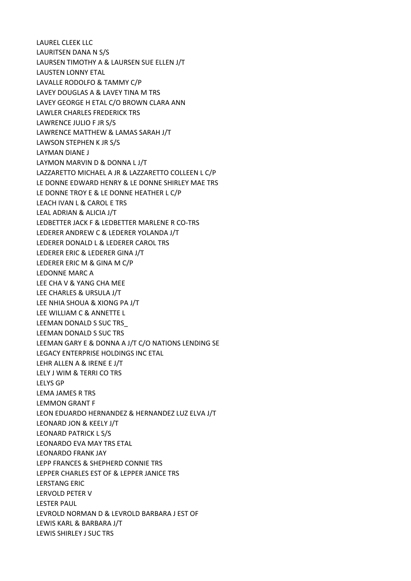LAUREL CLEEK LLC LAURITSEN DANA N S/S LAURSEN TIMOTHY A & LAURSEN SUE ELLEN J/T LAUSTEN LONNY ETAL LAVALLE RODOLFO & TAMMY C/P LAVEY DOUGLAS A & LAVEY TINA M TRS LAVEY GEORGE H ETAL C/O BROWN CLARA ANN LAWLER CHARLES FREDERICK TRS LAWRENCE JULIO F JR S/S LAWRENCE MATTHEW & LAMAS SARAH J/T LAWSON STEPHEN K JR S/S LAYMAN DIANE J LAYMON MARVIN D & DONNA L J/T LAZZARETTO MICHAEL A JR & LAZZARETTO COLLEEN L C/P LE DONNE EDWARD HENRY & LE DONNE SHIRLEY MAE TRS LE DONNE TROY E & LE DONNE HEATHER L C/P LEACH IVAN L & CAROL E TRS LEAL ADRIAN & ALICIA J/T LEDBETTER JACK F & LEDBETTER MARLENE R CO-TRS LEDERER ANDREW C & LEDERER YOLANDA J/T LEDERER DONALD L & LEDERER CAROL TRS LEDERER ERIC & LEDERER GINA J/T LEDERER ERIC M & GINA M C/P LEDONNE MARC A LEE CHA V & YANG CHA MEE LEE CHARLES & URSULA J/T LEE NHIA SHOUA & XIONG PA J/T LEE WILLIAM C & ANNETTE L LEEMAN DONALD S SUC TRS\_ LEEMAN DONALD S SUC TRS LEEMAN GARY E & DONNA A J/T C/O NATIONS LENDING SE LEGACY ENTERPRISE HOLDINGS INC ETAL LEHR ALLEN A & IRENE E J/T LELY J WIM & TERRI CO TRS LELYS GP LEMA JAMES R TRS LEMMON GRANT F LEON EDUARDO HERNANDEZ & HERNANDEZ LUZ ELVA J/T LEONARD JON & KEELY J/T LEONARD PATRICK L S/S LEONARDO EVA MAY TRS ETAL LEONARDO FRANK JAY LEPP FRANCES & SHEPHERD CONNIE TRS LEPPER CHARLES EST OF & LEPPER JANICE TRS LERSTANG ERIC LERVOLD PETER V LESTER PAUL LEVROLD NORMAN D & LEVROLD BARBARA J EST OF LEWIS KARL & BARBARA J/T LEWIS SHIRLEY J SUC TRS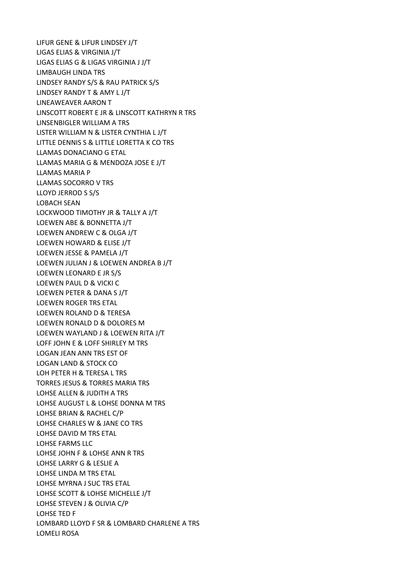LIFUR GENE & LIFUR LINDSEY J/T LIGAS ELIAS & VIRGINIA J/T LIGAS ELIAS G & LIGAS VIRGINIA J J/T LIMBAUGH LINDA TRS LINDSEY RANDY S/S & RAU PATRICK S/S LINDSEY RANDY T & AMY L J/T LINEAWEAVER AARON T LINSCOTT ROBERT E JR & LINSCOTT KATHRYN R TRS LINSENBIGLER WILLIAM A TRS LISTER WILLIAM N & LISTER CYNTHIA L J/T LITTLE DENNIS S & LITTLE LORETTA K CO TRS LLAMAS DONACIANO G ETAL LLAMAS MARIA G & MENDOZA JOSE E J/T LLAMAS MARIA P LLAMAS SOCORRO V TRS LLOYD JERROD S S/S LOBACH SEAN LOCKWOOD TIMOTHY JR & TALLY A J/T LOEWEN ABE & BONNETTA J/T LOEWEN ANDREW C & OLGA J/T LOEWEN HOWARD & ELISE J/T LOEWEN JESSE & PAMELA J/T LOEWEN JULIAN J & LOEWEN ANDREA B J/T LOEWEN LEONARD E JR S/S LOEWEN PAUL D & VICKI C LOEWEN PETER & DANA S J/T LOEWEN ROGER TRS ETAL LOEWEN ROLAND D & TERESA LOEWEN RONALD D & DOLORES M LOEWEN WAYLAND J & LOEWEN RITA J/T LOFF JOHN E & LOFF SHIRLEY M TRS LOGAN JEAN ANN TRS EST OF LOGAN LAND & STOCK CO LOH PETER H & TERESA L TRS TORRES JESUS & TORRES MARIA TRS LOHSE ALLEN & JUDITH A TRS LOHSE AUGUST L & LOHSE DONNA M TRS LOHSE BRIAN & RACHEL C/P LOHSE CHARLES W & JANE CO TRS LOHSE DAVID M TRS ETAL LOHSE FARMS LLC LOHSE JOHN F & LOHSE ANN R TRS LOHSE LARRY G & LESLIE A LOHSE LINDA M TRS ETAL LOHSE MYRNA J SUC TRS ETAL LOHSE SCOTT & LOHSE MICHELLE J/T LOHSE STEVEN J & OLIVIA C/P LOHSE TED F LOMBARD LLOYD F SR & LOMBARD CHARLENE A TRS LOMELI ROSA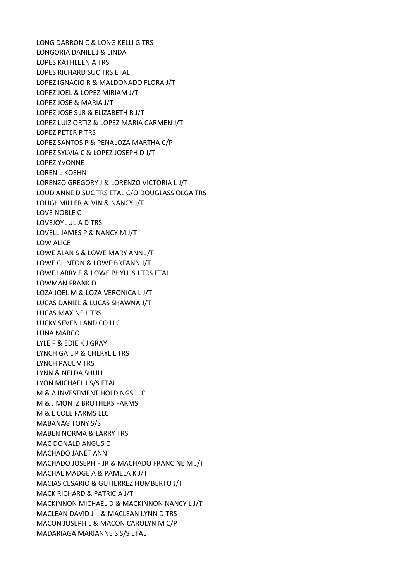LONG DARRON C & LONG KELLI G TRS LONGORIA DANIEL J & LINDA LOPES KATHLEEN A TRS LOPES RICHARD SUC TRS ETAL LOPEZ IGNACIO R & MALDONADO FLORA J/T LOPEZ JOEL & LOPEZ MIRIAM J/T LOPEZ JOSE & MARIA J/T LOPEZ JOSE S JR & ELIZABETH R J/T LOPEZ LUIZ ORTIZ & LOPEZ MARIA CARMEN J/T LOPEZ PETER P TRS LOPEZ SANTOS P & PENALOZA MARTHA C/P LOPEZ SYLVIA C & LOPEZ JOSEPH D J/T LOPEZ YVONNE LOREN L KOEHN LORENZO GREGORY J & LORENZO VICTORIA L J/T LOUD ANNE D SUC TRS ETAL C/O DOUGLASS OLGA TRS LOUGHMILLER ALVIN & NANCY J/T LOVE NOBLE C LOVEJOY JULIA D TRS LOVELL JAMES P & NANCY M J/T LOW ALICE LOWE ALAN S & LOWE MARY ANN J/T LOWE CLINTON & LOWE BREANN J/T LOWE LARRY E & LOWE PHYLLIS J TRS ETAL LOWMAN FRANK D LOZA JOEL M & LOZA VERONICA L J/T LUCAS DANIEL & LUCAS SHAWNA J/T LUCAS MAXINE L TRS LUCKY SEVEN LAND CO LLC LUNA MARCO LYLE F & EDIE K J GRAY LYNCH GAIL P & CHERYL L TRS LYNCH PAUL V TRS LYNN & NELDA SHULL LYON MICHAEL J S/S ETAL M & A INVESTMENT HOLDINGS LLC M & J MONTZ BROTHERS FARMS M & L COLE FARMS LLC MABANAG TONY S/S MABEN NORMA & LARRY TRS MAC DONALD ANGUS C MACHADO JANET ANN MACHADO JOSEPH F JR & MACHADO FRANCINE M J/T MACHAL MADGE A & PAMELA K J/T MACIAS CESARIO & GUTIERREZ HUMBERTO J/T MACK RICHARD & PATRICIA J/T MACKINNON MICHAEL D & MACKINNON NANCY L J/T MACLEAN DAVID J II & MACLEAN LYNN D TRS MACON JOSEPH L & MACON CAROLYN M C/P MADARIAGA MARIANNE S S/S ETAL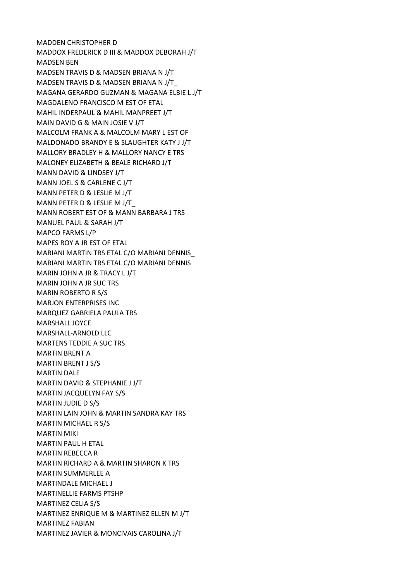MADDEN CHRISTOPHER D MADDOX FREDERICK D III & MADDOX DEBORAH J/T MADSEN BEN MADSEN TRAVIS D & MADSEN BRIANA N J/T MADSEN TRAVIS D & MADSEN BRIANA N J/T\_ MAGANA GERARDO GUZMAN & MAGANA ELBIE L J/T MAGDALENO FRANCISCO M EST OF ETAL MAHIL INDERPAUL & MAHIL MANPREET J/T MAIN DAVID G & MAIN JOSIE V J/T MALCOLM FRANK A & MALCOLM MARY L EST OF MALDONADO BRANDY E & SLAUGHTER KATY J J/T MALLORY BRADLEY H & MALLORY NANCY E TRS MALONEY ELIZABETH & BEALE RICHARD J/T MANN DAVID & LINDSEY J/T MANN JOEL S & CARLENE C J/T MANN PETER D & LESLIE M J/T MANN PETER D & LESLIE M J/T\_ MANN ROBERT EST OF & MANN BARBARA J TRS MANUEL PAUL & SARAH J/T MAPCO FARMS L/P MAPES ROY A JR EST OF ETAL MARIANI MARTIN TRS ETAL C/O MARIANI DENNIS\_ MARIANI MARTIN TRS ETAL C/O MARIANI DENNIS MARIN JOHN A JR & TRACY L J/T MARIN JOHN A JR SUC TRS MARIN ROBERTO R S/S MARJON ENTERPRISES INC MARQUEZ GABRIELA PAULA TRS MARSHALL JOYCE MARSHALL-ARNOLD LLC MARTENS TEDDIE A SUC TRS MARTIN BRENT A MARTIN BRENT J S/S MARTIN DALE MARTIN DAVID & STEPHANIE J J/T MARTIN JACQUELYN FAY S/S MARTIN JUDIE D S/S MARTIN LAIN JOHN & MARTIN SANDRA KAY TRS MARTIN MICHAEL R S/S MARTIN MIKI MARTIN PAUL H ETAL MARTIN REBECCA R MARTIN RICHARD A & MARTIN SHARON K TRS MARTIN SUMMERLEE A MARTINDALE MICHAEL J MARTINELLIE FARMS PTSHP MARTINEZ CELIA S/S MARTINEZ ENRIQUE M & MARTINEZ ELLEN M J/T MARTINEZ FABIAN MARTINEZ JAVIER & MONCIVAIS CAROLINA J/T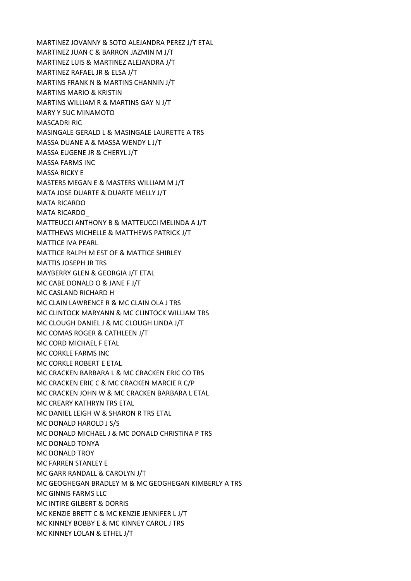MARTINEZ JOVANNY & SOTO ALEJANDRA PEREZ J/T ETAL MARTINEZ JUAN C & BARRON JAZMIN M J/T MARTINEZ LUIS & MARTINEZ ALEJANDRA J/T MARTINEZ RAFAEL JR & ELSA J/T MARTINS FRANK N & MARTINS CHANNIN J/T MARTINS MARIO & KRISTIN MARTINS WILLIAM R & MARTINS GAY N J/T MARY Y SUC MINAMOTO MASCADRI RIC MASINGALE GERALD L & MASINGALE LAURETTE A TRS MASSA DUANE A & MASSA WENDY L J/T MASSA EUGENE JR & CHERYL J/T MASSA FARMS INC MASSA RICKY E MASTERS MEGAN E & MASTERS WILLIAM M J/T MATA JOSE DUARTE & DUARTE MELLY J/T MATA RICARDO MATA RICARDO\_ MATTEUCCI ANTHONY B & MATTEUCCI MELINDA A J/T MATTHEWS MICHELLE & MATTHEWS PATRICK J/T MATTICE IVA PEARL MATTICE RALPH M EST OF & MATTICE SHIRLEY MATTIS JOSEPH JR TRS MAYBERRY GLEN & GEORGIA J/T ETAL MC CABE DONALD O & JANE F J/T MC CASLAND RICHARD H MC CLAIN LAWRENCE R & MC CLAIN OLA J TRS MC CLINTOCK MARYANN & MC CLINTOCK WILLIAM TRS MC CLOUGH DANIEL J & MC CLOUGH LINDA J/T MC COMAS ROGER & CATHLEEN J/T MC CORD MICHAEL F ETAL MC CORKLE FARMS INC MC CORKLE ROBERT E ETAL MC CRACKEN BARBARA L & MC CRACKEN ERIC CO TRS MC CRACKEN ERIC C & MC CRACKEN MARCIE R C/P MC CRACKEN JOHN W & MC CRACKEN BARBARA L ETAL MC CREARY KATHRYN TRS ETAL MC DANIEL LEIGH W & SHARON R TRS ETAL MC DONALD HAROLD J S/S MC DONALD MICHAEL J & MC DONALD CHRISTINA P TRS MC DONALD TONYA MC DONALD TROY MC FARREN STANLEY E MC GARR RANDALL & CAROLYN J/T MC GEOGHEGAN BRADLEY M & MC GEOGHEGAN KIMBERLY A TRS MC GINNIS FARMS LLC MC INTIRE GILBERT & DORRIS MC KENZIE BRETT C & MC KENZIE JENNIFER L J/T MC KINNEY BOBBY E & MC KINNEY CAROL J TRS MC KINNEY LOLAN & ETHEL J/T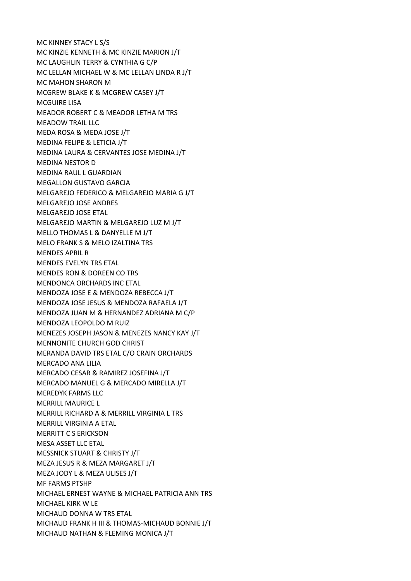MC KINNEY STACY L S/S MC KINZIE KENNETH & MC KINZIE MARION J/T MC LAUGHLIN TERRY & CYNTHIA G C/P MC LELLAN MICHAEL W & MC LELLAN LINDA R J/T MC MAHON SHARON M MCGREW BLAKE K & MCGREW CASEY J/T MCGUIRE LISA MEADOR ROBERT C & MEADOR LETHA M TRS MEADOW TRAIL LLC MEDA ROSA & MEDA JOSE J/T MEDINA FELIPE & LETICIA J/T MEDINA LAURA & CERVANTES JOSE MEDINA J/T MEDINA NESTOR D MEDINA RAUL L GUARDIAN MEGALLON GUSTAVO GARCIA MELGAREJO FEDERICO & MELGAREJO MARIA G J/T MELGAREJO JOSE ANDRES MELGAREJO JOSE ETAL MELGAREJO MARTIN & MELGAREJO LUZ M J/T MELLO THOMAS L & DANYELLE M J/T MELO FRANK S & MELO IZALTINA TRS MENDES APRIL R MENDES EVELYN TRS ETAL MENDES RON & DOREEN CO TRS MENDONCA ORCHARDS INC ETAL MENDOZA JOSE E & MENDOZA REBECCA J/T MENDOZA JOSE JESUS & MENDOZA RAFAELA J/T MENDOZA JUAN M & HERNANDEZ ADRIANA M C/P MENDOZA LEOPOLDO M RUIZ MENEZES JOSEPH JASON & MENEZES NANCY KAY J/T MENNONITE CHURCH GOD CHRIST MERANDA DAVID TRS ETAL C/O CRAIN ORCHARDS MERCADO ANA LILIA MERCADO CESAR & RAMIREZ JOSEFINA J/T MERCADO MANUEL G & MERCADO MIRELLA J/T MEREDYK FARMS LLC MERRILL MAURICE L MERRILL RICHARD A & MERRILL VIRGINIA L TRS MERRILL VIRGINIA A ETAL MERRITT C S ERICKSON MESA ASSET LLC ETAL MESSNICK STUART & CHRISTY J/T MEZA JESUS R & MEZA MARGARET J/T MEZA JODY L & MEZA ULISES J/T MF FARMS PTSHP MICHAEL ERNEST WAYNE & MICHAEL PATRICIA ANN TRS MICHAEL KIRK W LE MICHAUD DONNA W TRS ETAL MICHAUD FRANK H III & THOMAS-MICHAUD BONNIE J/T MICHAUD NATHAN & FLEMING MONICA J/T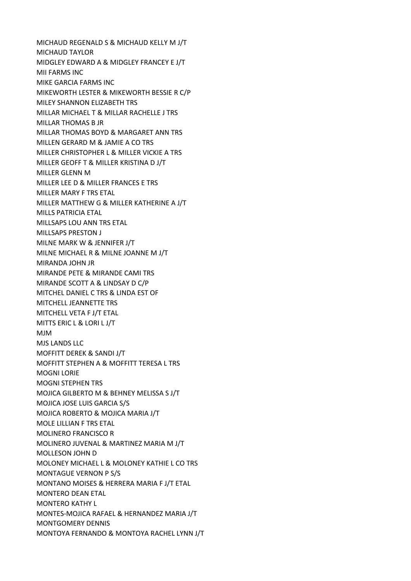MICHAUD REGENALD S & MICHAUD KELLY M J/T MICHAUD TAYLOR MIDGLEY EDWARD A & MIDGLEY FRANCEY E J/T MII FARMS INC MIKE GARCIA FARMS INC MIKEWORTH LESTER & MIKEWORTH BESSIE R C/P MILEY SHANNON ELIZABETH TRS MILLAR MICHAEL T & MILLAR RACHELLE J TRS MILLAR THOMAS B JR MILLAR THOMAS BOYD & MARGARET ANN TRS MILLEN GERARD M & JAMIE A CO TRS MILLER CHRISTOPHER L & MILLER VICKIE A TRS MILLER GEOFF T & MILLER KRISTINA D J/T MILLER GLENN M MILLER LEE D & MILLER FRANCES E TRS MILLER MARY F TRS ETAL MILLER MATTHEW G & MILLER KATHERINE A J/T MILLS PATRICIA ETAL MILLSAPS LOU ANN TRS ETAL MILLSAPS PRESTON J MILNE MARK W & JENNIFER J/T MILNE MICHAEL R & MILNE JOANNE M J/T MIRANDA JOHN JR MIRANDE PETE & MIRANDE CAMI TRS MIRANDE SCOTT A & LINDSAY D C/P MITCHEL DANIEL C TRS & LINDA EST OF MITCHELL JEANNETTE TRS MITCHELL VETA F J/T ETAL MITTS ERIC L & LORI L J/T MJM MJS LANDS LLC MOFFITT DEREK & SANDI J/T MOFFITT STEPHEN A & MOFFITT TERESA L TRS MOGNI LORIE MOGNI STEPHEN TRS MOJICA GILBERTO M & BEHNEY MELISSA S J/T MOJICA JOSE LUIS GARCIA S/S MOJICA ROBERTO & MOJICA MARIA J/T MOLE LILLIAN F TRS ETAL MOLINERO FRANCISCO R MOLINERO JUVENAL & MARTINEZ MARIA M J/T MOLLESON JOHN D MOLONEY MICHAEL L & MOLONEY KATHIE L CO TRS MONTAGUE VERNON P S/S MONTANO MOISES & HERRERA MARIA F J/T ETAL MONTERO DEAN ETAL MONTERO KATHY L MONTES-MOJICA RAFAEL & HERNANDEZ MARIA J/T MONTGOMERY DENNIS MONTOYA FERNANDO & MONTOYA RACHEL LYNN J/T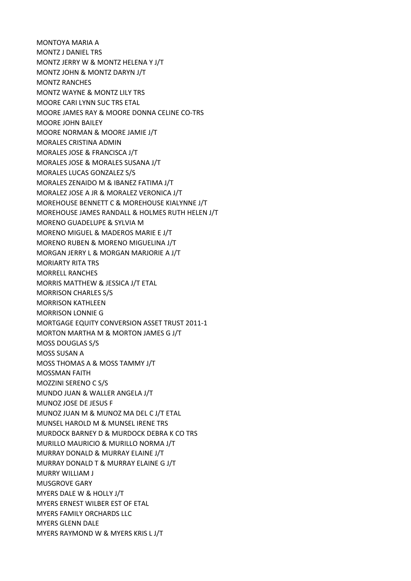MONTOYA MARIA A MONTZ J DANIEL TRS MONTZ JERRY W & MONTZ HELENA Y J/T MONTZ JOHN & MONTZ DARYN J/T MONTZ RANCHES MONTZ WAYNE & MONTZ LILY TRS MOORE CARI LYNN SUC TRS ETAL MOORE JAMES RAY & MOORE DONNA CELINE CO-TRS MOORE JOHN BAILEY MOORE NORMAN & MOORE JAMIE J/T MORALES CRISTINA ADMIN MORALES JOSE & FRANCISCA J/T MORALES JOSE & MORALES SUSANA J/T MORALES LUCAS GONZALEZ S/S MORALES ZENAIDO M & IBANEZ FATIMA J/T MORALEZ JOSE A JR & MORALEZ VERONICA J/T MOREHOUSE BENNETT C & MOREHOUSE KIALYNNE J/T MOREHOUSE JAMES RANDALL & HOLMES RUTH HELEN J/T MORENO GUADELUPE & SYLVIA M MORENO MIGUEL & MADEROS MARIE E J/T MORENO RUBEN & MORENO MIGUELINA J/T MORGAN JERRY L & MORGAN MARJORIE A J/T MORIARTY RITA TRS MORRELL RANCHES MORRIS MATTHEW & JESSICA J/T ETAL MORRISON CHARLES S/S MORRISON KATHLEEN MORRISON LONNIE G MORTGAGE EQUITY CONVERSION ASSET TRUST 2011-1 MORTON MARTHA M & MORTON JAMES G J/T MOSS DOUGLAS S/S MOSS SUSAN A MOSS THOMAS A & MOSS TAMMY J/T MOSSMAN FAITH MOZZINI SERENO C S/S MUNDO JUAN & WALLER ANGELA J/T MUNOZ JOSE DE JESUS F MUNOZ JUAN M & MUNOZ MA DEL C J/T ETAL MUNSEL HAROLD M & MUNSEL IRENE TRS MURDOCK BARNEY D & MURDOCK DEBRA K CO TRS MURILLO MAURICIO & MURILLO NORMA J/T MURRAY DONALD & MURRAY ELAINE J/T MURRAY DONALD T & MURRAY ELAINE G J/T MURRY WILLIAM J MUSGROVE GARY MYERS DALE W & HOLLY J/T MYERS ERNEST WILBER EST OF ETAL MYERS FAMILY ORCHARDS LLC MYERS GLENN DALE MYERS RAYMOND W & MYERS KRIS L J/T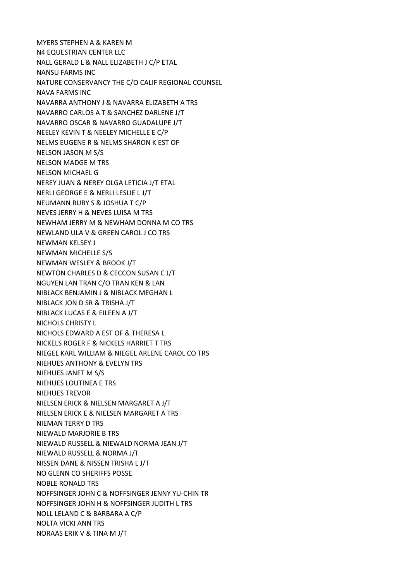MYERS STEPHEN A & KAREN M N4 EQUESTRIAN CENTER LLC NALL GERALD L & NALL ELIZABETH J C/P ETAL NANSU FARMS INC NATURE CONSERVANCY THE C/O CALIF REGIONAL COUNSEL NAVA FARMS INC NAVARRA ANTHONY J & NAVARRA ELIZABETH A TRS NAVARRO CARLOS A T & SANCHEZ DARLENE J/T NAVARRO OSCAR & NAVARRO GUADALUPE J/T NEELEY KEVIN T & NEELEY MICHELLE E C/P NELMS EUGENE R & NELMS SHARON K EST OF NELSON JASON M S/S NELSON MADGE M TRS NELSON MICHAEL G NEREY JUAN & NEREY OLGA LETICIA J/T ETAL NERLI GEORGE E & NERLI LESLIE L J/T NEUMANN RUBY S & JOSHUA T C/P NEVES JERRY H & NEVES LUISA M TRS NEWHAM JERRY M & NEWHAM DONNA M CO TRS NEWLAND ULA V & GREEN CAROL J CO TRS NEWMAN KELSEY J NEWMAN MICHELLE S/S NEWMAN WESLEY & BROOK J/T NEWTON CHARLES D & CECCON SUSAN C J/T NGUYEN LAN TRAN C/O TRAN KEN & LAN NIBLACK BENJAMIN J & NIBLACK MEGHAN L NIBLACK JON D SR & TRISHA J/T NIBLACK LUCAS E & EILEEN A J/T NICHOLS CHRISTY L NICHOLS EDWARD A EST OF & THERESA L NICKELS ROGER F & NICKELS HARRIET T TRS NIEGEL KARL WILLIAM & NIEGEL ARLENE CAROL CO TRS NIEHUES ANTHONY & EVELYN TRS NIEHUES JANET M S/S NIEHUES LOUTINEA E TRS NIEHUES TREVOR NIELSEN ERICK & NIELSEN MARGARET A J/T NIELSEN ERICK E & NIELSEN MARGARET A TRS NIEMAN TERRY D TRS NIEWALD MARJORIE B TRS NIEWALD RUSSELL & NIEWALD NORMA JEAN J/T NIEWALD RUSSELL & NORMA J/T NISSEN DANE & NISSEN TRISHA L J/T NO GLENN CO SHERIFFS POSSE NOBLE RONALD TRS NOFFSINGER JOHN C & NOFFSINGER JENNY YU-CHIN TR NOFFSINGER JOHN H & NOFFSINGER JUDITH L TRS NOLL LELAND C & BARBARA A C/P NOLTA VICKI ANN TRS NORAAS ERIK V & TINA M J/T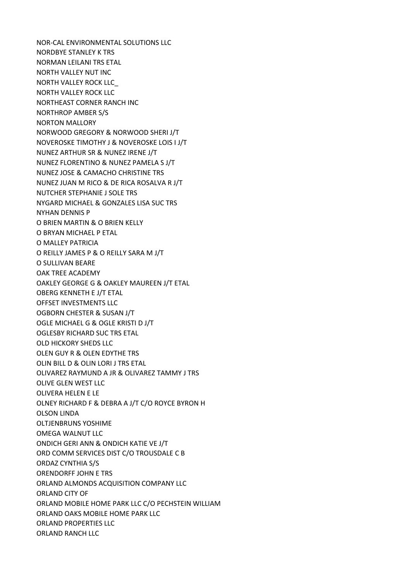NOR-CAL ENVIRONMENTAL SOLUTIONS LLC NORDBYE STANLEY K TRS NORMAN LEILANI TRS ETAL NORTH VALLEY NUT INC NORTH VALLEY ROCK LLC\_ NORTH VALLEY ROCK LLC NORTHEAST CORNER RANCH INC NORTHROP AMBER S/S NORTON MALLORY NORWOOD GREGORY & NORWOOD SHERI J/T NOVEROSKE TIMOTHY J & NOVEROSKE LOIS I J/T NUNEZ ARTHUR SR & NUNEZ IRENE J/T NUNEZ FLORENTINO & NUNEZ PAMELA S J/T NUNEZ JOSE & CAMACHO CHRISTINE TRS NUNEZ JUAN M RICO & DE RICA ROSALVA R J/T NUTCHER STEPHANIE J SOLE TRS NYGARD MICHAEL & GONZALES LISA SUC TRS NYHAN DENNIS P O BRIEN MARTIN & O BRIEN KELLY O BRYAN MICHAEL P ETAL O MALLEY PATRICIA O REILLY JAMES P & O REILLY SARA M J/T O SULLIVAN BEARE OAK TREE ACADEMY OAKLEY GEORGE G & OAKLEY MAUREEN J/T ETAL OBERG KENNETH E J/T ETAL OFFSET INVESTMENTS LLC OGBORN CHESTER & SUSAN J/T OGLE MICHAEL G & OGLE KRISTI D J/T OGLESBY RICHARD SUC TRS ETAL OLD HICKORY SHEDS LLC OLEN GUY R & OLEN EDYTHE TRS OLIN BILL D & OLIN LORI J TRS ETAL OLIVAREZ RAYMUND A JR & OLIVAREZ TAMMY J TRS OLIVE GLEN WEST LLC OLIVERA HELEN E LE OLNEY RICHARD F & DEBRA A J/T C/O ROYCE BYRON H OLSON LINDA OLTJENBRUNS YOSHIME OMEGA WALNUT LLC ONDICH GERI ANN & ONDICH KATIE VE J/T ORD COMM SERVICES DIST C/O TROUSDALE C B ORDAZ CYNTHIA S/S ORENDORFF JOHN E TRS ORLAND ALMONDS ACQUISITION COMPANY LLC ORLAND CITY OF ORLAND MOBILE HOME PARK LLC C/O PECHSTEIN WILLIAM ORLAND OAKS MOBILE HOME PARK LLC ORLAND PROPERTIES LLC ORLAND RANCH LLC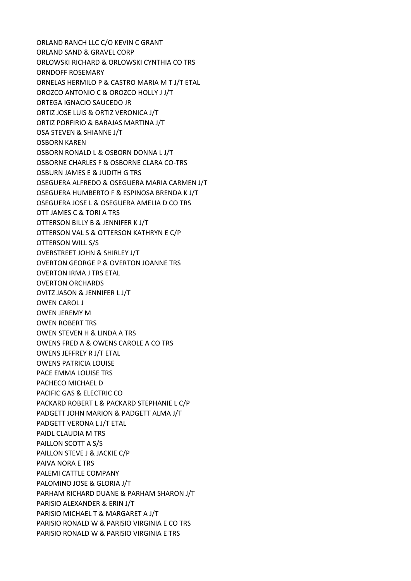ORLAND RANCH LLC C/O KEVIN C GRANT ORLAND SAND & GRAVEL CORP ORLOWSKI RICHARD & ORLOWSKI CYNTHIA CO TRS ORNDOFF ROSEMARY ORNELAS HERMILO P & CASTRO MARIA M T J/T ETAL OROZCO ANTONIO C & OROZCO HOLLY J J/T ORTEGA IGNACIO SAUCEDO JR ORTIZ JOSE LUIS & ORTIZ VERONICA J/T ORTIZ PORFIRIO & BARAJAS MARTINA J/T OSA STEVEN & SHIANNE J/T OSBORN KAREN OSBORN RONALD L & OSBORN DONNA L J/T OSBORNE CHARLES F & OSBORNE CLARA CO-TRS OSBURN JAMES E & JUDITH G TRS OSEGUERA ALFREDO & OSEGUERA MARIA CARMEN J/T OSEGUERA HUMBERTO F & ESPINOSA BRENDA K J/T OSEGUERA JOSE L & OSEGUERA AMELIA D CO TRS OTT JAMES C & TORI A TRS OTTERSON BILLY B & JENNIFER K J/T OTTERSON VAL S & OTTERSON KATHRYN E C/P OTTERSON WILL S/S OVERSTREET JOHN & SHIRLEY J/T OVERTON GEORGE P & OVERTON JOANNE TRS OVERTON IRMA J TRS ETAL OVERTON ORCHARDS OVITZ JASON & JENNIFER L J/T OWEN CAROL J OWEN JEREMY M OWEN ROBERT TRS OWEN STEVEN H & LINDA A TRS OWENS FRED A & OWENS CAROLE A CO TRS OWENS JEFFREY R J/T ETAL OWENS PATRICIA LOUISE PACE EMMA LOUISE TRS PACHECO MICHAEL D PACIFIC GAS & ELECTRIC CO PACKARD ROBERT L & PACKARD STEPHANIE L C/P PADGETT JOHN MARION & PADGETT ALMA J/T PADGETT VERONA L J/T ETAL PAIDL CLAUDIA M TRS PAILLON SCOTT A S/S PAILLON STEVE J & JACKIE C/P PAIVA NORA E TRS PALEMI CATTLE COMPANY PALOMINO JOSE & GLORIA J/T PARHAM RICHARD DUANE & PARHAM SHARON J/T PARISIO ALEXANDER & ERIN J/T PARISIO MICHAEL T & MARGARET A J/T PARISIO RONALD W & PARISIO VIRGINIA E CO TRS PARISIO RONALD W & PARISIO VIRGINIA E TRS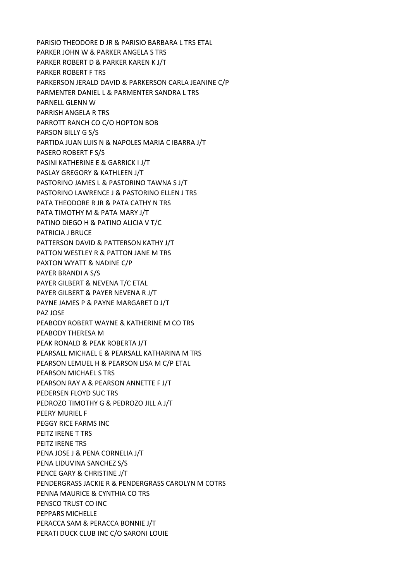PARISIO THEODORE D JR & PARISIO BARBARA L TRS ETAL PARKER JOHN W & PARKER ANGELA S TRS PARKER ROBERT D & PARKER KAREN K J/T PARKER ROBERT F TRS PARKERSON JERALD DAVID & PARKERSON CARLA JEANINE C/P PARMENTER DANIEL L & PARMENTER SANDRA L TRS PARNELL GLENN W PARRISH ANGELA R TRS PARROTT RANCH CO C/O HOPTON BOB PARSON BILLY G S/S PARTIDA JUAN LUIS N & NAPOLES MARIA C IBARRA J/T PASERO ROBERT F S/S PASINI KATHERINE E & GARRICK I J/T PASLAY GREGORY & KATHLEEN J/T PASTORINO JAMES L & PASTORINO TAWNA S J/T PASTORINO LAWRENCE J & PASTORINO ELLEN J TRS PATA THEODORE R JR & PATA CATHY N TRS PATA TIMOTHY M & PATA MARY J/T PATINO DIEGO H & PATINO ALICIA V T/C PATRICIA J BRUCE PATTERSON DAVID & PATTERSON KATHY J/T PATTON WESTLEY R & PATTON JANE M TRS PAXTON WYATT & NADINE C/P PAYER BRANDI A S/S PAYER GILBERT & NEVENA T/C ETAL PAYER GILBERT & PAYER NEVENA R J/T PAYNE JAMES P & PAYNE MARGARET D J/T PAZ JOSE PEABODY ROBERT WAYNE & KATHERINE M CO TRS PEABODY THERESA M PEAK RONALD & PEAK ROBERTA J/T PEARSALL MICHAEL E & PEARSALL KATHARINA M TRS PEARSON LEMUEL H & PEARSON LISA M C/P ETAL PEARSON MICHAEL S TRS PEARSON RAY A & PEARSON ANNETTE F J/T PEDERSEN FLOYD SUC TRS PEDROZO TIMOTHY G & PEDROZO JILL A J/T PEERY MURIEL F PEGGY RICE FARMS INC PEITZ IRENE T TRS PEITZ IRENE TRS PENA JOSE J & PENA CORNELIA J/T PENA LIDUVINA SANCHEZ S/S PENCE GARY & CHRISTINE J/T PENDERGRASS JACKIE R & PENDERGRASS CAROLYN M COTRS PENNA MAURICE & CYNTHIA CO TRS PENSCO TRUST CO INC PEPPARS MICHELLE PERACCA SAM & PERACCA BONNIE J/T PERATI DUCK CLUB INC C/O SARONI LOUIE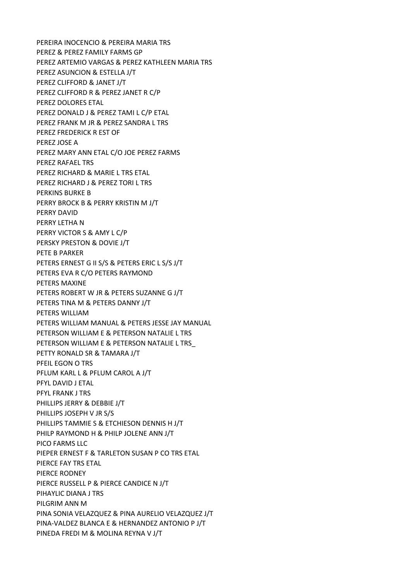PEREIRA INOCENCIO & PEREIRA MARIA TRS PEREZ & PEREZ FAMILY FARMS GP PEREZ ARTEMIO VARGAS & PEREZ KATHLEEN MARIA TRS PEREZ ASUNCION & ESTELLA J/T PEREZ CLIFFORD & JANET J/T PEREZ CLIFFORD R & PEREZ JANET R C/P PEREZ DOLORES ETAL PEREZ DONALD J & PEREZ TAMI L C/P ETAL PEREZ FRANK M JR & PEREZ SANDRA L TRS PEREZ FREDERICK R EST OF PEREZ JOSE A PEREZ MARY ANN ETAL C/O JOE PEREZ FARMS PEREZ RAFAEL TRS PEREZ RICHARD & MARIE L TRS ETAL PEREZ RICHARD J & PEREZ TORI L TRS PERKINS BURKE B PERRY BROCK B & PERRY KRISTIN M J/T PERRY DAVID PERRY LETHA N PERRY VICTOR S & AMY L C/P PERSKY PRESTON & DOVIE J/T PETE B PARKER PETERS ERNEST G II S/S & PETERS ERIC L S/S J/T PETERS EVA R C/O PETERS RAYMOND PETERS MAXINE PETERS ROBERT W JR & PETERS SUZANNE G J/T PETERS TINA M & PETERS DANNY J/T PETERS WILLIAM PETERS WILLIAM MANUAL & PETERS JESSE JAY MANUAL PETERSON WILLIAM E & PETERSON NATALIE L TRS PETERSON WILLIAM E & PETERSON NATALIE L TRS\_ PETTY RONALD SR & TAMARA J/T PFEIL EGON O TRS PFLUM KARL L & PFLUM CAROL A J/T PFYL DAVID J ETAL PFYL FRANK J TRS PHILLIPS JERRY & DEBBIE J/T PHILLIPS JOSEPH V JR S/S PHILLIPS TAMMIE S & ETCHIESON DENNIS H J/T PHILP RAYMOND H & PHILP JOLENE ANN J/T PICO FARMS LLC PIEPER ERNEST F & TARLETON SUSAN P CO TRS ETAL PIERCE FAY TRS ETAL PIERCE RODNEY PIERCE RUSSELL P & PIERCE CANDICE N J/T PIHAYLIC DIANA J TRS PILGRIM ANN M PINA SONIA VELAZQUEZ & PINA AURELIO VELAZQUEZ J/T PINA-VALDEZ BLANCA E & HERNANDEZ ANTONIO P J/T PINEDA FREDI M & MOLINA REYNA V J/T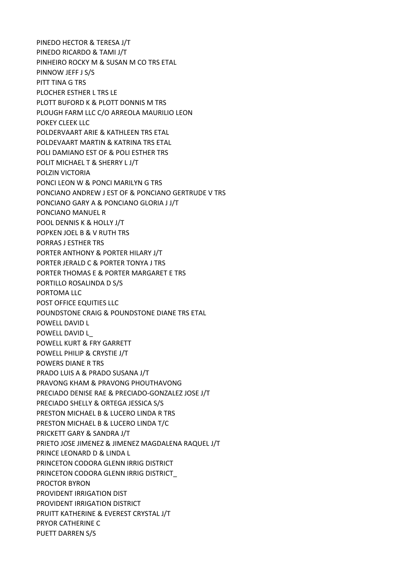PINEDO HECTOR & TERESA J/T PINEDO RICARDO & TAMI J/T PINHEIRO ROCKY M & SUSAN M CO TRS ETAL PINNOW JEFF J S/S PITT TINA G TRS PLOCHER ESTHER L TRS LE PLOTT BUFORD K & PLOTT DONNIS M TRS PLOUGH FARM LLC C/O ARREOLA MAURILIO LEON POKEY CLEEK LLC POLDERVAART ARIE & KATHLEEN TRS ETAL POLDEVAART MARTIN & KATRINA TRS ETAL POLI DAMIANO EST OF & POLI ESTHER TRS POLIT MICHAEL T & SHERRY L J/T POLZIN VICTORIA PONCI LEON W & PONCI MARILYN G TRS PONCIANO ANDREW J EST OF & PONCIANO GERTRUDE V TRS PONCIANO GARY A & PONCIANO GLORIA J J/T PONCIANO MANUEL R POOL DENNIS K & HOLLY J/T POPKEN JOEL B & V RUTH TRS PORRAS J ESTHER TRS PORTER ANTHONY & PORTER HILARY J/T PORTER JERALD C & PORTER TONYA J TRS PORTER THOMAS E & PORTER MARGARET E TRS PORTILLO ROSALINDA D S/S PORTOMA LLC POST OFFICE EQUITIES LLC POUNDSTONE CRAIG & POUNDSTONE DIANE TRS ETAL POWELL DAVID L POWELL DAVID L\_ POWELL KURT & FRY GARRETT POWELL PHILIP & CRYSTIE J/T POWERS DIANE R TRS PRADO LUIS A & PRADO SUSANA J/T PRAVONG KHAM & PRAVONG PHOUTHAVONG PRECIADO DENISE RAE & PRECIADO-GONZALEZ JOSE J/T PRECIADO SHELLY & ORTEGA JESSICA S/S PRESTON MICHAEL B & LUCERO LINDA R TRS PRESTON MICHAEL B & LUCERO LINDA T/C PRICKETT GARY & SANDRA J/T PRIETO JOSE JIMENEZ & JIMENEZ MAGDALENA RAQUEL J/T PRINCE LEONARD D & LINDA L PRINCETON CODORA GLENN IRRIG DISTRICT PRINCETON CODORA GLENN IRRIG DISTRICT\_ PROCTOR BYRON PROVIDENT IRRIGATION DIST PROVIDENT IRRIGATION DISTRICT PRUITT KATHERINE & EVEREST CRYSTAL J/T PRYOR CATHERINE C PUETT DARREN S/S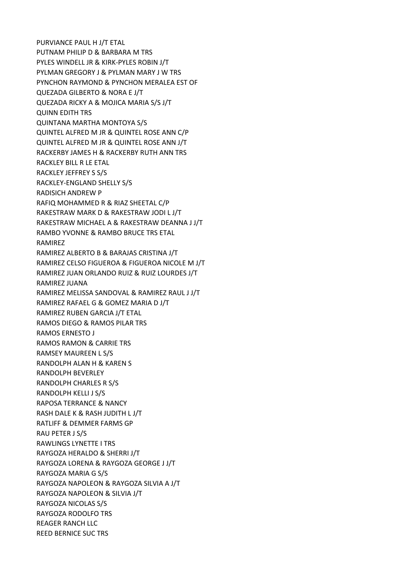PURVIANCE PAUL H J/T ETAL PUTNAM PHILIP D & BARBARA M TRS PYLES WINDELL JR & KIRK-PYLES ROBIN J/T PYLMAN GREGORY J & PYLMAN MARY J W TRS PYNCHON RAYMOND & PYNCHON MERALEA EST OF QUEZADA GILBERTO & NORA E J/T QUEZADA RICKY A & MOJICA MARIA S/S J/T QUINN EDITH TRS QUINTANA MARTHA MONTOYA S/S QUINTEL ALFRED M JR & QUINTEL ROSE ANN C/P QUINTEL ALFRED M JR & QUINTEL ROSE ANN J/T RACKERBY JAMES H & RACKERBY RUTH ANN TRS RACKLEY BILL R LE ETAL RACKLEY JEFFREY S S/S RACKLEY-ENGLAND SHELLY S/S RADISICH ANDREW P RAFIQ MOHAMMED R & RIAZ SHEETAL C/P RAKESTRAW MARK D & RAKESTRAW JODI L J/T RAKESTRAW MICHAEL A & RAKESTRAW DEANNA J J/T RAMBO YVONNE & RAMBO BRUCE TRS ETAL RAMIREZ RAMIREZ ALBERTO B & BARAJAS CRISTINA J/T RAMIREZ CELSO FIGUEROA & FIGUEROA NICOLE M J/T RAMIREZ JUAN ORLANDO RUIZ & RUIZ LOURDES J/T RAMIREZ JUANA RAMIREZ MELISSA SANDOVAL & RAMIREZ RAUL J J/T RAMIREZ RAFAEL G & GOMEZ MARIA D J/T RAMIREZ RUBEN GARCIA J/T ETAL RAMOS DIEGO & RAMOS PILAR TRS RAMOS ERNESTO J RAMOS RAMON & CARRIE TRS RAMSEY MAUREEN L S/S RANDOLPH ALAN H & KAREN S RANDOLPH BEVERLEY RANDOLPH CHARLES R S/S RANDOLPH KELLI J S/S RAPOSA TERRANCE & NANCY RASH DALE K & RASH JUDITH L J/T RATLIFF & DEMMER FARMS GP RAU PETER J S/S RAWLINGS LYNETTE I TRS RAYGOZA HERALDO & SHERRI J/T RAYGOZA LORENA & RAYGOZA GEORGE J J/T RAYGOZA MARIA G S/S RAYGOZA NAPOLEON & RAYGOZA SILVIA A J/T RAYGOZA NAPOLEON & SILVIA J/T RAYGOZA NICOLAS S/S RAYGOZA RODOLFO TRS REAGER RANCH LLC REED BERNICE SUC TRS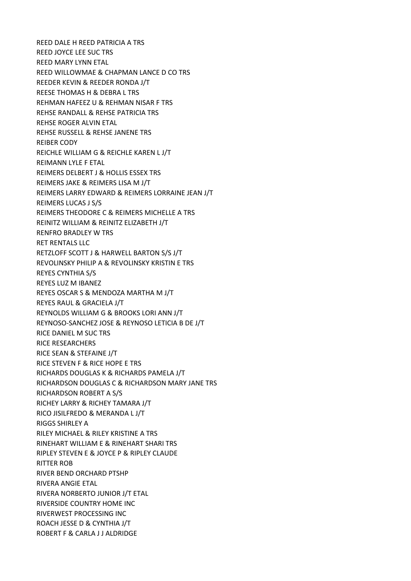REED DALE H REED PATRICIA A TRS REED JOYCE LEE SUC TRS REED MARY LYNN ETAL REED WILLOWMAE & CHAPMAN LANCE D CO TRS REEDER KEVIN & REEDER RONDA J/T REESE THOMAS H & DEBRA L TRS REHMAN HAFEEZ U & REHMAN NISAR F TRS REHSE RANDALL & REHSE PATRICIA TRS REHSE ROGER ALVIN ETAL REHSE RUSSELL & REHSE JANENE TRS REIBER CODY REICHLE WILLIAM G & REICHLE KAREN L J/T REIMANN LYLE F ETAL REIMERS DELBERT J & HOLLIS ESSEX TRS REIMERS JAKE & REIMERS LISA M J/T REIMERS LARRY EDWARD & REIMERS LORRAINE JEAN J/T REIMERS LUCAS J S/S REIMERS THEODORE C & REIMERS MICHELLE A TRS REINITZ WILLIAM & REINITZ ELIZABETH J/T RENFRO BRADLEY W TRS RET RENTALS LLC RETZLOFF SCOTT J & HARWELL BARTON S/S J/T REVOLINSKY PHILIP A & REVOLINSKY KRISTIN E TRS REYES CYNTHIA S/S REYES LUZ M IBANEZ REYES OSCAR S & MENDOZA MARTHA M J/T REYES RAUL & GRACIELA J/T REYNOLDS WILLIAM G & BROOKS LORI ANN J/T REYNOSO-SANCHEZ JOSE & REYNOSO LETICIA B DE J/T RICE DANIEL M SUC TRS RICE RESEARCHERS RICE SEAN & STEFAINE J/T RICE STEVEN F & RICE HOPE E TRS RICHARDS DOUGLAS K & RICHARDS PAMELA J/T RICHARDSON DOUGLAS C & RICHARDSON MARY JANE TRS RICHARDSON ROBERT A S/S RICHEY LARRY & RICHEY TAMARA J/T RICO JISILFREDO & MERANDA L J/T RIGGS SHIRLEY A RILEY MICHAEL & RILEY KRISTINE A TRS RINEHART WILLIAM E & RINEHART SHARI TRS RIPLEY STEVEN E & JOYCE P & RIPLEY CLAUDE RITTER ROB RIVER BEND ORCHARD PTSHP RIVERA ANGIE ETAL RIVERA NORBERTO JUNIOR J/T ETAL RIVERSIDE COUNTRY HOME INC RIVERWEST PROCESSING INC ROACH JESSE D & CYNTHIA J/T ROBERT F & CARLA J J ALDRIDGE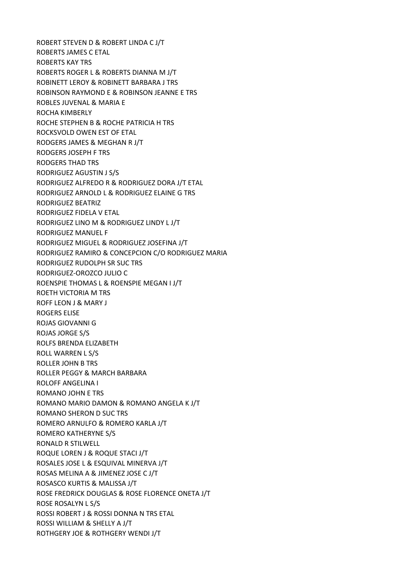ROBERT STEVEN D & ROBERT LINDA C J/T ROBERTS JAMES C ETAL ROBERTS KAY TRS ROBERTS ROGER L & ROBERTS DIANNA M J/T ROBINETT LEROY & ROBINETT BARBARA J TRS ROBINSON RAYMOND E & ROBINSON JEANNE E TRS ROBLES JUVENAL & MARIA E ROCHA KIMBERLY ROCHE STEPHEN B & ROCHE PATRICIA H TRS ROCKSVOLD OWEN EST OF ETAL RODGERS JAMES & MEGHAN R J/T RODGERS JOSEPH F TRS RODGERS THAD TRS RODRIGUEZ AGUSTIN J S/S RODRIGUEZ ALFREDO R & RODRIGUEZ DORA J/T ETAL RODRIGUEZ ARNOLD L & RODRIGUEZ ELAINE G TRS RODRIGUEZ BEATRIZ RODRIGUEZ FIDELA V ETAL RODRIGUEZ LINO M & RODRIGUEZ LINDY L J/T RODRIGUEZ MANUEL F RODRIGUEZ MIGUEL & RODRIGUEZ JOSEFINA J/T RODRIGUEZ RAMIRO & CONCEPCION C/O RODRIGUEZ MARIA RODRIGUEZ RUDOLPH SR SUC TRS RODRIGUEZ-OROZCO JULIO C ROENSPIE THOMAS L & ROENSPIE MEGAN I J/T ROETH VICTORIA M TRS ROFF LEON J & MARY J ROGERS ELISE ROJAS GIOVANNI G ROJAS JORGE S/S ROLFS BRENDA ELIZABETH ROLL WARREN L S/S ROLLER JOHN B TRS ROLLER PEGGY & MARCH BARBARA ROLOFF ANGELINA I ROMANO JOHN E TRS ROMANO MARIO DAMON & ROMANO ANGELA K J/T ROMANO SHERON D SUC TRS ROMERO ARNULFO & ROMERO KARLA J/T ROMERO KATHERYNE S/S RONALD R STILWELL ROQUE LOREN J & ROQUE STACI J/T ROSALES JOSE L & ESQUIVAL MINERVA J/T ROSAS MELINA A & JIMENEZ JOSE C J/T ROSASCO KURTIS & MALISSA J/T ROSE FREDRICK DOUGLAS & ROSE FLORENCE ONETA J/T ROSE ROSALYN L S/S ROSSI ROBERT J & ROSSI DONNA N TRS ETAL ROSSI WILLIAM & SHELLY A J/T ROTHGERY JOE & ROTHGERY WENDI J/T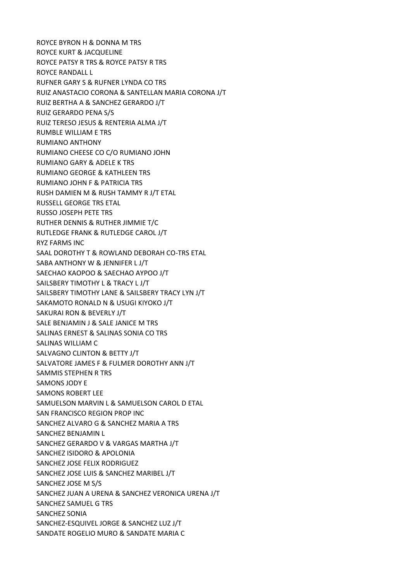ROYCE BYRON H & DONNA M TRS ROYCE KURT & JACQUELINE ROYCE PATSY R TRS & ROYCE PATSY R TRS ROYCE RANDALL L RUFNER GARY S & RUFNER LYNDA CO TRS RUIZ ANASTACIO CORONA & SANTELLAN MARIA CORONA J/T RUIZ BERTHA A & SANCHEZ GERARDO J/T RUIZ GERARDO PENA S/S RUIZ TERESO JESUS & RENTERIA ALMA J/T RUMBLE WILLIAM E TRS RUMIANO ANTHONY RUMIANO CHEESE CO C/O RUMIANO JOHN RUMIANO GARY & ADELE K TRS RUMIANO GEORGE & KATHLEEN TRS RUMIANO JOHN F & PATRICIA TRS RUSH DAMIEN M & RUSH TAMMY R J/T ETAL RUSSELL GEORGE TRS ETAL RUSSO JOSEPH PETE TRS RUTHER DENNIS & RUTHER JIMMIE T/C RUTLEDGE FRANK & RUTLEDGE CAROL J/T RYZ FARMS INC SAAL DOROTHY T & ROWLAND DEBORAH CO-TRS ETAL SABA ANTHONY W & JENNIFER L J/T SAECHAO KAOPOO & SAECHAO AYPOO J/T SAILSBERY TIMOTHY L & TRACY L J/T SAILSBERY TIMOTHY LANE & SAILSBERY TRACY LYN J/T SAKAMOTO RONALD N & USUGI KIYOKO J/T SAKURAI RON & BEVERLY J/T SALE BENJAMIN J & SALE JANICE M TRS SALINAS ERNEST & SALINAS SONIA CO TRS SALINAS WILLIAM C SALVAGNO CLINTON & BETTY J/T SALVATORE JAMES F & FULMER DOROTHY ANN J/T SAMMIS STEPHEN R TRS SAMONS JODY E SAMONS ROBERT LEE SAMUELSON MARVIN L & SAMUELSON CAROL D ETAL SAN FRANCISCO REGION PROP INC SANCHEZ ALVARO G & SANCHEZ MARIA A TRS SANCHEZ BENJAMIN L SANCHEZ GERARDO V & VARGAS MARTHA J/T SANCHEZ ISIDORO & APOLONIA SANCHEZ JOSE FELIX RODRIGUEZ SANCHEZ JOSE LUIS & SANCHEZ MARIBEL J/T SANCHEZ JOSE M S/S SANCHEZ JUAN A URENA & SANCHEZ VERONICA URENA J/T SANCHEZ SAMUEL G TRS SANCHEZ SONIA SANCHEZ-ESQUIVEL JORGE & SANCHEZ LUZ J/T SANDATE ROGELIO MURO & SANDATE MARIA C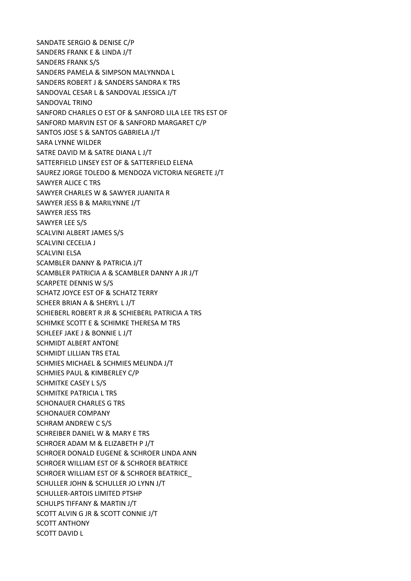SANDATE SERGIO & DENISE C/P SANDERS FRANK E & LINDA J/T SANDERS FRANK S/S SANDERS PAMELA & SIMPSON MALYNNDA L SANDERS ROBERT J & SANDERS SANDRA K TRS SANDOVAL CESAR L & SANDOVAL JESSICA J/T SANDOVAL TRINO SANFORD CHARLES O EST OF & SANFORD LILA LEE TRS EST OF SANFORD MARVIN EST OF & SANFORD MARGARET C/P SANTOS JOSE S & SANTOS GABRIELA J/T SARA LYNNE WILDER SATRE DAVID M & SATRE DIANA L J/T SATTERFIELD LINSEY EST OF & SATTERFIELD ELENA SAUREZ JORGE TOLEDO & MENDOZA VICTORIA NEGRETE J/T SAWYER ALICE C TRS SAWYER CHARLES W & SAWYER JUANITA R SAWYER JESS B & MARILYNNE J/T SAWYER JESS TRS SAWYER LEE S/S SCALVINI ALBERT JAMES S/S SCALVINI CECELIA J SCALVINI ELSA SCAMBLER DANNY & PATRICIA J/T SCAMBLER PATRICIA A & SCAMBLER DANNY A JR J/T SCARPETE DENNIS W S/S SCHATZ JOYCE EST OF & SCHATZ TERRY SCHEER BRIAN A & SHERYL L J/T SCHIEBERL ROBERT R JR & SCHIEBERL PATRICIA A TRS SCHIMKE SCOTT E & SCHIMKE THERESA M TRS SCHLEEF JAKE J & BONNIE L J/T SCHMIDT ALBERT ANTONE SCHMIDT LILLIAN TRS ETAL SCHMIES MICHAEL & SCHMIES MELINDA J/T SCHMIES PAUL & KIMBERLEY C/P SCHMITKE CASEY L S/S SCHMITKE PATRICIA L TRS SCHONAUER CHARLES G TRS SCHONAUER COMPANY SCHRAM ANDREW C S/S SCHREIBER DANIEL W & MARY E TRS SCHROER ADAM M & ELIZABETH P J/T SCHROER DONALD EUGENE & SCHROER LINDA ANN SCHROER WILLIAM EST OF & SCHROER BEATRICE SCHROER WILLIAM EST OF & SCHROER BEATRICE\_ SCHULLER JOHN & SCHULLER JO LYNN J/T SCHULLER-ARTOIS LIMITED PTSHP SCHULPS TIFFANY & MARTIN J/T SCOTT ALVIN G JR & SCOTT CONNIE J/T SCOTT ANTHONY SCOTT DAVID L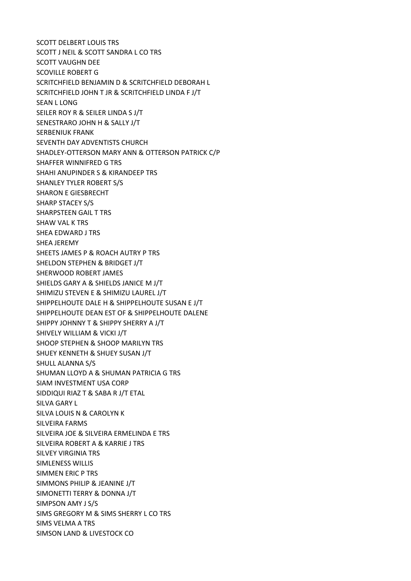SCOTT DELBERT LOUIS TRS SCOTT J NEIL & SCOTT SANDRA L CO TRS SCOTT VAUGHN DEE SCOVILLE ROBERT G SCRITCHFIELD BENJAMIN D & SCRITCHFIELD DEBORAH L SCRITCHFIELD JOHN T JR & SCRITCHFIELD LINDA F J/T SEAN L LONG SEILER ROY R & SEILER LINDA S J/T SENESTRARO JOHN H & SALLY J/T SERBENIUK FRANK SEVENTH DAY ADVENTISTS CHURCH SHADLEY-OTTERSON MARY ANN & OTTERSON PATRICK C/P SHAFFER WINNIFRED G TRS SHAHI ANUPINDER S & KIRANDEEP TRS SHANLEY TYLER ROBERT S/S SHARON E GIESBRECHT SHARP STACEY S/S SHARPSTEEN GAIL T TRS SHAW VAL K TRS SHEA EDWARD J TRS SHEA JEREMY SHEETS JAMES P & ROACH AUTRY P TRS SHELDON STEPHEN & BRIDGET J/T SHERWOOD ROBERT JAMES SHIELDS GARY A & SHIELDS JANICE M J/T SHIMIZU STEVEN E & SHIMIZU LAUREL J/T SHIPPELHOUTE DALE H & SHIPPELHOUTE SUSAN E J/T SHIPPELHOUTE DEAN EST OF & SHIPPELHOUTE DALENE SHIPPY JOHNNY T & SHIPPY SHERRY A J/T SHIVELY WILLIAM & VICKI J/T SHOOP STEPHEN & SHOOP MARILYN TRS SHUEY KENNETH & SHUEY SUSAN J/T SHULL ALANNA S/S SHUMAN LLOYD A & SHUMAN PATRICIA G TRS SIAM INVESTMENT USA CORP SIDDIQUI RIAZ T & SABA R J/T ETAL SILVA GARY L SILVA LOUIS N & CAROLYN K SILVEIRA FARMS SILVEIRA JOE & SILVEIRA ERMELINDA E TRS SILVEIRA ROBERT A & KARRIE J TRS SILVEY VIRGINIA TRS SIMLENESS WILLIS SIMMEN ERIC P TRS SIMMONS PHILIP & JEANINE J/T SIMONETTI TERRY & DONNA J/T SIMPSON AMY J S/S SIMS GREGORY M & SIMS SHERRY L CO TRS SIMS VELMA A TRS SIMSON LAND & LIVESTOCK CO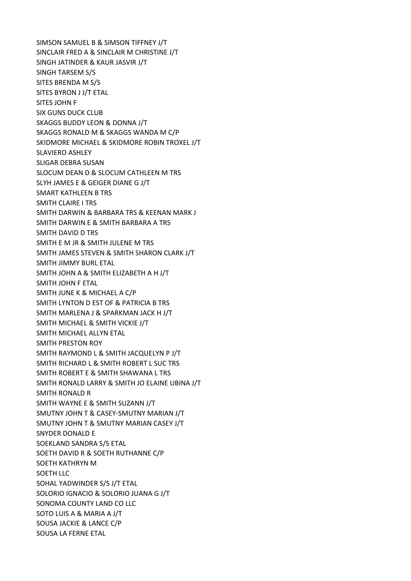SIMSON SAMUEL B & SIMSON TIFFNEY J/T SINCLAIR FRED A & SINCLAIR M CHRISTINE J/T SINGH JATINDER & KAUR JASVIR J/T SINGH TARSEM S/S SITES BRENDA M S/S SITES BYRON J J/T ETAL SITES JOHN F SIX GUNS DUCK CLUB SKAGGS BUDDY LEON & DONNA J/T SKAGGS RONALD M & SKAGGS WANDA M C/P SKIDMORE MICHAEL & SKIDMORE ROBIN TROXEL J/T SLAVIERO ASHLEY SLIGAR DEBRA SUSAN SLOCUM DEAN D & SLOCUM CATHLEEN M TRS SLYH JAMES E & GEIGER DIANE G J/T SMART KATHLEEN B TRS SMITH CLAIRE I TRS SMITH DARWIN & BARBARA TRS & KEENAN MARK J SMITH DARWIN E & SMITH BARBARA A TRS SMITH DAVID D TRS SMITH E M JR & SMITH JULENE M TRS SMITH JAMES STEVEN & SMITH SHARON CLARK J/T SMITH JIMMY BURL ETAL SMITH JOHN A & SMITH ELIZABETH A H J/T SMITH JOHN F ETAL SMITH JUNE K & MICHAEL A C/P SMITH LYNTON D EST OF & PATRICIA B TRS SMITH MARLENA J & SPARKMAN JACK H J/T SMITH MICHAEL & SMITH VICKIE J/T SMITH MICHAEL ALLYN ETAL SMITH PRESTON ROY SMITH RAYMOND L & SMITH JACQUELYN P J/T SMITH RICHARD L & SMITH ROBERT L SUC TRS SMITH ROBERT E & SMITH SHAWANA L TRS SMITH RONALD LARRY & SMITH JO ELAINE UBINA J/T SMITH RONALD R SMITH WAYNE E & SMITH SUZANN J/T SMUTNY JOHN T & CASEY-SMUTNY MARIAN J/T SMUTNY JOHN T & SMUTNY MARIAN CASEY J/T SNYDER DONALD E SOEKLAND SANDRA S/S ETAL SOETH DAVID R & SOETH RUTHANNE C/P SOETH KATHRYN M SOETH LLC SOHAL YADWINDER S/S J/T ETAL SOLORIO IGNACIO & SOLORIO JUANA G J/T SONOMA COUNTY LAND CO LLC SOTO LUIS A & MARIA A J/T SOUSA JACKIE & LANCE C/P SOUSA LA FERNE ETAL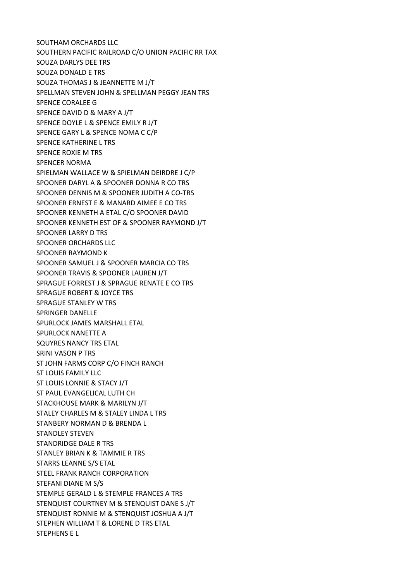SOUTHAM ORCHARDS LLC SOUTHERN PACIFIC RAILROAD C/O UNION PACIFIC RR TAX SOUZA DARLYS DEE TRS SOUZA DONALD E TRS SOUZA THOMAS J & JEANNETTE M J/T SPELLMAN STEVEN JOHN & SPELLMAN PEGGY JEAN TRS SPENCE CORALEE G SPENCE DAVID D & MARY A J/T SPENCE DOYLE L & SPENCE EMILY R J/T SPENCE GARY L & SPENCE NOMA C C/P SPENCE KATHERINE L TRS SPENCE ROXIE M TRS SPENCER NORMA SPIELMAN WALLACE W & SPIELMAN DEIRDRE J C/P SPOONER DARYL A & SPOONER DONNA R CO TRS SPOONER DENNIS M & SPOONER JUDITH A CO-TRS SPOONER ERNEST E & MANARD AIMEE E CO TRS SPOONER KENNETH A ETAL C/O SPOONER DAVID SPOONER KENNETH EST OF & SPOONER RAYMOND J/T SPOONER LARRY D TRS SPOONER ORCHARDS LLC SPOONER RAYMOND K SPOONER SAMUEL J & SPOONER MARCIA CO TRS SPOONER TRAVIS & SPOONER LAUREN J/T SPRAGUE FORREST J & SPRAGUE RENATE E CO TRS SPRAGUE ROBERT & JOYCE TRS SPRAGUE STANLEY W TRS SPRINGER DANELLE SPURLOCK JAMES MARSHALL ETAL SPURLOCK NANETTE A SQUYRES NANCY TRS ETAL SRINI VASON P TRS ST JOHN FARMS CORP C/O FINCH RANCH ST LOUIS FAMILY LLC ST LOUIS LONNIE & STACY J/T ST PAUL EVANGELICAL LUTH CH STACKHOUSE MARK & MARILYN J/T STALEY CHARLES M & STALEY LINDA L TRS STANBERY NORMAN D & BRENDA L STANDLEY STEVEN STANDRIDGE DALE R TRS STANLEY BRIAN K & TAMMIE R TRS STARRS LEANNE S/S ETAL STEEL FRANK RANCH CORPORATION STEFANI DIANE M S/S STEMPLE GERALD L & STEMPLE FRANCES A TRS STENQUIST COURTNEY M & STENQUIST DANE S J/T STENQUIST RONNIE M & STENQUIST JOSHUA A J/T STEPHEN WILLIAM T & LORENE D TRS ETAL STEPHENS E L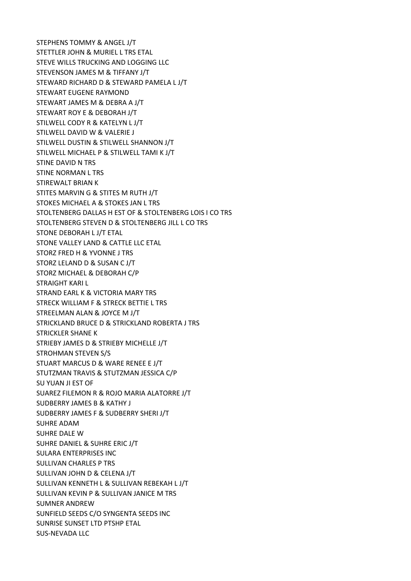STEPHENS TOMMY & ANGEL J/T STETTLER JOHN & MURIEL L TRS ETAL STEVE WILLS TRUCKING AND LOGGING LLC STEVENSON JAMES M & TIFFANY J/T STEWARD RICHARD D & STEWARD PAMELA L J/T STEWART EUGENE RAYMOND STEWART JAMES M & DEBRA A J/T STEWART ROY E & DEBORAH J/T STILWELL CODY R & KATELYN L J/T STILWELL DAVID W & VALERIE J STILWELL DUSTIN & STILWELL SHANNON J/T STILWELL MICHAEL P & STILWELL TAMI K J/T STINE DAVID N TRS STINE NORMAN L TRS STIREWALT BRIAN K STITES MARVIN G & STITES M RUTH J/T STOKES MICHAEL A & STOKES JAN L TRS STOLTENBERG DALLAS H EST OF & STOLTENBERG LOIS I CO TRS STOLTENBERG STEVEN D & STOLTENBERG JILL L CO TRS STONE DEBORAH L J/T ETAL STONE VALLEY LAND & CATTLE LLC ETAL STORZ FRED H & YVONNE J TRS STORZ LELAND D & SUSAN C J/T STORZ MICHAEL & DEBORAH C/P STRAIGHT KARI L STRAND EARL K & VICTORIA MARY TRS STRECK WILLIAM F & STRECK BETTIE L TRS STREELMAN ALAN & JOYCE M J/T STRICKLAND BRUCE D & STRICKLAND ROBERTA J TRS STRICKLER SHANE K STRIEBY JAMES D & STRIEBY MICHELLE J/T STROHMAN STEVEN S/S STUART MARCUS D & WARE RENEE E J/T STUTZMAN TRAVIS & STUTZMAN JESSICA C/P SU YUAN JI EST OF SUAREZ FILEMON R & ROJO MARIA ALATORRE J/T SUDBERRY JAMES B & KATHY J SUDBERRY JAMES F & SUDBERRY SHERI J/T SUHRE ADAM SUHRE DALE W SUHRE DANIEL & SUHRE ERIC J/T SULARA ENTERPRISES INC SULLIVAN CHARLES P TRS SULLIVAN JOHN D & CELENA J/T SULLIVAN KENNETH L & SULLIVAN REBEKAH L J/T SULLIVAN KEVIN P & SULLIVAN JANICE M TRS SUMNER ANDREW SUNFIELD SEEDS C/O SYNGENTA SEEDS INC SUNRISE SUNSET LTD PTSHP ETAL SUS-NEVADA LLC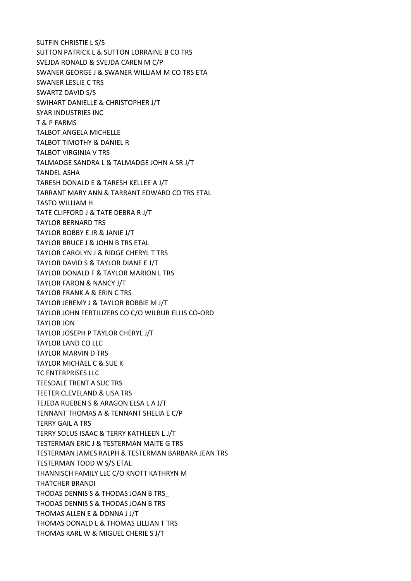SUTFIN CHRISTIE L S/S SUTTON PATRICK L & SUTTON LORRAINE B CO TRS SVEJDA RONALD & SVEJDA CAREN M C/P SWANER GEORGE J & SWANER WILLIAM M CO TRS ETA SWANER LESLIE C TRS SWARTZ DAVID S/S SWIHART DANIELLE & CHRISTOPHER J/T SYAR INDUSTRIES INC T & P FARMS TALBOT ANGELA MICHELLE TALBOT TIMOTHY & DANIEL R TALBOT VIRGINIA V TRS TALMADGE SANDRA L & TALMADGE JOHN A SR J/T TANDEL ASHA TARESH DONALD E & TARESH KELLEE A J/T TARRANT MARY ANN & TARRANT EDWARD CO TRS ETAL TASTO WILLIAM H TATE CLIFFORD J & TATE DEBRA R J/T TAYLOR BERNARD TRS TAYLOR BOBBY E JR & JANIE J/T TAYLOR BRUCE J & JOHN B TRS ETAL TAYLOR CAROLYN J & RIDGE CHERYL T TRS TAYLOR DAVID S & TAYLOR DIANE E J/T TAYLOR DONALD F & TAYLOR MARION L TRS TAYLOR FARON & NANCY J/T TAYLOR FRANK A & ERIN C TRS TAYLOR JEREMY J & TAYLOR BOBBIE M J/T TAYLOR JOHN FERTILIZERS CO C/O WILBUR ELLIS CO-ORD TAYLOR JON TAYLOR JOSEPH P TAYLOR CHERYL J/T TAYLOR LAND CO LLC TAYLOR MARVIN D TRS TAYLOR MICHAEL C & SUE K TC ENTERPRISES LLC TEESDALE TRENT A SUC TRS TEETER CLEVELAND & LISA TRS TEJEDA RUEBEN S & ARAGON ELSA L A J/T TENNANT THOMAS A & TENNANT SHELIA E C/P TERRY GAIL A TRS TERRY SOLUS ISAAC & TERRY KATHLEEN L J/T TESTERMAN ERIC J & TESTERMAN MAITE G TRS TESTERMAN JAMES RALPH & TESTERMAN BARBARA JEAN TRS TESTERMAN TODD W S/S ETAL THANNISCH FAMILY LLC C/O KNOTT KATHRYN M THATCHER BRANDI THODAS DENNIS S & THODAS JOAN B TRS\_ THODAS DENNIS S & THODAS JOAN B TRS THOMAS ALLEN E & DONNA J J/T THOMAS DONALD L & THOMAS LILLIAN T TRS THOMAS KARL W & MIGUEL CHERIE S J/T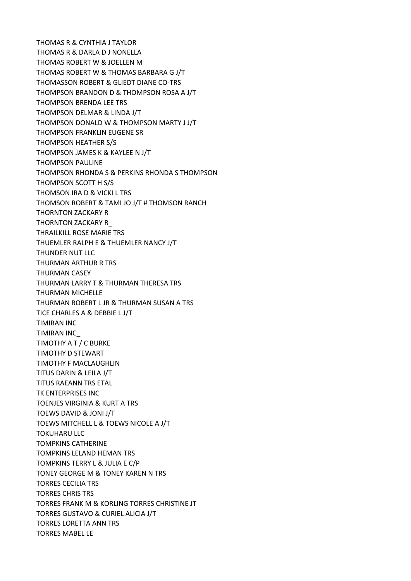THOMAS R & CYNTHIA J TAYLOR THOMAS R & DARLA D J NONELLA THOMAS ROBERT W & JOELLEN M THOMAS ROBERT W & THOMAS BARBARA G J/T THOMASSON ROBERT & GLIEDT DIANE CO-TRS THOMPSON BRANDON D & THOMPSON ROSA A J/T THOMPSON BRENDA LEE TRS THOMPSON DELMAR & LINDA J/T THOMPSON DONALD W & THOMPSON MARTY J J/T THOMPSON FRANKLIN EUGENE SR THOMPSON HEATHER S/S THOMPSON JAMES K & KAYLEE N J/T THOMPSON PAULINE THOMPSON RHONDA S & PERKINS RHONDA S THOMPSON THOMPSON SCOTT H S/S THOMSON IRA D & VICKI L TRS THOMSON ROBERT & TAMI JO J/T # THOMSON RANCH THORNTON ZACKARY R THORNTON ZACKARY R\_ THRAILKILL ROSE MARIE TRS THUEMLER RALPH E & THUEMLER NANCY J/T THUNDER NUT LLC THURMAN ARTHUR R TRS THURMAN CASEY THURMAN LARRY T & THURMAN THERESA TRS THURMAN MICHELLE THURMAN ROBERT L JR & THURMAN SUSAN A TRS TICE CHARLES A & DEBBIE L J/T TIMIRAN INC TIMIRAN INC\_ TIMOTHY A T / C BURKE TIMOTHY D STEWART TIMOTHY F MACLAUGHLIN TITUS DARIN & LEILA J/T TITUS RAEANN TRS ETAL TK ENTERPRISES INC TOENJES VIRGINIA & KURT A TRS TOEWS DAVID & JONI J/T TOEWS MITCHELL L & TOEWS NICOLE A J/T TOKUHARU LLC TOMPKINS CATHERINE TOMPKINS LELAND HEMAN TRS TOMPKINS TERRY L & JULIA E C/P TONEY GEORGE M & TONEY KAREN N TRS TORRES CECILIA TRS TORRES CHRIS TRS TORRES FRANK M & KORLING TORRES CHRISTINE JT TORRES GUSTAVO & CURIEL ALICIA J/T TORRES LORETTA ANN TRS TORRES MABEL LE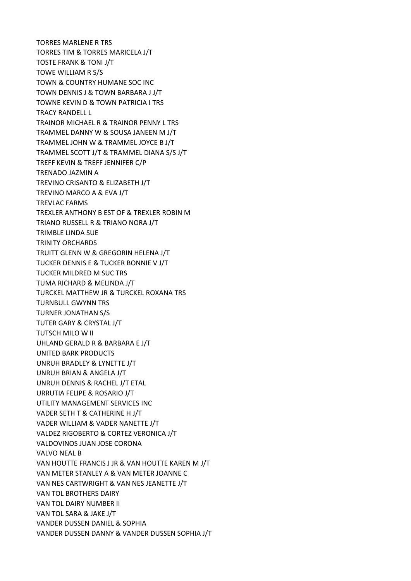TORRES MARLENE R TRS TORRES TIM & TORRES MARICELA J/T TOSTE FRANK & TONI J/T TOWE WILLIAM R S/S TOWN & COUNTRY HUMANE SOC INC TOWN DENNIS J & TOWN BARBARA J J/T TOWNE KEVIN D & TOWN PATRICIA I TRS TRACY RANDELL L TRAINOR MICHAEL R & TRAINOR PENNY L TRS TRAMMEL DANNY W & SOUSA JANEEN M J/T TRAMMEL JOHN W & TRAMMEL JOYCE B J/T TRAMMEL SCOTT J/T & TRAMMEL DIANA S/S J/T TREFF KEVIN & TREFF JENNIFER C/P TRENADO JAZMIN A TREVINO CRISANTO & ELIZABETH J/T TREVINO MARCO A & EVA J/T TREVLAC FARMS TREXLER ANTHONY B EST OF & TREXLER ROBIN M TRIANO RUSSELL R & TRIANO NORA J/T TRIMBLE LINDA SUE TRINITY ORCHARDS TRUITT GLENN W & GREGORIN HELENA J/T TUCKER DENNIS E & TUCKER BONNIE V J/T TUCKER MILDRED M SUC TRS TUMA RICHARD & MELINDA J/T TURCKEL MATTHEW JR & TURCKEL ROXANA TRS TURNBULL GWYNN TRS TURNER JONATHAN S/S TUTER GARY & CRYSTAL J/T TUTSCH MILO W II UHLAND GERALD R & BARBARA E J/T UNITED BARK PRODUCTS UNRUH BRADLEY & LYNETTE J/T UNRUH BRIAN & ANGELA J/T UNRUH DENNIS & RACHEL J/T ETAL URRUTIA FELIPE & ROSARIO J/T UTILITY MANAGEMENT SERVICES INC VADER SETH T & CATHERINE H J/T VADER WILLIAM & VADER NANETTE J/T VALDEZ RIGOBERTO & CORTEZ VERONICA J/T VALDOVINOS JUAN JOSE CORONA VALVO NEAL B VAN HOUTTE FRANCIS J JR & VAN HOUTTE KAREN M J/T VAN METER STANLEY A & VAN METER JOANNE C VAN NES CARTWRIGHT & VAN NES JEANETTE J/T VAN TOL BROTHERS DAIRY VAN TOL DAIRY NUMBER II VAN TOL SARA & JAKE J/T VANDER DUSSEN DANIEL & SOPHIA VANDER DUSSEN DANNY & VANDER DUSSEN SOPHIA J/T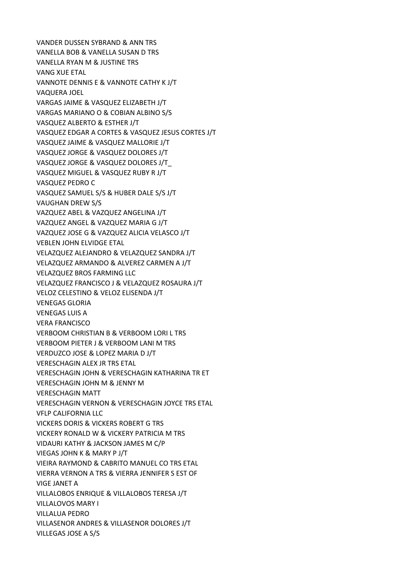VANDER DUSSEN SYBRAND & ANN TRS VANELLA BOB & VANELLA SUSAN D TRS VANELLA RYAN M & JUSTINE TRS VANG XUE ETAL VANNOTE DENNIS E & VANNOTE CATHY K J/T VAQUERA JOEL VARGAS JAIME & VASQUEZ ELIZABETH J/T VARGAS MARIANO O & COBIAN ALBINO S/S VASQUEZ ALBERTO & ESTHER J/T VASQUEZ EDGAR A CORTES & VASQUEZ JESUS CORTES J/T VASQUEZ JAIME & VASQUEZ MALLORIE J/T VASQUEZ JORGE & VASQUEZ DOLORES J/T VASQUEZ JORGE & VASQUEZ DOLORES J/T\_ VASQUEZ MIGUEL & VASQUEZ RUBY R J/T VASQUEZ PEDRO C VASQUEZ SAMUEL S/S & HUBER DALE S/S J/T VAUGHAN DREW S/S VAZQUEZ ABEL & VAZQUEZ ANGELINA J/T VAZQUEZ ANGEL & VAZQUEZ MARIA G J/T VAZQUEZ JOSE G & VAZQUEZ ALICIA VELASCO J/T VEBLEN JOHN ELVIDGE ETAL VELAZQUEZ ALEJANDRO & VELAZQUEZ SANDRA J/T VELAZQUEZ ARMANDO & ALVEREZ CARMEN A J/T VELAZQUEZ BROS FARMING LLC VELAZQUEZ FRANCISCO J & VELAZQUEZ ROSAURA J/T VELOZ CELESTINO & VELOZ ELISENDA J/T VENEGAS GLORIA VENEGAS LUIS A VERA FRANCISCO VERBOOM CHRISTIAN B & VERBOOM LORI L TRS VERBOOM PIETER J & VERBOOM LANI M TRS VERDUZCO JOSE & LOPEZ MARIA D J/T VERESCHAGIN ALEX JR TRS ETAL VERESCHAGIN JOHN & VERESCHAGIN KATHARINA TR ET VERESCHAGIN JOHN M & JENNY M VERESCHAGIN MATT VERESCHAGIN VERNON & VERESCHAGIN JOYCE TRS ETAL VFLP CALIFORNIA LLC VICKERS DORIS & VICKERS ROBERT G TRS VICKERY RONALD W & VICKERY PATRICIA M TRS VIDAURI KATHY & JACKSON JAMES M C/P VIEGAS JOHN K & MARY P J/T VIEIRA RAYMOND & CABRITO MANUEL CO TRS ETAL VIERRA VERNON A TRS & VIERRA JENNIFER S EST OF VIGE JANET A VILLALOBOS ENRIQUE & VILLALOBOS TERESA J/T VILLALOVOS MARY I VILLALUA PEDRO VILLASENOR ANDRES & VILLASENOR DOLORES J/T VILLEGAS JOSE A S/S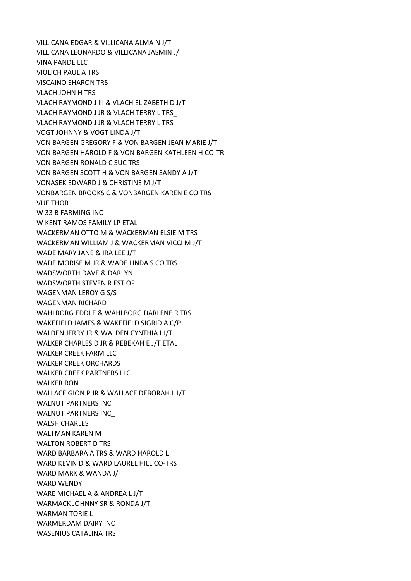VILLICANA EDGAR & VILLICANA ALMA N J/T VILLICANA LEONARDO & VILLICANA JASMIN J/T VINA PANDE LLC VIOLICH PAUL A TRS VISCAINO SHARON TRS VLACH JOHN H TRS VLACH RAYMOND J III & VLACH ELIZABETH D J/T VLACH RAYMOND J JR & VLACH TERRY L TRS\_ VLACH RAYMOND J JR & VLACH TERRY L TRS VOGT JOHNNY & VOGT LINDA J/T VON BARGEN GREGORY F & VON BARGEN JEAN MARIE J/T VON BARGEN HAROLD F & VON BARGEN KATHLEEN H CO-TR VON BARGEN RONALD C SUC TRS VON BARGEN SCOTT H & VON BARGEN SANDY A J/T VONASEK EDWARD J & CHRISTINE M J/T VONBARGEN BROOKS C & VONBARGEN KAREN E CO TRS VUE THOR W 33 B FARMING INC W KENT RAMOS FAMILY LP ETAL WACKERMAN OTTO M & WACKERMAN ELSIE M TRS WACKERMAN WILLIAM J & WACKERMAN VICCI M J/T WADE MARY JANE & IRA LEE J/T WADE MORISE M JR & WADE LINDA S CO TRS WADSWORTH DAVE & DARLYN WADSWORTH STEVEN R EST OF WAGENMAN LEROY G S/S WAGENMAN RICHARD WAHLBORG EDDI E & WAHLBORG DARLENE R TRS WAKEFIELD JAMES & WAKEFIELD SIGRID A C/P WALDEN JERRY JR & WALDEN CYNTHIA I J/T WALKER CHARLES D JR & REBEKAH E J/T ETAL WALKER CREEK FARM LLC WALKER CREEK ORCHARDS WALKER CREEK PARTNERS LLC WALKER RON WALLACE GION P JR & WALLACE DEBORAH L J/T WALNUT PARTNERS INC WALNUT PARTNERS INC\_ WALSH CHARLES WALTMAN KAREN M WALTON ROBERT D TRS WARD BARBARA A TRS & WARD HAROLD L WARD KEVIN D & WARD LAUREL HILL CO-TRS WARD MARK & WANDA J/T WARD WENDY WARE MICHAEL A & ANDREA L J/T WARMACK JOHNNY SR & RONDA J/T WARMAN TORIE L WARMERDAM DAIRY INC WASENIUS CATALINA TRS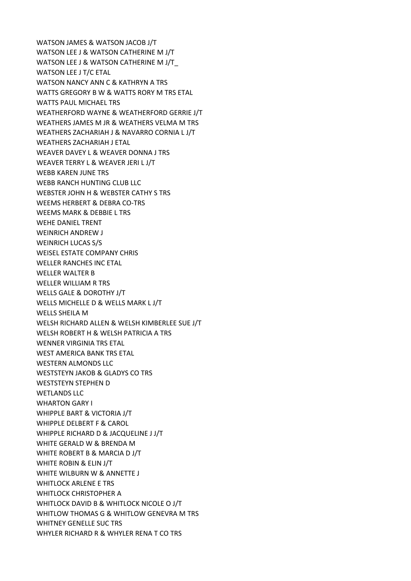WATSON JAMES & WATSON JACOB J/T WATSON LEE J & WATSON CATHERINE M J/T WATSON LEE J & WATSON CATHERINE M J/T\_ WATSON LEE J T/C ETAL WATSON NANCY ANN C & KATHRYN A TRS WATTS GREGORY B W & WATTS RORY M TRS ETAL WATTS PAUL MICHAEL TRS WEATHERFORD WAYNE & WEATHERFORD GERRIE J/T WEATHERS JAMES M JR & WEATHERS VELMA M TRS WEATHERS ZACHARIAH J & NAVARRO CORNIA L J/T WEATHERS ZACHARIAH J ETAL WEAVER DAVEY L & WEAVER DONNA J TRS WEAVER TERRY L & WEAVER JERI L J/T WEBB KAREN JUNE TRS WEBB RANCH HUNTING CLUB LLC WEBSTER JOHN H & WEBSTER CATHY S TRS WEEMS HERBERT & DEBRA CO-TRS WEEMS MARK & DEBBIE L TRS WEHE DANIEL TRENT WEINRICH ANDREW J WEINRICH LUCAS S/S WEISEL ESTATE COMPANY CHRIS WELLER RANCHES INC ETAL WELLER WALTER B WELLER WILLIAM R TRS WELLS GALE & DOROTHY J/T WELLS MICHELLE D & WELLS MARK L J/T WELLS SHEILA M WELSH RICHARD ALLEN & WELSH KIMBERLEE SUE J/T WELSH ROBERT H & WELSH PATRICIA A TRS WENNER VIRGINIA TRS ETAL WEST AMERICA BANK TRS FTAL WESTERN ALMONDS LLC WESTSTEYN JAKOB & GLADYS CO TRS WESTSTEYN STEPHEN D WETLANDS LLC WHARTON GARY I WHIPPLE BART & VICTORIA J/T WHIPPLE DELBERT F & CAROL WHIPPLE RICHARD D & JACQUELINE J J/T WHITE GERALD W & BRENDA M WHITE ROBERT B & MARCIA D J/T WHITE ROBIN & ELIN J/T WHITE WILBURN W & ANNETTE J WHITLOCK ARLENE E TRS WHITLOCK CHRISTOPHER A WHITLOCK DAVID B & WHITLOCK NICOLE O J/T WHITLOW THOMAS G & WHITLOW GENEVRA M TRS WHITNEY GENELLE SUC TRS WHYLER RICHARD R & WHYLER RENA T CO TRS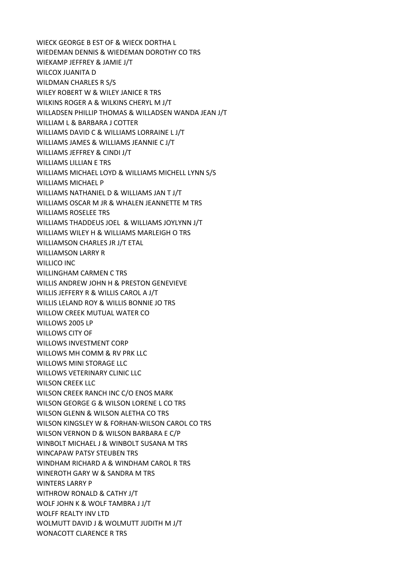WIECK GEORGE B EST OF & WIECK DORTHA L WIEDEMAN DENNIS & WIEDEMAN DOROTHY CO TRS WIEKAMP JEFFREY & JAMIE J/T WILCOX JUANITA D WILDMAN CHARLES R S/S WILEY ROBERT W & WILEY JANICE R TRS WILKINS ROGER A & WILKINS CHERYL M J/T WILLADSEN PHILLIP THOMAS & WILLADSEN WANDA JEAN J/T WILLIAM L & BARBARA J COTTER WILLIAMS DAVID C & WILLIAMS LORRAINE L J/T WILLIAMS JAMES & WILLIAMS JEANNIE C J/T WILLIAMS JEFFREY & CINDI J/T WILLIAMS LILLIAN E TRS WILLIAMS MICHAEL LOYD & WILLIAMS MICHELL LYNN S/S WILLIAMS MICHAEL P WILLIAMS NATHANIEL D & WILLIAMS JAN T J/T WILLIAMS OSCAR M JR & WHALEN JEANNETTE M TRS WILLIAMS ROSELEE TRS WILLIAMS THADDEUS JOEL & WILLIAMS JOYLYNN J/T WILLIAMS WILEY H & WILLIAMS MARLEIGH O TRS WILLIAMSON CHARLES JR J/T ETAL WILLIAMSON LARRY R WILLICO INC WILLINGHAM CARMEN C TRS WILLIS ANDREW JOHN H & PRESTON GENEVIEVE WILLIS JEFFERY R & WILLIS CAROL A J/T WILLIS LELAND ROY & WILLIS BONNIE JO TRS WILLOW CREEK MUTUAL WATER CO WILLOWS 2005 LP WILLOWS CITY OF WILLOWS INVESTMENT CORP WILLOWS MH COMM & RV PRK LLC WILLOWS MINI STORAGE LLC WILLOWS VETERINARY CLINIC LLC WILSON CREEK LLC WILSON CREEK RANCH INC C/O ENOS MARK WILSON GEORGE G & WILSON LORENE L CO TRS WILSON GLENN & WILSON ALETHA CO TRS WILSON KINGSLEY W & FORHAN-WILSON CAROL CO TRS WILSON VERNON D & WILSON BARBARA E C/P WINBOLT MICHAEL J & WINBOLT SUSANA M TRS WINCAPAW PATSY STEUBEN TRS WINDHAM RICHARD A & WINDHAM CAROL R TRS WINEROTH GARY W & SANDRA M TRS WINTERS LARRY P WITHROW RONALD & CATHY J/T WOLF JOHN K & WOLF TAMBRA J J/T WOLFF REALTY INV LTD WOLMUTT DAVID J & WOLMUTT JUDITH M J/T WONACOTT CLARENCE R TRS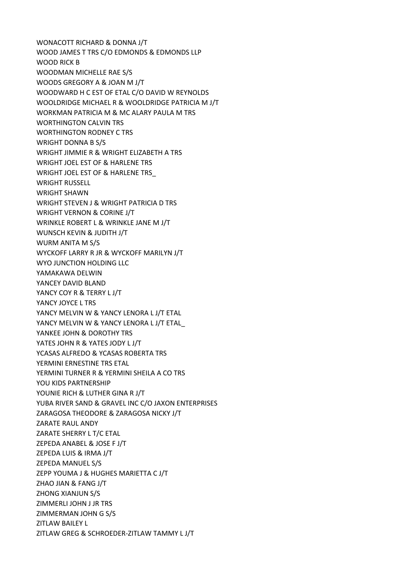WONACOTT RICHARD & DONNA J/T WOOD JAMES T TRS C/O EDMONDS & EDMONDS LLP WOOD RICK B WOODMAN MICHELLE RAE S/S WOODS GREGORY A & JOAN M J/T WOODWARD H C EST OF ETAL C/O DAVID W REYNOLDS WOOLDRIDGE MICHAEL R & WOOLDRIDGE PATRICIA M J/T WORKMAN PATRICIA M & MC ALARY PAULA M TRS WORTHINGTON CALVIN TRS WORTHINGTON RODNEY C TRS WRIGHT DONNA B S/S WRIGHT JIMMIE R & WRIGHT ELIZABETH A TRS WRIGHT JOEL EST OF & HARLENE TRS WRIGHT JOEL EST OF & HARLENE TRS\_ WRIGHT RUSSELL WRIGHT SHAWN WRIGHT STEVEN J & WRIGHT PATRICIA D TRS WRIGHT VERNON & CORINE J/T WRINKLE ROBERT L & WRINKLE JANE M J/T WUNSCH KEVIN & JUDITH J/T WURM ANITA M S/S WYCKOFF LARRY R JR & WYCKOFF MARILYN J/T WYO JUNCTION HOLDING LLC YAMAKAWA DELWIN YANCEY DAVID BLAND YANCY COY R & TERRY L J/T YANCY JOYCE L TRS YANCY MELVIN W & YANCY LENORA L J/T ETAL YANCY MELVIN W & YANCY LENORA L J/T ETAL YANKEE JOHN & DOROTHY TRS YATES JOHN R & YATES JODY L J/T YCASAS ALFREDO & YCASAS ROBERTA TRS YERMINI ERNESTINE TRS ETAL YERMINI TURNER R & YERMINI SHEILA A CO TRS YOU KIDS PARTNERSHIP YOUNIE RICH & LUTHER GINA R J/T YUBA RIVER SAND & GRAVEL INC C/O JAXON ENTERPRISES ZARAGOSA THEODORE & ZARAGOSA NICKY J/T ZARATE RAUL ANDY ZARATE SHERRY L T/C ETAL ZEPEDA ANABEL & JOSE F J/T ZEPEDA LUIS & IRMA J/T ZEPEDA MANUEL S/S ZEPP YOUMA J & HUGHES MARIETTA C J/T ZHAO JIAN & FANG J/T ZHONG XIANJUN S/S ZIMMERLI JOHN J JR TRS ZIMMERMAN JOHN G S/S ZITLAW BAILEY L ZITLAW GREG & SCHROEDER-ZITLAW TAMMY L J/T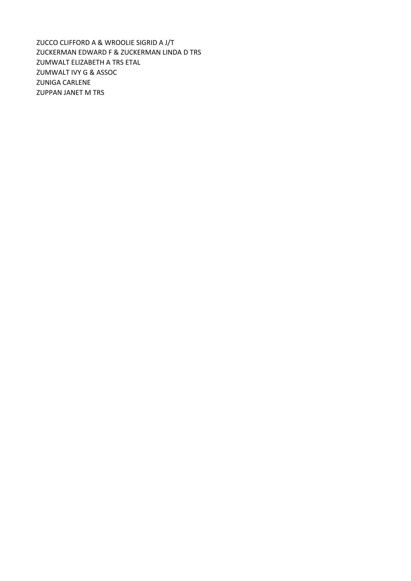ZUCCO CLIFFORD A & WROOLIE SIGRID A J/T ZUCKERMAN EDWARD F & ZUCKERMAN LINDA D TRS ZUMWALT ELIZABETH A TRS ETAL ZUMWALT IVY G & ASSOC ZUNIGA CARLENE ZUPPAN JANET M TRS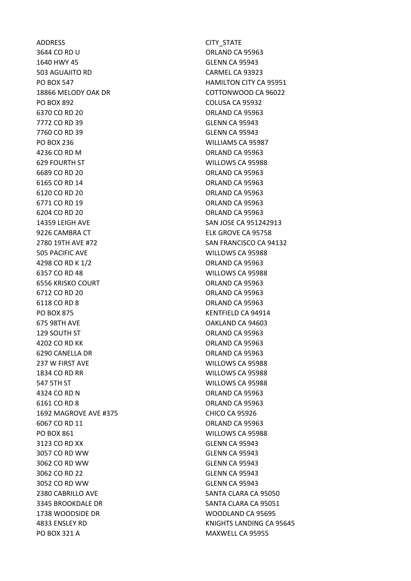ADDRESS CITY STATE 3644 CO RD U ORLAND CA 95963 1640 HWY 45 GLENN CA 95943 503 AGUAJITO RD CARMEL CA 93923 PO BOX 547 **HAMILTON CITY CA 95951** 18866 MELODY OAK DR COTTONWOOD CA 96022 PO BOX 892 COLUSA CA 95932 6370 CO RD 20 **ORLAND CA 95963** 7772 CO RD 39 GLENN CA 95943 7760 CO RD 39 GLENN CA 95943 PO BOX 236 WILLIAMS CA 95987 4236 CO RD M ORLAND CA 95963 629 FOURTH ST WILLOWS CA 95988 6689 CO RD 20 ORLAND CA 95963 6165 CO RD 14 ORLAND CA 95963 6120 CO RD 20 ORLAND CA 95963 6771 CO RD 19 ORLAND CA 95963 6204 CO RD 20 ORLAND CA 95963 14359 LEIGH AVE SAN JOSE CA 951242913 9226 CAMBRA CT ELK GROVE CA 95758 2780 19TH AVE #72 SAN FRANCISCO CA 94132 505 PACIFIC AVE WILLOWS CA 95988 4298 CO RD K 1/2 **ORLAND CA 95963** 6357 CO RD 48 WILLOWS CA 95988 6556 KRISKO COURT COMPUTER ORLAND CA 95963 6712 CO RD 20 ORLAND CA 95963 6118 CO RD 8 **ORLAND CA 95963** PO BOX 875 KENTFIELD CA 94914 675 98TH AVE OAKLAND CA 94603 129 SOUTH ST ORLAND CA 95963 4202 CO RD KK ORLAND CA 95963 6290 CANELLA DR ORLAND CA 95963 237 W FIRST AVE WILLOWS CA 95988 1834 CO RD RR WILLOWS CA 95988 547 5TH ST WILLOWS CA 95988 4324 CO RD N ORLAND CA 95963 6161 CO RD 8 ORLAND CA 95963 1692 MAGROVE AVE #375 CHICO CA 95926 6067 CO RD 11 **ORLAND CA 95963** PO BOX 861 NILLOWS CA 95988 3123 CO RD XX GLENN CA 95943 3057 CO RD WW GLENN CA 95943 3062 CO RD WW GLENN CA 95943 3062 CO RD 22 GLENN CA 95943 3052 CO RD WW GLENN CA 95943 2380 CABRILLO AVE SANTA CLARA CA 95050 3345 BROOKDALE DR SANTA CLARA CA 95051 1738 WOODSIDE DR WOODLAND CA 95695 PO BOX 321 A MAXWELL CA 95955

4833 ENSLEY RD KNIGHTS LANDING CA 95645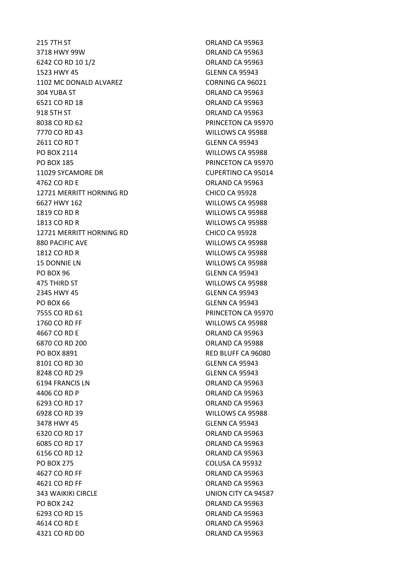3718 HWY 99W ORLAND CA 95963 6242 CO RD 10 1/2 ORLAND CA 95963 1523 HWY 45 GLENN CA 95943 1102 MC DONALD ALVAREZ CORNING CA 96021 304 YUBA ST ORLAND CA 95963 6521 CO RD 18 ORLAND CA 95963 918 5TH ST ORLAND CA 95963 8038 CO RD 62 **PRINCETON CA 95970** 7770 CO RD 43 WILLOWS CA 95988 2611 CO RD T GLENN CA 95943 PO BOX 2114 **WILLOWS CA 95988** PO BOX 185 PRINCETON CA 95970 11029 SYCAMORE DR CUPERTINO CA 95014 4762 CO RD E ORLAND CA 95963 12721 MERRITT HORNING RD<br>
CHICO CA 95928 6627 HWY 162 WILLOWS CA 95988 1819 CO RD R WILLOWS CA 95988 1813 CO RD R WILLOWS CA 95988 12721 MERRITT HORNING RD<br>
CHICO CA 95928 880 PACIFIC AVE WILLOWS CA 95988 1812 CO RD R WILLOWS CA 95988 15 DONNIE LN WILLOWS CA 95988 PO BOX 96 GLENN CA 95943 475 THIRD ST WILLOWS CA 95988 2345 HWY 45 GLENN CA 95943 PO BOX 66 GLENN CA 95943 7555 CO RD 61 PRINCETON CA 95970 1760 CO RD FF WILLOWS CA 95988 4667 CO RD E ORLAND CA 95963 6870 CO RD 200 ORLAND CA 95988 PO BOX 8891 RED BLUFF CA 96080 8101 CO RD 30 GLENN CA 95943 8248 CO RD 29 GLENN CA 95943 6194 FRANCIS LN ORLAND CA 95963 4406 CO RD P CO ROUND CA 95963 6293 CO RD 17 ORLAND CA 95963 6928 CO RD 39 WILLOWS CA 95988 3478 HWY 45 GLENN CA 95943 6320 CO RD 17 ORLAND CA 95963 6085 CO RD 17 ORLAND CA 95963 6156 CO RD 12 ORLAND CA 95963 PO BOX 275 COLUSA CA 95932 4627 CO RD FF ORLAND CA 95963 4621 CO RD FF **ORLAND CA 95963** 343 WAIKIKI CIRCLE UNION CITY CA 94587 PO BOX 242 ORLAND CA 95963 6293 CO RD 15 ORLAND CA 95963 4614 CO RD E ORLAND CA 95963 4321 CO RD DD ORLAND CA 95963

215 7TH ST
215 7TH ST
215 7TH ST
215 7TH ST
215 7TH ST
215 7TH ST
215 7TH ST
215 7TH ST
215 7TH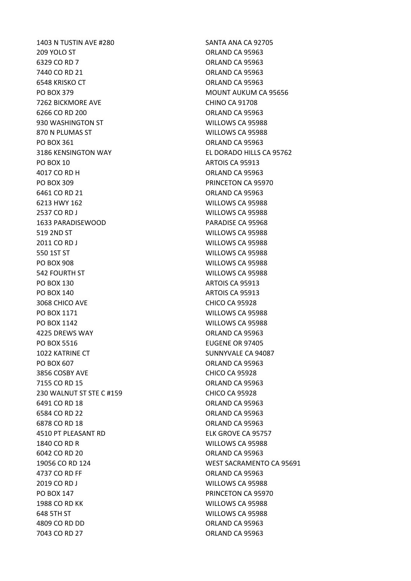1403 N TUSTIN AVE #280 SANTA ANA CA 92705 209 YOLO ST ORLAND CA 95963 6329 CO RD 7 ORLAND CA 95963 7440 CO RD 21 **ORLAND CA 95963** 6548 KRISKO CT ORLAND CA 95963 PO BOX 379 MOUNT AUKUM CA 95656 7262 BICKMORE AVE CHINO CA 91708 6266 CO RD 200 ORLAND CA 95963 930 WASHINGTON ST WILLOWS CA 95988 870 N PLUMAS ST WILLOWS CA 95988 PO BOX 361 ORLAND CA 95963 3186 KENSINGTON WAY EL DORADO HILLS CA 95762 PO BOX 10 ARTOIS CA 95913 4017 CO RD H ORLAND CA 95963 PO BOX 309 PRINCETON CA 95970 6461 CO RD 21 ORLAND CA 95963 6213 HWY 162 WILLOWS CA 95988 2537 CO RD J WILLOWS CA 95988 1633 PARADISEWOOD PARADISE CA 95968 519 2ND ST WILLOWS CA 95988 2011 CO RD J WILLOWS CA 95988 550 1ST ST WILLOWS CA 95988 PO BOX 908 WILLOWS CA 95988 542 FOURTH ST WILLOWS CA 95988 PO BOX 130 ARTOIS CA 95913 PO BOX 140 ARTOIS CA 95913 3068 CHICO AVE CHICO CA 95928 PO BOX 1171 WILLOWS CA 95988 PO BOX 1142 WILLOWS CA 95988 A 4225 DREWS WAY **CONSERVERS** WAY **ORLAND CA 95963** PO BOX 5516 EUGENE OR 97405 1022 KATRINE CT SUNNYVALE CA 94087 PO BOX 607 ORLAND CA 95963 3856 COSBY AVE CHICO CA 95928 7155 CO RD 15 ORLAND CA 95963 230 WALNUT ST STE C #159 CHICO CA 95928 6491 CO RD 18 ORLAND CA 95963 6584 CO RD 22 ORLAND CA 95963 6878 CO RD 18 **ORLAND CA 95963** 4510 PT PLEASANT RD ELK GROVE CA 95757 1840 CO RD R WILLOWS CA 95988 6042 CO RD 20 ORLAND CA 95963 4737 CO RD FF ORLAND CA 95963 2019 CO RD J WILLOWS CA 95988 PO BOX 147 PRINCETON CA 95970 1988 CO RD KK WILLOWS CA 95988 648 5TH ST WILLOWS CA 95988 4809 CO RD DD ORLAND CA 95963 7043 CO RD 27 **ORLAND CA 95963** 

19056 CO RD 124 WEST SACRAMENTO CA 95691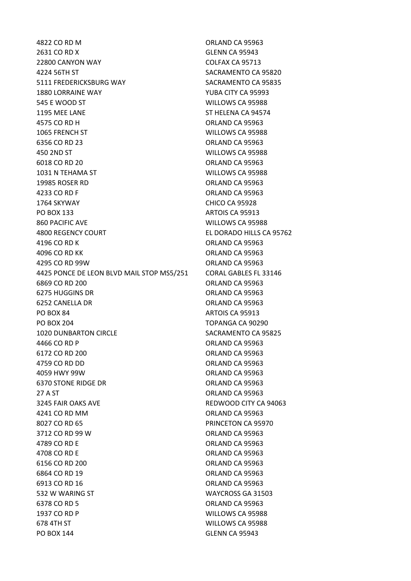4822 CO RD M CA 95963 2631 CO RD X GLENN CA 95943 22800 CANYON WAY COLFAX CA 95713 4224 56TH ST SACRAMENTO CA 95820 5111 FREDERICKSBURG WAY SACRAMENTO CA 95835 1880 LORRAINE WAY YUBA CITY CA 95993 545 E WOOD ST WILLOWS CA 95988 1195 MEE LANE ST HELENA CA 94574 4575 CO RD H ORLAND CA 95963 1065 FRENCH ST WILLOWS CA 95988 6356 CO RD 23 ORLAND CA 95963 450 2ND ST WILLOWS CA 95988 6018 CO RD 20 ORLAND CA 95963 1031 N TEHAMA ST WILLOWS CA 95988 19985 ROSER RD ORLAND CA 95963 4233 CO RD F ORLAND CA 95963 1764 SKYWAY CHICO CA 95928 PO BOX 133 ARTOIS CA 95913 860 PACIFIC AVE WILLOWS CA 95988 4800 REGENCY COURT EL DORADO HILLS CA 95762 4196 CO RD K **ORLAND CA 95963** 4096 CO RD KK ORLAND CA 95963 4295 CO RD 99W ORLAND CA 95963 4425 PONCE DE LEON BLVD MAIL STOP MS5/251 CORAL GABLES FL 33146 6869 CO RD 200 ORLAND CA 95963 6275 HUGGINS DR ORLAND CA 95963 6252 CANELLA DR ORLAND CA 95963 PO BOX 84 ARTOIS CA 95913 PO BOX 204 TOPANGA CA 90290 1020 DUNBARTON CIRCLE SACRAMENTO CA 95825 4466 CO RD P ORLAND CA 95963 6172 CO RD 200 ORLAND CA 95963 4759 CO RD DD **ORLAND CA 95963** 4059 HWY 99W ORLAND CA 95963 6370 STONE RIDGE DR ORLAND CA 95963 27 A ST ORLAND CA 95963 3245 FAIR OAKS AVE **REDWOOD CITY CA 94063** 4241 CO RD MM ORLAND CA 95963 8027 CO RD 65 **PRINCETON CA 95970** 3712 CO RD 99 W ORLAND CA 95963 4789 CO RD E ORLAND CA 95963 4708 CO RD E ORLAND CA 95963 6156 CO RD 200 ORLAND CA 95963 6864 CO RD 19 ORLAND CA 95963 6913 CO RD 16 **ORLAND CA 95963** 532 W WARING ST WAYCROSS GA 31503 6378 CO RD 5 ORLAND CA 95963 1937 CO RD P WILLOWS CA 95988 678 4TH ST WILLOWS CA 95988 PO BOX 144 GLENN CA 95943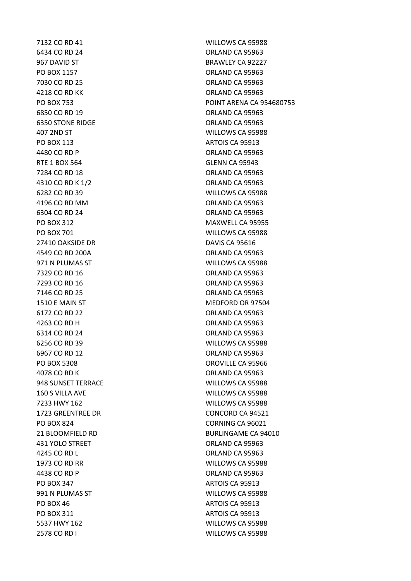7132 CO RD 41 WILLOWS CA 95988 6434 CO RD 24 ORLAND CA 95963 967 DAVID ST BRAWLEY CA 92227 PO BOX 1157 CRLAND CA 95963 7030 CO RD 25 ORLAND CA 95963 4218 CO RD KK ORLAND CA 95963 6850 CO RD 19 ORLAND CA 95963 6350 STONE RIDGE **CALL AND STONE RIDGE ORLAND CA 95963** 407 2ND ST WILLOWS CA 95988 PO BOX 113 ARTOIS CA 95913 4480 CO RD P ORLAND CA 95963 RTE 1 BOX 564 GLENN CA 95943 7284 CO RD 18 ORLAND CA 95963 4310 CO RD K 1/2 **ORLAND CA 95963** 6282 CO RD 39 WILLOWS CA 95988 4196 CO RD MM ORLAND CA 95963 6304 CO RD 24 ORLAND CA 95963 PO BOX 312 MAXWELL CA 95955 PO BOX 701 WILLOWS CA 95988 27410 OAKSIDE DR DAVIS CA 95616 4549 CO RD 200A ORLAND CA 95963 971 N PLUMAS ST WILLOWS CA 95988 7329 CO RD 16 **ORLAND CA 95963** 7293 CO RD 16 ORLAND CA 95963 7146 CO RD 25 ORLAND CA 95963 1510 E MAIN ST MEDFORD OR 97504 6172 CO RD 22 **ORLAND CA 95963** 4263 CO RD H ORLAND CA 95963 6314 CO RD 24 ORLAND CA 95963 6256 CO RD 39 WILLOWS CA 95988 6967 CO RD 12 ORLAND CA 95963 PO BOX 5308 OROVILLE CA 95966 4078 CO RD K ORLAND CA 95963 948 SUNSET TERRACE WILLOWS CA 95988 160 S VILLA AVE WILLOWS CA 95988 7233 HWY 162 WILLOWS CA 95988 1723 GREENTREE DR CONCORD CA 94521 PO BOX 824 CORNING CA 96021 431 YOLO STREET CONTROLLER CONTROLLER CONTROLLER CONTROLLER CONTROLLER CONTROLLER CONTROLLER CONTROLLER CONTROLLER CONTROLLER CONTROLLER CONTROLLER CONTROLLER CONTROLLER CONTROLLER CONTROLLER CONTROLLER CONTROLLER CONTROLL 4245 CO RD L ORLAND CA 95963 1973 CO RD RR WILLOWS CA 95988 4438 CO RD P ORLAND CA 95963 PO BOX 347 ARTOIS CA 95913 991 N PLUMAS ST WILLOWS CA 95988 PO BOX 46 ARTOIS CA 95913 PO BOX 311 ARTOIS CA 95913 5537 HWY 162 WILLOWS CA 95988 2578 CO RD I WILLOWS CA 95988

PO BOX 753 POINT ARENA CA 954680753 21 BLOOMFIELD RD BURLINGAME CA 94010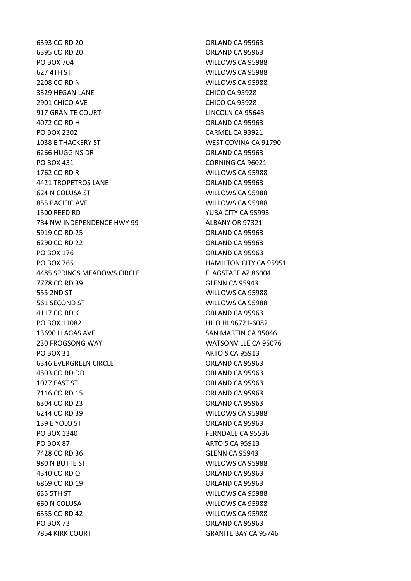6395 CO RD 20 ORLAND CA 95963 PO BOX 704 WILLOWS CA 95988 627 4TH ST WILLOWS CA 95988 2208 CO RD N WILLOWS CA 95988 3329 HEGAN LANE CHICO CA 95928 2901 CHICO AVE CHICO CA 95928 917 GRANITE COURT **LINCOLN CA 95648** 4072 CO RD H ORLAND CA 95963 PO BOX 2302 CARMEL CA 93921 1038 E THACKERY ST WEST COVINA CA 91790 6266 HUGGINS DR ORLAND CA 95963 PO BOX 431 CORNING CA 96021 1762 CO RD R WILLOWS CA 95988 4421 TROPETROS LANE ORLAND CA 95963 624 N COLUSA ST WILLOWS CA 95988 855 PACIFIC AVE WILLOWS CA 95988 1500 REED RD YUBA CITY CA 95993 784 NW INDEPENDENCE HWY 99 ALBANY OR 97321 5919 CO RD 25 ORLAND CA 95963 6290 CO RD 22 ORLAND CA 95963 PO BOX 176 CONTROL CA 95963 PO BOX 765 HAMILTON CITY CA 95951 4485 SPRINGS MEADOWS CIRCLE FLAGSTAFF AZ 86004 7778 CO RD 39 GLENN CA 95943 555 2ND ST WILLOWS CA 95988 561 SECOND ST WILLOWS CA 95988 4117 CO RD K ORLAND CA 95963 PO BOX 11082 HILO HI 96721-6082 13690 LLAGAS AVE SAN MARTIN CA 95046 230 FROGSONG WAY WATSONVILLE CA 95076 PO BOX 31 ARTOIS CA 95913 6346 EVERGREEN CIRCLE **CALL CA SERVERGES** ORLAND CA 95963 4503 CO RD DD ORLAND CA 95963 1027 EAST ST ORLAND CA 95963 7116 CO RD 15 ORLAND CA 95963 6304 CO RD 23 ORLAND CA 95963 6244 CO RD 39 WILLOWS CA 95988 139 E YOLO ST CHARGE ORLAND CA 95963 PO BOX 1340 **FERNDALE CA 95536** PO BOX 87 ARTOIS CA 95913 7428 CO RD 36 GLENN CA 95943 980 N BUTTE ST WILLOWS CA 95988 4340 CO RD Q ORLAND CA 95963 6869 CO RD 19 **ORLAND CA 95963** 635 5TH ST WILLOWS CA 95988 660 N COLUSA WILLOWS CA 95988 6355 CO RD 42 WILLOWS CA 95988 PO BOX 73 ORLAND CA 95963 7854 KIRK COURT GRANITE BAY CA 95746

6393 CO RD 20 **ORLAND CA 95963**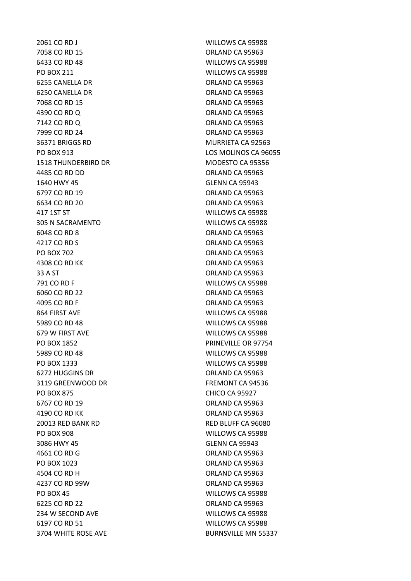2061 CO RD J WILLOWS CA 95988 7058 CO RD 15 ORLAND CA 95963 6433 CO RD 48 WILLOWS CA 95988 PO BOX 211 WILLOWS CA 95988 6255 CANELLA DR CONTROL CONTROL CA 95963 6250 CANELLA DR ORLAND CA 95963 7068 CO RD 15 **ORLAND CA 95963** 4390 CO RD Q CO ROUND CA 95963 7142 CO RD O CONTROL CONTROL CONTROL CONTROL CONTROL CONTROL CONTROL CONTROL CONTROL CONTROL CONTROL CONTROL CONTROL CONTROL CONTROL CONTROL CONTROL CONTROL CONTROL CONTROL CONTROL CONTROL CONTROL CONTROL CONTROL CONTROL C 7999 CO RD 24 ORLAND CA 95963 36371 BRIGGS RD MURRIETA CA 92563 PO BOX 913 LOS MOLINOS CA 96055 1518 THUNDERBIRD DR MODESTO CA 95356 4485 CO RD DD ORLAND CA 95963 1640 HWY 45 GLENN CA 95943 6797 CO RD 19 ORLAND CA 95963 6634 CO RD 20 ORLAND CA 95963 417 1ST ST WILLOWS CA 95988 305 N SACRAMENTO WILLOWS CA 95988 6048 CO RD 8 ORLAND CA 95963 4217 CO RD S **ORLAND CA 95963** PO BOX 702 ORLAND CA 95963 4308 CO RD KK ORLAND CA 95963 33 A ST ORLAND CA 95963 791 CO RD F WILLOWS CA 95988 6060 CO RD 22 ORLAND CA 95963 4095 CO RD F ORLAND CA 95963 864 FIRST AVE WILLOWS CA 95988 5989 CO RD 48 WILLOWS CA 95988 679 W FIRST AVE NOTE AND THE WILLOWS CA 95988 PO BOX 1852 PRINEVILLE OR 97754 5989 CO RD 48 WILLOWS CA 95988 PO BOX 1333 WILLOWS CA 95988 6272 HUGGINS DR **ORLAND CA 95963** 3119 GREENWOOD DR FREMONT CA 94536 PO BOX 875 CHICO CA 95927 6767 CO RD 19 ORLAND CA 95963 4190 CO RD KK ORLAND CA 95963 20013 RED BANK RD RED BLUFF CA 96080 PO BOX 908 WILLOWS CA 95988 3086 HWY 45 GLENN CA 95943 4661 CO RD G ORLAND CA 95963 PO BOX 1023 ORLAND CA 95963 4504 CO RD H ORLAND CA 95963 4237 CO RD 99W ORLAND CA 95963 PO BOX 45 NILLOWS CA 95988 6225 CO RD 22 ORLAND CA 95963 234 W SECOND AVE WILLOWS CA 95988 6197 CO RD 51 WILLOWS CA 95988 3704 WHITE ROSE AVE BURNSVILLE MN 55337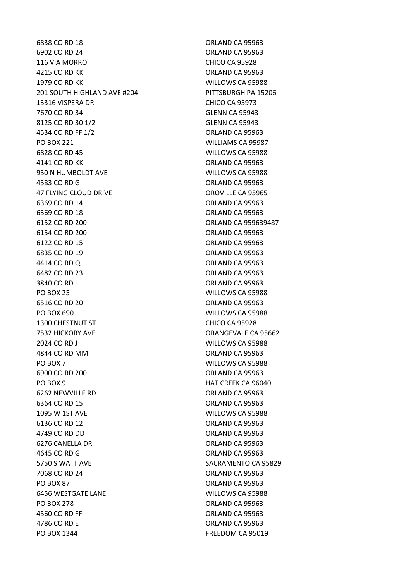6902 CO RD 24 ORLAND CA 95963 116 VIA MORRO CHICO CA 95928 4215 CO RD KK ORLAND CA 95963 1979 CO RD KK WILLOWS CA 95988 201 SOUTH HIGHLAND AVE #204 PITTSBURGH PA 15206 13316 VISPERA DR CHICO CA 95973 7670 CO RD 34 GLENN CA 95943 8125 CO RD 30 1/2 GLENN CA 95943 4534 CO RD FF 1/2 **ORLAND CA 95963** PO BOX 221 WILLIAMS CA 95987 6828 CO RD 45 WILLOWS CA 95988 4141 CO RD KK ORLAND CA 95963 950 N HUMBOLDT AVE WILLOWS CA 95988 4583 CO RD G ORLAND CA 95963 47 FLYING CLOUD DRIVE **CONSIDERING** OROVILLE CA 95965 6369 CO RD 14 ORLAND CA 95963 6369 CO RD 18 ORLAND CA 95963 6152 CO RD 200 ORLAND CA 959639487 6154 CO RD 200 ORLAND CA 95963 6122 CO RD 15 ORLAND CA 95963 6835 CO RD 19 **ORLAND CA 95963** 4414 CO RD Q ORLAND CA 95963 6482 CO RD 23 ORLAND CA 95963 3840 CO RD I ORLAND CA 95963 PO BOX 25 WILLOWS CA 95988 6516 CO RD 20 **ORLAND CA 95963** PO BOX 690 WILLOWS CA 95988 1300 CHESTNUT ST **CHICO CA 95928** 7532 HICKORY AVE ORANGEVALE CA 95662 2024 CO RD J WILLOWS CA 95988 4844 CO RD MM ORLAND CA 95963 PO BOX 7 WILLOWS CA 95988 6900 CO RD 200 ORLAND CA 95963 PO BOX 9 HAT CREEK CA 96040 6262 NEWVILLE RD ORLAND CA 95963 6364 CO RD 15 ORLAND CA 95963 1095 W 1ST AVE WILLOWS CA 95988 6136 CO RD 12 ORLAND CA 95963 4749 CO RD DD ORLAND CA 95963 6276 CANELLA DR ORLAND CA 95963 4645 CO RD G ORLAND CA 95963 5750 S WATT AVE SACRAMENTO CA 95829 7068 CO RD 24 ORLAND CA 95963 PO BOX 87 ORLAND CA 95963 6456 WESTGATE LANE WILLOWS CA 95988 PO BOX 278 CREAR ORLAND CA 95963 4560 CO RD FF ORLAND CA 95963 4786 CO RD E ORLAND CA 95963 PO BOX 1344 FREEDOM CA 95019

6838 CO RD 18 **ORLAND CA 95963**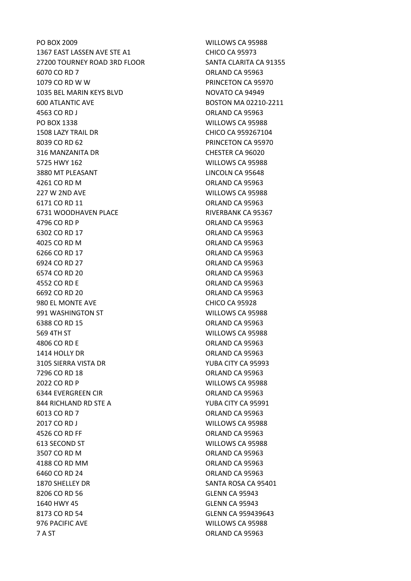PO BOX 2009 WILLOWS CA 95988 1367 EAST LASSEN AVE STE A1 CHICO CA 95973 27200 TOURNEY ROAD 3RD FLOOR SANTA CLARITA CA 91355 6070 CO RD 7 ORLAND CA 95963 1079 CO RD W W PRINCETON CA 95970 1035 BEL MARIN KEYS BLVD NOVATO CA 94949 600 ATLANTIC AVE BOSTON MA 02210-2211 4563 CO RD J CONTROL CONSUMING THE SERVICE ORLAND CA 95963 PO BOX 1338 WILLOWS CA 95988 1508 LAZY TRAIL DR CHICO CA 959267104 8039 CO RD 62 **PRINCETON CA 95970** 316 MANZANITA DR CHESTER CA 96020 5725 HWY 162 WILLOWS CA 95988 3880 MT PLEASANT LINCOLN CA 95648 4261 CO RD M ORLAND CA 95963 227 W 2ND AVE WILLOWS CA 95988 6171 CO RD 11 ORLAND CA 95963 6731 WOODHAVEN PLACE RIVERBANK CA 95367 4796 CO RD P ORLAND CA 95963 6302 CO RD 17 ORLAND CA 95963 4025 CO RD M ORLAND CA 95963 6266 CO RD 17 ORLAND CA 95963 6924 CO RD 27 ORLAND CA 95963 6574 CO RD 20 ORLAND CA 95963 4552 CO RD E ORLAND CA 95963 6692 CO RD 20 ORLAND CA 95963 980 EL MONTE AVE CHICO CA 95928 991 WASHINGTON ST WILLOWS CA 95988 6388 CO RD 15 ORLAND CA 95963 569 4TH ST WILLOWS CA 95988 4806 CO RD E ORLAND CA 95963 1414 HOLLY DR ORLAND CA 95963 3105 SIERRA VISTA DR YUBA CITY CA 95993 7296 CO RD 18 **ORLAND CA 95963** 2022 CO RD P WILLOWS CA 95988 6344 EVERGREEN CIR ORLAND CA 95963 844 RICHLAND RD STE A YUBA CITY CA 95991 6013 CO RD 7 ORLAND CA 95963 2017 CO RD J WILLOWS CA 95988 4526 CO RD FF ORLAND CA 95963 613 SECOND ST WILLOWS CA 95988 3507 CO RD M ORLAND CA 95963 4188 CO RD MM ORLAND CA 95963 6460 CO RD 24 ORLAND CA 95963 1870 SHELLEY DR SANTA ROSA CA 95401 8206 CO RD 56 GLENN CA 95943 1640 HWY 45 GLENN CA 95943 8173 CO RD 54 GLENN CA 959439643 976 PACIFIC AVE WILLOWS CA 95988 7 A ST ORLAND CA 95963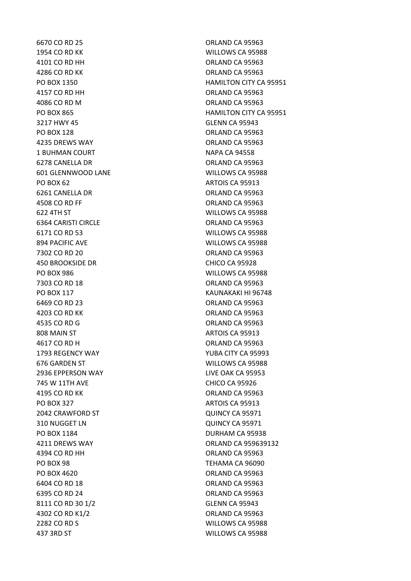6670 CO RD 25 ORLAND CA 95963 1954 CO RD KK WILLOWS CA 95988 4101 CO RD HH ORLAND CA 95963 4286 CO RD KK ORLAND CA 95963 4157 CO RD HH ORLAND CA 95963 4086 CO RD M CA 95963 3217 HWY 45 GLENN CA 95943 PO BOX 128 ORLAND CA 95963 4235 DREWS WAY ORLAND CA 95963 1 BUHMAN COURT NAPA CA 94558 6278 CANELLA DR CONTROL CONTROL CA 95963 601 GLENNWOOD LANE WILLOWS CA 95988 PO BOX 62 ARTOIS CA 95913 6261 CANELLA DR ORLAND CA 95963 4508 CO RD FF ORLAND CA 95963 622 4TH ST WILLOWS CA 95988 6364 CARISTI CIRCLE **CALLE CALLE CALLE CALLE CALLE CALLE CALLE CALLE** 6171 CO RD 53 WILLOWS CA 95988 894 PACIFIC AVE WILLOWS CA 95988 7302 CO RD 20 **ORLAND CA 95963** 450 BROOKSIDE DR CHICO CA 95928 PO BOX 986 WILLOWS CA 95988 7303 CO RD 18 ORLAND CA 95963 PO BOX 117 KAUNAKAKI HI 96748 6469 CO RD 23 ORLAND CA 95963 4203 CO RD KK ORLAND CA 95963 4535 CO RD G ORLAND CA 95963 808 MAIN ST ARTOIS CA 95913 4617 CO RD H ORLAND CA 95963 1793 REGENCY WAY YUBA CITY CA 95993 676 GARDEN ST WILLOWS CA 95988 2936 EPPERSON WAY LIVE OAK CA 95953 745 W 11TH AVE CHICO CA 95926 4195 CO RD KK ORLAND CA 95963 PO BOX 327 ARTOIS CA 95913 2042 CRAWFORD ST QUINCY CA 95971 310 NUGGET LN QUINCY CA 95971 PO BOX 1184 DURHAM CA 95938 4211 DREWS WAY ORLAND CA 959639132 4394 CO RD HH ORLAND CA 95963 PO BOX 98 TEHAMA CA 96090 PO BOX 4620 ORLAND CA 95963 6404 CO RD 18 **ORLAND CA 95963** 6395 CO RD 24 ORLAND CA 95963 8111 CO RD 30 1/2 GLENN CA 95943 4302 CO RD K1/2 **ORLAND CA 95963** 2282 CO RD S WILLOWS CA 95988 437 3RD ST WILLOWS CA 95988

PO BOX 1350 **HAMILTON CITY CA 95951** PO BOX 865 HAMILTON CITY CA 95951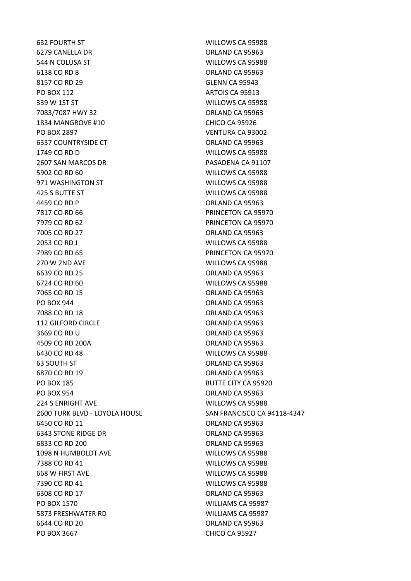632 FOURTH ST WILLOWS CA 95988 6279 CANELLA DR ORLAND CA 95963 544 N COLUSA ST WILLOWS CA 95988 6138 CO RD 8 ORLAND CA 95963 8157 CO RD 29 GLENN CA 95943 PO BOX 112 ARTOIS CA 95913 339 W 1ST ST WILLOWS CA 95988 7083/7087 HWY 32 ORLAND CA 95963 1834 MANGROVE #10 CHICO CA 95926 PO BOX 2897 VENTURA CA 93002 6337 COUNTRYSIDE CT **COUNTRYSIDE CONSERVANT CONTROLLER COUNTRYSIDE CT** 1749 CO RD D WILLOWS CA 95988 2607 SAN MARCOS DR **PASADENA CA 91107** 5902 CO RD 60 WILLOWS CA 95988 971 WASHINGTON ST **WILLOWS CA 95988** 425 S BUTTE ST WILLOWS CA 95988 4459 CO RD P ORLAND CA 95963 7817 CO RD 66 PRINCETON CA 95970 7979 CO RD 62 PRINCETON CA 95970 7005 CO RD 27 ORLAND CA 95963 2053 CO RD J WILLOWS CA 95988 7989 CO RD 65 PRINCETON CA 95970 270 W 2ND AVE WILLOWS CA 95988 6639 CO RD 25 ORLAND CA 95963 6724 CO RD 60 WILLOWS CA 95988 7065 CO RD 15 ORLAND CA 95963 PO BOX 944 ORLAND CA 95963 7088 CO RD 18 **ORLAND CA 95963** 112 GILFORD CIRCLE ORLAND CA 95963 3669 CO RD U ORLAND CA 95963 4509 CO RD 200A ORLAND CA 95963 6430 CO RD 48 WILLOWS CA 95988 63 SOUTH ST ORLAND CA 95963 6870 CO RD 19 **ORLAND CA 95963** PO BOX 185 BUTTE CITY CA 95920 PO BOX 954 ORLAND CA 95963 224 S ENRIGHT AVE WILLOWS CA 95988 2600 TURK BLVD - LOYOLA HOUSE SAN FRANCISCO CA 94118-4347 6450 CO RD 11 **ORLAND CA 95963** 6343 STONE RIDGE DR **CALL CONTROLLER STONE RIDGE DR** ORLAND CA 95963 6833 CO RD 200 ORLAND CA 95963 1098 N HUMBOLDT AVE WILLOWS CA 95988 7388 CO RD 41 WILLOWS CA 95988 668 W FIRST AVE WILLOWS CA 95988 7390 CO RD 41 WILLOWS CA 95988 6308 CO RD 17 ORLAND CA 95963 PO BOX 1570 WILLIAMS CA 95987 5873 FRESHWATER RD WILLIAMS CA 95987 6644 CO RD 20 ORLAND CA 95963 PO BOX 3667 CHICO CA 95927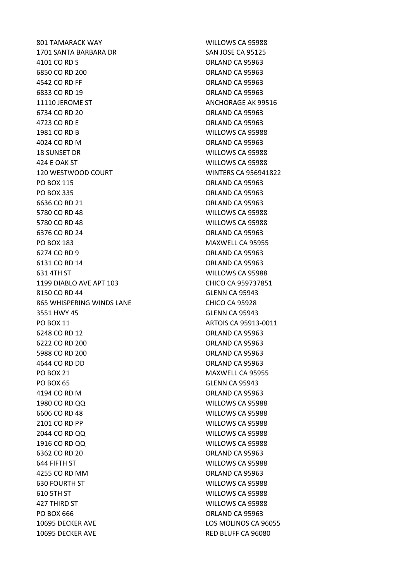801 TAMARACK WAY WILLOWS CA 95988 1701 SANTA BARBARA DR SAN JOSE CA 95125 4101 CO RD S ORLAND CA 95963 6850 CO RD 200 ORLAND CA 95963 4542 CO RD FF ORLAND CA 95963 6833 CO RD 19 ORLAND CA 95963 11110 JEROME ST ANCHORAGE AK 99516 6734 CO RD 20 ORLAND CA 95963 4723 CO RD E ORLAND CA 95963 1981 CO RD B WILLOWS CA 95988 4024 CO RD M ORLAND CA 95963 18 SUNSET DR WILLOWS CA 95988 424 E OAK ST WILLOWS CA 95988 120 WESTWOOD COURT WINTERS CA 956941822 PO BOX 115 CONSERVERSITY CONSERVERSITY ORLAND CA 95963 PO BOX 335 ORLAND CA 95963 6636 CO RD 21 ORLAND CA 95963 5780 CO RD 48 WILLOWS CA 95988 5780 CO RD 48 WILLOWS CA 95988 6376 CO RD 24 ORLAND CA 95963 PO BOX 183 MAXWELL CA 95955 6274 CO RD 9 ORLAND CA 95963 6131 CO RD 14 ORLAND CA 95963 631 4TH ST WILLOWS CA 95988 1199 DIABLO AVE APT 103 CHICO CA 959737851 8150 CO RD 44 GLENN CA 95943 865 WHISPERING WINDS LANE CHICO CA 95928 3551 HWY 45 GLENN CA 95943 PO BOX 11 **ARTOIS CA 95913-0011** 6248 CO RD 12 ORLAND CA 95963 6222 CO RD 200 ORLAND CA 95963 5988 CO RD 200 ORLAND CA 95963 4644 CO RD DD ORLAND CA 95963 PO BOX 21 MAXWELL CA 95955 PO BOX 65 GLENN CA 95943 4194 CO RD M ORLAND CA 95963 1980 CO RD QQ WILLOWS CA 95988 6606 CO RD 48 WILLOWS CA 95988 2101 CO RD PP WILLOWS CA 95988 2044 CO RD QQ WILLOWS CA 95988 1916 CO RD QQ WILLOWS CA 95988 6362 CO RD 20 ORLAND CA 95963 644 FIFTH ST WILLOWS CA 95988 4255 CO RD MM ORLAND CA 95963 630 FOURTH ST WILLOWS CA 95988 610 5TH ST WILLOWS CA 95988 427 THIRD ST WILLOWS CA 95988 PO BOX 666 ORLAND CA 95963 10695 DECKER AVE LOS MOLINOS CA 96055 10695 DECKER AVE **RED BLUFF CA 96080**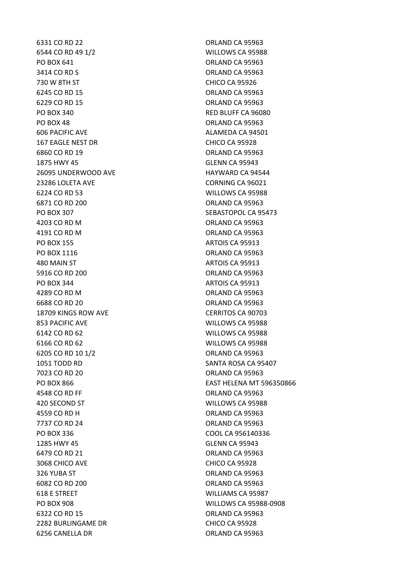6331 CO RD 22 **ORLAND CA 95963** 6544 CO RD 49 1/2 WILLOWS CA 95988 PO BOX 641 ORLAND CA 95963 3414 CO RD S ORLAND CA 95963 730 W 8TH ST CHICO CA 95926 6245 CO RD 15 ORLAND CA 95963 6229 CO RD 15 ORLAND CA 95963 PO BOX 340 RED BLUFF CA 96080 PO BOX 48 ORLAND CA 95963 606 PACIFIC AVE **ALAMEDA CA 94501** 167 EAGLE NEST DR<br>CHICO CA 95928 6860 CO RD 19 ORLAND CA 95963 1875 HWY 45 GLENN CA 95943 26095 UNDERWOOD AVE HAYWARD CA 94544 23286 LOLETA AVE CORNING CA 96021 6224 CO RD 53 WILLOWS CA 95988 6871 CO RD 200 ORLAND CA 95963 PO BOX 307 SEBASTOPOL CA 95473 4203 CO RD M CA 95963 4191 CO RD M ORLAND CA 95963 PO BOX 155 ARTOIS CA 95913 PO BOX 1116 CA 95963 480 MAIN ST ARTOIS CA 95913 5916 CO RD 200 ORLAND CA 95963 PO BOX 344 ARTOIS CA 95913 4289 CO RD M ORLAND CA 95963 6688 CO RD 20 **ORLAND CA 95963** 18709 KINGS ROW AVE CERRITOS CA 90703 853 PACIFIC AVE WILLOWS CA 95988 6142 CO RD 62 WILLOWS CA 95988 6166 CO RD 62 WILLOWS CA 95988 6205 CO RD 10 1/2 ORLAND CA 95963 1051 TODD RD SANTA ROSA CA 95407 7023 CO RD 20 ORLAND CA 95963 4548 CO RD FF ORLAND CA 95963 420 SECOND ST WILLOWS CA 95988 4559 CO RD H ORLAND CA 95963 7737 CO RD 24 **ORLAND CA 95963** PO BOX 336 COOL CA 956140336 1285 HWY 45 GLENN CA 95943 6479 CO RD 21 ORLAND CA 95963 3068 CHICO AVE CHICO CA 95928 326 YUBA ST ORLAND CA 95963 6082 CO RD 200 ORLAND CA 95963 618 E STREET WILLIAMS CA 95987 PO BOX 908 WILLOWS CA 95988-0908 6322 CO RD 15 ORLAND CA 95963 2282 BURLINGAME DR CHICO CA 95928 6256 CANELLA DR ORLAND CA 95963

PO BOX 866 EAST HELENA MT 596350866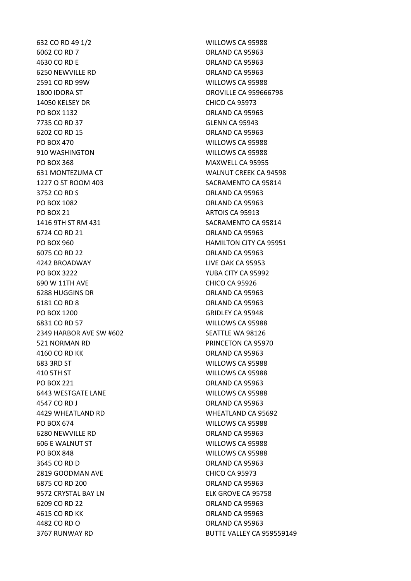632 CO RD 49 1/2 WILLOWS CA 95988 6062 CO RD 7 ORLAND CA 95963 4630 CO RD E ORLAND CA 95963 6250 NEWVILLE RD **ORLAND CA 95963** 2591 CO RD 99W WILLOWS CA 95988 1800 IDORA ST OROVILLE CA 959666798 14050 KELSEY DR CHICO CA 95973 PO BOX 1132 ORLAND CA 95963 7735 CO RD 37 GLENN CA 95943 6202 CO RD 15 ORLAND CA 95963 PO BOX 470 WILLOWS CA 95988 910 WASHINGTON WILLOWS CA 95988 PO BOX 368 MAXWELL CA 95955 631 MONTEZUMA CT WALNUT CREEK CA 94598 1227 O ST ROOM 403 SACRAMENTO CA 95814 3752 CO RD S ORLAND CA 95963 PO BOX 1082 CREAND CA 95963 PO BOX 21 ARTOIS CA 95913 1416 9TH ST RM 431 SACRAMENTO CA 95814 6724 CO RD 21 ORLAND CA 95963 PO BOX 960 HAMILTON CITY CA 95951 6075 CO RD 22 **ORLAND CA 95963** 4242 BROADWAY LIVE OAK CA 95953 PO BOX 3222 YUBA CITY CA 95992 690 W 11TH AVE CHICO CA 95926 6288 HUGGINS DR ORLAND CA 95963 6181 CO RD 8 ORLAND CA 95963 PO BOX 1200 GRIDLEY CA 95948 6831 CO RD 57 WILLOWS CA 95988 2349 HARBOR AVE SW #602 SEATTLE WA 98126 521 NORMAN RD PRINCETON CA 95970 4160 CO RD KK ORLAND CA 95963 683 3RD ST WILLOWS CA 95988 410 5TH ST WILLOWS CA 95988 PO BOX 221 CREAD CA 95963 6443 WESTGATE LANE WILLOWS CA 95988 4547 CO RD J CO ROUND CA 95963 4429 WHEATLAND RD WHEATLAND CA 95692 PO BOX 674 WILLOWS CA 95988 6280 NEWVILLE RD **ORLAND CA 95963** 606 E WALNUT ST WILLOWS CA 95988 PO BOX 848 WILLOWS CA 95988 3645 CO RD D ORLAND CA 95963 2819 GOODMAN AVE CHICO CA 95973 6875 CO RD 200 ORLAND CA 95963 9572 CRYSTAL BAY LN ELK GROVE CA 95758 6209 CO RD 22 ORLAND CA 95963 4615 CO RD KK ORLAND CA 95963 4482 CO RD O ORLAND CA 95963 3767 RUNWAY RD BUTTE VALLEY CA 959559149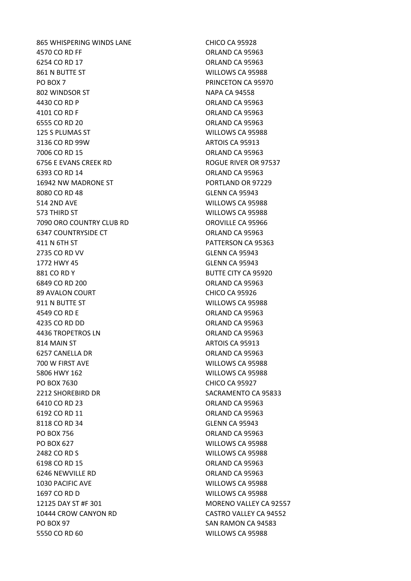865 WHISPERING WINDS LANE CHICO CA 95928 4570 CO RD FF ORLAND CA 95963 6254 CO RD 17 ORLAND CA 95963 861 N BUTTE ST WILLOWS CA 95988 PO BOX 7 PRINCETON CA 95970 802 WINDSOR ST NAPA CA 94558 4430 CO RD P ORLAND CA 95963 4101 CO RD F ORLAND CA 95963 6555 CO RD 20 ORLAND CA 95963 125 S PLUMAS ST WILLOWS CA 95988 3136 CO RD 99W ARTOIS CA 95913 7006 CO RD 15 ORLAND CA 95963 6756 E EVANS CREEK RD ROGUE RIVER OR 97537 6393 CO RD 14 ORLAND CA 95963 16942 NW MADRONE ST PORTLAND OR 97229 8080 CO RD 48 GLENN CA 95943 514 2ND AVE WILLOWS CA 95988 573 THIRD ST WILLOWS CA 95988 7090 ORO COUNTRY CLUB RD **OROVILLE CA 95966** 6347 COUNTRYSIDE CT **CHA COUNTRYSIDE CT** ORLAND CA 95963 411 N 6TH ST PATTERSON CA 95363 2735 CO RD VV GLENN CA 95943 1772 HWY 45 GLENN CA 95943 881 CO RD Y BUTTE CITY CA 95920 6849 CO RD 200 ORLAND CA 95963 89 AVALON COURT CHICO CA 95926 911 N BUTTE ST WILLOWS CA 95988 4549 CO RD E ORLAND CA 95963 4235 CO RD DD ORLAND CA 95963 4436 TROPETROS LN CONTROL DE LA CORLAND CA 95963 814 MAIN ST ARTOIS CA 95913 6257 CANELLA DR ORLAND CA 95963 700 W FIRST AVE WILLOWS CA 95988 5806 HWY 162 WILLOWS CA 95988 PO BOX 7630 CHICO CA 95927 2212 SHOREBIRD DR SACRAMENTO CA 95833 6410 CO RD 23 ORLAND CA 95963 6192 CO RD 11 ORLAND CA 95963 8118 CO RD 34 GLENN CA 95943 PO BOX 756 ORLAND CA 95963 PO BOX 627 WILLOWS CA 95988 2482 CO RD S WILLOWS CA 95988 6198 CO RD 15 ORLAND CA 95963 6246 NEWVILLE RD ORLAND CA 95963 1030 PACIFIC AVE WILLOWS CA 95988 1697 CO RD D WILLOWS CA 95988 12125 DAY ST #F 301 MORENO VALLEY CA 92557 10444 CROW CANYON RD CASTRO VALLEY CA 94552 PO BOX 97 SAN RAMON CA 94583 5550 CO RD 60 WILLOWS CA 95988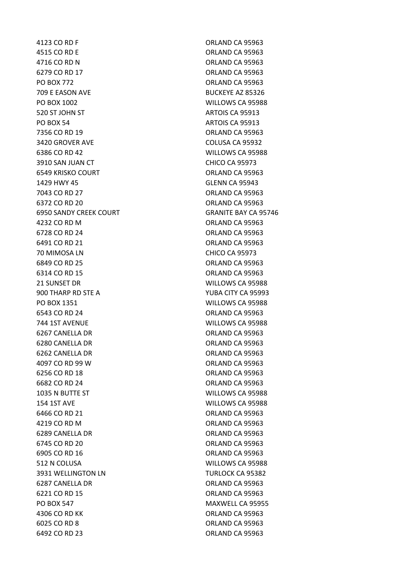4123 CO RD F ORLAND CA 95963 4515 CO RD E ORLAND CA 95963 4716 CO RD N ORLAND CA 95963 6279 CO RD 17 ORLAND CA 95963 PO BOX 772 ORLAND CA 95963 709 E EASON AVE BUCKEYE AZ 85326 PO BOX 1002 WILLOWS CA 95988 520 ST JOHN ST ARTOIS CA 95913 PO BOX 54 ARTOIS CA 95913 7356 CO RD 19 **ORLAND CA 95963** 3420 GROVER AVE COLUSA CA 95932 6386 CO RD 42 WILLOWS CA 95988 3910 SAN JUAN CT CHICO CA 95973 6549 KRISKO COURT ORLAND CA 95963 1429 HWY 45 GLENN CA 95943 7043 CO RD 27 **ORLAND CA 95963** 6372 CO RD 20 ORLAND CA 95963 6950 SANDY CREEK COURT GRANITE BAY CA 95746 4232 CO RD M CA 95963 6728 CO RD 24 ORLAND CA 95963 6491 CO RD 21 ORLAND CA 95963 70 MIMOSA LN CHICO CA 95973 6849 CO RD 25 ORLAND CA 95963 6314 CO RD 15 **ORLAND CA 95963** 21 SUNSET DR WILLOWS CA 95988 900 THARP RD STE A YUBA CITY CA 95993 PO BOX 1351 WILLOWS CA 95988 6543 CO RD 24 ORLAND CA 95963 744 1ST AVENUE WILLOWS CA 95988 6267 CANELLA DR ORLAND CA 95963 6280 CANELLA DR ORLAND CA 95963 6262 CANELLA DR ORLAND CA 95963 4097 CO RD 99 W ORLAND CA 95963 6256 CO RD 18 ORLAND CA 95963 6682 CO RD 24 ORLAND CA 95963 1035 N BUTTE ST WILLOWS CA 95988 154 1ST AVE WILLOWS CA 95988 6466 CO RD 21 **ORLAND CA 95963** 4219 CO RD M ORLAND CA 95963 6289 CANELLA DR ORLAND CA 95963 6745 CO RD 20 ORLAND CA 95963 6905 CO RD 16 ORLAND CA 95963 512 N COLUSA WILLOWS CA 95988 3931 WELLINGTON LN TURLOCK CA 95382 6287 CANELLA DR **ORLAND CA 95963** 6221 CO RD 15 ORLAND CA 95963 PO BOX 547 MAXWELL CA 95955 4306 CO RD KK ORLAND CA 95963 6025 CO RD 8 ORLAND CA 95963 6492 CO RD 23 ORLAND CA 95963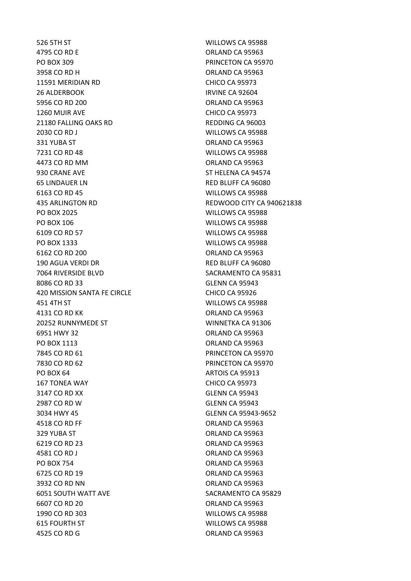526 5TH ST WILLOWS CA 95988 4795 CO RD E CO ROLLAND CA 95963 PO BOX 309 PRINCETON CA 95970 3958 CO RD H ORLAND CA 95963 11591 MERIDIAN RD CHICO CA 95973 26 ALDERBOOK IRVINE CA 92604 5956 CO RD 200 ORLAND CA 95963 1260 MUIR AVE CHICO CA 95973 21180 FALLING OAKS RD REDDING CA 96003 2030 CO RD J WILLOWS CA 95988 331 YUBA ST ORLAND CA 95963 7231 CO RD 48 WILLOWS CA 95988 4473 CO RD MM ORLAND CA 95963 930 CRANE AVE ST HELENA CA 94574 65 LINDAUER LN RED BLUFF CA 96080 6163 CO RD 45 WILLOWS CA 95988 PO BOX 2025 WILLOWS CA 95988 PO BOX 106 NORTH STATES AND RESERVE TO BOX 106 6109 CO RD 57 WILLOWS CA 95988 PO BOX 1333 WILLOWS CA 95988 6162 CO RD 200 ORLAND CA 95963 190 AGUA VERDI DR RED BLUFF CA 96080 7064 RIVERSIDE BLVD SACRAMENTO CA 95831 8086 CO RD 33 GLENN CA 95943 420 MISSION SANTA FE CIRCLE CHICO CA 95926 451 4TH ST WILLOWS CA 95988 4131 CO RD KK ORLAND CA 95963 20252 RUNNYMEDE ST WINNETKA CA 91306 6951 HWY 32 ORLAND CA 95963 PO BOX 1113 ORLAND CA 95963 7845 CO RD 61 PRINCETON CA 95970 7830 CO RD 62 PRINCETON CA 95970 PO BOX 64 ARTOIS CA 95913 167 TONEA WAY CHICO CA 95973 3147 CO RD XX GLENN CA 95943 2987 CO RD W GLENN CA 95943 3034 HWY 45 GLENN CA 95943-9652 4518 CO RD FF **ORLAND CA 95963** 329 YUBA ST ORLAND CA 95963 6219 CO RD 23 ORLAND CA 95963 4581 CO RD J ORLAND CA 95963 PO BOX 754 CRIAND CA 95963 6725 CO RD 19 ORLAND CA 95963 3932 CO RD NN CONSERVERSE CONSERVERSE SERVICE SERVICE SERVICE SERVICE SERVICE SERVICE SERVICE SERVICE SERVICE 6051 SOUTH WATT AVE SACRAMENTO CA 95829 6607 CO RD 20 ORLAND CA 95963 1990 CO RD 303 WILLOWS CA 95988 615 FOURTH ST WILLOWS CA 95988 4525 CO RD G Q ORLAND CA 95963

435 ARLINGTON RD REDWOOD CITY CA 940621838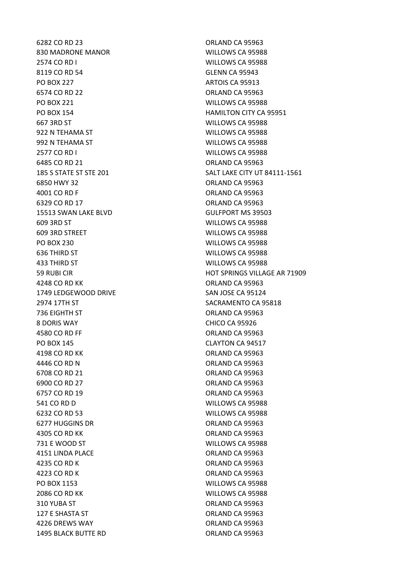6282 CO RD 23 ORLAND CA 95963 830 MADRONE MANOR WILLOWS CA 95988 2574 CO RD I WILLOWS CA 95988 8119 CO RD 54 GLENN CA 95943 PO BOX 227 ARTOIS CA 95913 6574 CO RD 22 ORLAND CA 95963 PO BOX 221 WILLOWS CA 95988 PO BOX 154 **HAMILTON CITY CA 95951** 667 3RD ST WILLOWS CA 95988 922 N TEHAMA ST WILLOWS CA 95988 992 N TEHAMA ST WILLOWS CA 95988 2577 CO RD I WILLOWS CA 95988 6485 CO RD 21 ORLAND CA 95963 6850 HWY 32 ORLAND CA 95963 4001 CO RD F ORLAND CA 95963 6329 CO RD 17 ORLAND CA 95963 15513 SWAN LAKE BLVD GULFPORT MS 39503 609 3RD ST WILLOWS CA 95988 609 3RD STREET WILLOWS CA 95988 PO BOX 230 WILLOWS CA 95988 636 THIRD ST WILLOWS CA 95988 433 THIRD ST WILLOWS CA 95988 4248 CO RD KK ORLAND CA 95963 1749 LEDGEWOOD DRIVE SAN JOSE CA 95124 2974 17TH ST SACRAMENTO CA 95818 736 EIGHTH ST ORLAND CA 95963 8 DORIS WAY CHICO CA 95926 4580 CO RD FF ORLAND CA 95963 PO BOX 145 CLAYTON CA 94517 4198 CO RD KK **ORLAND CA 95963** 4446 CO RD N **ORLAND CA 95963** 6708 CO RD 21 ORLAND CA 95963 6900 CO RD 27 ORLAND CA 95963 6757 CO RD 19 ORLAND CA 95963 541 CO RD D WILLOWS CA 95988 6232 CO RD 53 WILLOWS CA 95988 6277 HUGGINS DR **ORLAND CA 95963** 4305 CO RD KK ORLAND CA 95963 731 E WOOD ST WILLOWS CA 95988 4151 LINDA PLACE ORLAND CA 95963 4235 CO RD K ORLAND CA 95963 4223 CO RD K ORLAND CA 95963 PO BOX 1153 WILLOWS CA 95988 2086 CO RD KK WILLOWS CA 95988 310 YUBA ST ORLAND CA 95963 127 E SHASTA ST ORLAND CA 95963 4226 DREWS WAY ORLAND CA 95963 1495 BLACK BUTTE RD<br>
ORLAND CA 95963

185 S STATE ST STE 201 SALT LAKE CITY UT 84111-1561 59 RUBI CIR HOT SPRINGS VILLAGE AR 71909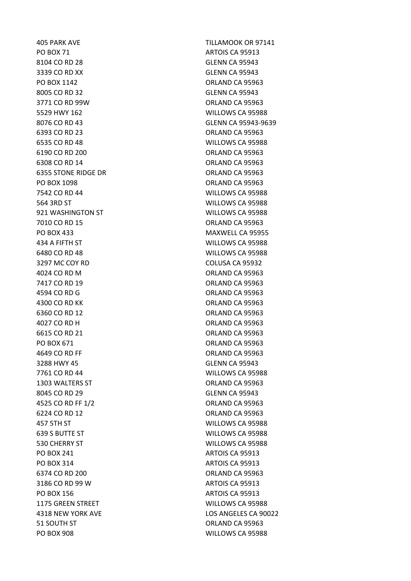PO BOX 71 ARTOIS CA 95913 8104 CO RD 28 GLENN CA 95943 3339 CO RD XX GLENN CA 95943 PO BOX 1142 ORLAND CA 95963 8005 CO RD 32 GLENN CA 95943 3771 CO RD 99W ORLAND CA 95963 5529 HWY 162 WILLOWS CA 95988 6393 CO RD 23 ORLAND CA 95963 6535 CO RD 48 WILLOWS CA 95988 6190 CO RD 200 ORLAND CA 95963 6308 CO RD 14 ORLAND CA 95963 6355 STONE RIDGE DR ORLAND CA 95963 PO BOX 1098 CRLAND CA 95963 7542 CO RD 44 WILLOWS CA 95988 564 3RD ST WILLOWS CA 95988 921 WASHINGTON ST **WILLOWS CA 95988** 7010 CO RD 15 ORLAND CA 95963 PO BOX 433 MAXWELL CA 95955 434 A FIFTH ST WILLOWS CA 95988 6480 CO RD 48 WILLOWS CA 95988 3297 MC COY RD COLUSA CA 95932 4024 CO RD M ORLAND CA 95963 7417 CO RD 19 ORLAND CA 95963 4594 CO RD G ORLAND CA 95963 4300 CO RD KK ORLAND CA 95963 6360 CO RD 12 **ORLAND CA 95963** 4027 CO RD H **ORLAND CA 95963** 6615 CO RD 21 **ORLAND CA 95963** PO BOX 671 ORLAND CA 95963 4649 CO RD FF ORLAND CA 95963 3288 HWY 45 GLENN CA 95943 7761 CO RD 44 WILLOWS CA 95988 1303 WALTERS ST ORLAND CA 95963 8045 CO RD 29 GLENN CA 95943 4525 CO RD FF 1/2 ORLAND CA 95963 6224 CO RD 12 ORLAND CA 95963 457 5TH ST WILLOWS CA 95988 639 S BUTTE ST WILLOWS CA 95988 530 CHERRY ST WILLOWS CA 95988 PO BOX 241 ARTOIS CA 95913 PO BOX 314 ARTOIS CA 95913 6374 CO RD 200 ORLAND CA 95963 3186 CO RD 99 W ARTOIS CA 95913 PO BOX 156 ARTOIS CA 95913 1175 GREEN STREET WILLOWS CA 95988 51 SOUTH ST ORLAND CA 95963 PO BOX 908 WILLOWS CA 95988

405 PARK AVE TILLAMOOK OR 97141 8076 CO RD 43 GLENN CA 95943-9639 4318 NEW YORK AVE LOS ANGELES CA 90022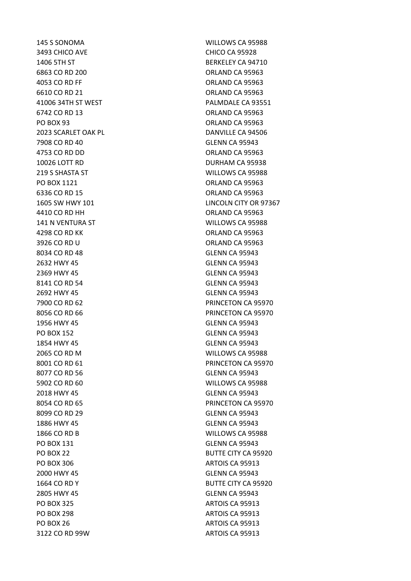3493 CHICO AVE CHICO CA 95928 6863 CO RD 200 0RLAND CA 95963 4053 CO RD FF ORLAND CA 95963 6610 CO RD 21 ORLAND CA 95963 6742 CO RD 13 ORLAND CA 95963 PO BOX 93 ORLAND CA 95963 7908 CO RD 40 GLENN CA 95943 4753 CO RD DD ORLAND CA 95963 10026 LOTT RD DURHAM CA 95938 PO BOX 1121 CRLAND CA 95963 6336 CO RD 15 ORLAND CA 95963 4410 CO RD HH ORLAND CA 95963 4298 CO RD KK ORLAND CA 95963 3926 CO RD U ORLAND CA 95963 8034 CO RD 48 GLENN CA 95943 2632 HWY 45 GLENN CA 95943 2369 HWY 45 GLENN CA 95943 8141 CO RD 54 GLENN CA 95943 2692 HWY 45 GLENN CA 95943 1956 HWY 45 GLENN CA 95943 PO BOX 152 GLENN CA 95943 1854 HWY 45 GLENN CA 95943 8077 CO RD 56 GLENN CA 95943 2018 HWY 45 GLENN CA 95943 8099 CO RD 29 GLENN CA 95943 1886 HWY 45 GLENN CA 95943 PO BOX 131 GLENN CA 95943 PO BOX 306 ARTOIS CA 95913 2000 HWY 45 GLENN CA 95943 2805 HWY 45 GLENN CA 95943 PO BOX 325 ARTOIS CA 95913 PO BOX 298 ARTOIS CA 95913 PO BOX 26 ARTOIS CA 95913 3122 CO RD 99W ARTOIS CA 95913

145 S SONOMA WILLOWS CA 95988 1406 5TH ST BERKELEY CA 94710 41006 34TH ST WEST **PALMDALE CA 93551** 2023 SCARLET OAK PL<br>
DANVILLE CA 94506 219 S SHASTA ST WILLOWS CA 95988 1605 SW HWY 101 LINCOLN CITY OR 97367 141 N VENTURA ST WILLOWS CA 95988 7900 CO RD 62 PRINCETON CA 95970 8056 CO RD 66 PRINCETON CA 95970 2065 CO RD M WILLOWS CA 95988 8001 CO RD 61 PRINCETON CA 95970 5902 CO RD 60 WILLOWS CA 95988 8054 CO RD 65 PRINCETON CA 95970 1866 CO RD B WILLOWS CA 95988 PO BOX 22 BUTTE CITY CA 95920 1664 CO RD Y BUTTE CITY CA 95920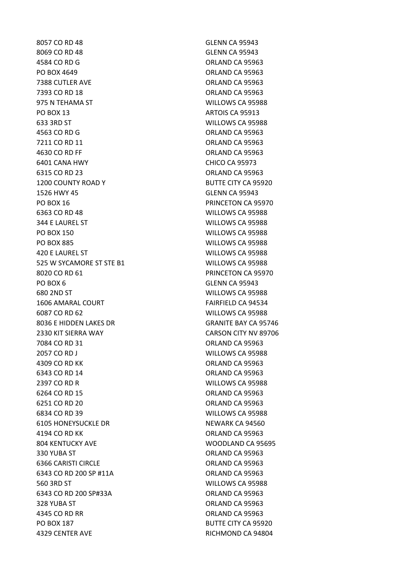8057 CO RD 48 GLENN CA 95943 8069 CO RD 48 GLENN CA 95943 4584 CO RD G ORLAND CA 95963 PO BOX 4649 ORLAND CA 95963 7388 CUTLER AVE **CONSIDER A SERVICE SERVICES** ORLAND CA 95963 7393 CO RD 18 ORLAND CA 95963 975 N TEHAMA ST WILLOWS CA 95988 PO BOX 13 ARTOIS CA 95913 633 3RD ST WILLOWS CA 95988 4563 CO RD G Q ORLAND CA 95963 7211 CO RD 11 **ORLAND CA 95963** 4630 CO RD FF ORLAND CA 95963 6401 CANA HWY CHICO CA 95973 6315 CO RD 23 ORLAND CA 95963 1200 COUNTY ROAD Y BUTTE CITY CA 95920 1526 HWY 45 GLENN CA 95943 PO BOX 16 PRINCETON CA 95970 6363 CO RD 48 WILLOWS CA 95988 344 E LAUREL ST WILLOWS CA 95988 PO BOX 150 WILLOWS CA 95988 PO BOX 885 WILLOWS CA 95988 420 E LAUREL ST WILLOWS CA 95988 525 W SYCAMORE ST STE B1 WILLOWS CA 95988 8020 CO RD 61 PRINCETON CA 95970 PO BOX 6 GLENN CA 95943 680 2ND ST WILLOWS CA 95988 1606 AMARAL COURT **FAIRFIELD CA 94534** 6087 CO RD 62 WILLOWS CA 95988 8036 E HIDDEN LAKES DR GRANITE BAY CA 95746 2330 KIT SIERRA WAY CARSON CITY NV 89706 7084 CO RD 31 ORLAND CA 95963 2057 CO RD J WILLOWS CA 95988 4309 CO RD KK ORLAND CA 95963 6343 CO RD 14 ORLAND CA 95963 2397 CO RD R WILLOWS CA 95988 6264 CO RD 15 ORLAND CA 95963 6251 CO RD 20 ORLAND CA 95963 6834 CO RD 39 WILLOWS CA 95988 6105 HONEYSUCKLE DR NEWARK CA 94560 4194 CO RD KK ORLAND CA 95963 804 KENTUCKY AVE WOODLAND CA 95695 330 YUBA ST ORLAND CA 95963 6366 CARISTI CIRCLE ORLAND CA 95963 6343 CO RD 200 SP #11A ORLAND CA 95963 560 3RD ST WILLOWS CA 95988 6343 CO RD 200 SP#33A ORLAND CA 95963 328 YUBA ST ORLAND CA 95963 4345 CO RD RR ORLAND CA 95963 PO BOX 187 BUTTE CITY CA 95920 4329 CENTER AVE **RICHMOND CA 94804**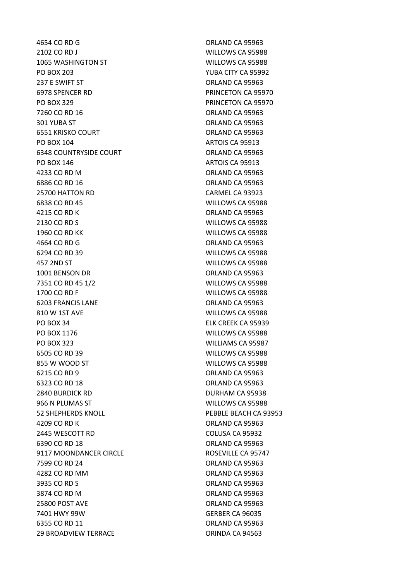4654 CO RD G Q ORLAND CA 95963 2102 CO RD J WILLOWS CA 95988 1065 WASHINGTON ST WILLOWS CA 95988 PO BOX 203 YUBA CITY CA 95992 237 E SWIFT ST ORLAND CA 95963 6978 SPENCER RD PRINCETON CA 95970 PO BOX 329 PRINCETON CA 95970 7260 CO RD 16 **ORLAND CA 95963** 301 YUBA ST ORLAND CA 95963 6551 KRISKO COURT **ORLAND CA 95963** PO BOX 104 ARTOIS CA 95913 6348 COUNTRYSIDE COURT COMPONER COUNTROLLER COUNT PO BOX 146 ARTOIS CA 95913 4233 CO RD M ORLAND CA 95963 6886 CO RD 16 ORLAND CA 95963 25700 HATTON RD CARMEL CA 93923 6838 CO RD 45 WILLOWS CA 95988 4215 CO RD K ORLAND CA 95963 2130 CO RD S WILLOWS CA 95988 1960 CO RD KK WILLOWS CA 95988 4664 CO RD G ORLAND CA 95963 6294 CO RD 39 WILLOWS CA 95988 457 2ND ST WILLOWS CA 95988 1001 BENSON DR **ORLAND CA 95963** 7351 CO RD 45 1/2 WILLOWS CA 95988 1700 CO RD F WILLOWS CA 95988 6203 FRANCIS LANE **ORLAND CA 95963** 810 W 1ST AVE WILLOWS CA 95988 PO BOX 34 ELK CREEK CA 95939 PO BOX 1176 NORTH STATES AND RESERVE TO BOX 1176 PO BOX 323 WILLIAMS CA 95987 6505 CO RD 39 WILLOWS CA 95988 855 W WOOD ST WILLOWS CA 95988 6215 CO RD 9 ORLAND CA 95963 6323 CO RD 18 ORLAND CA 95963 2840 BURDICK RD DURHAM CA 95938 966 N PLUMAS ST WILLOWS CA 95988 52 SHEPHERDS KNOLL PEBBLE BEACH CA 93953 4209 CO RD K ORLAND CA 95963 2445 WESCOTT RD COLUSA CA 95932 6390 CO RD 18 ORLAND CA 95963 9117 MOONDANCER CIRCLE ROSEVILLE CA 95747 7599 CO RD 24 ORLAND CA 95963 4282 CO RD MM ORLAND CA 95963 3935 CO RD S ORLAND CA 95963 3874 CO RD M ORLAND CA 95963 25800 POST AVE ORLAND CA 95963 7401 HWY 99W GERBER CA 96035 6355 CO RD 11 ORLAND CA 95963 29 BROADVIEW TERRACE **ORINDA CA 94563**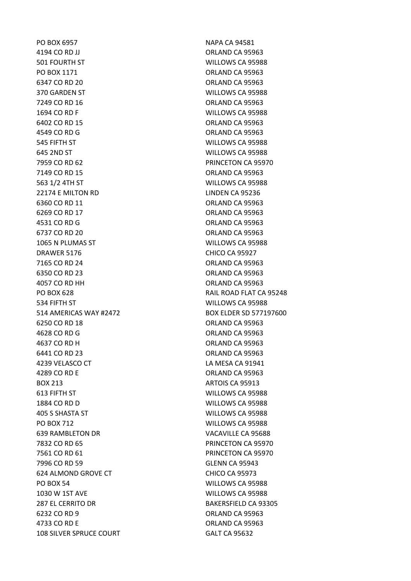PO BOX 6957 NAPA CA 94581 4194 CO RD JJ ORLAND CA 95963 501 FOURTH ST WILLOWS CA 95988 PO BOX 1171 ORLAND CA 95963 6347 CO RD 20 **ORLAND CA 95963** 370 GARDEN ST WILLOWS CA 95988 7249 CO RD 16 **ORLAND CA 95963** 1694 CO RD F WILLOWS CA 95988 6402 CO RD 15 ORLAND CA 95963 4549 CO RD G Q ORLAND CA 95963 545 FIFTH ST WILLOWS CA 95988 645 2ND ST WILLOWS CA 95988 7959 CO RD 62 PRINCETON CA 95970 7149 CO RD 15 **ORLAND CA 95963** 563 1/2 4TH ST WILLOWS CA 95988 22174 E MILTON RD LINDEN CA 95236 6360 CO RD 11 **ORLAND CA 95963** 6269 CO RD 17 ORLAND CA 95963 4531 CO RD G Q ORLAND CA 95963 6737 CO RD 20 ORLAND CA 95963 1065 N PLUMAS ST WILLOWS CA 95988 DRAWER 5176 CHICO CA 95927 7165 CO RD 24 ORLAND CA 95963 6350 CO RD 23 ORLAND CA 95963 4057 CO RD HH ORLAND CA 95963 PO BOX 628 RAIL ROAD FLAT CA 95248 534 FIFTH ST WILLOWS CA 95988 514 AMERICAS WAY #2472 BOX ELDER SD 577197600 6250 CO RD 18 ORLAND CA 95963 4628 CO RD G Q ORLAND CA 95963 4637 CO RD H ORLAND CA 95963 6441 CO RD 23 ORLAND CA 95963 4239 VELASCO CT LA MESA CA 91941 4289 CO RD E ORLAND CA 95963 BOX 213 ARTOIS CA 95913 613 FIFTH ST WILLOWS CA 95988 1884 CO RD D WILLOWS CA 95988 405 S SHASTA ST WILLOWS CA 95988 PO BOX 712 WILLOWS CA 95988 639 RAMBLETON DR VACAVILLE CA 95688 7832 CO RD 65 PRINCETON CA 95970 7561 CO RD 61 PRINCETON CA 95970 7996 CO RD 59 GLENN CA 95943 624 ALMOND GROVE CT CHICO CA 95973 PO BOX 54 WILLOWS CA 95988 1030 W 1ST AVE WILLOWS CA 95988 287 EL CERRITO DR BAKERSFIELD CA 93305 6232 CO RD 9 ORLAND CA 95963 4733 CO RD E ORLAND CA 95963 108 SILVER SPRUCE COURT GALT CA 95632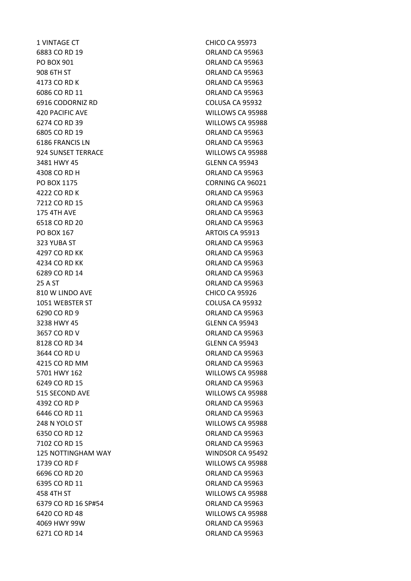1 VINTAGE CT CHICO CA 95973 6883 CO RD 19 ORLAND CA 95963 PO BOX 901 CREARD CA 95963 908 6TH ST
908 6TH ST
908 6TH ST
908 6TH 4173 CO RD K ORLAND CA 95963 6086 CO RD 11 ORLAND CA 95963 6916 CODORNIZ RD COLUSA CA 95932 420 PACIFIC AVE WILLOWS CA 95988 6274 CO RD 39 WILLOWS CA 95988 6805 CO RD 19 ORLAND CA 95963 6186 FRANCIS LN ORLAND CA 95963 924 SUNSET TERRACE WILLOWS CA 95988 3481 HWY 45 GLENN CA 95943 4308 CO RD H ORLAND CA 95963 PO BOX 1175 CORNING CA 96021 4222 CO RD K ORLAND CA 95963 7212 CO RD 15 ORLAND CA 95963 175 4TH AVE CONTROLLER CONTROLLER AND CA 95963 6518 CO RD 20 ORLAND CA 95963 PO BOX 167 ARTOIS CA 95913 323 YUBA ST ORLAND CA 95963 4297 CO RD KK ORLAND CA 95963 4234 CO RD KK ORLAND CA 95963 6289 CO RD 14 ORLAND CA 95963 25 A ST ORLAND CA 95963 810 W LINDO AVE CHICO CA 95926 1051 WEBSTER ST COLUSA CA 95932 6290 CO RD 9 ORLAND CA 95963 3238 HWY 45 GLENN CA 95943 3657 CO RD V ORLAND CA 95963 8128 CO RD 34 GLENN CA 95943 3644 CO RD U ORLAND CA 95963 4215 CO RD MM ORLAND CA 95963 5701 HWY 162 WILLOWS CA 95988 6249 CO RD 15 ORLAND CA 95963 515 SECOND AVE WILLOWS CA 95988 4392 CO RD P CO ROUND CA 95963 6446 CO RD 11 **ORLAND CA 95963** 248 N YOLO ST WILLOWS CA 95988 6350 CO RD 12 ORLAND CA 95963 7102 CO RD 15 ORLAND CA 95963 125 NOTTINGHAM WAY WINDSOR CA 95492 1739 CO RD F WILLOWS CA 95988 6696 CO RD 20 ORLAND CA 95963 6395 CO RD 11 **ORLAND CA 95963** 458 4TH ST WILLOWS CA 95988 6379 CO RD 16 SP#54 ORLAND CA 95963 6420 CO RD 48 WILLOWS CA 95988 4069 HWY 99W ORLAND CA 95963 6271 CO RD 14 ORLAND CA 95963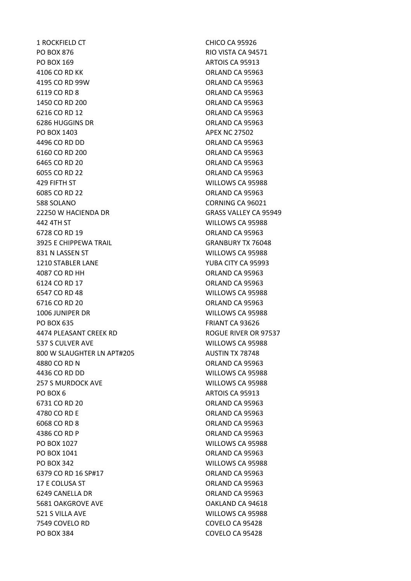1 ROCKFIELD CT CHICO CA 95926 PO BOX 876 RIO VISTA CA 94571 PO BOX 169 ARTOIS CA 95913 4106 CO RD KK ORLAND CA 95963 4195 CO RD 99W ORLAND CA 95963 6119 CO RD 8 ORLAND CA 95963 1450 CO RD 200 0RLAND CA 95963 6216 CO RD 12 ORLAND CA 95963 6286 HUGGINS DR ORLAND CA 95963 PO BOX 1403 APEX NC 27502 4496 CO RD DD ORLAND CA 95963 6160 CO RD 200 ORLAND CA 95963 6465 CO RD 20 **ORLAND CA 95963** 6055 CO RD 22 ORLAND CA 95963 429 FIFTH ST WILLOWS CA 95988 6085 CO RD 22 ORLAND CA 95963 588 SOLANO CORNING CA 96021 22250 W HACIENDA DR GRASS VALLEY CA 95949 442 4TH ST WILLOWS CA 95988 6728 CO RD 19 ORLAND CA 95963 3925 E CHIPPEWA TRAIL GRANBURY TX 76048 831 N LASSEN ST WILLOWS CA 95988 1210 STABLER LANE YUBA CITY CA 95993 4087 CO RD HH ORLAND CA 95963 6124 CO RD 17 ORLAND CA 95963 6547 CO RD 48 WILLOWS CA 95988 6716 CO RD 20 **ORLAND CA 95963** 1006 JUNIPER DR WILLOWS CA 95988 PO BOX 635 FRIANT CA 93626 4474 PLEASANT CREEK RD ROGUE RIVER OR 97537 537 S CULVER AVE WILLOWS CA 95988 800 W SLAUGHTER LN APT#205 AUSTIN TX 78748 4880 CO RD N ORLAND CA 95963 4436 CO RD DD WILLOWS CA 95988 257 S MURDOCK AVE WILLOWS CA 95988 PO BOX 6 ARTOIS CA 95913 6731 CO RD 20 ORLAND CA 95963 4780 CO RD E ORLAND CA 95963 6068 CO RD 8 ORLAND CA 95963 4386 CO RD P ORLAND CA 95963 PO BOX 1027 WILLOWS CA 95988 PO BOX 1041 CREATER STATES AND CA 95963 PO BOX 342 WILLOWS CA 95988 6379 CO RD 16 SP#17 ORLAND CA 95963 17 E COLUSA ST **ORLAND CA 95963** 6249 CANELLA DR ORLAND CA 95963 5681 OAKGROVE AVE OAKLAND CA 94618 521 S VILLA AVE WILLOWS CA 95988 7549 COVELO RD COVELO CA 95428 PO BOX 384 COVELO CA 95428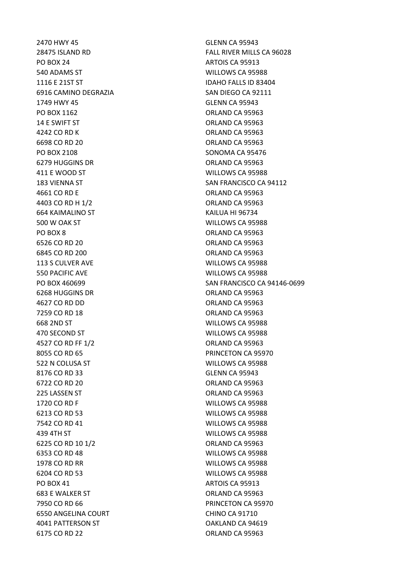2470 HWY 45 GLENN CA 95943 PO BOX 24 ARTOIS CA 95913 540 ADAMS ST WILLOWS CA 95988 1116 E 21ST ST **IDAHO FALLS ID 83404** 6916 CAMINO DEGRAZIA SAN DIEGO CA 92111 1749 HWY 45 GLENN CA 95943 PO BOX 1162 CREARD CA 95963 14 E SWIFT ST **ORLAND CA 95963** 4242 CO RD K ORLAND CA 95963 6698 CO RD 20 ORLAND CA 95963 PO BOX 2108 SONOMA CA 95476 6279 HUGGINS DR **ORLAND CA 95963** 411 E WOOD ST WILLOWS CA 95988 4661 CO RD E ORLAND CA 95963 4403 CO RD H 1/2 ORLAND CA 95963 664 KAIMALINO ST KAILUA HI 96734 500 W OAK ST WILLOWS CA 95988 PO BOX 8 ORLAND CA 95963 6526 CO RD 20 ORLAND CA 95963 6845 CO RD 200 ORLAND CA 95963 113 S CULVER AVE WILLOWS CA 95988 550 PACIFIC AVE WILLOWS CA 95988 6268 HUGGINS DR ORLAND CA 95963 4627 CO RD DD ORLAND CA 95963 7259 CO RD 18 **ORLAND CA 95963** 668 2ND ST WILLOWS CA 95988 470 SECOND ST WILLOWS CA 95988 4527 CO RD FF 1/2 ORLAND CA 95963 8055 CO RD 65 PRINCETON CA 95970 522 N COLUSA ST WILLOWS CA 95988 8176 CO RD 33 GLENN CA 95943 6722 CO RD 20 ORLAND CA 95963 225 LASSEN ST ORLAND CA 95963 1720 CO RD F WILLOWS CA 95988 6213 CO RD 53 WILLOWS CA 95988 7542 CO RD 41 WILLOWS CA 95988 439 4TH ST WILLOWS CA 95988 6225 CO RD 10 1/2 ORLAND CA 95963 6353 CO RD 48 WILLOWS CA 95988 1978 CO RD RR WILLOWS CA 95988 6204 CO RD 53 WILLOWS CA 95988 PO BOX 41 ARTOIS CA 95913 683 E WALKER ST ORLAND CA 95963 7950 CO RD 66 PRINCETON CA 95970 6550 ANGELINA COURT CHINO CA 91710 4041 PATTERSON ST OAKLAND CA 94619 6175 CO RD 22 ORLAND CA 95963

28475 ISLAND RD FALL RIVER MILLS CA 96028 183 VIENNA ST SAN FRANCISCO CA 94112 PO BOX 460699 SAN FRANCISCO CA 94146-0699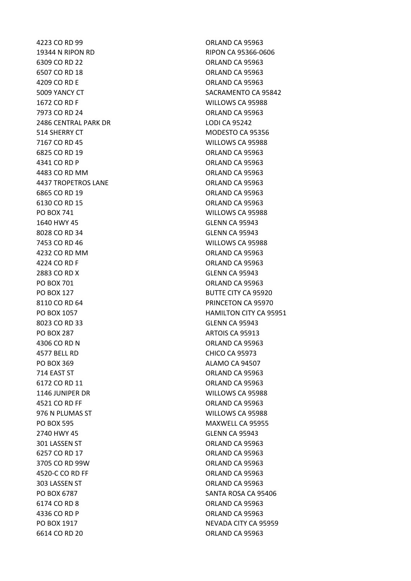4223 CO RD 99 ORLAND CA 95963 19344 N RIPON RD RIPON CA 95366-0606 6309 CO RD 22 ORLAND CA 95963 6507 CO RD 18 ORLAND CA 95963 4209 CO RD E ORLAND CA 95963 1672 CO RD F WILLOWS CA 95988 7973 CO RD 24 **ORLAND CA 95963** 2486 CENTRAL PARK DR LODI CA 95242 514 SHERRY CT MODESTO CA 95356 7167 CO RD 45 WILLOWS CA 95988 6825 CO RD 19 ORLAND CA 95963 4341 CO RD P ORLAND CA 95963 4483 CO RD MM ORLAND CA 95963 4437 TROPETROS LANE ORLAND CA 95963 6865 CO RD 19 ORLAND CA 95963 6130 CO RD 15 ORLAND CA 95963 PO BOX 741 WILLOWS CA 95988 1640 HWY 45 GLENN CA 95943 8028 CO RD 34 GLENN CA 95943 7453 CO RD 46 WILLOWS CA 95988 4232 CO RD MM ORLAND CA 95963 4224 CO RD F ORLAND CA 95963 2883 CO RD X GLENN CA 95943 PO BOX 701 CREAR CA 95963 PO BOX 127 BUTTE CITY CA 95920 8110 CO RD 64 PRINCETON CA 95970 8023 CO RD 33 GLENN CA 95943 PO BOX 287 ARTOIS CA 95913 4306 CO RD N ORLAND CA 95963 4577 BELL RD CHICO CA 95973 PO BOX 369 ALAMO CA 94507 714 EAST ST CONSERVERSITY CONSERVERSE CONSERVERSE ORLAND CA 95963 6172 CO RD 11 ORLAND CA 95963 1146 JUNIPER DR WILLOWS CA 95988 4521 CO RD FF ORLAND CA 95963 976 N PLUMAS ST WILLOWS CA 95988 PO BOX 595 MAXWELL CA 95955 2740 HWY 45 GLENN CA 95943 301 LASSEN ST ORLAND CA 95963 6257 CO RD 17 ORLAND CA 95963 3705 CO RD 99W ORLAND CA 95963 4520-C CO RD FF ORLAND CA 95963 303 LASSEN ST ORLAND CA 95963 PO BOX 6787 SANTA ROSA CA 95406 6174 CO RD 8 ORLAND CA 95963 4336 CO RD P ORLAND CA 95963 6614 CO RD 20 ORLAND CA 95963

5009 YANCY CT SACRAMENTO CA 95842 PO BOX 1057 **HAMILTON CITY CA 95951** PO BOX 1917 NEVADA CITY CA 95959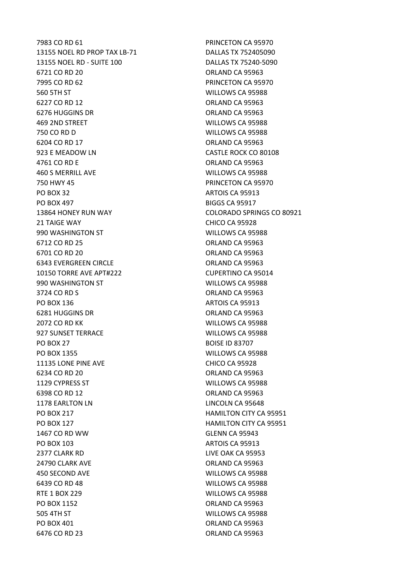13155 NOEL RD PROP TAX LB-71 DALLAS TX 752405090 13155 NOEL RD - SUITE 100 DALLAS TX 75240-5090 6721 CO RD 20 **ORLAND CA 95963** 7995 CO RD 62 PRINCETON CA 95970 560 5TH ST WILLOWS CA 95988 6227 CO RD 12 **ORLAND CA 95963** 6276 HUGGINS DR ORLAND CA 95963 469 2ND STREET WILLOWS CA 95988 750 CO RD D WILLOWS CA 95988 6204 CO RD 17 ORLAND CA 95963 923 E MEADOW LN CASTLE ROCK CO 80108 4761 CO RD E ORLAND CA 95963 460 S MERRILL AVE WILLOWS CA 95988 750 HWY 45 PRINCETON CA 95970 PO BOX 32 ARTOIS CA 95913 PO BOX 497 BIGGS CA 95917 13864 HONEY RUN WAY COLORADO SPRINGS CO 80921 21 TAIGE WAY **CHICO CA 95928** 990 WASHINGTON ST WILLOWS CA 95988 6712 CO RD 25 ORLAND CA 95963 6701 CO RD 20 **ORLAND CA 95963** 6343 EVERGREEN CIRCLE ORLAND CA 95963 10150 TORRE AVE APT#222 CUPERTINO CA 95014 990 WASHINGTON ST WILLOWS CA 95988 3724 CO RD S ORLAND CA 95963 PO BOX 136 ARTOIS CA 95913 6281 HUGGINS DR **ORLAND CA 95963** 2072 CO RD KK WILLOWS CA 95988 927 SUNSET TERRACE WILLOWS CA 95988 PO BOX 27 BOISE ID 83707 PO BOX 1355 WILLOWS CA 95988 11135 LONE PINE AVE CHICO CA 95928 6234 CO RD 20 **ORLAND CA 95963** 1129 CYPRESS ST WILLOWS CA 95988 6398 CO RD 12 ORLAND CA 95963 1178 EARLTON LN LINCOLN CA 95648 PO BOX 217 **HAMILTON CITY CA 95951** PO BOX 127 **HAMILTON CITY CA 95951** 1467 CO RD WW GLENN CA 95943 PO BOX 103 ARTOIS CA 95913 2377 CLARK RD LIVE OAK CA 95953 24790 CLARK AVE CONTROLLER CORLAND CA 95963 450 SECOND AVE WILLOWS CA 95988 6439 CO RD 48 WILLOWS CA 95988 RTE 1 BOX 229 WILLOWS CA 95988 PO BOX 1152 CRLAND CA 95963 505 4TH ST WILLOWS CA 95988 PO BOX 401 ORLAND CA 95963 6476 CO RD 23 ORLAND CA 95963

7983 CO RD 61 PRINCETON CA 95970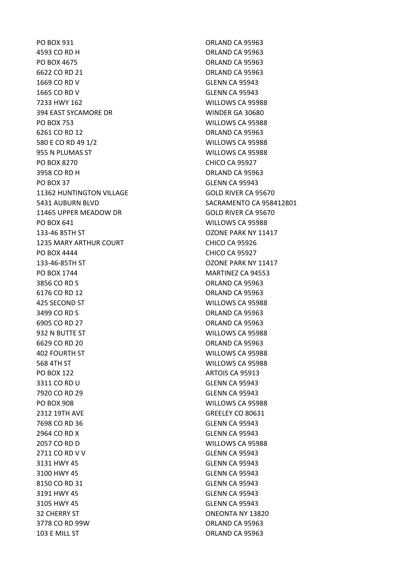4593 CO RD H ORLAND CA 95963 PO BOX 4675 CHARGE CA 95963 6622 CO RD 21 ORLAND CA 95963 1669 CO RD V GLENN CA 95943 1665 CO RD V GLENN CA 95943 7233 HWY 162 WILLOWS CA 95988 394 EAST SYCAMORE DR WINDER GA 30680 PO BOX 753 WILLOWS CA 95988 6261 CO RD 12 **ORLAND CA 95963** 580 E CO RD 49 1/2 WILLOWS CA 95988 955 N PLUMAS ST WILLOWS CA 95988 PO BOX 8270 CHICO CA 95927 3958 CO RD H ORLAND CA 95963 PO BOX 37 GLENN CA 95943 11362 HUNTINGTON VILLAGE GOLD RIVER CA 95670 5431 AUBURN BLVD SACRAMENTO CA 958412801 11465 UPPER MEADOW DR GOLD RIVER CA 95670 PO BOX 641 WILLOWS CA 95988 133-46 85TH ST OZONE PARK NY 11417 1235 MARY ARTHUR COURT CHICO CA 95926 PO BOX 4444 CHICO CA 95927 133-46-85TH ST OZONE PARK NY 11417 PO BOX 1744 MARTINEZ CA 94553 3856 CO RD S ORLAND CA 95963 6176 CO RD 12 ORLAND CA 95963 425 SECOND ST WILLOWS CA 95988 3499 CO RD S ORLAND CA 95963 6905 CO RD 27 ORLAND CA 95963 932 N BUTTE ST WILLOWS CA 95988 6629 CO RD 20 ORLAND CA 95963 402 FOURTH ST WILLOWS CA 95988 568 4TH ST WILLOWS CA 95988 PO BOX 122 ARTOIS CA 95913 3311 CO RD U GLENN CA 95943 7920 CO RD 29 GLENN CA 95943 PO BOX 908 WILLOWS CA 95988 2312 19TH AVE GREELEY CO 80631 7698 CO RD 36 GLENN CA 95943 2964 CO RD X GLENN CA 95943 2057 CO RD D WILLOWS CA 95988 2711 CO RD V V GLENN CA 95943 3131 HWY 45 GLENN CA 95943 3100 HWY 45 GLENN CA 95943 8150 CO RD 31 GLENN CA 95943 3191 HWY 45 GLENN CA 95943 3105 HWY 45 GLENN CA 95943 32 CHERRY ST **ONEONTA NY 13820** 3778 CO RD 99W ORLAND CA 95963 103 E MILL ST
103 E MILL ST
103 E MILL ST
103 E MILL ST
103 E MILL ST
103 E MILL ST

PO BOX 931 ORLAND CA 95963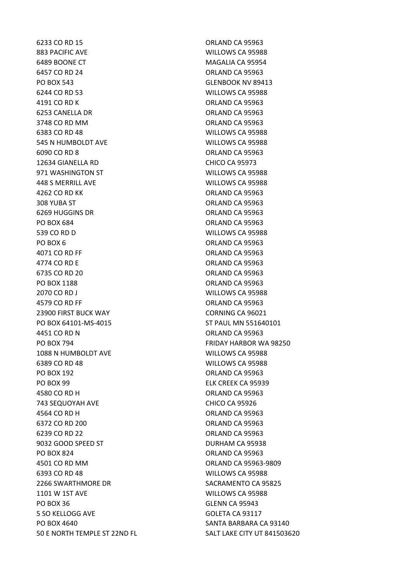6233 CO RD 15 ORLAND CA 95963 883 PACIFIC AVE WILLOWS CA 95988 6489 BOONE CT MAGALIA CA 95954 6457 CO RD 24 ORLAND CA 95963 PO BOX 543 GLENBOOK NV 89413 6244 CO RD 53 WILLOWS CA 95988 4191 CO RD K ORLAND CA 95963 6253 CANELLA DR ORLAND CA 95963 3748 CO RD MM ORLAND CA 95963 6383 CO RD 48 WILLOWS CA 95988 545 N HUMBOLDT AVE WILLOWS CA 95988 6090 CO RD 8 ORLAND CA 95963 12634 GIANELLA RD CHICO CA 95973 971 WASHINGTON ST WILLOWS CA 95988 448 S MERRILL AVE WILLOWS CA 95988 4262 CO RD KK ORLAND CA 95963 308 YUBA ST ORLAND CA 95963 6269 HUGGINS DR ORLAND CA 95963 PO BOX 684 ORLAND CA 95963 539 CO RD D WILLOWS CA 95988 PO BOX 6 ORLAND CA 95963 4071 CO RD FF ORLAND CA 95963 4774 CO RD E ORLAND CA 95963 6735 CO RD 20 ORLAND CA 95963 PO BOX 1188 CREAND CA 95963 2070 CO RD J WILLOWS CA 95988 4579 CO RD FF ORLAND CA 95963 23900 FIRST BUCK WAY CORNING CA 96021 PO BOX 64101-MS-4015 ST PAUL MN 551640101 4451 CO RD N ORLAND CA 95963 PO BOX 794 FRIDAY HARBOR WA 98250 1088 N HUMBOLDT AVE WILLOWS CA 95988 6389 CO RD 48 WILLOWS CA 95988 PO BOX 192 ORLAND CA 95963 PO BOX 99 ELK CREEK CA 95939 4580 CO RD H ORLAND CA 95963 743 SEQUOYAH AVE CHICO CA 95926 4564 CO RD H ORLAND CA 95963 6372 CO RD 200 ORLAND CA 95963 6239 CO RD 22 ORLAND CA 95963 9032 GOOD SPEED ST DURHAM CA 95938 PO BOX 824 CRLAND CA 95963 4501 CO RD MM ORLAND CA 95963-9809 6393 CO RD 48 WILLOWS CA 95988 2266 SWARTHMORE DR SACRAMENTO CA 95825 1101 W 1ST AVE WILLOWS CA 95988 PO BOX 36 GLENN CA 95943 5 SO KELLOGG AVE GOLETA CA 93117 PO BOX 4640 SANTA BARBARA CA 93140 50 E NORTH TEMPLE ST 22ND FL<br>SALT LAKE CITY UT 841503620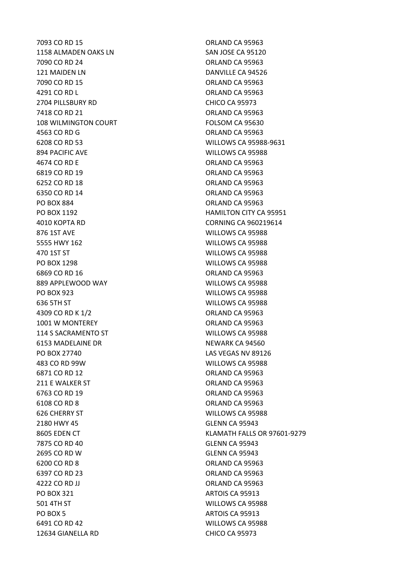1158 ALMADEN OAKS LN SAN JOSE CA 95120 7090 CO RD 24 ORLAND CA 95963 121 MAIDEN LN DANVILLE CA 94526 7090 CO RD 15 ORLAND CA 95963 4291 CO RD L ORLAND CA 95963 2704 PILLSBURY RD CHICO CA 95973 7418 CO RD 21 ORLAND CA 95963 108 WILMINGTON COURT FOLSOM CA 95630 4563 CO RD G ORLAND CA 95963 6208 CO RD 53 WILLOWS CA 95988-9631 894 PACIFIC AVE WILLOWS CA 95988 4674 CO RD E ORLAND CA 95963 6819 CO RD 19 ORLAND CA 95963 6252 CO RD 18 ORLAND CA 95963 6350 CO RD 14 ORLAND CA 95963 PO BOX 884 ORLAND CA 95963 PO BOX 1192 **HAMILTON CITY CA 95951** 4010 KOPTA RD CORNING CA 960219614 876 1ST AVE WILLOWS CA 95988 5555 HWY 162 WILLOWS CA 95988 470 1ST ST WILLOWS CA 95988 PO BOX 1298 WILLOWS CA 95988 6869 CO RD 16 **ORLAND CA 95963** 889 APPLEWOOD WAY WILLOWS CA 95988 PO BOX 923 WILLOWS CA 95988 636 5TH ST WILLOWS CA 95988 4309 CO RD K 1/2 **ORLAND CA 95963** 1001 W MONTEREY CHECK CORLAND CA 95963 114 S SACRAMENTO ST WILLOWS CA 95988 6153 MADELAINE DR NEWARK CA 94560 PO BOX 27740 LAS VEGAS NV 89126 483 CO RD 99W WILLOWS CA 95988 6871 CO RD 12 **ORLAND CA 95963** 211 E WALKER ST ORLAND CA 95963 6763 CO RD 19 ORLAND CA 95963 6108 CO RD 8 ORLAND CA 95963 626 CHERRY ST WILLOWS CA 95988 2180 HWY 45 GLENN CA 95943 7875 CO RD 40 GLENN CA 95943 2695 CO RD W GLENN CA 95943 6200 CO RD 8 ORLAND CA 95963 6397 CO RD 23 ORLAND CA 95963 4222 CO RD JJ ORLAND CA 95963 PO BOX 321 ARTOIS CA 95913 501 4TH ST WILLOWS CA 95988 PO BOX 5 ARTOIS CA 95913 6491 CO RD 42 WILLOWS CA 95988 12634 GIANELLA RD CHICO CA 95973

7093 CO RD 15 ORLAND CA 95963 8605 EDEN CT KLAMATH FALLS OR 97601-9279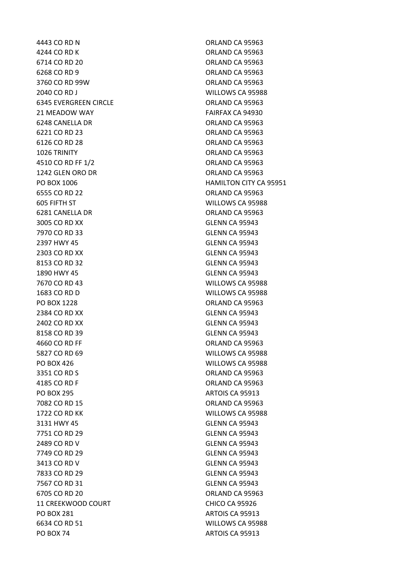4244 CO RD K ORLAND CA 95963 6714 CO RD 20 ORLAND CA 95963 6268 CO RD 9 ORLAND CA 95963 3760 CO RD 99W ORLAND CA 95963 2040 CO RD J WILLOWS CA 95988 6345 EVERGREEN CIRCLE **CALL CA SERVERGES** ORLAND CA 95963 21 MEADOW WAY FAIRFAX CA 94930 6248 CANELLA DR ORLAND CA 95963 6221 CO RD 23 ORLAND CA 95963 6126 CO RD 28 ORLAND CA 95963 1026 TRINITY ORLAND CA 95963 4510 CO RD FF 1/2 **ORLAND CA 95963** 1242 GLEN ORO DR **ORLAND CA 95963** 6555 CO RD 22 ORLAND CA 95963 605 FIFTH ST WILLOWS CA 95988 6281 CANELLA DR ORLAND CA 95963 3005 CO RD XX GLENN CA 95943 7970 CO RD 33 GLENN CA 95943 2397 HWY 45 GLENN CA 95943 2303 CO RD XX GLENN CA 95943 8153 CO RD 32 GLENN CA 95943 1890 HWY 45 GLENN CA 95943 7670 CO RD 43 WILLOWS CA 95988 1683 CO RD D WILLOWS CA 95988 PO BOX 1228 ORLAND CA 95963 2384 CO RD XX GLENN CA 95943 2402 CO RD XX GLENN CA 95943 8158 CO RD 39 GLENN CA 95943 4660 CO RD FF ORLAND CA 95963 5827 CO RD 69 WILLOWS CA 95988 PO BOX 426 WILLOWS CA 95988 3351 CO RD S ORLAND CA 95963 4185 CO RD F ORLAND CA 95963 PO BOX 295 ARTOIS CA 95913 7082 CO RD 15 **ORLAND CA 95963** 1722 CO RD KK WILLOWS CA 95988 3131 HWY 45 GLENN CA 95943 7751 CO RD 29 GLENN CA 95943 2489 CO RD V GLENN CA 95943 7749 CO RD 29 GLENN CA 95943 3413 CO RD V GLENN CA 95943 7833 CO RD 29 GLENN CA 95943 7567 CO RD 31 GLENN CA 95943 6705 CO RD 20 ORLAND CA 95963 11 CREEKWOOD COURT CHICO CA 95926 PO BOX 281 ARTOIS CA 95913 6634 CO RD 51 WILLOWS CA 95988 PO BOX 74 ARTOIS CA 95913

4443 CO RD N ORLAND CA 95963 PO BOX 1006 **HAMILTON CITY CA 95951**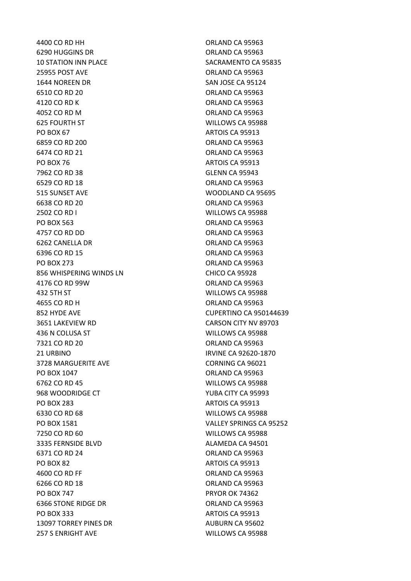4400 CO RD HH ORLAND CA 95963 6290 HUGGINS DR ORLAND CA 95963 10 STATION INN PLACE SACRAMENTO CA 95835 25955 POST AVE ORLAND CA 95963 1644 NOREEN DR SAN JOSE CA 95124 6510 CO RD 20 ORLAND CA 95963 4120 CO RD K ORLAND CA 95963 4052 CO RD M ORLAND CA 95963 625 FOURTH ST WILLOWS CA 95988 PO BOX 67 ARTOIS CA 95913 6859 CO RD 200 ORLAND CA 95963 6474 CO RD 21 ORLAND CA 95963 PO BOX 76 ARTOIS CA 95913 7962 CO RD 38 GLENN CA 95943 6529 CO RD 18 ORLAND CA 95963 515 SUNSET AVE WOODLAND CA 95695 6638 CO RD 20 ORLAND CA 95963 2502 CO RD I WILLOWS CA 95988 PO BOX 563 ORLAND CA 95963 4757 CO RD DD **ORLAND CA 95963** 6262 CANELLA DR ORLAND CA 95963 6396 CO RD 15 ORLAND CA 95963 PO BOX 273 ORLAND CA 95963 856 WHISPERING WINDS LN CHICO CA 95928 4176 CO RD 99W ORLAND CA 95963 432 5TH ST WILLOWS CA 95988 4655 CO RD H ORLAND CA 95963 852 HYDE AVE CUPERTINO CA 950144639 3651 LAKEVIEW RD CARSON CITY NV 89703 436 N COLUSA ST WILLOWS CA 95988 7321 CO RD 20 ORLAND CA 95963 21 URBINO IRVINE CA 92620-1870 3728 MARGUERITE AVE CORNING CA 96021 PO BOX 1047 CRLAND CA 95963 6762 CO RD 45 WILLOWS CA 95988 968 WOODRIDGE CT THE STATE CONSTRUCTION OF THE STATE OF THE STATE OF THE STATE OF THE STATE OF THE STATE OF TH PO BOX 283 ARTOIS CA 95913 6330 CO RD 68 WILLOWS CA 95988 PO BOX 1581 VALLEY SPRINGS CA 95252 7250 CO RD 60 WILLOWS CA 95988 3335 FERNSIDE BLVD ALAMEDA CA 94501 6371 CO RD 24 ORLAND CA 95963 PO BOX 82 ARTOIS CA 95913 4600 CO RD FF ORLAND CA 95963 6266 CO RD 18 ORLAND CA 95963 PO BOX 747 PRYOR OK 74362 6366 STONE RIDGE DR ORLAND CA 95963 PO BOX 333 ARTOIS CA 95913 13097 TORREY PINES DR AUBURN CA 95602 257 S ENRIGHT AVE WILLOWS CA 95988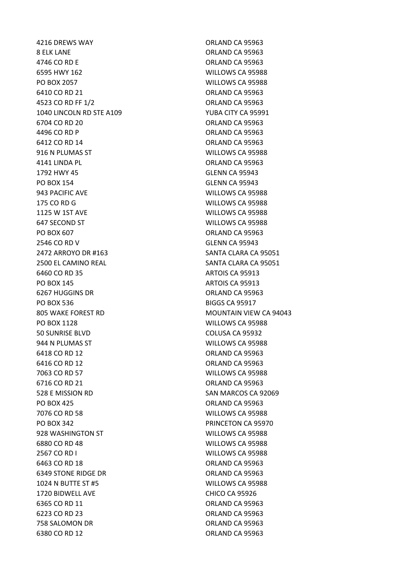8 ELK LANE ORLAND CA 95963 4746 CO RD E ORLAND CA 95963 6595 HWY 162 WILLOWS CA 95988 PO BOX 2057 WILLOWS CA 95988 6410 CO RD 21 ORLAND CA 95963 4523 CO RD FF 1/2 **ORLAND CA 95963** 1040 LINCOLN RD STE A109 YUBA CITY CA 95991 6704 CO RD 20 ORLAND CA 95963 4496 CO RD P ORLAND CA 95963 6412 CO RD 14 ORLAND CA 95963 916 N PLUMAS ST WILLOWS CA 95988 4141 LINDA PL **ORLAND CA 95963** 1792 HWY 45 GLENN CA 95943 PO BOX 154 GLENN CA 95943 943 PACIFIC AVE WILLOWS CA 95988 175 CO RD G WILLOWS CA 95988 1125 W 1ST AVE WILLOWS CA 95988 647 SECOND ST WILLOWS CA 95988 PO BOX 607 ORLAND CA 95963 2546 CO RD V GLENN CA 95943 2472 ARROYO DR #163 SANTA CLARA CA 95051 2500 EL CAMINO REAL SANTA CLARA CA 95051 6460 CO RD 35 ARTOIS CA 95913 PO BOX 145 ARTOIS CA 95913 6267 HUGGINS DR ORLAND CA 95963 PO BOX 536 BIGGS CA 95917 805 WAKE FOREST RD MOUNTAIN VIEW CA 94043 PO BOX 1128 WILLOWS CA 95988 50 SUNRISE BLVD COLUSA CA 95932 944 N PLUMAS ST WILLOWS CA 95988 6418 CO RD 12 ORLAND CA 95963 6416 CO RD 12 ORLAND CA 95963 7063 CO RD 57 WILLOWS CA 95988 6716 CO RD 21 ORLAND CA 95963 528 E MISSION RD SAN MARCOS CA 92069 PO BOX 425 ORLAND CA 95963 7076 CO RD 58 WILLOWS CA 95988 PO BOX 342 PRINCETON CA 95970 928 WASHINGTON ST WILLOWS CA 95988 6880 CO RD 48 WILLOWS CA 95988 2567 CO RD I WILLOWS CA 95988 6463 CO RD 18 ORLAND CA 95963 6349 STONE RIDGE DR **CALL CONTROLLER SERVICE ORLAND CA 95963** 1024 N BUTTE ST #5 WILLOWS CA 95988 1720 BIDWELL AVE CHICO CA 95926 6365 CO RD 11 **ORLAND CA 95963** 6223 CO RD 23 ORLAND CA 95963 758 SALOMON DR **ORLAND CA 95963** 6380 CO RD 12 **ORLAND CA 95963** 

4216 DREWS WAY ORLAND CA 95963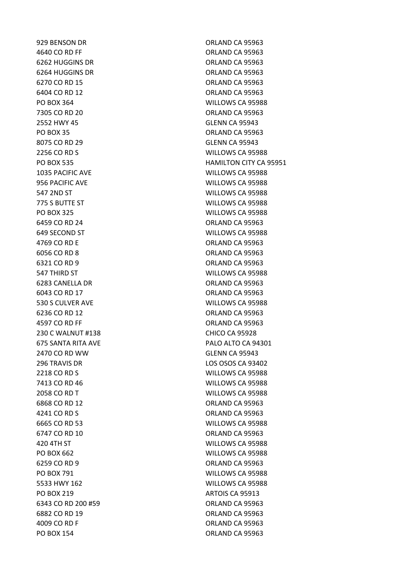929 BENSON DR ORLAND CA 95963 4640 CO RD FF ORLAND CA 95963 6262 HUGGINS DR ORLAND CA 95963 6264 HUGGINS DR **ORLAND CA 95963** 6270 CO RD 15 ORLAND CA 95963 6404 CO RD 12 ORLAND CA 95963 PO BOX 364 WILLOWS CA 95988 7305 CO RD 20 ORLAND CA 95963 2552 HWY 45 GLENN CA 95943 PO BOX 35 ORLAND CA 95963 8075 CO RD 29 GLENN CA 95943 2256 CO RD S WILLOWS CA 95988 1035 PACIFIC AVE WILLOWS CA 95988 956 PACIFIC AVE WILLOWS CA 95988 547 2ND ST WILLOWS CA 95988 775 S BUTTE ST WILLOWS CA 95988 PO BOX 325 WILLOWS CA 95988 6459 CO RD 24 ORLAND CA 95963 649 SECOND ST WILLOWS CA 95988 4769 CO RD E ORLAND CA 95963 6056 CO RD 8 ORLAND CA 95963 6321 CO RD 9 ORLAND CA 95963 547 THIRD ST WILLOWS CA 95988 6283 CANELLA DR ORLAND CA 95963 6043 CO RD 17 ORLAND CA 95963 530 S CULVER AVE WILLOWS CA 95988 6236 CO RD 12 **ORLAND CA 95963** 4597 CO RD FF ORLAND CA 95963 230 C WALNUT #138 CHICO CA 95928 2470 CO RD WW GLENN CA 95943 296 TRAVIS DR LOS OSOS CA 93402 2218 CO RD S WILLOWS CA 95988 7413 CO RD 46 WILLOWS CA 95988 2058 CO RD T WILLOWS CA 95988 6868 CO RD 12 **ORLAND CA 95963** 4241 CO RD S ORLAND CA 95963 6665 CO RD 53 WILLOWS CA 95988 6747 CO RD 10 ORLAND CA 95963 420 4TH ST WILLOWS CA 95988 PO BOX 662 WILLOWS CA 95988 6259 CO RD 9 ORLAND CA 95963 PO BOX 791 WILLOWS CA 95988 5533 HWY 162 WILLOWS CA 95988 PO BOX 219 ARTOIS CA 95913 6343 CO RD 200 #59 ORLAND CA 95963 6882 CO RD 19 ORLAND CA 95963 4009 CO RD F ORLAND CA 95963 PO BOX 154 ORLAND CA 95963

PO BOX 535 HAMILTON CITY CA 95951 675 SANTA RITA AVE PALO ALTO CA 94301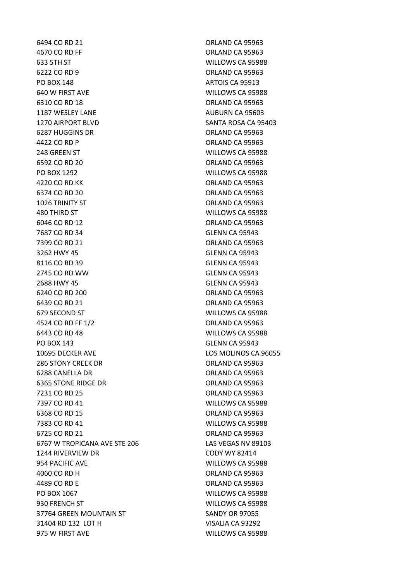6494 CO RD 21 ORLAND CA 95963 4670 CO RD FF ORLAND CA 95963 633 5TH ST WILLOWS CA 95988 6222 CO RD 9 ORLAND CA 95963 PO BOX 148 ARTOIS CA 95913 640 W FIRST AVE WILLOWS CA 95988 6310 CO RD 18 ORLAND CA 95963 1187 WESLEY LANE **AUBURN CA 95603** 1270 AIRPORT BLVD SANTA ROSA CA 95403 6287 HUGGINS DR **ORLAND CA 95963** 4422 CO RD P CA 95963 248 GREEN ST WILLOWS CA 95988 6592 CO RD 20 **ORLAND CA 95963** PO BOX 1292 WILLOWS CA 95988 4220 CO RD KK ORLAND CA 95963 6374 CO RD 20 **ORLAND CA 95963** 1026 TRINITY ST **CONSIDERING CA 95963** 480 THIRD ST WILLOWS CA 95988 6046 CO RD 12 ORLAND CA 95963 7687 CO RD 34 GLENN CA 95943 7399 CO RD 21 ORLAND CA 95963 3262 HWY 45 GLENN CA 95943 8116 CO RD 39 GLENN CA 95943 2745 CO RD WW GLENN CA 95943 2688 HWY 45 GLENN CA 95943 6240 CO RD 200 ORLAND CA 95963 6439 CO RD 21 ORLAND CA 95963 679 SECOND ST WILLOWS CA 95988 4524 CO RD FF 1/2 ORLAND CA 95963 6443 CO RD 48 WILLOWS CA 95988 PO BOX 143 GLENN CA 95943 10695 DECKER AVE LOS MOLINOS CA 96055 286 STONY CREEK DR **ORLAND CA 95963** 6288 CANELLA DR **ORLAND CA 95963** 6365 STONE RIDGE DR ORLAND CA 95963 7231 CO RD 25 ORLAND CA 95963 7397 CO RD 41 WILLOWS CA 95988 6368 CO RD 15 **ORLAND CA 95963** 7383 CO RD 41 WILLOWS CA 95988 6725 CO RD 21 ORLAND CA 95963 6767 W TROPICANA AVE STE 206 LAS VEGAS NV 89103 1244 RIVERVIEW DR CODY WY 82414 954 PACIFIC AVE WILLOWS CA 95988 4060 CO RD H ORLAND CA 95963 4489 CO RD E ORLAND CA 95963 PO BOX 1067 WILLOWS CA 95988 930 FRENCH ST WILLOWS CA 95988 37764 GREEN MOUNTAIN ST SANDY OR 97055 31404 RD 132 LOT H VISALIA CA 93292 975 W FIRST AVE WILLOWS CA 95988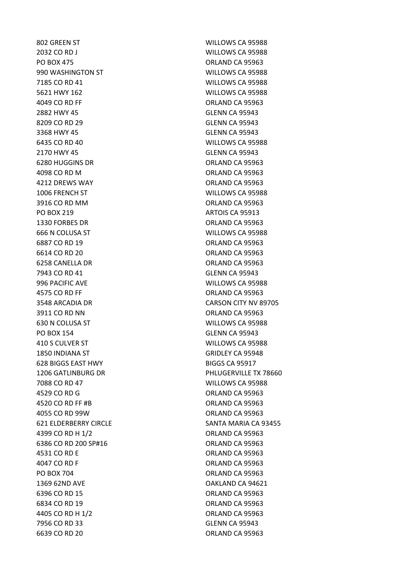2032 CO RD J WILLOWS CA 95988 PO BOX 475 CHARGE CA 95963 990 WASHINGTON ST WILLOWS CA 95988 7185 CO RD 41 WILLOWS CA 95988 5621 HWY 162 WILLOWS CA 95988 4049 CO RD FF ORLAND CA 95963 2882 HWY 45 GLENN CA 95943 8209 CO RD 29 GLENN CA 95943 3368 HWY 45 GLENN CA 95943 6435 CO RD 40 WILLOWS CA 95988 2170 HWY 45 GLENN CA 95943 6280 HUGGINS DR **ORLAND CA 95963** 4098 CO RD M ORLAND CA 95963 4212 DREWS WAY ORLAND CA 95963 1006 FRENCH ST WILLOWS CA 95988 3916 CO RD MM ORLAND CA 95963 PO BOX 219 ARTOIS CA 95913 1330 FORBES DR ORLAND CA 95963 666 N COLUSA ST WILLOWS CA 95988 6887 CO RD 19 ORLAND CA 95963 6614 CO RD 20 **ORLAND CA 95963** 6258 CANELLA DR ORLAND CA 95963 7943 CO RD 41 GLENN CA 95943 996 PACIFIC AVE WILLOWS CA 95988 4575 CO RD FF ORLAND CA 95963 3911 CO RD NN CA 95963 630 N COLUSA ST WILLOWS CA 95988 PO BOX 154 GLENN CA 95943 410 S CULVER ST WILLOWS CA 95988 1850 INDIANA ST GRIDLEY CA 95948 628 BIGGS EAST HWY BIGGS CA 95917 7088 CO RD 47 WILLOWS CA 95988 4529 CO RD G ORLAND CA 95963 4520 CO RD FF #B ORLAND CA 95963 4055 CO RD 99W ORLAND CA 95963 4399 CO RD H 1/2 ORLAND CA 95963 6386 CO RD 200 SP#16 **CO 80 CO 80 CO 80 CO 80 CO 80 CO 80 CO 80 CO** 80 CO 80 CO 80 CO 80 CO 80 CO 80 CO 80 CO 80 4531 CO RD E ORLAND CA 95963 4047 CO RD F ORLAND CA 95963 PO BOX 704 CREAR ORLAND CA 95963 1369 62ND AVE OAKLAND CA 94621 6396 CO RD 15 ORLAND CA 95963 6834 CO RD 19 ORLAND CA 95963 4405 CO RD H 1/2 ORLAND CA 95963 7956 CO RD 33 GLENN CA 95943 6639 CO RD 20 **ORLAND CA 95963** 

802 GREEN ST WILLOWS CA 95988 3548 ARCADIA DR CARSON CITY NV 89705 1206 GATLINBURG DR PHLUGERVILLE TX 78660 621 ELDERBERRY CIRCLE SANTA MARIA CA 93455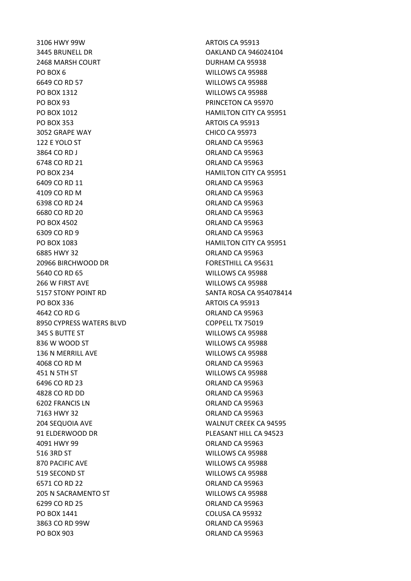3106 HWY 99W ARTOIS CA 95913 3445 BRUNELL DR OAKLAND CA 946024104 2468 MARSH COURT DURHAM CA 95938 PO BOX 6 WILLOWS CA 95988 6649 CO RD 57 WILLOWS CA 95988 PO BOX 1312 WILLOWS CA 95988 PO BOX 93 PRINCETON CA 95970 PO BOX 1012 HAMILTON CITY CA 95951 PO BOX 353 ARTOIS CA 95913 3052 GRAPE WAY CHICO CA 95973 122 E YOLO ST CHARGE ORLAND CA 95963 3864 CO RD J ORLAND CA 95963 6748 CO RD 21 **ORLAND CA 95963** PO BOX 234 HAMILTON CITY CA 95951 6409 CO RD 11 ORLAND CA 95963 4109 CO RD M CA 95963 6398 CO RD 24 ORLAND CA 95963 6680 CO RD 20 ORLAND CA 95963 PO BOX 4502 ORLAND CA 95963 6309 CO RD 9 ORLAND CA 95963 PO BOX 1083 HAMILTON CITY CA 95951 6885 HWY 32 ORLAND CA 95963 20966 BIRCHWOOD DR FORESTHILL CA 95631 5640 CO RD 65 WILLOWS CA 95988 266 W FIRST AVE WILLOWS CA 95988 PO BOX 336 ARTOIS CA 95913 4642 CO RD G Q ORLAND CA 95963 8950 CYPRESS WATERS BLVD COPPELL TX 75019 345 S BUTTE ST WILLOWS CA 95988 836 W WOOD ST WILLOWS CA 95988 136 N MERRILL AVE WILLOWS CA 95988 4068 CO RD M ORLAND CA 95963 451 N 5TH ST WILLOWS CA 95988 6496 CO RD 23 ORLAND CA 95963 4828 CO RD DD ORLAND CA 95963 6202 FRANCIS LN ORLAND CA 95963 7163 HWY 32 ORLAND CA 95963 204 SEQUOIA AVE WALNUT CREEK CA 94595 91 ELDERWOOD DR PLEASANT HILL CA 94523 4091 HWY 99 ORLAND CA 95963 516 3RD ST WILLOWS CA 95988 870 PACIFIC AVE WILLOWS CA 95988 519 SECOND ST WILLOWS CA 95988 6571 CO RD 22 **ORLAND CA 95963** 205 N SACRAMENTO ST WILLOWS CA 95988 6299 CO RD 25 ORLAND CA 95963 PO BOX 1441 COLUSA CA 95932 3863 CO RD 99W ORLAND CA 95963 PO BOX 903 ORLAND CA 95963

5157 STONY POINT RD SANTA ROSA CA 954078414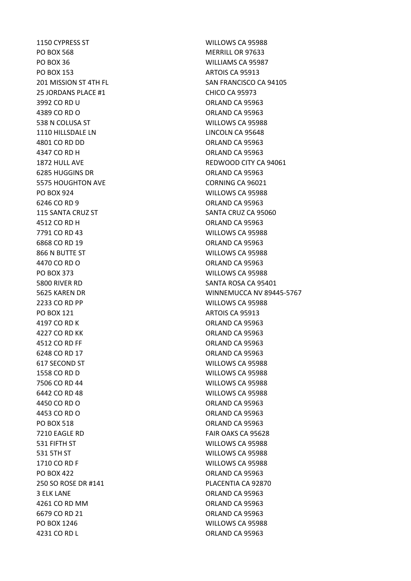1150 CYPRESS ST WILLOWS CA 95988 PO BOX 568 MERRILL OR 97633 PO BOX 36 WILLIAMS CA 95987 PO BOX 153 ARTOIS CA 95913 25 JORDANS PLACE #1 CHICO CA 95973 3992 CO RD U ORLAND CA 95963 4389 CO RD O CO ORLAND CA 95963 538 N COLUSA ST WILLOWS CA 95988 1110 HILLSDALE LN LINCOLN CA 95648 4801 CO RD DD **ORLAND CA 95963** 4347 CO RD H ORLAND CA 95963 6285 HUGGINS DR ORLAND CA 95963 5575 HOUGHTON AVE CORNING CA 96021 PO BOX 924 WILLOWS CA 95988 6246 CO RD 9 ORLAND CA 95963 115 SANTA CRUZ ST SANTA CRUZ CA 95060 4512 CO RD H ORLAND CA 95963 7791 CO RD 43 WILLOWS CA 95988 6868 CO RD 19 ORLAND CA 95963 866 N BUTTE ST WILLOWS CA 95988 4470 CO RD O ORLAND CA 95963 PO BOX 373 WILLOWS CA 95988 5800 RIVER RD SANTA ROSA CA 95401 2233 CO RD PP WILLOWS CA 95988 PO BOX 121 ARTOIS CA 95913 4197 CO RD K **ORLAND CA 95963** 4227 CO RD KK ORLAND CA 95963 4512 CO RD FF ORLAND CA 95963 6248 CO RD 17 ORLAND CA 95963 617 SECOND ST WILLOWS CA 95988 1558 CO RD D WILLOWS CA 95988 7506 CO RD 44 WILLOWS CA 95988 6442 CO RD 48 WILLOWS CA 95988 4450 CO RD O ORLAND CA 95963 4453 CO RD O ORLAND CA 95963 PO BOX 518 ORLAND CA 95963 7210 EAGLE RD FAIR OAKS CA 95628 531 FIFTH ST WILLOWS CA 95988 531 5TH ST WILLOWS CA 95988 1710 CO RD F WILLOWS CA 95988 PO BOX 422 ORLAND CA 95963 250 SO ROSE DR #141 PLACENTIA CA 92870 3 ELK LANE ORLAND CA 95963 4261 CO RD MM ORLAND CA 95963 6679 CO RD 21 ORLAND CA 95963 PO BOX 1246 WILLOWS CA 95988 4231 CO RD L Q ORLAND CA 95963

201 MISSION ST 4TH FL<br>SAN FRANCISCO CA 94105 1872 HULL AVE **REDWOOD CITY CA 94061** 5625 KAREN DR WINNEMUCCA NV 89445-5767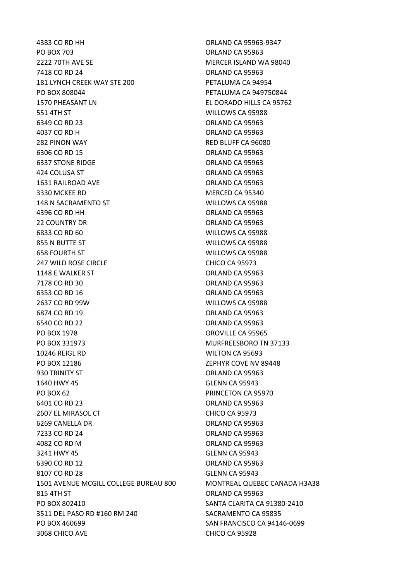4383 CO RD HH ORLAND CA 95963-9347 PO BOX 703 CRIAND CA 95963 2222 70TH AVE SE MERCER ISLAND WA 98040 7418 CO RD 24 ORLAND CA 95963 181 LYNCH CREEK WAY STE 200 PETALUMA CA 94954 PO BOX 808044 PETALUMA CA 949750844 1570 PHEASANT LN EL DORADO HILLS CA 95762 551 4TH ST WILLOWS CA 95988 6349 CO RD 23 ORLAND CA 95963 4037 CO RD H ORLAND CA 95963 282 PINON WAY **RED BLUFF CA 96080** 6306 CO RD 15 ORLAND CA 95963 6337 STONE RIDGE **CALL AND STONE RIDGE CA 95963** 424 COLUSA ST ORLAND CA 95963 1631 RAILROAD AVE ORLAND CA 95963 3330 MCKEE RD MERCED CA 95340 148 N SACRAMENTO ST WILLOWS CA 95988 4396 CO RD HH ORLAND CA 95963 22 COUNTRY DR ORLAND CA 95963 6833 CO RD 60 WILLOWS CA 95988 855 N BUTTE ST WILLOWS CA 95988 658 FOURTH ST WILLOWS CA 95988 247 WILD ROSE CIRCLE CHICO CA 95973 1148 E WALKER ST **ORLAND CA 95963** 7178 CO RD 30 ORLAND CA 95963 6353 CO RD 16 **ORLAND CA 95963** 2637 CO RD 99W WILLOWS CA 95988 6874 CO RD 19 **ORLAND CA 95963** 6540 CO RD 22 ORLAND CA 95963 PO BOX 1978 **DECISION CONSUMING THE CONSUMING CONSUMING CA 95965** PO BOX 331973 MURFREESBORO TN 37133 10246 REIGL RD WILTON CA 95693 PO BOX 12186 2EPHYR COVE NV 89448 930 TRINITY ST ORLAND CA 95963 1640 HWY 45 GLENN CA 95943 PO BOX 62 PRINCETON CA 95970 6401 CO RD 23 ORLAND CA 95963 2607 EL MIRASOL CT CHICO CA 95973 6269 CANELLA DR ORLAND CA 95963 7233 CO RD 24 ORLAND CA 95963 4082 CO RD M ORLAND CA 95963 3241 HWY 45 GLENN CA 95943 6390 CO RD 12 ORLAND CA 95963 8107 CO RD 28 GLENN CA 95943 1501 AVENUE MCGILL COLLEGE BUREAU 800 MONTREAL QUEBEC CANADA H3A38 815 4TH ST ORLAND CA 95963 PO BOX 802410 SANTA CLARITA CA 91380-2410 3511 DEL PASO RD #160 RM 240 SACRAMENTO CA 95835 PO BOX 460699 SAN FRANCISCO CA 94146-0699 3068 CHICO AVE CHICO CA 95928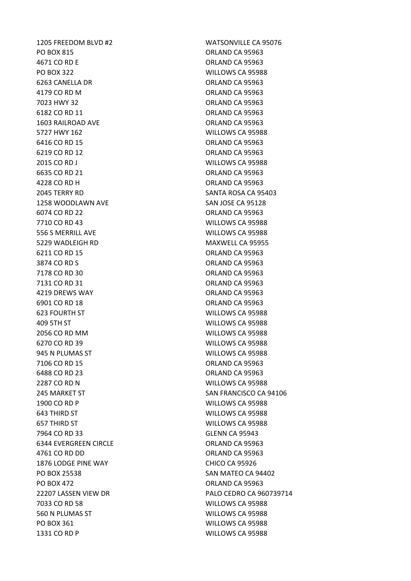1205 FREEDOM BLVD #2 WATSONVILLE CA 95076 PO BOX 815 CRIAND CA 95963 4671 CO RD E ORLAND CA 95963 PO BOX 322 WILLOWS CA 95988 6263 CANELLA DR ORLAND CA 95963 4179 CO RD M ORLAND CA 95963 7023 HWY 32 ORLAND CA 95963 6182 CO RD 11 ORLAND CA 95963 1603 RAILROAD AVE **ORLAND CA 95963** 5727 HWY 162 WILLOWS CA 95988 6416 CO RD 15 **ORLAND CA 95963** 6219 CO RD 12 ORLAND CA 95963 2015 CO RD J WILLOWS CA 95988 6635 CO RD 21 **ORLAND CA 95963** 4228 CO RD H ORLAND CA 95963 2045 TERRY RD SANTA ROSA CA 95403 1258 WOODLAWN AVE SAN JOSE CA 95128 6074 CO RD 22 ORLAND CA 95963 7710 CO RD 43 WILLOWS CA 95988 556 S MERRILL AVE WILLOWS CA 95988 5229 WADLEIGH RD MAXWELL CA 95955 6211 CO RD 15 **ORLAND CA 95963** 3874 CO RD S ORLAND CA 95963 7178 CO RD 30 ORLAND CA 95963 7131 CO RD 31 ORLAND CA 95963 4219 DREWS WAY ORLAND CA 95963 6901 CO RD 18 **ORLAND CA 95963** 623 FOURTH ST WILLOWS CA 95988 409 5TH ST WILLOWS CA 95988 2056 CO RD MM WILLOWS CA 95988 6270 CO RD 39 WILLOWS CA 95988 945 N PLUMAS ST WILLOWS CA 95988 7106 CO RD 15 ORLAND CA 95963 6488 CO RD 23 ORLAND CA 95963 2287 CO RD N WILLOWS CA 95988 1900 CO RD P WILLOWS CA 95988 643 THIRD ST WILLOWS CA 95988 657 THIRD ST WILLOWS CA 95988 7964 CO RD 33 GLENN CA 95943 6344 EVERGREEN CIRCLE ORLAND CA 95963 4761 CO RD DD ORLAND CA 95963 1876 LODGE PINE WAY CHICO CA 95926 PO BOX 25538 SAN MATEO CA 94402 PO BOX 472 ORLAND CA 95963 7033 CO RD 58 WILLOWS CA 95988 560 N PLUMAS ST WILLOWS CA 95988 PO BOX 361 WILLOWS CA 95988 1331 CO RD P WILLOWS CA 95988

245 MARKET ST SAN FRANCISCO CA 94106 22207 LASSEN VIEW DR PALO CEDRO CA 960739714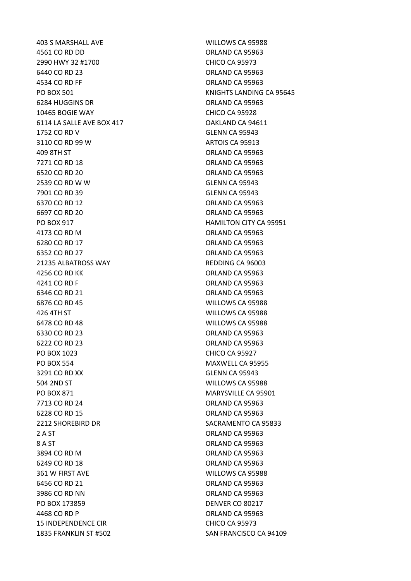403 S MARSHALL AVE WILLOWS CA 95988 4561 CO RD DD **ORLAND CA 95963** 2990 HWY 32 #1700 CHICO CA 95973 6440 CO RD 23 ORLAND CA 95963 4534 CO RD FF ORLAND CA 95963 6284 HUGGINS DR **ORLAND CA 95963** 10465 BOGIE WAY CHICO CA 95928 6114 LA SALLE AVE BOX 417 QAKLAND CA 94611 1752 CO RD V GLENN CA 95943 3110 CO RD 99 W ARTOIS CA 95913 409 8TH ST ORLAND CA 95963 7271 CO RD 18 **ORLAND CA 95963** 6520 CO RD 20 ORLAND CA 95963 2539 CO RD W W GLENN CA 95943 7901 CO RD 39 GLENN CA 95943 6370 CO RD 12 ORLAND CA 95963 6697 CO RD 20 ORLAND CA 95963 PO BOX 917 **HAMILTON CITY CA 95951** 4173 CO RD M ORLAND CA 95963 6280 CO RD 17 ORLAND CA 95963 6352 CO RD 27 ORLAND CA 95963 21235 ALBATROSS WAY REDDING CA 96003 4256 CO RD KK ORLAND CA 95963 4241 CO RD F ORLAND CA 95963 6346 CO RD 21 ORLAND CA 95963 6876 CO RD 45 WILLOWS CA 95988 426 4TH ST WILLOWS CA 95988 6478 CO RD 48 WILLOWS CA 95988 6330 CO RD 23 ORLAND CA 95963 6222 CO RD 23 ORLAND CA 95963 PO BOX 1023 CHICO CA 95927 PO BOX 554 MAXWELL CA 95955 3291 CO RD XX GLENN CA 95943 504 2ND ST WILLOWS CA 95988 PO BOX 871 MARYSVILLE CA 95901 7713 CO RD 24 **ORLAND CA 95963** 6228 CO RD 15 **ORLAND CA 95963** 2212 SHOREBIRD DR SACRAMENTO CA 95833 2 A ST
2 A ST
2 A ST
2 A ST
2 A ST
2 A ST
2 A ST
2 A ST
2 A ST
2 A ST
2 A ST
2 A ST
2 A ST
2 A ST
2 A ST
2 A ST
2 A ST
3 A ST
2 A ST
3 A ST
3 A ST
3 A ST
3 A ST
3 A ST
3 A ST
3 A ST
3 A ST
3 A ST
3 A ST 8 A ST ORLAND CA 95963 3894 CO RD M ORLAND CA 95963 6249 CO RD 18 ORLAND CA 95963 361 W FIRST AVE WILLOWS CA 95988 6456 CO RD 21 **ORLAND CA 95963** 3986 CO RD NN CA 95963 PO BOX 173859 DENVER CO 80217 4468 CO RD P ORLAND CA 95963 15 INDEPENDENCE CIR CHICO CA 95973 1835 FRANKLIN ST #502 SAN FRANCISCO CA 94109

PO BOX 501 NORTH STATES AND RESERVE THE RESERVE TO BOX 501 NORTH THE RESERVE TO BOX 501 NORTH THE RESERVE TO A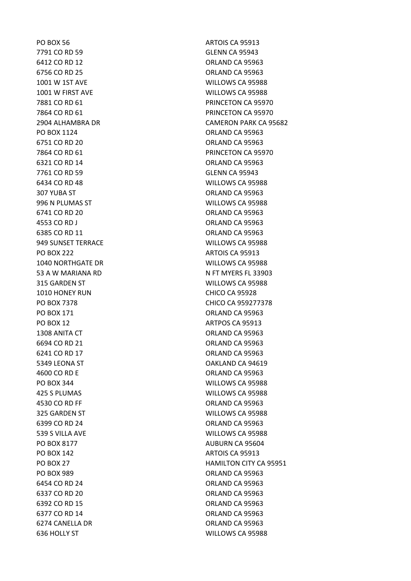PO BOX 56 ARTOIS CA 95913 7791 CO RD 59 GLENN CA 95943 6412 CO RD 12 **ORLAND CA 95963** 6756 CO RD 25 ORLAND CA 95963 1001 W 1ST AVE WILLOWS CA 95988 1001 W FIRST AVE WILLOWS CA 95988 PO BOX 1124 ORLAND CA 95963 6751 CO RD 20 ORLAND CA 95963 6321 CO RD 14 ORLAND CA 95963 7761 CO RD 59 GLENN CA 95943 6434 CO RD 48 WILLOWS CA 95988 307 YUBA ST ORLAND CA 95963 996 N PLUMAS ST WILLOWS CA 95988 6741 CO RD 20 ORLAND CA 95963 4553 CO RD J CONTROL CA 95963 6385 CO RD 11 **ORLAND CA 95963** 949 SUNSET TERRACE WILLOWS CA 95988 PO BOX 222 ARTOIS CA 95913 1040 NORTHGATE DR WILLOWS CA 95988 315 GARDEN ST WILLOWS CA 95988 1010 HONEY RUN CHICO CA 95928 PO BOX 171 ORLAND CA 95963 PO BOX 12 ARTPOS CA 95913 1308 ANITA CT **ORLAND CA 95963** 6694 CO RD 21 ORLAND CA 95963 6241 CO RD 17 ORLAND CA 95963 5349 LEONA ST OAKLAND CA 94619 4600 CO RD E ORLAND CA 95963 PO BOX 344 WILLOWS CA 95988 425 S PLUMAS WILLOWS CA 95988 4530 CO RD FF ORLAND CA 95963 325 GARDEN ST WILLOWS CA 95988 6399 CO RD 24 ORLAND CA 95963 539 S VILLA AVE WILLOWS CA 95988 PO BOX 8177 AUBURN CA 95604 PO BOX 142 ARTOIS CA 95913 PO BOX 989 CREAND CA 95963 6454 CO RD 24 ORLAND CA 95963 6337 CO RD 20 ORLAND CA 95963 6392 CO RD 15 ORLAND CA 95963 6377 CO RD 14 ORLAND CA 95963 6274 CANELLA DR ORLAND CA 95963 636 HOLLY ST WILLOWS CA 95988

7881 CO RD 61 PRINCETON CA 95970 7864 CO RD 61 PRINCETON CA 95970 2904 ALHAMBRA DR CAMERON PARK CA 95682 7864 CO RD 61 **PRINCETON CA 95970** 53 A W MARIANA RD N FT MYERS FL 33903 PO BOX 7378 CHICO CA 959277378 PO BOX 27 HAMILTON CITY CA 95951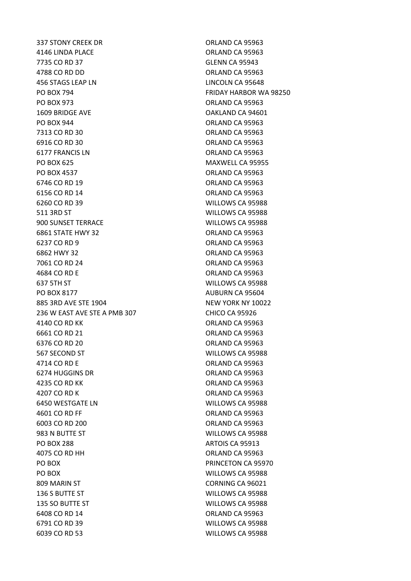337 STONY CREEK DR ORLAND CA 95963 4146 LINDA PLACE ORLAND CA 95963 7735 CO RD 37 GLENN CA 95943 4788 CO RD DD ORLAND CA 95963 456 STAGS LEAP LN LINCOLN CA 95648 PO BOX 794 FRIDAY HARBOR WA 98250 PO BOX 973 ORLAND CA 95963 1609 BRIDGE AVE OAKLAND CA 94601 PO BOX 944 ORLAND CA 95963 7313 CO RD 30 ORLAND CA 95963 6916 CO RD 30 ORLAND CA 95963 6177 FRANCIS LN ORLAND CA 95963 PO BOX 625 MAXWELL CA 95955 PO BOX 4537 ORLAND CA 95963 6746 CO RD 19 ORLAND CA 95963 6156 CO RD 14 ORLAND CA 95963 6260 CO RD 39 WILLOWS CA 95988 511 3RD ST WILLOWS CA 95988 900 SUNSET TERRACE WILLOWS CA 95988 6861 STATE HWY 32 ORLAND CA 95963 6237 CO RD 9 ORLAND CA 95963 6862 HWY 32 ORLAND CA 95963 7061 CO RD 24 ORLAND CA 95963 4684 CO RD E ORLAND CA 95963 637 5TH ST WILLOWS CA 95988 PO BOX 8177 AUBURN CA 95604 885 3RD AVE STE 1904 NEW YORK NY 10022 236 W EAST AVE STE A PMB 307 CHICO CA 95926 4140 CO RD KK ORLAND CA 95963 6661 CO RD 21 ORLAND CA 95963 6376 CO RD 20 **ORLAND CA 95963** 567 SECOND ST WILLOWS CA 95988 4714 CO RD E ORLAND CA 95963 6274 HUGGINS DR **ORLAND CA 95963** 4235 CO RD KK ORLAND CA 95963 4207 CO RD K ORLAND CA 95963 6450 WESTGATE LN WILLOWS CA 95988 4601 CO RD FF ORLAND CA 95963 6003 CO RD 200 ORLAND CA 95963 983 N BUTTE ST WILLOWS CA 95988 PO BOX 288 ARTOIS CA 95913 4075 CO RD HH ORLAND CA 95963 PO BOX **PRINCETON CA 95970** PO BOX WILLOWS CA 95988 809 MARIN ST CORNING CA 96021 136 S BUTTE ST WILLOWS CA 95988 135 SO BUTTE ST WILLOWS CA 95988 6408 CO RD 14 ORLAND CA 95963 6791 CO RD 39 WILLOWS CA 95988 6039 CO RD 53 WILLOWS CA 95988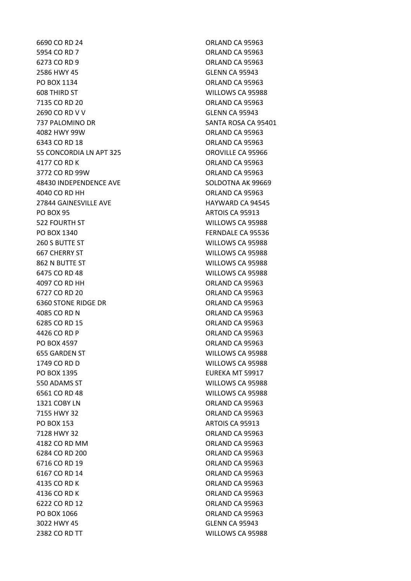5954 CO RD 7 ORLAND CA 95963 6273 CO RD 9 ORLAND CA 95963 2586 HWY 45 GLENN CA 95943 PO BOX 1134 ORLAND CA 95963 608 THIRD ST WILLOWS CA 95988 7135 CO RD 20 **ORLAND CA 95963** 2690 CO RD V V GLENN CA 95943 737 PALOMINO DR SANTA ROSA CA 95401 4082 HWY 99W ORLAND CA 95963 6343 CO RD 18 **ORLAND CA 95963** 55 CONCORDIA LN APT 325 OROVILLE CA 95966 4177 CO RD K ORLAND CA 95963 3772 CO RD 99W ORLAND CA 95963 48430 INDEPENDENCE AVE SOLDOTNA AK 99669 4040 CO RD HH ORLAND CA 95963 27844 GAINESVILLE AVE **HAYWARD CA 94545** PO BOX 95 ARTOIS CA 95913 522 FOURTH ST WILLOWS CA 95988 PO BOX 1340 FERNDALE CA 95536 260 S BUTTE ST WILLOWS CA 95988 667 CHERRY ST WILLOWS CA 95988 862 N BUTTE ST WILLOWS CA 95988 6475 CO RD 48 WILLOWS CA 95988 4097 CO RD HH ORLAND CA 95963 6727 CO RD 20 ORLAND CA 95963 6360 STONE RIDGE DR ORLAND CA 95963 4085 CO RD N ORLAND CA 95963 6285 CO RD 15 ORLAND CA 95963 4426 CO RD P ORLAND CA 95963 PO BOX 4597 ORLAND CA 95963 655 GARDEN ST WILLOWS CA 95988 1749 CO RD D WILLOWS CA 95988 PO BOX 1395 EUREKA MT 59917 550 ADAMS ST WILLOWS CA 95988 6561 CO RD 48 WILLOWS CA 95988 1321 COBY LN CORPORATION CA 95963 7155 HWY 32 ORLAND CA 95963 PO BOX 153 ARTOIS CA 95913 7128 HWY 32 ORLAND CA 95963 4182 CO RD MM ORLAND CA 95963 6284 CO RD 200 ORLAND CA 95963 6716 CO RD 19 ORLAND CA 95963 6167 CO RD 14 ORLAND CA 95963 4135 CO RD K ORLAND CA 95963 4136 CO RD K ORLAND CA 95963 6222 CO RD 12 ORLAND CA 95963 PO BOX 1066 CRLAND CA 95963 3022 HWY 45 GLENN CA 95943 2382 CO RD TT WILLOWS CA 95988

6690 CO RD 24 ORLAND CA 95963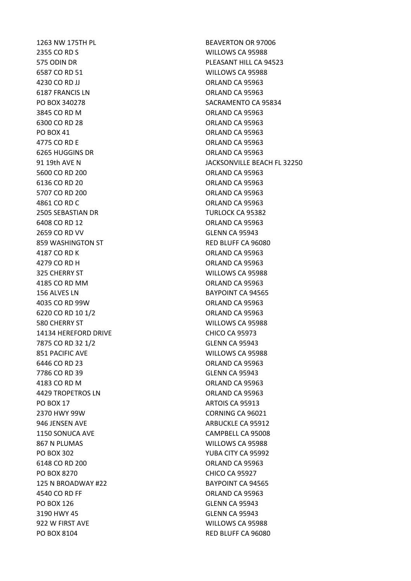1263 NW 175TH PL BEAVERTON OR 97006 2355 CO RD S WILLOWS CA 95988 6587 CO RD 51 WILLOWS CA 95988 4230 CO RD JJ ORLAND CA 95963 6187 FRANCIS LN ORLAND CA 95963 3845 CO RD M ORLAND CA 95963 6300 CO RD 28 ORLAND CA 95963 PO BOX 41 ORLAND CA 95963 4775 CO RD E ORLAND CA 95963 6265 HUGGINS DR ORLAND CA 95963 5600 CO RD 200 ORLAND CA 95963 6136 CO RD 20 ORLAND CA 95963 5707 CO RD 200 ORLAND CA 95963 4861 CO RD C **CO CONSUMING THE CONSUMING CA 95963** 2505 SEBASTIAN DR TURLOCK CA 95382 6408 CO RD 12 ORLAND CA 95963 2659 CO RD VV GLENN CA 95943 859 WASHINGTON ST RED BLUFF CA 96080 4187 CO RD K ORLAND CA 95963 4279 CO RD H ORLAND CA 95963 325 CHERRY ST WILLOWS CA 95988 4185 CO RD MM ORLAND CA 95963 156 ALVES LN BAYPOINT CA 94565 4035 CO RD 99W ORLAND CA 95963 6220 CO RD 10 1/2 ORLAND CA 95963 580 CHERRY ST WILLOWS CA 95988 14134 HEREFORD DRIVE CHICO CA 95973 7875 CO RD 32 1/2 GLENN CA 95943 851 PACIFIC AVE WILLOWS CA 95988 6446 CO RD 23 ORLAND CA 95963 7786 CO RD 39 GLENN CA 95943 4183 CO RD M ORLAND CA 95963 4429 TROPETROS LN ORLAND CA 95963 PO BOX 17 ARTOIS CA 95913 2370 HWY 99W CORNING CA 96021 946 JENSEN AVE ARBUCKLE CA 95912 1150 SONUCA AVE CAMPBELL CA 95008 867 N PLUMAS WILLOWS CA 95988 PO BOX 302 YUBA CITY CA 95992 6148 CO RD 200 ORLAND CA 95963 PO BOX 8270 CHICO CA 95927 125 N BROADWAY #22 BAYPOINT CA 94565 4540 CO RD FF ORLAND CA 95963 PO BOX 126 GLENN CA 95943 3190 HWY 45 GLENN CA 95943 922 W FIRST AVE WILLOWS CA 95988 PO BOX 8104 RED BLUFF CA 96080

575 ODIN DR PLEASANT HILL CA 94523 PO BOX 340278 SACRAMENTO CA 95834 91 19th AVE N JACKSONVILLE BEACH FL 32250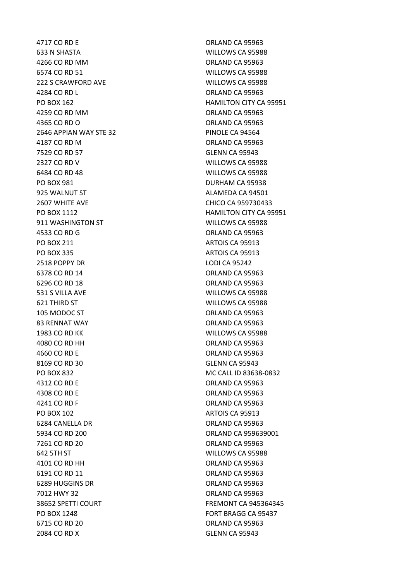4717 CO RD E ORLAND CA 95963 633 N SHASTA WILLOWS CA 95988 4266 CO RD MM ORLAND CA 95963 6574 CO RD 51 WILLOWS CA 95988 222 S CRAWFORD AVE WILLOWS CA 95988 4284 CO RD L ORLAND CA 95963 4259 CO RD MM ORLAND CA 95963 4365 CO RD O ORLAND CA 95963 2646 APPIAN WAY STE 32 PINOLE CA 94564 4187 CO RD M ORLAND CA 95963 7529 CO RD 57 GLENN CA 95943 2327 CO RD V WILLOWS CA 95988 6484 CO RD 48 WILLOWS CA 95988 PO BOX 981 DURHAM CA 95938 925 WALNUT ST ALAMEDA CA 94501 2607 WHITE AVE CHICO CA 959730433 911 WASHINGTON ST WILLOWS CA 95988 4533 CO RD G ORLAND CA 95963 PO BOX 211 ARTOIS CA 95913 PO BOX 335 ARTOIS CA 95913 2518 POPPY DR LODI CA 95242 6378 CO RD 14 **ORLAND CA 95963** 6296 CO RD 18 ORLAND CA 95963 531 S VILLA AVE WILLOWS CA 95988 621 THIRD ST WILLOWS CA 95988 105 MODOC ST ORLAND CA 95963 83 RENNAT WAY **CAN A SERVICE SERVICE SERVICE SERVICE SERVICE SERVICE SERVICE SERVICE SERVICE SERVICE SERVICE S** 1983 CO RD KK WILLOWS CA 95988 4080 CO RD HH ORLAND CA 95963 4660 CO RD E ORLAND CA 95963 8169 CO RD 30 GLENN CA 95943 PO BOX 832 MC CALL ID 83638-0832 4312 CO RD E ORLAND CA 95963 4308 CO RD E ORLAND CA 95963 4241 CO RD F ORLAND CA 95963 PO BOX 102 artol by the contract of the contract of the contract of the contract of the contract of the contract of the contract of the contract of the contract of the contract of the contract of the contract of the contra 6284 CANELLA DR ORLAND CA 95963 5934 CO RD 200 ORLAND CA 959639001 7261 CO RD 20 ORLAND CA 95963 642 5TH ST WILLOWS CA 95988 4101 CO RD HH ORLAND CA 95963 6191 CO RD 11 ORLAND CA 95963 6289 HUGGINS DR **ORLAND CA 95963** 7012 HWY 32 ORLAND CA 95963 PO BOX 1248 FORT BRAGG CA 95437 6715 CO RD 20 ORLAND CA 95963 2084 CO RD X GLENN CA 95943

PO BOX 162 **HAMILTON CITY CA 95951** PO BOX 1112 **HAMILTON CITY CA 95951** 38652 SPETTI COURT FREMONT CA 945364345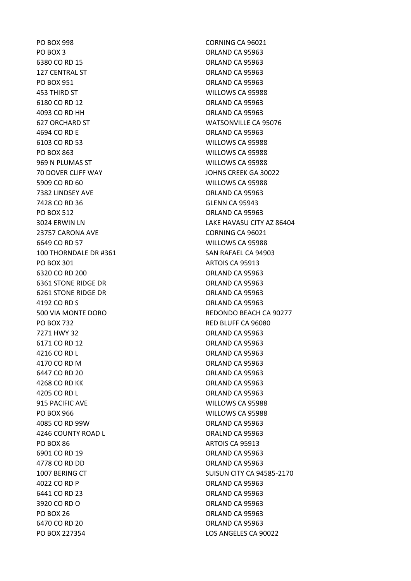PO BOX 998 CORNING CA 96021 PO BOX 3 ORLAND CA 95963 6380 CO RD 15 **ORLAND CA 95963** 127 CENTRAL ST CONTRACTED A CONTRACTED A SERIES ORLAND CA 95963 PO BOX 951 ORLAND CA 95963 453 THIRD ST WILLOWS CA 95988 6180 CO RD 12 **ORLAND CA 95963** 4093 CO RD HH ORLAND CA 95963 627 ORCHARD ST WATSONVILLE CA 95076 4694 CO RD E ORLAND CA 95963 6103 CO RD 53 WILLOWS CA 95988 PO BOX 863 WILLOWS CA 95988 969 N PLUMAS ST WILLOWS CA 95988 70 DOVER CLIFF WAY JOHNS CREEK GA 30022 5909 CO RD 60 WILLOWS CA 95988 7382 LINDSEY AVE CONTROLLER CONTROLLER CONTROLLER ORLAND CA 95963 7428 CO RD 36 GLENN CA 95943 PO BOX 512 ORLAND CA 95963 23757 CARONA AVE CORNING CA 96021 6649 CO RD 57 WILLOWS CA 95988 100 THORNDALE DR #361 SAN RAFAEL CA 94903 PO BOX 301 ARTOIS CA 95913 6320 CO RD 200 ORLAND CA 95963 6361 STONE RIDGE DR **CONCLUSIVE CONSUMING A SET ORLAND CA 95963** 6261 STONE RIDGE DR ORLAND CA 95963 4192 CO RD S ORLAND CA 95963 PO BOX 732 RED BLUFF CA 96080 7271 HWY 32 ORLAND CA 95963 6171 CO RD 12 **ORLAND CA 95963** 4216 CO RD L ORLAND CA 95963 4170 CO RD M ORLAND CA 95963 6447 CO RD 20 **ORLAND CA 95963** 4268 CO RD KK ORLAND CA 95963 4205 CO RD L ORLAND CA 95963 915 PACIFIC AVE WILLOWS CA 95988 PO BOX 966 WILLOWS CA 95988 4085 CO RD 99W ORLAND CA 95963 4246 COUNTY ROAD L<br>
ORALND CA 95963 PO BOX 86 ARTOIS CA 95913 6901 CO RD 19 ORLAND CA 95963 4778 CO RD DD ORLAND CA 95963 4022 CO RD P CA 95963 6441 CO RD 23 ORLAND CA 95963 3920 CO RD O ORLAND CA 95963 PO BOX 26 ORLAND CA 95963 6470 CO RD 20 **ORLAND CA 95963** PO BOX 227354 LOS ANGELES CA 90022

3024 ERWIN LN LAKE HAVASU CITY AZ 86404 500 VIA MONTE DORO REDONDO BEACH CA 90277 1007 BERING CT SUISUN CITY CA 94585-2170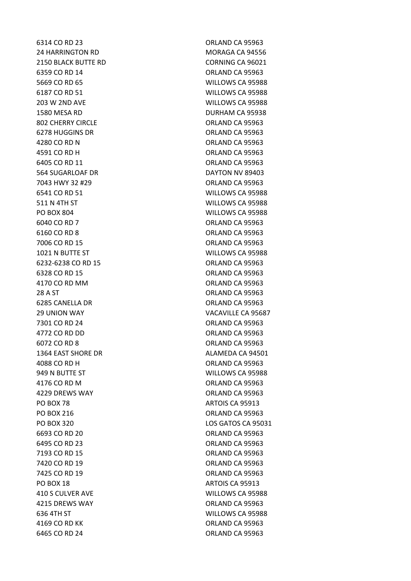24 HARRINGTON RD MORAGA CA 94556 2150 BLACK BUTTE RD CORNING CA 96021 6359 CO RD 14 ORLAND CA 95963 5669 CO RD 65 WILLOWS CA 95988 6187 CO RD 51 WILLOWS CA 95988 203 W 2ND AVE WILLOWS CA 95988 1580 MESA RD DURHAM CA 95938 802 CHERRY CIRCLE **CHERRY CIRCLE CONSUMING CA 95963** 6278 HUGGINS DR **ORLAND CA 95963** 4280 CO RD N ORLAND CA 95963 4591 CO RD H ORLAND CA 95963 6405 CO RD 11 ORLAND CA 95963 564 SUGARLOAF DR DAYTON NV 89403 7043 HWY 32 #29 ORLAND CA 95963 6541 CO RD 51 WILLOWS CA 95988 511 N 4TH ST WILLOWS CA 95988 PO BOX 804 WILLOWS CA 95988 6040 CO RD 7 ORLAND CA 95963 6160 CO RD 8 ORLAND CA 95963 7006 CO RD 15 ORLAND CA 95963 1021 N BUTTE ST WILLOWS CA 95988 6232-6238 CO RD 15 ORLAND CA 95963 6328 CO RD 15 **ORLAND CA 95963** 4170 CO RD MM ORLAND CA 95963 28 A ST ORLAND CA 95963 6285 CANELLA DR **ORLAND CA 95963** 29 UNION WAY **VACAVILLE CA 95687** 7301 CO RD 24 ORLAND CA 95963 4772 CO RD DD ORLAND CA 95963 6072 CO RD 8 ORLAND CA 95963 1364 EAST SHORE DR ALAMEDA CA 94501 4088 CO RD H ORLAND CA 95963 949 N BUTTE ST WILLOWS CA 95988 4176 CO RD M ORLAND CA 95963 4229 DREWS WAY ORLAND CA 95963 PO BOX 78 ARTOIS CA 95913 PO BOX 216 **ORLAND CA 95963** PO BOX 320 LOS GATOS CA 95031 6693 CO RD 20 **ORLAND CA 95963** 6495 CO RD 23 ORLAND CA 95963 7193 CO RD 15 ORLAND CA 95963 7420 CO RD 19 ORLAND CA 95963 7425 CO RD 19 ORLAND CA 95963 PO BOX 18 ARTOIS CA 95913 410 S CULVER AVE WILLOWS CA 95988 4215 DREWS WAY ORLAND CA 95963 636 4TH ST WILLOWS CA 95988 4169 CO RD KK ORLAND CA 95963 6465 CO RD 24 ORLAND CA 95963

6314 CO RD 23 ORLAND CA 95963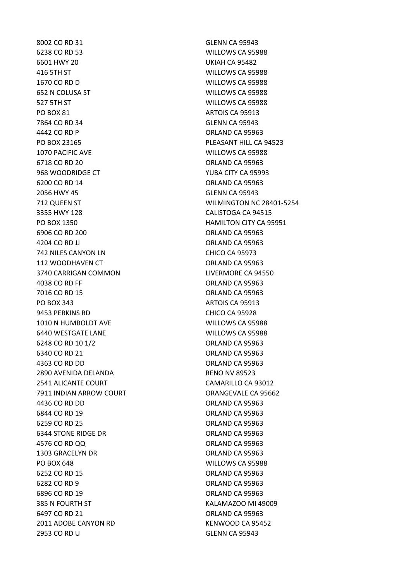8002 CO RD 31 GLENN CA 95943 6238 CO RD 53 WILLOWS CA 95988 6601 HWY 20 UKIAH CA 95482 416 5TH ST WILLOWS CA 95988 1670 CO RD D WILLOWS CA 95988 652 N COLUSA ST WILLOWS CA 95988 527 5TH ST WILLOWS CA 95988 PO BOX 81 ARTOIS CA 95913 7864 CO RD 34 GLENN CA 95943 4442 CO RD P ORLAND CA 95963 PO BOX 23165 PLEASANT HILL CA 94523 1070 PACIFIC AVE WILLOWS CA 95988 6718 CO RD 20 **ORLAND CA 95963** 968 WOODRIDGE CT YUBA CITY CA 95993 6200 CO RD 14 ORLAND CA 95963 2056 HWY 45 GLENN CA 95943 712 QUEEN ST WILMINGTON NC 28401-5254 3355 HWY 128 CALISTOGA CA 94515 PO BOX 1350 **HAMILTON CITY CA 95951** 6906 CO RD 200 ORLAND CA 95963 4204 CO RD JJ ORLAND CA 95963 742 NILES CANYON LN CHICO CA 95973 112 WOODHAVEN CT **CHALLAND CA 95963** 3740 CARRIGAN COMMON LIVERMORE CA 94550 4038 CO RD FF ORLAND CA 95963 7016 CO RD 15 ORLAND CA 95963 PO BOX 343 ARTOIS CA 95913 9453 PERKINS RD CHICO CA 95928 1010 N HUMBOLDT AVE WILLOWS CA 95988 6440 WESTGATE LANE WILLOWS CA 95988 6248 CO RD 10 1/2 ORLAND CA 95963 6340 CO RD 21 ORLAND CA 95963 4363 CO RD DD ORLAND CA 95963 2890 AVENIDA DELANDA RENO NV 89523 2541 ALICANTE COURT CAMARILLO CA 93012 7911 INDIAN ARROW COURT **COURT COUNT CONTRES** ORANGEVALE CA 95662 4436 CO RD DD ORLAND CA 95963 6844 CO RD 19 ORLAND CA 95963 6259 CO RD 25 ORLAND CA 95963 6344 STONE RIDGE DR **CALL CONTROLLER STONE RIDGE DR** ORLAND CA 95963 4576 CO RD OO CONSIDER THE CONSIDERATION OR A 95963 1303 GRACELYN DR ORLAND CA 95963 PO BOX 648 WILLOWS CA 95988 6252 CO RD 15 ORLAND CA 95963 6282 CO RD 9 ORLAND CA 95963 6896 CO RD 19 ORLAND CA 95963 385 N FOURTH ST **KALAMAZOO MI 49009** 6497 CO RD 21 ORLAND CA 95963 2011 ADOBE CANYON RD KENWOOD CA 95452 2953 CO RD U GLENN CA 95943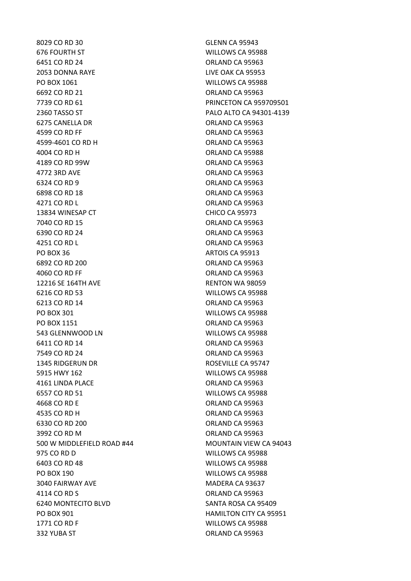8029 CO RD 30 GLENN CA 95943 676 FOURTH ST WILLOWS CA 95988 6451 CO RD 24 ORLAND CA 95963 2053 DONNA RAYE LIVE OAK CA 95953 PO BOX 1061 WILLOWS CA 95988 6692 CO RD 21 ORLAND CA 95963 7739 CO RD 61 **PRINCETON CA 959709501** 2360 TASSO ST PALO ALTO CA 94301-4139 6275 CANELLA DR ORLAND CA 95963 4599 CO RD FF ORLAND CA 95963 4599-4601 CO RD H ORLAND CA 95963 4004 CO RD H ORLAND CA 95988 4189 CO RD 99W ORLAND CA 95963 4772 3RD AVE ORLAND CA 95963 6324 CO RD 9 ORLAND CA 95963 6898 CO RD 18 ORLAND CA 95963 4271 CO RD L CO ROLL CO ROLL CO ROLL CO RD L 13834 WINESAP CT CHICO CA 95973 7040 CO RD 15 ORLAND CA 95963 6390 CO RD 24 ORLAND CA 95963 4251 CO RD L CO ROLLAND CA 95963 PO BOX 36 ARTOIS CA 95913 6892 CO RD 200 ORLAND CA 95963 4060 CO RD FF ORLAND CA 95963 12216 SE 164TH AVE RENTON WA 98059 6216 CO RD 53 WILLOWS CA 95988 6213 CO RD 14 ORLAND CA 95963 PO BOX 301 WILLOWS CA 95988 PO BOX 1151 CA 95963 543 GLENNWOOD LN WILLOWS CA 95988 6411 CO RD 14 ORLAND CA 95963 7549 CO RD 24 ORLAND CA 95963 1345 RIDGERUN DR ROSEVILLE CA 95747 5915 HWY 162 WILLOWS CA 95988 4161 LINDA PLACE ORLAND CA 95963 6557 CO RD 51 WILLOWS CA 95988 4668 CO RD E ORLAND CA 95963 4535 CO RD H ORLAND CA 95963 6330 CO RD 200 ORLAND CA 95963 3992 CO RD M ORLAND CA 95963 500 W MIDDLEFIELD ROAD #44 MOUNTAIN VIEW CA 94043 975 CO RD D WILLOWS CA 95988 6403 CO RD 48 WILLOWS CA 95988 PO BOX 190 WILLOWS CA 95988 3040 FAIRWAY AVE MADERA CA 93637 4114 CO RD S ORLAND CA 95963 6240 MONTECITO BLVD SANTA ROSA CA 95409 PO BOX 901 **HAMILTON CITY CA 95951** 1771 CO RD F WILLOWS CA 95988 332 YUBA ST ORLAND CA 95963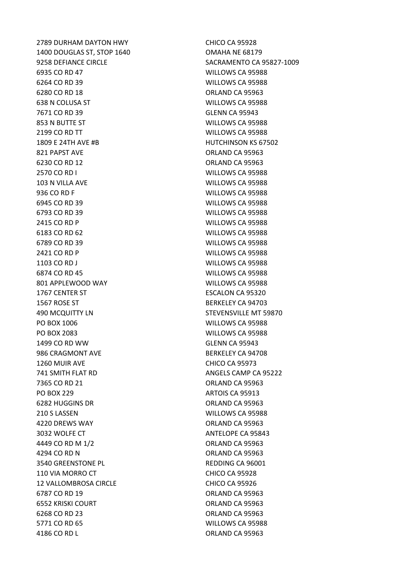2789 DURHAM DAYTON HWY CHICO CA 95928 1400 DOUGLAS ST, STOP 1640 OMAHA NE 68179 9258 DEFIANCE CIRCLE SACRAMENTO CA 95827-1009 6935 CO RD 47 WILLOWS CA 95988 6264 CO RD 39 WILLOWS CA 95988 6280 CO RD 18 ORLAND CA 95963 638 N COLUSA ST WILLOWS CA 95988 7671 CO RD 39 GLENN CA 95943 853 N BUTTE ST WILLOWS CA 95988 2199 CO RD TT WILLOWS CA 95988 1809 E 24TH AVE #B HUTCHINSON KS 67502 821 PAPST AVE ORLAND CA 95963 6230 CO RD 12 **ORLAND CA 95963** 2570 CO RD I WILLOWS CA 95988 103 N VILLA AVE WILLOWS CA 95988 936 CO RD F WILLOWS CA 95988 6945 CO RD 39 WILLOWS CA 95988 6793 CO RD 39 WILLOWS CA 95988 2415 CO RD P WILLOWS CA 95988 6183 CO RD 62 WILLOWS CA 95988 6789 CO RD 39 WILLOWS CA 95988 2421 CO RD P WILLOWS CA 95988 1103 CO RD J WILLOWS CA 95988 6874 CO RD 45 WILLOWS CA 95988 801 APPLEWOOD WAY WILLOWS CA 95988 1767 CENTER ST ESCALON CA 95320 1567 ROSE ST BERKELEY CA 94703 490 MCQUITTY LN **STEVENSVILLE MT 59870** PO BOX 1006 WILLOWS CA 95988 PO BOX 2083 WILLOWS CA 95988 1499 CO RD WW GLENN CA 95943 986 CRAGMONT AVE BERKELEY CA 94708 1260 MUIR AVE CHICO CA 95973 **741 SMITH FLAT RD ANGELS CAMP CA 95222** 7365 CO RD 21 ORLAND CA 95963 PO BOX 229 ARTOIS CA 95913 6282 HUGGINS DR ORLAND CA 95963 210 S LASSEN WILLOWS CA 95988 4220 DREWS WAY ORLAND CA 95963 3032 WOLFE CT ANTELOPE CA 95843 4449 CO RD M 1/2 ORLAND CA 95963 4294 CO RD N ORLAND CA 95963 3540 GREENSTONE PL **REDDING CA 96001** 110 VIA MORRO CT CHICO CA 95928 12 VALLOMBROSA CIRCLE CHICO CA 95926 6787 CO RD 19 **ORLAND CA 95963** 6552 KRISKI COURT ORLAND CA 95963 6268 CO RD 23 ORLAND CA 95963 5771 CO RD 65 WILLOWS CA 95988 4186 CO RD L **ORLAND CA 95963**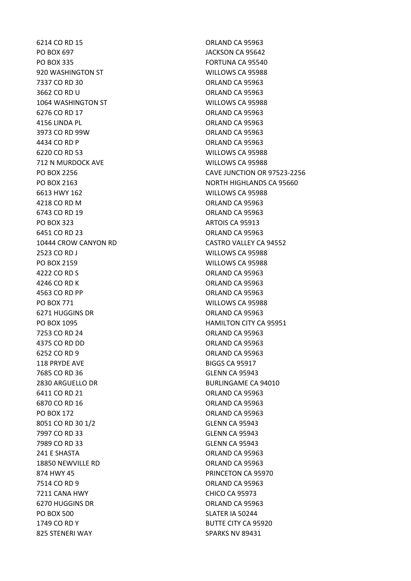6214 CO RD 15 ORLAND CA 95963 PO BOX 697 JACKSON CA 95642 PO BOX 335 FORTUNA CA 95540 920 WASHINGTON ST WILLOWS CA 95988 7337 CO RD 30 ORLAND CA 95963 3662 CO RD U ORLAND CA 95963 1064 WASHINGTON ST WILLOWS CA 95988 6276 CO RD 17 ORLAND CA 95963 4156 LINDA PL **ORLAND CA 95963** 3973 CO RD 99W ORLAND CA 95963 4434 CO RD P CA 95963 6220 CO RD 53 WILLOWS CA 95988 712 N MURDOCK AVE WILLOWS CA 95988 6613 HWY 162 WILLOWS CA 95988 4218 CO RD M ORLAND CA 95963 6743 CO RD 19 ORLAND CA 95963 PO BOX 323 ARTOIS CA 95913 6451 CO RD 23 ORLAND CA 95963 2523 CO RD J WILLOWS CA 95988 PO BOX 2159 WILLOWS CA 95988 4222 CO RD S ORLAND CA 95963 4246 CO RD K ORLAND CA 95963 4563 CO RD PP ORLAND CA 95963 PO BOX 771 WILLOWS CA 95988 6271 HUGGINS DR **ORLAND CA 95963** 7253 CO RD 24 ORLAND CA 95963 4375 CO RD DD ORLAND CA 95963 6252 CO RD 9 ORLAND CA 95963 118 PRYDE AVE BIGGS CA 95917 7685 CO RD 36 GLENN CA 95943 2830 ARGUELLO DR BURLINGAME CA 94010 6411 CO RD 21 **ORLAND CA 95963** 6870 CO RD 16 **ORLAND CA 95963** PO BOX 172 CREAND CA 95963 8051 CO RD 30 1/2 GLENN CA 95943 7997 CO RD 33 GLENN CA 95943 7989 CO RD 33 GLENN CA 95943 241 E SHASTA ORLAND CA 95963 18850 NEWVILLE RD **ORLAND CA 95963** 874 HWY 45 **PRINCETON CA 95970** 7514 CO RD 9 ORLAND CA 95963 7211 CANA HWY CHICO CA 95973 6270 HUGGINS DR ORLAND CA 95963 PO BOX 500 SLATER IA 50244 1749 CO RD Y BUTTE CITY CA 95920 825 STENERI WAY SPARKS NV 89431

PO BOX 2256 CAVE JUNCTION OR 97523-2256 PO BOX 2163 NORTH HIGHLANDS CA 95660 10444 CROW CANYON RD CASTRO VALLEY CA 94552 PO BOX 1095 HAMILTON CITY CA 95951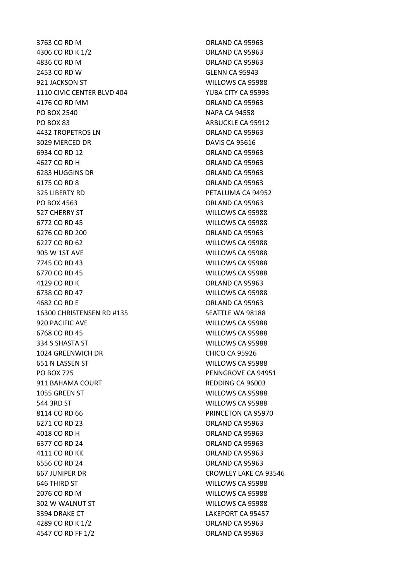4306 CO RD K 1/2 ORLAND CA 95963 4836 CO RD M ORLAND CA 95963 2453 CO RD W GLENN CA 95943 921 JACKSON ST WILLOWS CA 95988 1110 CIVIC CENTER BLVD 404 YUBA CITY CA 95993 4176 CO RD MM ORLAND CA 95963 PO BOX 2540 NAPA CA 94558 PO BOX 83 ARBUCKLE CA 95912 4432 TROPETROS LN CONTROL CA 95963 3029 MERCED DR DAVIS CA 95616 6934 CO RD 12 ORLAND CA 95963 4627 CO RD H ORLAND CA 95963 6283 HUGGINS DR ORLAND CA 95963 6175 CO RD 8 ORLAND CA 95963 325 LIBERTY RD PETALUMA CA 94952 PO BOX 4563 ORLAND CA 95963 527 CHERRY ST WILLOWS CA 95988 6772 CO RD 45 WILLOWS CA 95988 6276 CO RD 200 ORLAND CA 95963 6227 CO RD 62 WILLOWS CA 95988 905 W 1ST AVE WILLOWS CA 95988 7745 CO RD 43 WILLOWS CA 95988 6770 CO RD 45 WILLOWS CA 95988 4129 CO RD K ORLAND CA 95963 6738 CO RD 47 WILLOWS CA 95988 4682 CO RD E ORLAND CA 95963 16300 CHRISTENSEN RD #135 SEATTLE WA 98188 920 PACIFIC AVE WILLOWS CA 95988 6768 CO RD 45 WILLOWS CA 95988 334 S SHASTA ST WILLOWS CA 95988 1024 GREENWICH DR CHICO CA 95926 651 N LASSEN ST WILLOWS CA 95988 PO BOX 725 PENNGROVE CA 94951 911 BAHAMA COURT **REDDING CA 96003** 1055 GREEN ST WILLOWS CA 95988 544 3RD ST WILLOWS CA 95988 8114 CO RD 66 **PRINCETON CA 95970** 6271 CO RD 23 ORLAND CA 95963 4018 CO RD H ORLAND CA 95963 6377 CO RD 24 ORLAND CA 95963 4111 CO RD KK ORLAND CA 95963 6556 CO RD 24 ORLAND CA 95963 667 JUNIPER DR CROWLEY LAKE CA 93546 646 THIRD ST WILLOWS CA 95988 2076 CO RD M WILLOWS CA 95988 302 W WALNUT ST WILLOWS CA 95988 3394 DRAKE CT **LAKEPORT CA 95457** 4289 CO RD K 1/2 ORLAND CA 95963 4547 CO RD FF 1/2 **ORLAND CA 95963** 

3763 CO RD M ORLAND CA 95963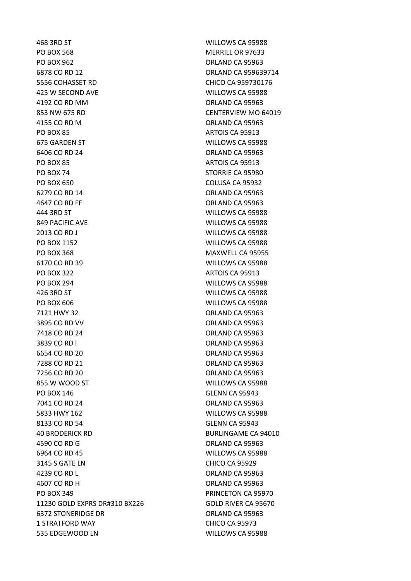468 3RD ST WILLOWS CA 95988 PO BOX 568 MERRILL OR 97633 PO BOX 962 **ORLAND CA 95963** 6878 CO RD 12 **ORLAND CA 959639714** 5556 COHASSET RD CHICO CA 959730176 425 W SECOND AVE WILLOWS CA 95988 4192 CO RD MM ORLAND CA 95963 853 NW 675 RD CENTERVIEW MO 64019 4155 CO RD M ORLAND CA 95963 PO BOX 85 ARTOIS CA 95913 675 GARDEN ST WILLOWS CA 95988 6406 CO RD 24 ORLAND CA 95963 PO BOX 85 ARTOIS CA 95913 PO BOX 74 STORRIE CA 95980 PO BOX 650 COLUSA CA 95932 6279 CO RD 14 ORLAND CA 95963 4647 CO RD FF ORLAND CA 95963 444 3RD ST WILLOWS CA 95988 849 PACIFIC AVE WILLOWS CA 95988 2013 CO RD J WILLOWS CA 95988 PO BOX 1152 WILLOWS CA 95988 PO BOX 368 MAXWELL CA 95955 6170 CO RD 39 WILLOWS CA 95988 PO BOX 322 ARTOIS CA 95913 PO BOX 294 WILLOWS CA 95988 426 3RD ST WILLOWS CA 95988 PO BOX 606 WILLOWS CA 95988 7121 HWY 32 ORLAND CA 95963 3895 CO RD VV CONTROL CONTROL CONTROL CA 95963 7418 CO RD 24 ORLAND CA 95963 3839 CO RD I ORLAND CA 95963 6654 CO RD 20 ORLAND CA 95963 7288 CO RD 21 ORLAND CA 95963 7256 CO RD 20 ORLAND CA 95963 855 W WOOD ST WILLOWS CA 95988 PO BOX 146 GLENN CA 95943 7041 CO RD 24 ORLAND CA 95963 5833 HWY 162 WILLOWS CA 95988 8133 CO RD 54 GLENN CA 95943 40 BRODERICK RD BURLINGAME CA 94010 4590 CO RD G ORLAND CA 95963 6964 CO RD 45 WILLOWS CA 95988 3145 S GATE LN CHICO CA 95929 4239 CO RD L CO ROLL CONTROL CA 95963 4607 CO RD H ORLAND CA 95963 PO BOX 349 PRINCETON CA 95970 11230 GOLD EXPRS DR#310 BX226 GOLD RIVER CA 95670 6372 STONERIDGE DR ORLAND CA 95963 1 STRATFORD WAY **CHICO CA 95973** 535 EDGEWOOD LN WILLOWS CA 95988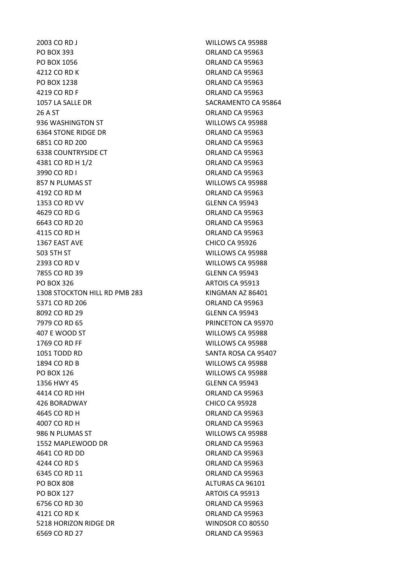2003 CO RD J WILLOWS CA 95988 PO BOX 393 ORLAND CA 95963 PO BOX 1056 CREAR CA 95963 4212 CO RD K ORLAND CA 95963 PO BOX 1238 ORLAND CA 95963 4219 CO RD F ORLAND CA 95963 1057 LA SALLE DR SACRAMENTO CA 95864 26 A ST ORLAND CA 95963 936 WASHINGTON ST WILLOWS CA 95988 6364 STONE RIDGE DR ORLAND CA 95963 6851 CO RD 200 ORLAND CA 95963 6338 COUNTRYSIDE CT **COUNTRYSIDE CT COUNTRYSIDE CT COUNTRYSIDE CT** 4381 CO RD H 1/2 **ORLAND CA 95963** 3990 CO RD I ORLAND CA 95963 857 N PLUMAS ST WILLOWS CA 95988 4192 CO RD M CA 95963 1353 CO RD VV GLENN CA 95943 4629 CO RD G Q ORLAND CA 95963 6643 CO RD 20 **ORLAND CA 95963** 4115 CO RD H ORLAND CA 95963 1367 EAST AVE CHICO CA 95926 503 5TH ST WILLOWS CA 95988 2393 CO RD V WILLOWS CA 95988 7855 CO RD 39 GLENN CA 95943 PO BOX 326 ARTOIS CA 95913 1308 STOCKTON HILL RD PMB 283 KINGMAN AZ 86401 5371 CO RD 206 **ORLAND CA 95963** 8092 CO RD 29 GLENN CA 95943 7979 CO RD 65 PRINCETON CA 95970 407 E WOOD ST WILLOWS CA 95988 1769 CO RD FF WILLOWS CA 95988 1051 TODD RD SANTA ROSA CA 95407 1894 CO RD B WILLOWS CA 95988 PO BOX 126 WILLOWS CA 95988 1356 HWY 45 GLENN CA 95943 4414 CO RD HH ORLAND CA 95963 426 BORADWAY CHICO CA 95928 4645 CO RD H ORLAND CA 95963 4007 CO RD H ORLAND CA 95963 986 N PLUMAS ST WILLOWS CA 95988 1552 MAPLEWOOD DR ORLAND CA 95963 4641 CO RD DD ORLAND CA 95963 4244 CO RD S ORLAND CA 95963 6345 CO RD 11 **ORLAND CA 95963** PO BOX 808 ALTURAS CA 96101 PO BOX 127 ARTOIS CA 95913 6756 CO RD 30 ORLAND CA 95963 4121 CO RD K ORLAND CA 95963 5218 HORIZON RIDGE DR WINDSOR CO 80550 6569 CO RD 27 ORLAND CA 95963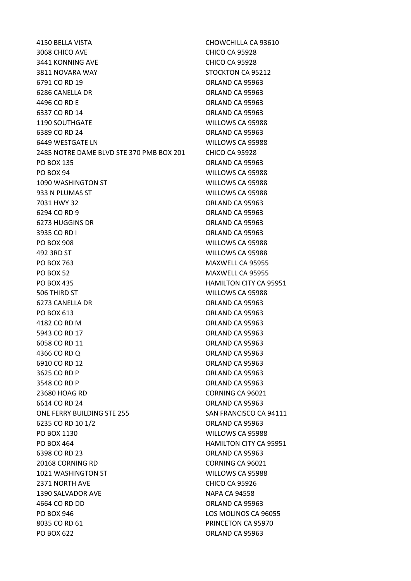4150 BELLA VISTA CHOWCHILLA CA 93610 3068 CHICO AVE CHICO CA 95928 3441 KONNING AVE CHICO CA 95928 3811 NOVARA WAY STOCKTON CA 95212 6791 CO RD 19 **ORLAND CA 95963** 6286 CANELLA DR ORLAND CA 95963 4496 CO RD E ORLAND CA 95963 6337 CO RD 14 **ORLAND CA 95963** 1190 SOUTHGATE WILLOWS CA 95988 6389 CO RD 24 ORLAND CA 95963 6449 WESTGATE LN WILLOWS CA 95988 2485 NOTRE DAME BLVD STE 370 PMB BOX 201 CHICO CA 95928 PO BOX 135 ORLAND CA 95963 PO BOX 94 WILLOWS CA 95988 1090 WASHINGTON ST WILLOWS CA 95988 933 N PLUMAS ST WILLOWS CA 95988 7031 HWY 32 ORLAND CA 95963 6294 CO RD 9 ORLAND CA 95963 6273 HUGGINS DR ORLAND CA 95963 3935 CO RD I ORLAND CA 95963 PO BOX 908 WILLOWS CA 95988 492 3RD ST WILLOWS CA 95988 PO BOX 763 MAXWELL CA 95955 PO BOX 52 MAXWELL CA 95955 PO BOX 435 HAMILTON CITY CA 95951 506 THIRD ST WILLOWS CA 95988 6273 CANELLA DR ORLAND CA 95963 PO BOX 613 ORLAND CA 95963 4182 CO RD M ORLAND CA 95963 5943 CO RD 17 **ORLAND CA 95963** 6058 CO RD 11 ORLAND CA 95963 4366 CO RD O CO ORLAND CA 95963 6910 CO RD 12 **ORLAND CA 95963** 3625 CO RD P ORLAND CA 95963 3548 CO RD P ORLAND CA 95963 23680 HOAG RD CORNING CA 96021 6614 CO RD 24 ORLAND CA 95963 ONE FERRY BUILDING STE 255 SAN FRANCISCO CA 94111 6235 CO RD 10 1/2 ORLAND CA 95963 PO BOX 1130 **WILLOWS CA 95988** PO BOX 464 **HAMILTON CITY CA 95951** 6398 CO RD 23 ORLAND CA 95963 20168 CORNING RD CORNING CA 96021 1021 WASHINGTON ST WILLOWS CA 95988 2371 NORTH AVE CHICO CA 95926 1390 SALVADOR AVE NAPA CA 94558 4664 CO RD DD ORLAND CA 95963 PO BOX 946 LOS MOLINOS CA 96055 8035 CO RD 61 **PRINCETON CA 95970** PO BOX 622 ORLAND CA 95963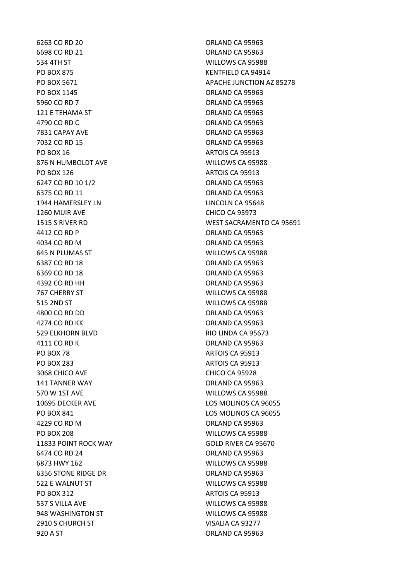6263 CO RD 20 ORLAND CA 95963 6698 CO RD 21 ORLAND CA 95963 534 4TH ST WILLOWS CA 95988 PO BOX 875 KENTFIELD CA 94914 PO BOX 1145 CRLAND CA 95963 5960 CO RD 7 ORLAND CA 95963 121 E TEHAMA ST **ORLAND CA 95963** 4790 CO RD C ORLAND CA 95963 7831 CAPAY AVE CHANGE CA 95963 7032 CO RD 15 **ORLAND CA 95963** PO BOX 16 ARTOIS CA 95913 876 N HUMBOLDT AVE WILLOWS CA 95988 PO BOX 126 ARTOIS CA 95913 6247 CO RD 10 1/2 **ORLAND CA 95963** 6375 CO RD 11 ORLAND CA 95963 1944 HAMERSLEY LN LINCOLN CA 95648 1260 MUIR AVE CHICO CA 95973 4412 CO RD P **ORLAND CA 95963** 4034 CO RD M ORLAND CA 95963 645 N PLUMAS ST WILLOWS CA 95988 6387 CO RD 18 **ORLAND CA 95963** 6369 CO RD 18 **ORLAND CA 95963** 4392 CO RD HH ORLAND CA 95963 767 CHERRY ST WILLOWS CA 95988 515 2ND ST WILLOWS CA 95988 4800 CO RD DD ORLAND CA 95963 4274 CO RD KK ORLAND CA 95963 529 ELKHORN BLVD RIO LINDA CA 95673 4111 CO RD K ORLAND CA 95963 PO BOX 78 ARTOIS CA 95913 PO BOX 283 ARTOIS CA 95913 3068 CHICO AVE CHICO CA 95928 141 TANNER WAY ORLAND CA 95963 570 W 1ST AVE WILLOWS CA 95988 10695 DECKER AVE LOS MOLINOS CA 96055 PO BOX 841 LOS MOLINOS CA 96055 And the CO RD M CA 95963 CO RD M PO BOX 208 WILLOWS CA 95988 11833 POINT ROCK WAY GOLD RIVER CA 95670 6474 CO RD 24 ORLAND CA 95963 6873 HWY 162 WILLOWS CA 95988 6356 STONE RIDGE DR ORLAND CA 95963 522 E WALNUT ST WILLOWS CA 95988 PO BOX 312 ARTOIS CA 95913 537 S VILLA AVE WILLOWS CA 95988 948 WASHINGTON ST WILLOWS CA 95988 2910 S CHURCH ST VISALIA CA 93277 920 A ST
920 A ST
920 A ST
920 A ST
920 A ST
920 A ST
920 A ST
920 A ST
920 A ST
920 A ST
920 A ST
920 A ST
920 A ST

PO BOX 5671 APACHE JUNCTION AZ 85278 1515 S RIVER RD WEST SACRAMENTO CA 95691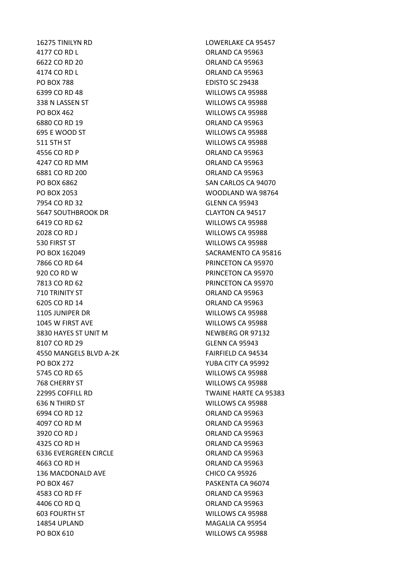4177 CO RD L CO ROLLAND CA 95963 6622 CO RD 20 ORLAND CA 95963 4174 CO RD L **ORLAND CA 95963** PO BOX 788 EDISTO SC 29438 6399 CO RD 48 WILLOWS CA 95988 338 N LASSEN ST WILLOWS CA 95988 PO BOX 462 WILLOWS CA 95988 6880 CO RD 19 ORLAND CA 95963 695 E WOOD ST WILLOWS CA 95988 511 5TH ST WILLOWS CA 95988 4556 CO RD P ORLAND CA 95963 4247 CO RD MM ORLAND CA 95963 6881 CO RD 200 ORLAND CA 95963 PO BOX 6862 SAN CARLOS CA 94070 PO BOX 2053 WOODLAND WA 98764 7954 CO RD 32 GLENN CA 95943 5647 SOUTHBROOK DR CLAYTON CA 94517 6419 CO RD 62 WILLOWS CA 95988 2028 CO RD J WILLOWS CA 95988 530 FIRST ST WILLOWS CA 95988 PO BOX 162049 SACRAMENTO CA 95816 7866 CO RD 64 PRINCETON CA 95970 920 CO RD W PRINCETON CA 95970 7813 CO RD 62 PRINCETON CA 95970 710 TRINITY ST ORLAND CA 95963 6205 CO RD 14 ORLAND CA 95963 1105 JUNIPER DR WILLOWS CA 95988 1045 W FIRST AVE WILLOWS CA 95988 3830 HAYES ST UNIT M NEWBERG OR 97132 8107 CO RD 29 GLENN CA 95943 4550 MANGELS BLVD A-2K FAIRFIELD CA 94534 PO BOX 272 YUBA CITY CA 95992 5745 CO RD 65 WILLOWS CA 95988 768 CHERRY ST WILLOWS CA 95988 22995 COFFILL RD TWAINE HARTE CA 95383 636 N THIRD ST WILLOWS CA 95988 6994 CO RD 12 ORLAND CA 95963 4097 CO RD M ORLAND CA 95963 3920 CO RD J ORLAND CA 95963 4325 CO RD H ORLAND CA 95963 6336 EVERGREEN CIRCLE ORLAND CA 95963 4663 CO RD H **ORLAND CA 95963** 136 MACDONALD AVE CHICO CA 95926 PO BOX 467 PO BOX 467 4583 CO RD FF ORLAND CA 95963 4406 CO RD Q ORLAND CA 95963 603 FOURTH ST WILLOWS CA 95988 14854 UPLAND MAGALIA CA 95954 PO BOX 610 WILLOWS CA 95988

16275 TINILYN RD LOWERLAKE CA 95457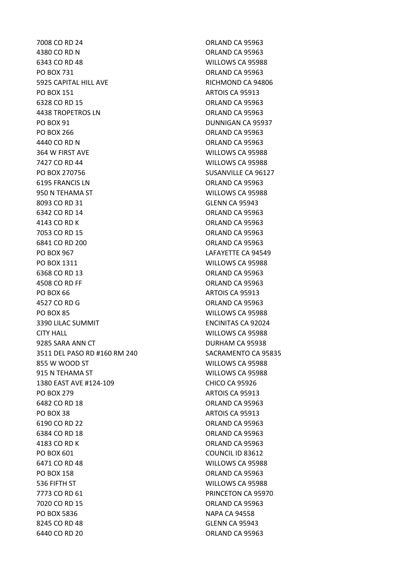7008 CO RD 24 ORLAND CA 95963 4380 CO RD N **ORLAND CA 95963** 6343 CO RD 48 WILLOWS CA 95988 PO BOX 731 ORLAND CA 95963 5925 CAPITAL HILL AVE **RICHMOND CA 94806** PO BOX 151 ARTOIS CA 95913 6328 CO RD 15 **ORLAND CA 95963** 4438 TROPETROS LN ORLAND CA 95963 PO BOX 91 DUNNIGAN CA 95937 PO BOX 266 ORLAND CA 95963 4440 CO RD N **ORLAND CA 95963** 364 W FIRST AVE WILLOWS CA 95988 7427 CO RD 44 WILLOWS CA 95988 PO BOX 270756 SUSANVILLE CA 96127 6195 FRANCIS LN ORLAND CA 95963 950 N TEHAMA ST WILLOWS CA 95988 8093 CO RD 31 GLENN CA 95943 6342 CO RD 14 ORLAND CA 95963 4143 CO RD K QRLAND CA 95963 7053 CO RD 15 ORLAND CA 95963 6841 CO RD 200 ORLAND CA 95963 PO BOX 967 LAFAYETTE CA 94549 PO BOX 1311 WILLOWS CA 95988 6368 CO RD 13 ORLAND CA 95963 4508 CO RD FF ORLAND CA 95963 PO BOX 66 ARTOIS CA 95913 4527 CO RD G Q ORLAND CA 95963 PO BOX 85 WILLOWS CA 95988 3390 LILAC SUMMIT ENCINITAS CA 92024 CITY HALL WILLOWS CA 95988 9285 SARA ANN CT DURHAM CA 95938 3511 DEL PASO RD #160 RM 240 SACRAMENTO CA 95835 855 W WOOD ST WILLOWS CA 95988 915 N TEHAMA ST WILLOWS CA 95988 1380 EAST AVE #124-109 CHICO CA 95926 PO BOX 279 ARTOIS CA 95913 6482 CO RD 18 **ORLAND CA 95963** PO BOX 38 ARTOIS CA 95913 6190 CO RD 22 ORLAND CA 95963 6384 CO RD 18 **ORLAND CA 95963** 4183 CO RD K ORLAND CA 95963 PO BOX 601 COUNCIL ID 83612 6471 CO RD 48 WILLOWS CA 95988 PO BOX 158 CREAR ORLAND CA 95963 536 FIFTH ST WILLOWS CA 95988 7773 CO RD 61 PRINCETON CA 95970 7020 CO RD 15 ORLAND CA 95963 PO BOX 5836 NAPA CA 94558 8245 CO RD 48 GLENN CA 95943 6440 CO RD 20 **ORLAND CA 95963**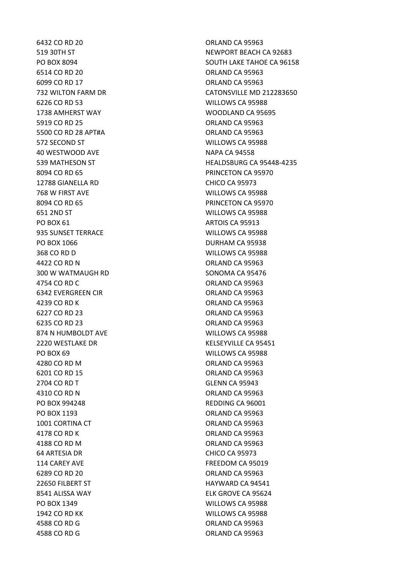6432 CO RD 20 ORLAND CA 95963 6514 CO RD 20 ORLAND CA 95963 6099 CO RD 17 ORLAND CA 95963 6226 CO RD 53 WILLOWS CA 95988 1738 AMHERST WAY WOODLAND CA 95695 5919 CO RD 25 ORLAND CA 95963 5500 CO RD 28 APT#A ORLAND CA 95963 572 SECOND ST WILLOWS CA 95988 40 WESTWOOD AVE NAPA CA 94558 8094 CO RD 65 PRINCETON CA 95970 12788 GIANELLA RD CHICO CA 95973 768 W FIRST AVE WILLOWS CA 95988 8094 CO RD 65 PRINCETON CA 95970 651 2ND ST WILLOWS CA 95988 PO BOX 61 ARTOIS CA 95913 935 SUNSET TERRACE WILLOWS CA 95988 PO BOX 1066 DURHAM CA 95938 368 CO RD D WILLOWS CA 95988 4422 CO RD N ORLAND CA 95963 300 W WATMAUGH RD SONOMA CA 95476 4754 CO RD C ORLAND CA 95963 6342 EVERGREEN CIR ORLAND CA 95963 4239 CO RD K ORLAND CA 95963 6227 CO RD 23 ORLAND CA 95963 6235 CO RD 23 ORLAND CA 95963 874 N HUMBOLDT AVE WILLOWS CA 95988 2220 WESTLAKE DR KELSEYVILLE CA 95451 PO BOX 69 WILLOWS CA 95988 4280 CO RD M ORLAND CA 95963 6201 CO RD 15 ORLAND CA 95963 2704 CO RD T GLENN CA 95943 4310 CO RD N CO RD N CO RD N CO RD N CO RD N CO RD N CO RD N CO RD N CO RD N CO RD N CO RD N CO RD N CO RD N CO PO BOX 994248 REDDING CA 96001 PO BOX 1193 CRLAND CA 95963 1001 CORTINA CT **CORTING CORTING CORTING CORLAND CA 95963** 4178 CO RD K ORLAND CA 95963 4188 CO RD M ORLAND CA 95963 64 ARTESIA DR CHICO CA 95973 114 CAREY AVE **FREEDOM CA 95019** 6289 CO RD 20 ORLAND CA 95963 22650 FILBERT ST HAYWARD CA 94541 8541 ALISSA WAY ELK GROVE CA 95624 PO BOX 1349 WILLOWS CA 95988 1942 CO RD KK WILLOWS CA 95988 4588 CO RD G Q ORLAND CA 95963 4588 CO RD G Q ORLAND CA 95963

519 30TH ST NEWPORT BEACH CA 92683 PO BOX 8094 SOUTH LAKE TAHOE CA 96158 732 WILTON FARM DR CATONSVILLE MD 212283650 539 MATHESON ST **HEALDSBURG CA 95448-4235**